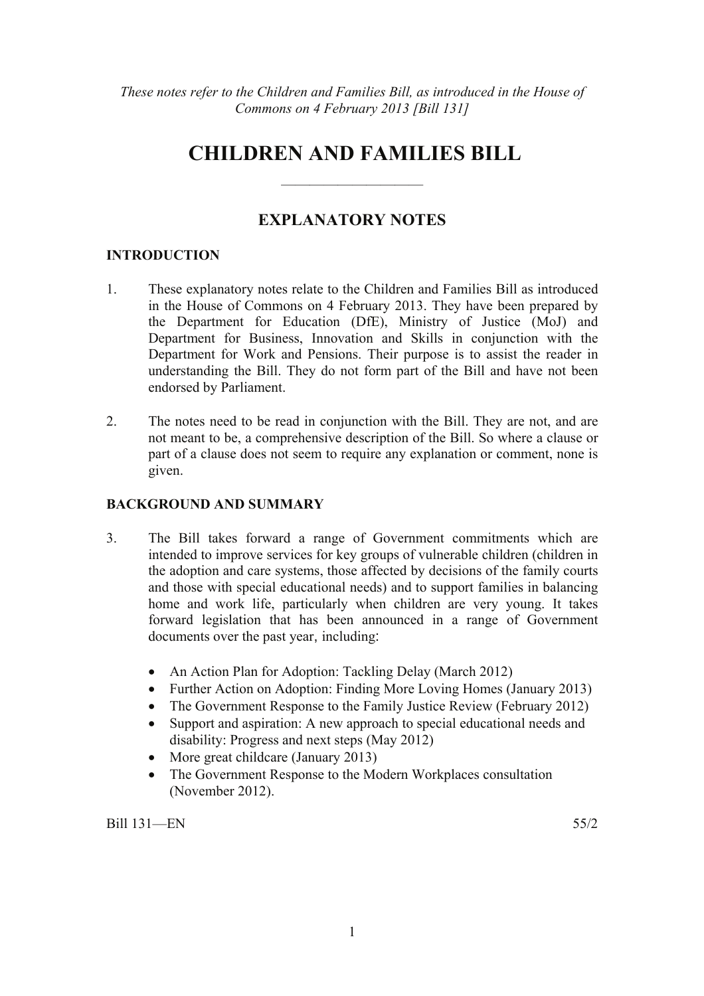# **CHILDREN AND FAMILIES BILL**

## **EXPLANATORY NOTES**

——————————

## **INTRODUCTION**

- 1. These explanatory notes relate to the Children and Families Bill as introduced in the House of Commons on 4 February 2013. They have been prepared by the Department for Education (DfE), Ministry of Justice (MoJ) and Department for Business, Innovation and Skills in conjunction with the Department for Work and Pensions. Their purpose is to assist the reader in understanding the Bill. They do not form part of the Bill and have not been endorsed by Parliament.
- 2. The notes need to be read in conjunction with the Bill. They are not, and are not meant to be, a comprehensive description of the Bill. So where a clause or part of a clause does not seem to require any explanation or comment, none is given.

## **BACKGROUND AND SUMMARY**

- 3. The Bill takes forward a range of Government commitments which are intended to improve services for key groups of vulnerable children (children in the adoption and care systems, those affected by decisions of the family courts and those with special educational needs) and to support families in balancing home and work life, particularly when children are very young. It takes forward legislation that has been announced in a range of Government documents over the past year, including:
	- An Action Plan for Adoption: Tackling Delay (March 2012)
	- Further Action on Adoption: Finding More Loving Homes (January 2013)
	- The Government Response to the Family Justice Review (February 2012)
	- Support and aspiration: A new approach to special educational needs and disability: Progress and next steps (May 2012)
	- More great childcare (January 2013)
	- The Government Response to the Modern Workplaces consultation (November 2012).

Bill 131—EN 55/2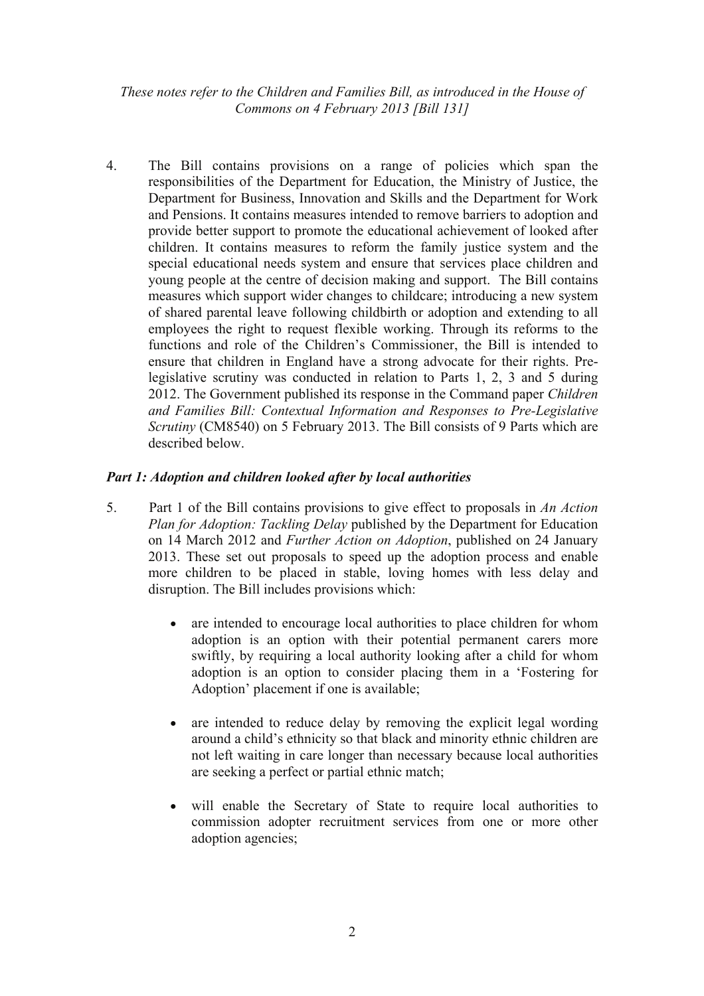4. The Bill contains provisions on a range of policies which span the responsibilities of the Department for Education, the Ministry of Justice, the Department for Business, Innovation and Skills and the Department for Work and Pensions. It contains measures intended to remove barriers to adoption and provide better support to promote the educational achievement of looked after children. It contains measures to reform the family justice system and the special educational needs system and ensure that services place children and young people at the centre of decision making and support. The Bill contains measures which support wider changes to childcare; introducing a new system of shared parental leave following childbirth or adoption and extending to all employees the right to request flexible working. Through its reforms to the functions and role of the Children's Commissioner, the Bill is intended to ensure that children in England have a strong advocate for their rights. Prelegislative scrutiny was conducted in relation to Parts 1, 2, 3 and 5 during 2012. The Government published its response in the Command paper *Children and Families Bill: Contextual Information and Responses to Pre-Legislative Scrutiny* (CM8540) on 5 February 2013. The Bill consists of 9 Parts which are described below.

## *Part 1: Adoption and children looked after by local authorities*

- 5. Part 1 of the Bill contains provisions to give effect to proposals in *An Action Plan for Adoption: Tackling Delay* published by the Department for Education on 14 March 2012 and *Further Action on Adoption*, published on 24 January 2013. These set out proposals to speed up the adoption process and enable more children to be placed in stable, loving homes with less delay and disruption. The Bill includes provisions which:
	- are intended to encourage local authorities to place children for whom adoption is an option with their potential permanent carers more swiftly, by requiring a local authority looking after a child for whom adoption is an option to consider placing them in a 'Fostering for Adoption' placement if one is available;
	- are intended to reduce delay by removing the explicit legal wording around a child's ethnicity so that black and minority ethnic children are not left waiting in care longer than necessary because local authorities are seeking a perfect or partial ethnic match;
	- will enable the Secretary of State to require local authorities to commission adopter recruitment services from one or more other adoption agencies;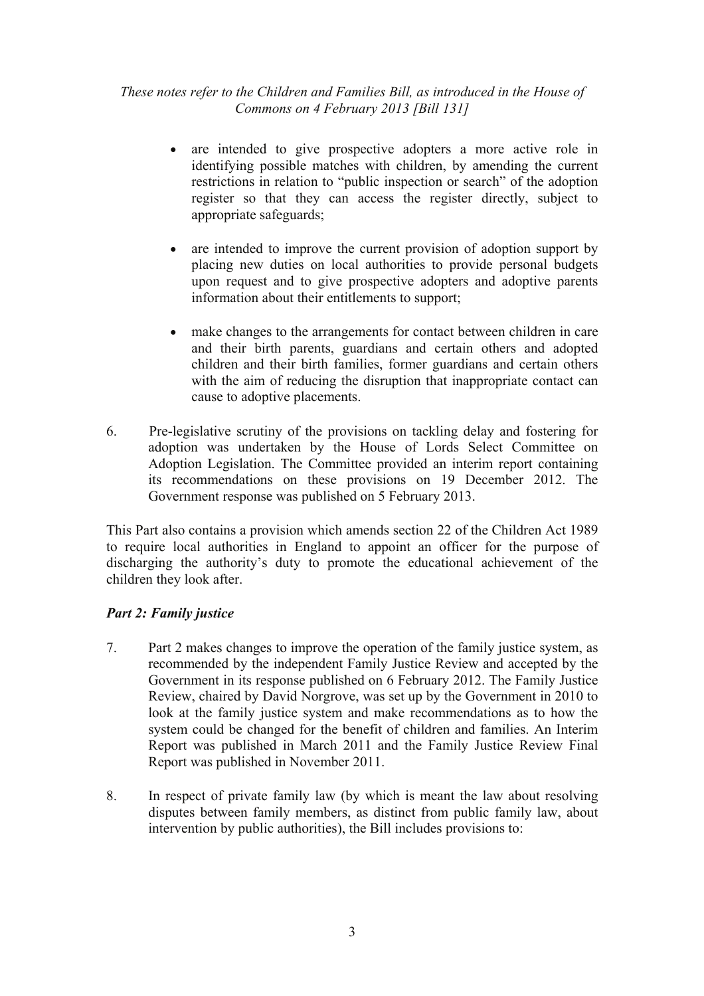- are intended to give prospective adopters a more active role in identifying possible matches with children, by amending the current restrictions in relation to "public inspection or search" of the adoption register so that they can access the register directly, subject to appropriate safeguards;
- are intended to improve the current provision of adoption support by placing new duties on local authorities to provide personal budgets upon request and to give prospective adopters and adoptive parents information about their entitlements to support;
- make changes to the arrangements for contact between children in care and their birth parents, guardians and certain others and adopted children and their birth families, former guardians and certain others with the aim of reducing the disruption that inappropriate contact can cause to adoptive placements.
- 6. Pre-legislative scrutiny of the provisions on tackling delay and fostering for adoption was undertaken by the House of Lords Select Committee on Adoption Legislation. The Committee provided an interim report containing its recommendations on these provisions on 19 December 2012. The Government response was published on 5 February 2013.

This Part also contains a provision which amends section 22 of the Children Act 1989 to require local authorities in England to appoint an officer for the purpose of discharging the authority's duty to promote the educational achievement of the children they look after.

## *Part 2: Family justice*

- 7. Part 2 makes changes to improve the operation of the family justice system, as recommended by the independent Family Justice Review and accepted by the Government in its response published on 6 February 2012. The Family Justice Review, chaired by David Norgrove, was set up by the Government in 2010 to look at the family justice system and make recommendations as to how the system could be changed for the benefit of children and families. An Interim Report was published in March 2011 and the Family Justice Review Final Report was published in November 2011.
- 8. In respect of private family law (by which is meant the law about resolving disputes between family members, as distinct from public family law, about intervention by public authorities), the Bill includes provisions to: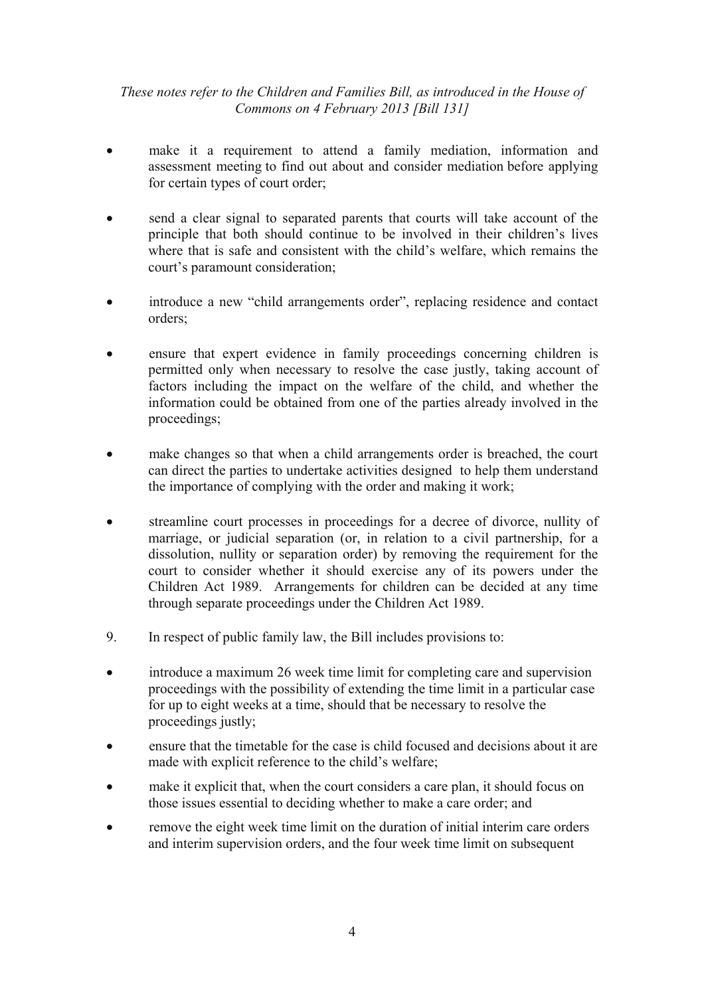- make it a requirement to attend a family mediation, information and assessment meeting to find out about and consider mediation before applying for certain types of court order;
- send a clear signal to separated parents that courts will take account of the principle that both should continue to be involved in their children's lives where that is safe and consistent with the child's welfare, which remains the court's paramount consideration;
- introduce a new "child arrangements order", replacing residence and contact orders;
- ensure that expert evidence in family proceedings concerning children is permitted only when necessary to resolve the case justly, taking account of factors including the impact on the welfare of the child, and whether the information could be obtained from one of the parties already involved in the proceedings;
- make changes so that when a child arrangements order is breached, the court can direct the parties to undertake activities designed to help them understand the importance of complying with the order and making it work;
- streamline court processes in proceedings for a decree of divorce, nullity of marriage, or judicial separation (or, in relation to a civil partnership, for a dissolution, nullity or separation order) by removing the requirement for the court to consider whether it should exercise any of its powers under the Children Act 1989. Arrangements for children can be decided at any time through separate proceedings under the Children Act 1989.
- 9. In respect of public family law, the Bill includes provisions to:
- introduce a maximum 26 week time limit for completing care and supervision proceedings with the possibility of extending the time limit in a particular case for up to eight weeks at a time, should that be necessary to resolve the proceedings justly;
- ensure that the timetable for the case is child focused and decisions about it are made with explicit reference to the child's welfare;
- make it explicit that, when the court considers a care plan, it should focus on those issues essential to deciding whether to make a care order; and
- remove the eight week time limit on the duration of initial interim care orders and interim supervision orders, and the four week time limit on subsequent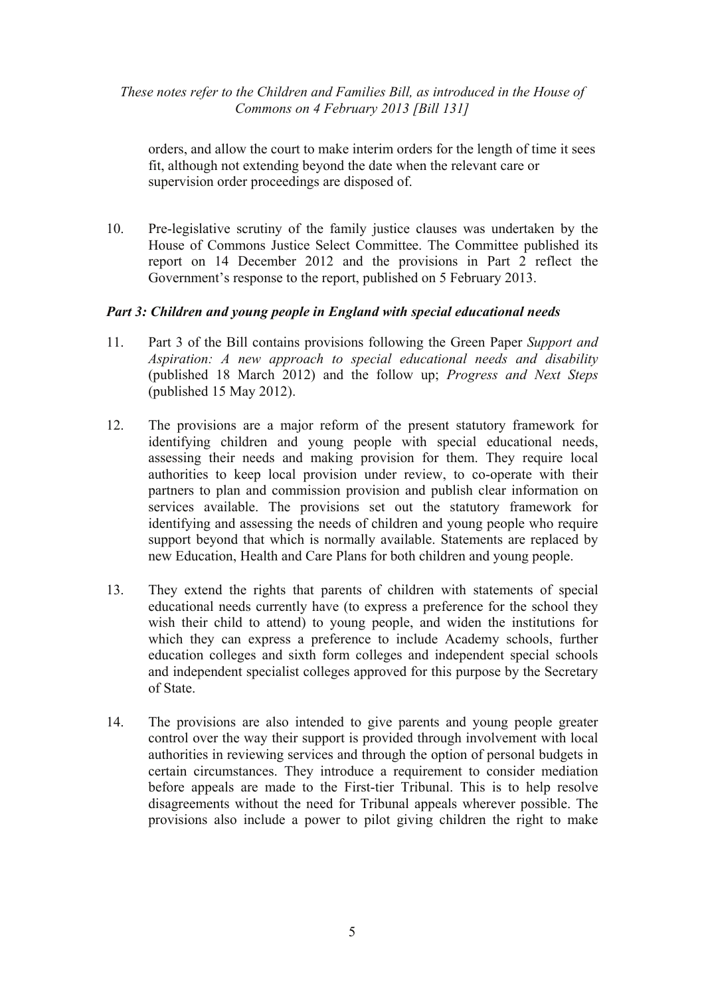orders, and allow the court to make interim orders for the length of time it sees fit, although not extending beyond the date when the relevant care or supervision order proceedings are disposed of.

10. Pre-legislative scrutiny of the family justice clauses was undertaken by the House of Commons Justice Select Committee. The Committee published its report on 14 December 2012 and the provisions in Part 2 reflect the Government's response to the report, published on 5 February 2013.

## *Part 3: Children and young people in England with special educational needs*

- 11. Part 3 of the Bill contains provisions following the Green Paper *Support and Aspiration: A new approach to special educational needs and disability* (published 18 March 2012) and the follow up; *Progress and Next Steps* (published 15 May 2012).
- 12. The provisions are a major reform of the present statutory framework for identifying children and young people with special educational needs, assessing their needs and making provision for them. They require local authorities to keep local provision under review, to co-operate with their partners to plan and commission provision and publish clear information on services available. The provisions set out the statutory framework for identifying and assessing the needs of children and young people who require support beyond that which is normally available. Statements are replaced by new Education, Health and Care Plans for both children and young people.
- 13. They extend the rights that parents of children with statements of special educational needs currently have (to express a preference for the school they wish their child to attend) to young people, and widen the institutions for which they can express a preference to include Academy schools, further education colleges and sixth form colleges and independent special schools and independent specialist colleges approved for this purpose by the Secretary of State.
- 14. The provisions are also intended to give parents and young people greater control over the way their support is provided through involvement with local authorities in reviewing services and through the option of personal budgets in certain circumstances. They introduce a requirement to consider mediation before appeals are made to the First-tier Tribunal. This is to help resolve disagreements without the need for Tribunal appeals wherever possible. The provisions also include a power to pilot giving children the right to make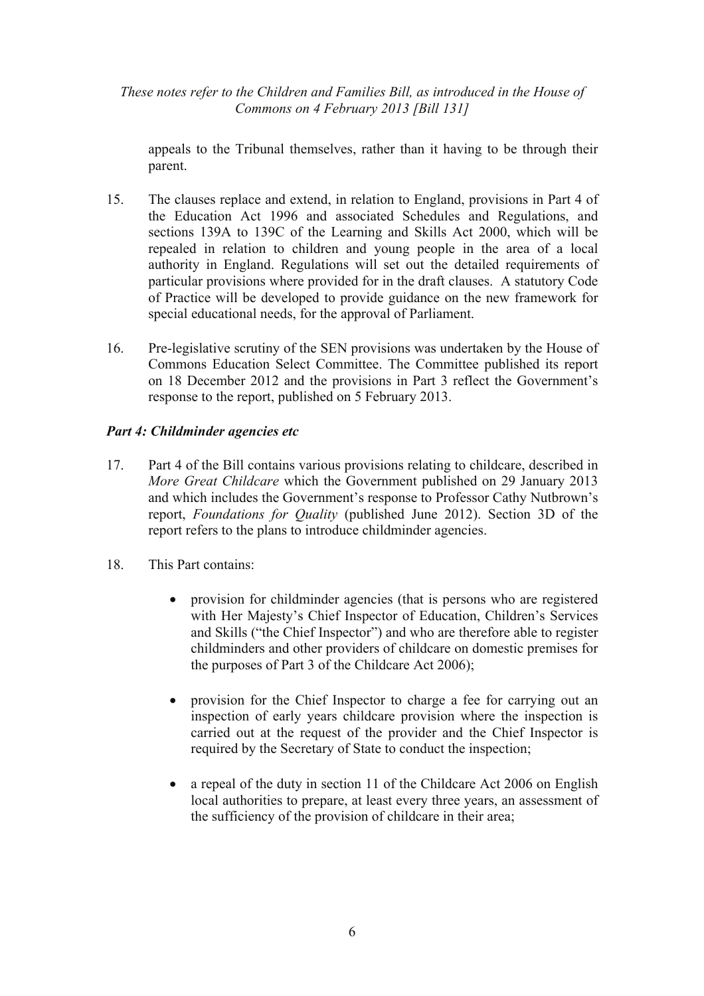appeals to the Tribunal themselves, rather than it having to be through their parent.

- 15. The clauses replace and extend, in relation to England, provisions in Part 4 of the Education Act 1996 and associated Schedules and Regulations, and sections 139A to 139C of the Learning and Skills Act 2000, which will be repealed in relation to children and young people in the area of a local authority in England. Regulations will set out the detailed requirements of particular provisions where provided for in the draft clauses. A statutory Code of Practice will be developed to provide guidance on the new framework for special educational needs, for the approval of Parliament.
- 16. Pre-legislative scrutiny of the SEN provisions was undertaken by the House of Commons Education Select Committee. The Committee published its report on 18 December 2012 and the provisions in Part 3 reflect the Government's response to the report, published on 5 February 2013.

## *Part 4: Childminder agencies etc*

- 17. Part 4 of the Bill contains various provisions relating to childcare, described in *More Great Childcare* which the Government published on 29 January 2013 and which includes the Government's response to Professor Cathy Nutbrown's report, *Foundations for Quality* (published June 2012). Section 3D of the report refers to the plans to introduce childminder agencies.
- 18. This Part contains:
	- provision for childminder agencies (that is persons who are registered with Her Majesty's Chief Inspector of Education, Children's Services and Skills ("the Chief Inspector") and who are therefore able to register childminders and other providers of childcare on domestic premises for the purposes of Part 3 of the Childcare Act 2006);
	- provision for the Chief Inspector to charge a fee for carrying out an inspection of early years childcare provision where the inspection is carried out at the request of the provider and the Chief Inspector is required by the Secretary of State to conduct the inspection;
	- a repeal of the duty in section 11 of the Childcare Act 2006 on English local authorities to prepare, at least every three years, an assessment of the sufficiency of the provision of childcare in their area;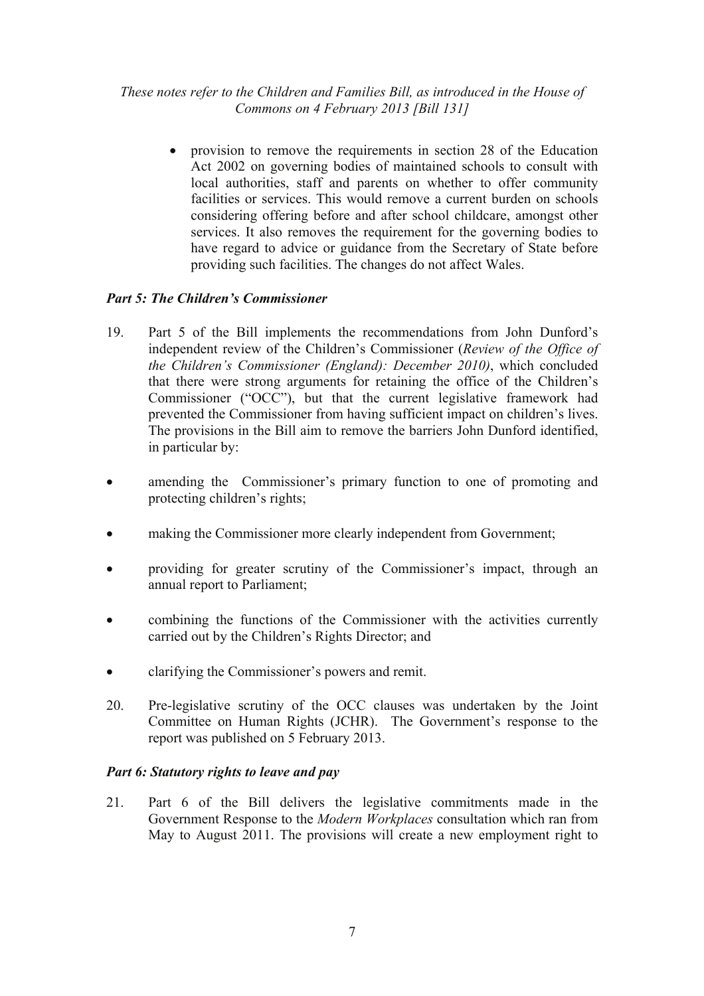> • provision to remove the requirements in section 28 of the Education Act 2002 on governing bodies of maintained schools to consult with local authorities, staff and parents on whether to offer community facilities or services. This would remove a current burden on schools considering offering before and after school childcare, amongst other services. It also removes the requirement for the governing bodies to have regard to advice or guidance from the Secretary of State before providing such facilities. The changes do not affect Wales.

## *Part 5: The Children's Commissioner*

- 19. Part 5 of the Bill implements the recommendations from John Dunford's independent review of the Children's Commissioner (*Review of the Office of the Children's Commissioner (England): December 2010)*, which concluded that there were strong arguments for retaining the office of the Children's Commissioner ("OCC"), but that the current legislative framework had prevented the Commissioner from having sufficient impact on children's lives. The provisions in the Bill aim to remove the barriers John Dunford identified, in particular by:
- amending the Commissioner's primary function to one of promoting and protecting children's rights;
- making the Commissioner more clearly independent from Government;
- providing for greater scrutiny of the Commissioner's impact, through an annual report to Parliament;
- combining the functions of the Commissioner with the activities currently carried out by the Children's Rights Director; and
- clarifying the Commissioner's powers and remit.
- 20. Pre-legislative scrutiny of the OCC clauses was undertaken by the Joint Committee on Human Rights (JCHR). The Government's response to the report was published on 5 February 2013.

#### *Part 6: Statutory rights to leave and pay*

21. Part 6 of the Bill delivers the legislative commitments made in the Government Response to the *Modern Workplaces* consultation which ran from May to August 2011. The provisions will create a new employment right to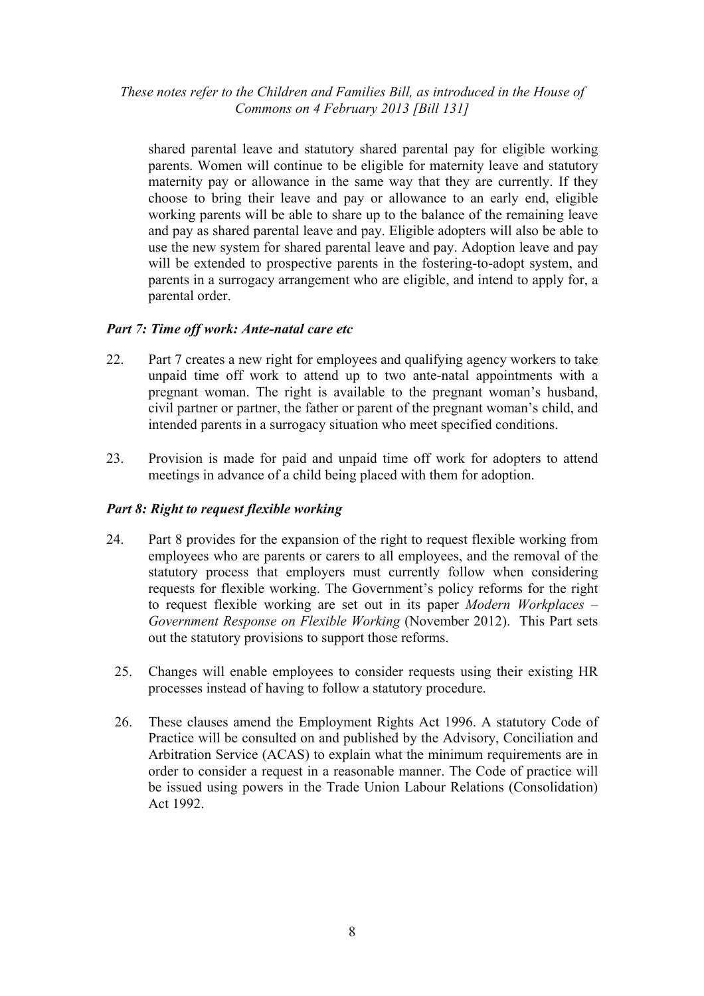shared parental leave and statutory shared parental pay for eligible working parents. Women will continue to be eligible for maternity leave and statutory maternity pay or allowance in the same way that they are currently. If they choose to bring their leave and pay or allowance to an early end, eligible working parents will be able to share up to the balance of the remaining leave and pay as shared parental leave and pay. Eligible adopters will also be able to use the new system for shared parental leave and pay. Adoption leave and pay will be extended to prospective parents in the fostering-to-adopt system, and parents in a surrogacy arrangement who are eligible, and intend to apply for, a parental order.

## *Part 7: Time off work: Ante-natal care etc*

- 22. Part 7 creates a new right for employees and qualifying agency workers to take unpaid time off work to attend up to two ante-natal appointments with a pregnant woman. The right is available to the pregnant woman's husband, civil partner or partner, the father or parent of the pregnant woman's child, and intended parents in a surrogacy situation who meet specified conditions.
- 23. Provision is made for paid and unpaid time off work for adopters to attend meetings in advance of a child being placed with them for adoption.

## *Part 8: Right to request flexible working*

- 24. Part 8 provides for the expansion of the right to request flexible working from employees who are parents or carers to all employees, and the removal of the statutory process that employers must currently follow when considering requests for flexible working. The Government's policy reforms for the right to request flexible working are set out in its paper *Modern Workplaces – Government Response on Flexible Working* (November 2012). This Part sets out the statutory provisions to support those reforms.
	- 25. Changes will enable employees to consider requests using their existing HR processes instead of having to follow a statutory procedure.
	- 26. These clauses amend the Employment Rights Act 1996. A statutory Code of Practice will be consulted on and published by the Advisory, Conciliation and Arbitration Service (ACAS) to explain what the minimum requirements are in order to consider a request in a reasonable manner. The Code of practice will be issued using powers in the Trade Union Labour Relations (Consolidation) Act 1992.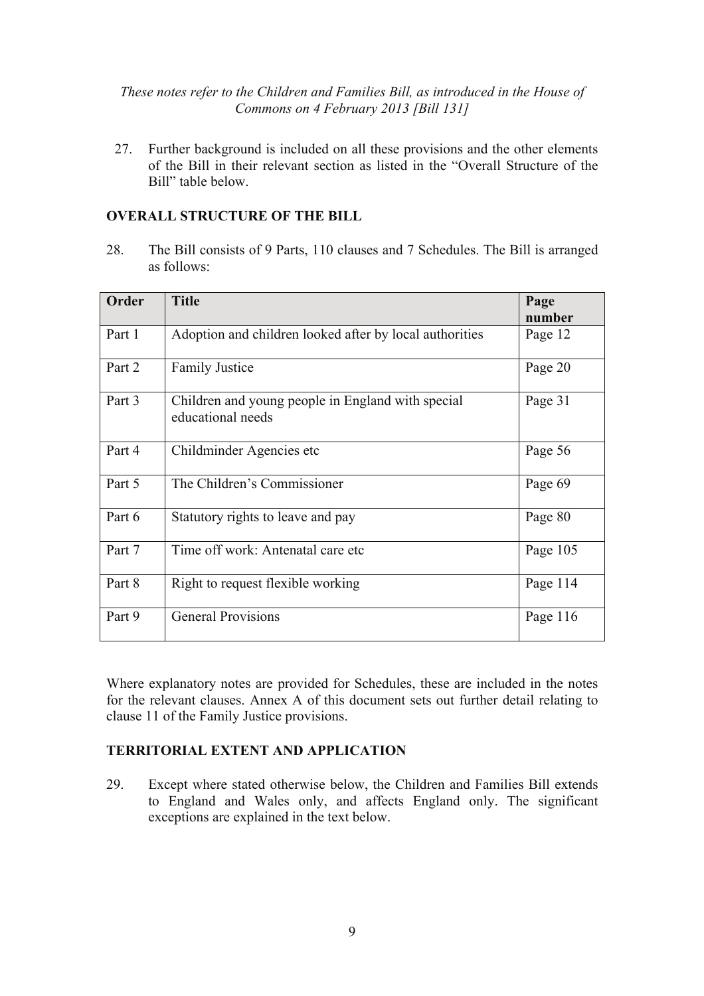27. Further background is included on all these provisions and the other elements of the Bill in their relevant section as listed in the "Overall Structure of the Bill" table below.

## **OVERALL STRUCTURE OF THE BILL**

28. The Bill consists of 9 Parts, 110 clauses and 7 Schedules. The Bill is arranged as follows:

| Order  | <b>Title</b>                                                           | Page<br>number |
|--------|------------------------------------------------------------------------|----------------|
| Part 1 | Adoption and children looked after by local authorities                | Page 12        |
| Part 2 | <b>Family Justice</b>                                                  | Page 20        |
| Part 3 | Children and young people in England with special<br>educational needs | Page 31        |
| Part 4 | Childminder Agencies etc.                                              | Page 56        |
| Part 5 | The Children's Commissioner                                            | Page 69        |
| Part 6 | Statutory rights to leave and pay                                      | Page 80        |
| Part 7 | Time off work: Antenatal care etc                                      | Page 105       |
| Part 8 | Right to request flexible working                                      | Page 114       |
| Part 9 | <b>General Provisions</b>                                              | Page 116       |

Where explanatory notes are provided for Schedules, these are included in the notes for the relevant clauses. Annex A of this document sets out further detail relating to clause 11 of the Family Justice provisions.

## **TERRITORIAL EXTENT AND APPLICATION**

29. Except where stated otherwise below, the Children and Families Bill extends to England and Wales only, and affects England only. The significant exceptions are explained in the text below.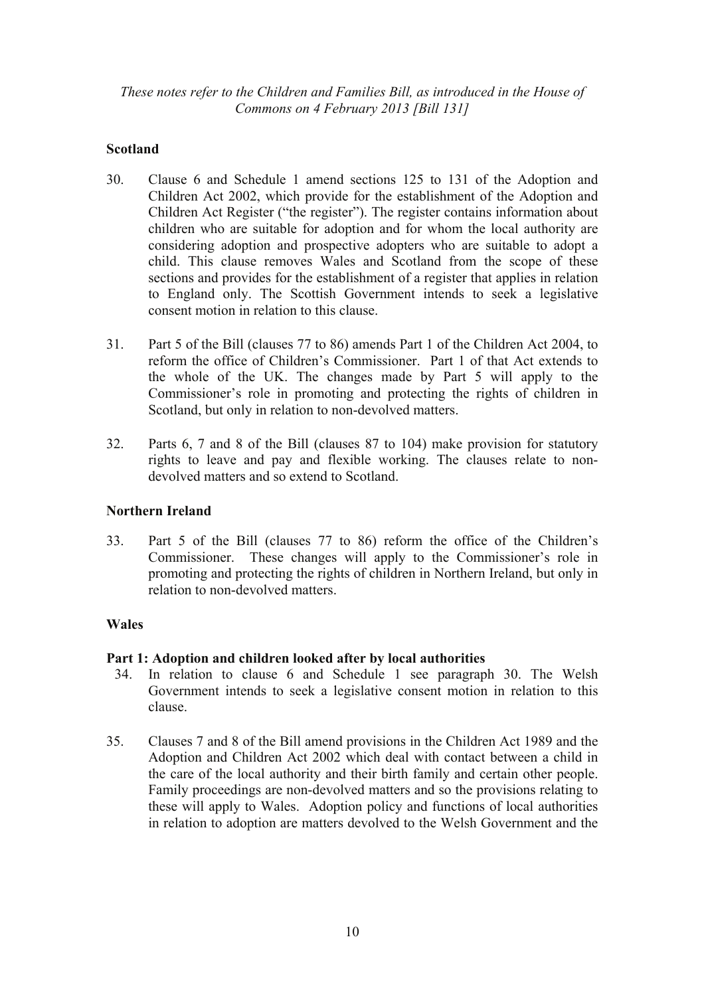## **Scotland**

- 30. Clause 6 and Schedule 1 amend sections 125 to 131 of the Adoption and Children Act 2002, which provide for the establishment of the Adoption and Children Act Register ("the register"). The register contains information about children who are suitable for adoption and for whom the local authority are considering adoption and prospective adopters who are suitable to adopt a child. This clause removes Wales and Scotland from the scope of these sections and provides for the establishment of a register that applies in relation to England only. The Scottish Government intends to seek a legislative consent motion in relation to this clause.
- 31. Part 5 of the Bill (clauses 77 to 86) amends Part 1 of the Children Act 2004, to reform the office of Children's Commissioner. Part 1 of that Act extends to the whole of the UK. The changes made by Part 5 will apply to the Commissioner's role in promoting and protecting the rights of children in Scotland, but only in relation to non-devolved matters.
- 32. Parts 6, 7 and 8 of the Bill (clauses 87 to 104) make provision for statutory rights to leave and pay and flexible working. The clauses relate to nondevolved matters and so extend to Scotland.

## **Northern Ireland**

33. Part 5 of the Bill (clauses 77 to 86) reform the office of the Children's Commissioner. These changes will apply to the Commissioner's role in promoting and protecting the rights of children in Northern Ireland, but only in relation to non-devolved matters.

## **Wales**

## **Part 1: Adoption and children looked after by local authorities**

- 34. In relation to clause 6 and Schedule 1 see paragraph 30. The Welsh Government intends to seek a legislative consent motion in relation to this clause.
- 35. Clauses 7 and 8 of the Bill amend provisions in the Children Act 1989 and the Adoption and Children Act 2002 which deal with contact between a child in the care of the local authority and their birth family and certain other people. Family proceedings are non-devolved matters and so the provisions relating to these will apply to Wales. Adoption policy and functions of local authorities in relation to adoption are matters devolved to the Welsh Government and the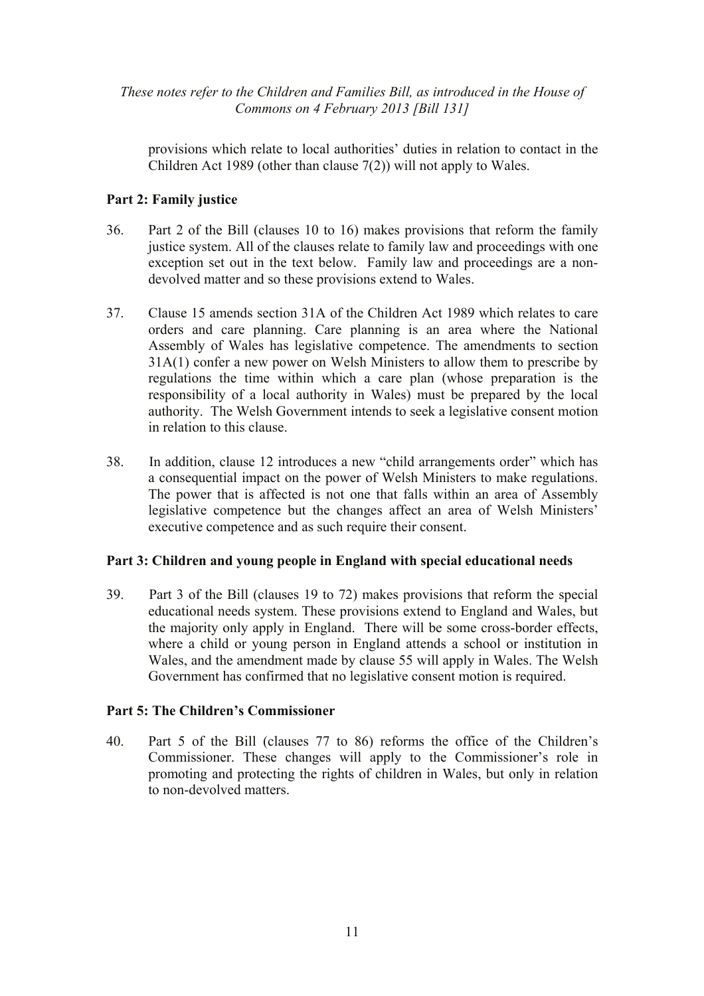provisions which relate to local authorities' duties in relation to contact in the Children Act 1989 (other than clause 7(2)) will not apply to Wales.

## **Part 2: Family justice**

- 36. Part 2 of the Bill (clauses 10 to 16) makes provisions that reform the family justice system. All of the clauses relate to family law and proceedings with one exception set out in the text below. Family law and proceedings are a nondevolved matter and so these provisions extend to Wales.
- 37. Clause 15 amends section 31A of the Children Act 1989 which relates to care orders and care planning. Care planning is an area where the National Assembly of Wales has legislative competence. The amendments to section 31A(1) confer a new power on Welsh Ministers to allow them to prescribe by regulations the time within which a care plan (whose preparation is the responsibility of a local authority in Wales) must be prepared by the local authority. The Welsh Government intends to seek a legislative consent motion in relation to this clause.
- 38. In addition, clause 12 introduces a new "child arrangements order" which has a consequential impact on the power of Welsh Ministers to make regulations. The power that is affected is not one that falls within an area of Assembly legislative competence but the changes affect an area of Welsh Ministers' executive competence and as such require their consent.

## **Part 3: Children and young people in England with special educational needs**

39. Part 3 of the Bill (clauses 19 to 72) makes provisions that reform the special educational needs system. These provisions extend to England and Wales, but the majority only apply in England. There will be some cross-border effects, where a child or young person in England attends a school or institution in Wales, and the amendment made by clause 55 will apply in Wales. The Welsh Government has confirmed that no legislative consent motion is required.

#### **Part 5: The Children's Commissioner**

40. Part 5 of the Bill (clauses 77 to 86) reforms the office of the Children's Commissioner. These changes will apply to the Commissioner's role in promoting and protecting the rights of children in Wales, but only in relation to non-devolved matters.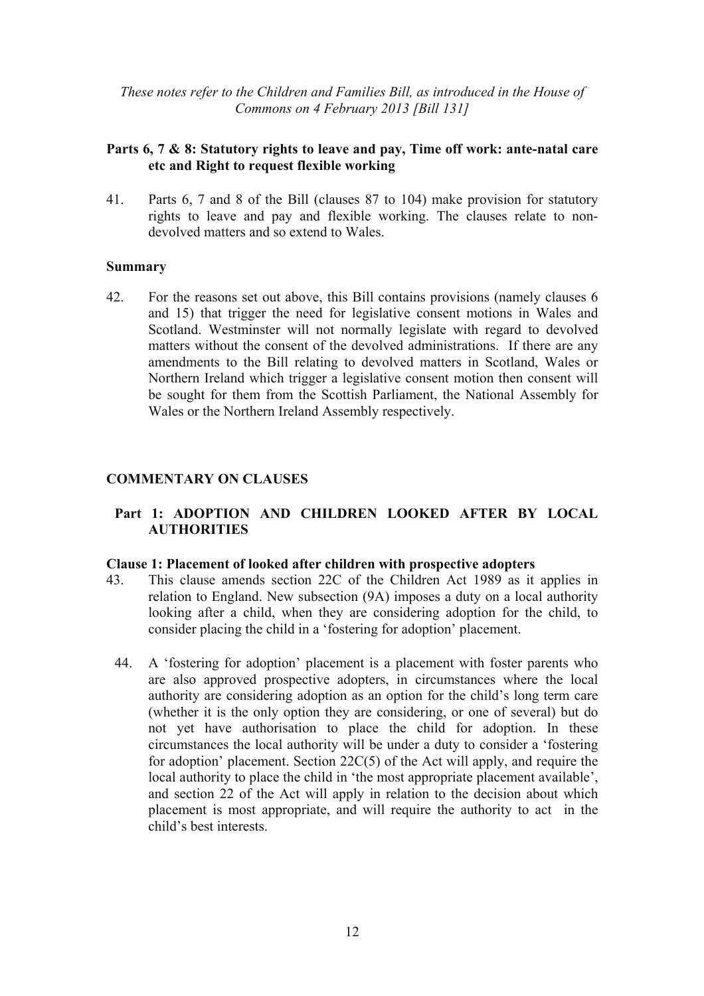#### **Parts 6, 7 & 8: Statutory rights to leave and pay, Time off work: ante-natal care etc and Right to request flexible working**

41. Parts 6, 7 and 8 of the Bill (clauses 87 to 104) make provision for statutory rights to leave and pay and flexible working. The clauses relate to nondevolved matters and so extend to Wales.

#### **Summary**

42. For the reasons set out above, this Bill contains provisions (namely clauses 6 and 15) that trigger the need for legislative consent motions in Wales and Scotland. Westminster will not normally legislate with regard to devolved matters without the consent of the devolved administrations. If there are any amendments to the Bill relating to devolved matters in Scotland, Wales or Northern Ireland which trigger a legislative consent motion then consent will be sought for them from the Scottish Parliament, the National Assembly for Wales or the Northern Ireland Assembly respectively.

#### **COMMENTARY ON CLAUSES**

## **Part 1: ADOPTION AND CHILDREN LOOKED AFTER BY LOCAL AUTHORITIES**

#### **Clause 1: Placement of looked after children with prospective adopters**

- 43. This clause amends section 22C of the Children Act 1989 as it applies in relation to England. New subsection (9A) imposes a duty on a local authority looking after a child, when they are considering adoption for the child, to consider placing the child in a 'fostering for adoption' placement.
	- 44. A 'fostering for adoption' placement is a placement with foster parents who are also approved prospective adopters, in circumstances where the local authority are considering adoption as an option for the child's long term care (whether it is the only option they are considering, or one of several) but do not yet have authorisation to place the child for adoption. In these circumstances the local authority will be under a duty to consider a 'fostering for adoption' placement. Section 22C(5) of the Act will apply, and require the local authority to place the child in 'the most appropriate placement available', and section 22 of the Act will apply in relation to the decision about which placement is most appropriate, and will require the authority to act in the child's best interests.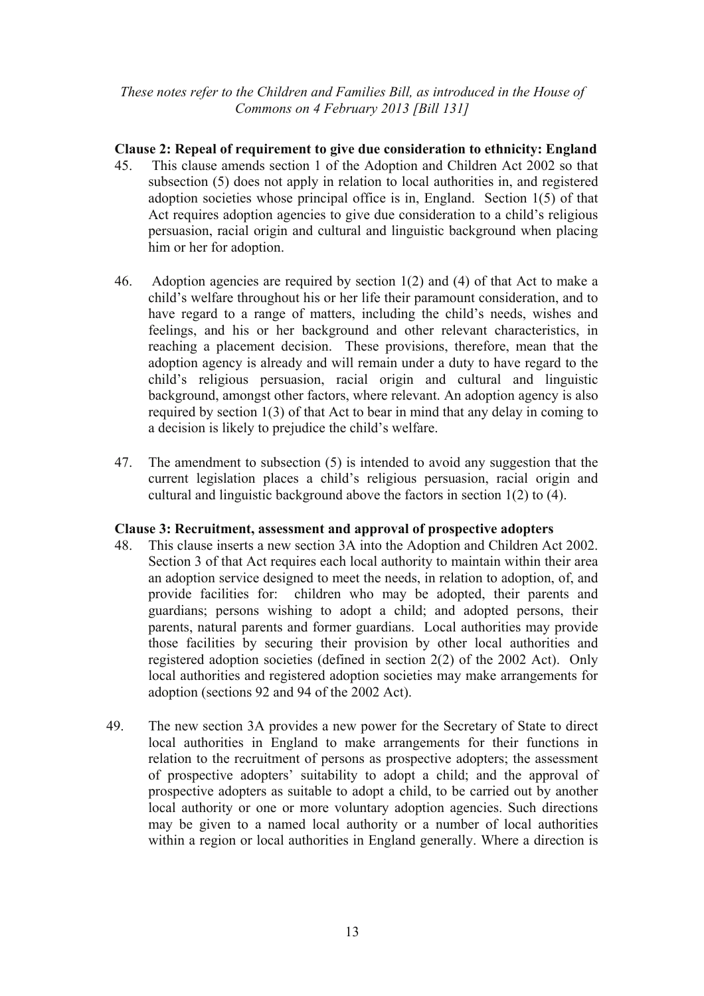## **Clause 2: Repeal of requirement to give due consideration to ethnicity: England**

- 45. This clause amends section 1 of the Adoption and Children Act 2002 so that subsection (5) does not apply in relation to local authorities in, and registered adoption societies whose principal office is in, England. Section 1(5) of that Act requires adoption agencies to give due consideration to a child's religious persuasion, racial origin and cultural and linguistic background when placing him or her for adoption.
- 46. Adoption agencies are required by section 1(2) and (4) of that Act to make a child's welfare throughout his or her life their paramount consideration, and to have regard to a range of matters, including the child's needs, wishes and feelings, and his or her background and other relevant characteristics, in reaching a placement decision. These provisions, therefore, mean that the adoption agency is already and will remain under a duty to have regard to the child's religious persuasion, racial origin and cultural and linguistic background, amongst other factors, where relevant. An adoption agency is also required by section 1(3) of that Act to bear in mind that any delay in coming to a decision is likely to prejudice the child's welfare.
- 47. The amendment to subsection (5) is intended to avoid any suggestion that the current legislation places a child's religious persuasion, racial origin and cultural and linguistic background above the factors in section 1(2) to (4).

#### **Clause 3: Recruitment, assessment and approval of prospective adopters**

- 48. This clause inserts a new section 3A into the Adoption and Children Act 2002. Section 3 of that Act requires each local authority to maintain within their area an adoption service designed to meet the needs, in relation to adoption, of, and provide facilities for: children who may be adopted, their parents and guardians; persons wishing to adopt a child; and adopted persons, their parents, natural parents and former guardians. Local authorities may provide those facilities by securing their provision by other local authorities and registered adoption societies (defined in section 2(2) of the 2002 Act). Only local authorities and registered adoption societies may make arrangements for adoption (sections 92 and 94 of the 2002 Act).
- 49. The new section 3A provides a new power for the Secretary of State to direct local authorities in England to make arrangements for their functions in relation to the recruitment of persons as prospective adopters; the assessment of prospective adopters' suitability to adopt a child; and the approval of prospective adopters as suitable to adopt a child, to be carried out by another local authority or one or more voluntary adoption agencies. Such directions may be given to a named local authority or a number of local authorities within a region or local authorities in England generally. Where a direction is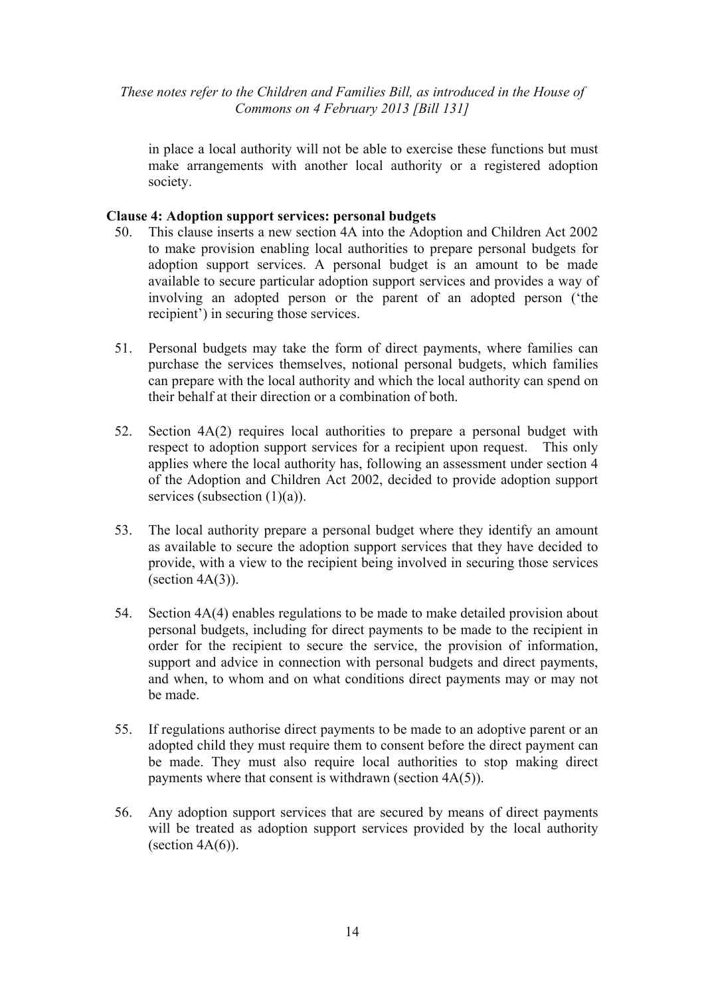in place a local authority will not be able to exercise these functions but must make arrangements with another local authority or a registered adoption society.

#### **Clause 4: Adoption support services: personal budgets**

- 50. This clause inserts a new section 4A into the Adoption and Children Act 2002 to make provision enabling local authorities to prepare personal budgets for adoption support services. A personal budget is an amount to be made available to secure particular adoption support services and provides a way of involving an adopted person or the parent of an adopted person ('the recipient') in securing those services.
- 51. Personal budgets may take the form of direct payments, where families can purchase the services themselves, notional personal budgets, which families can prepare with the local authority and which the local authority can spend on their behalf at their direction or a combination of both.
- 52. Section 4A(2) requires local authorities to prepare a personal budget with respect to adoption support services for a recipient upon request. This only applies where the local authority has, following an assessment under section 4 of the Adoption and Children Act 2002, decided to provide adoption support services (subsection  $(1)(a)$ ).
- 53. The local authority prepare a personal budget where they identify an amount as available to secure the adoption support services that they have decided to provide, with a view to the recipient being involved in securing those services (section  $4A(3)$ ).
- 54. Section 4A(4) enables regulations to be made to make detailed provision about personal budgets, including for direct payments to be made to the recipient in order for the recipient to secure the service, the provision of information, support and advice in connection with personal budgets and direct payments, and when, to whom and on what conditions direct payments may or may not be made.
- 55. If regulations authorise direct payments to be made to an adoptive parent or an adopted child they must require them to consent before the direct payment can be made. They must also require local authorities to stop making direct payments where that consent is withdrawn (section 4A(5)).
- 56. Any adoption support services that are secured by means of direct payments will be treated as adoption support services provided by the local authority (section  $4A(6)$ ).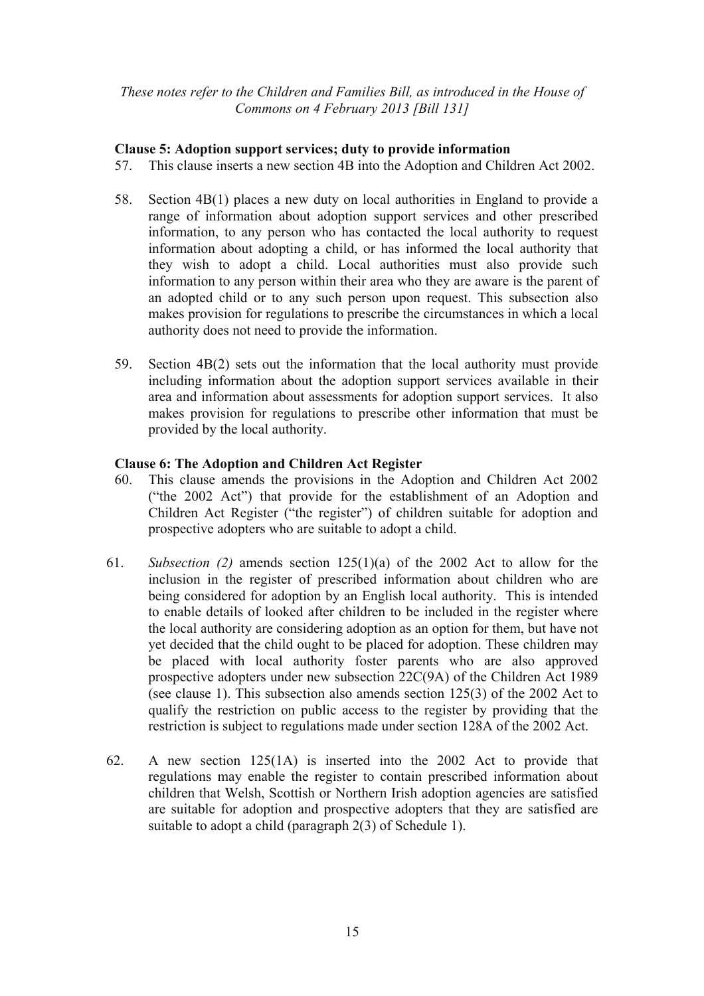## **Clause 5: Adoption support services; duty to provide information**

- 57. This clause inserts a new section 4B into the Adoption and Children Act 2002.
- 58. Section 4B(1) places a new duty on local authorities in England to provide a range of information about adoption support services and other prescribed information, to any person who has contacted the local authority to request information about adopting a child, or has informed the local authority that they wish to adopt a child. Local authorities must also provide such information to any person within their area who they are aware is the parent of an adopted child or to any such person upon request. This subsection also makes provision for regulations to prescribe the circumstances in which a local authority does not need to provide the information.
- 59. Section 4B(2) sets out the information that the local authority must provide including information about the adoption support services available in their area and information about assessments for adoption support services. It also makes provision for regulations to prescribe other information that must be provided by the local authority.

## **Clause 6: The Adoption and Children Act Register**

- 60. This clause amends the provisions in the Adoption and Children Act 2002 ("the 2002 Act") that provide for the establishment of an Adoption and Children Act Register ("the register") of children suitable for adoption and prospective adopters who are suitable to adopt a child.
- 61. *Subsection (2)* amends section 125(1)(a) of the 2002 Act to allow for the inclusion in the register of prescribed information about children who are being considered for adoption by an English local authority. This is intended to enable details of looked after children to be included in the register where the local authority are considering adoption as an option for them, but have not yet decided that the child ought to be placed for adoption. These children may be placed with local authority foster parents who are also approved prospective adopters under new subsection 22C(9A) of the Children Act 1989 (see clause 1). This subsection also amends section 125(3) of the 2002 Act to qualify the restriction on public access to the register by providing that the restriction is subject to regulations made under section 128A of the 2002 Act.
- 62. A new section 125(1A) is inserted into the 2002 Act to provide that regulations may enable the register to contain prescribed information about children that Welsh, Scottish or Northern Irish adoption agencies are satisfied are suitable for adoption and prospective adopters that they are satisfied are suitable to adopt a child (paragraph 2(3) of Schedule 1).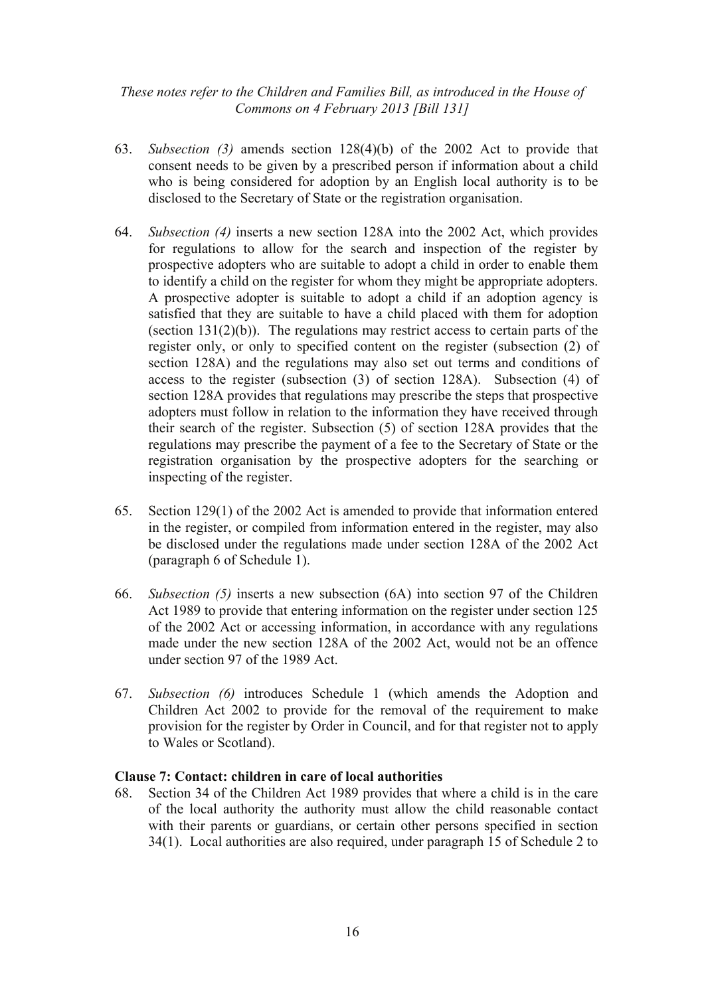- 63. *Subsection (3)* amends section 128(4)(b) of the 2002 Act to provide that consent needs to be given by a prescribed person if information about a child who is being considered for adoption by an English local authority is to be disclosed to the Secretary of State or the registration organisation.
- 64. *Subsection (4)* inserts a new section 128A into the 2002 Act, which provides for regulations to allow for the search and inspection of the register by prospective adopters who are suitable to adopt a child in order to enable them to identify a child on the register for whom they might be appropriate adopters. A prospective adopter is suitable to adopt a child if an adoption agency is satisfied that they are suitable to have a child placed with them for adoption (section 131(2)(b)). The regulations may restrict access to certain parts of the register only, or only to specified content on the register (subsection (2) of section 128A) and the regulations may also set out terms and conditions of access to the register (subsection (3) of section 128A). Subsection (4) of section 128A provides that regulations may prescribe the steps that prospective adopters must follow in relation to the information they have received through their search of the register. Subsection (5) of section 128A provides that the regulations may prescribe the payment of a fee to the Secretary of State or the registration organisation by the prospective adopters for the searching or inspecting of the register.
- 65. Section 129(1) of the 2002 Act is amended to provide that information entered in the register, or compiled from information entered in the register, may also be disclosed under the regulations made under section 128A of the 2002 Act (paragraph 6 of Schedule 1).
- 66. *Subsection (5)* inserts a new subsection (6A) into section 97 of the Children Act 1989 to provide that entering information on the register under section 125 of the 2002 Act or accessing information, in accordance with any regulations made under the new section 128A of the 2002 Act, would not be an offence under section 97 of the 1989 Act.
- 67. *Subsection (6)* introduces Schedule 1 (which amends the Adoption and Children Act 2002 to provide for the removal of the requirement to make provision for the register by Order in Council, and for that register not to apply to Wales or Scotland).

#### **Clause 7: Contact: children in care of local authorities**

68. Section 34 of the Children Act 1989 provides that where a child is in the care of the local authority the authority must allow the child reasonable contact with their parents or guardians, or certain other persons specified in section 34(1). Local authorities are also required, under paragraph 15 of Schedule 2 to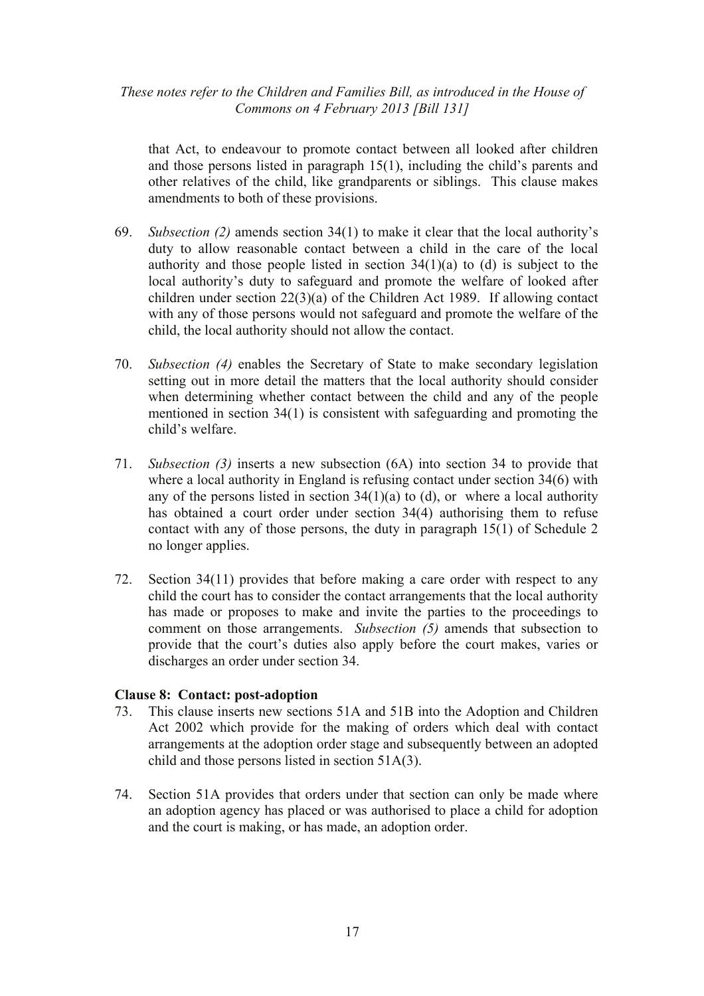that Act, to endeavour to promote contact between all looked after children and those persons listed in paragraph 15(1), including the child's parents and other relatives of the child, like grandparents or siblings. This clause makes amendments to both of these provisions.

- 69. *Subsection (2)* amends section 34(1) to make it clear that the local authority's duty to allow reasonable contact between a child in the care of the local authority and those people listed in section  $34(1)(a)$  to (d) is subject to the local authority's duty to safeguard and promote the welfare of looked after children under section 22(3)(a) of the Children Act 1989. If allowing contact with any of those persons would not safeguard and promote the welfare of the child, the local authority should not allow the contact.
- 70. *Subsection (4)* enables the Secretary of State to make secondary legislation setting out in more detail the matters that the local authority should consider when determining whether contact between the child and any of the people mentioned in section 34(1) is consistent with safeguarding and promoting the child's welfare.
- 71. *Subsection (3)* inserts a new subsection (6A) into section 34 to provide that where a local authority in England is refusing contact under section 34(6) with any of the persons listed in section  $34(1)(a)$  to (d), or where a local authority has obtained a court order under section 34(4) authorising them to refuse contact with any of those persons, the duty in paragraph 15(1) of Schedule 2 no longer applies.
- 72. Section 34(11) provides that before making a care order with respect to any child the court has to consider the contact arrangements that the local authority has made or proposes to make and invite the parties to the proceedings to comment on those arrangements. *Subsection (5)* amends that subsection to provide that the court's duties also apply before the court makes, varies or discharges an order under section 34.

#### **Clause 8: Contact: post-adoption**

- 73. This clause inserts new sections 51A and 51B into the Adoption and Children Act 2002 which provide for the making of orders which deal with contact arrangements at the adoption order stage and subsequently between an adopted child and those persons listed in section 51A(3).
- 74. Section 51A provides that orders under that section can only be made where an adoption agency has placed or was authorised to place a child for adoption and the court is making, or has made, an adoption order.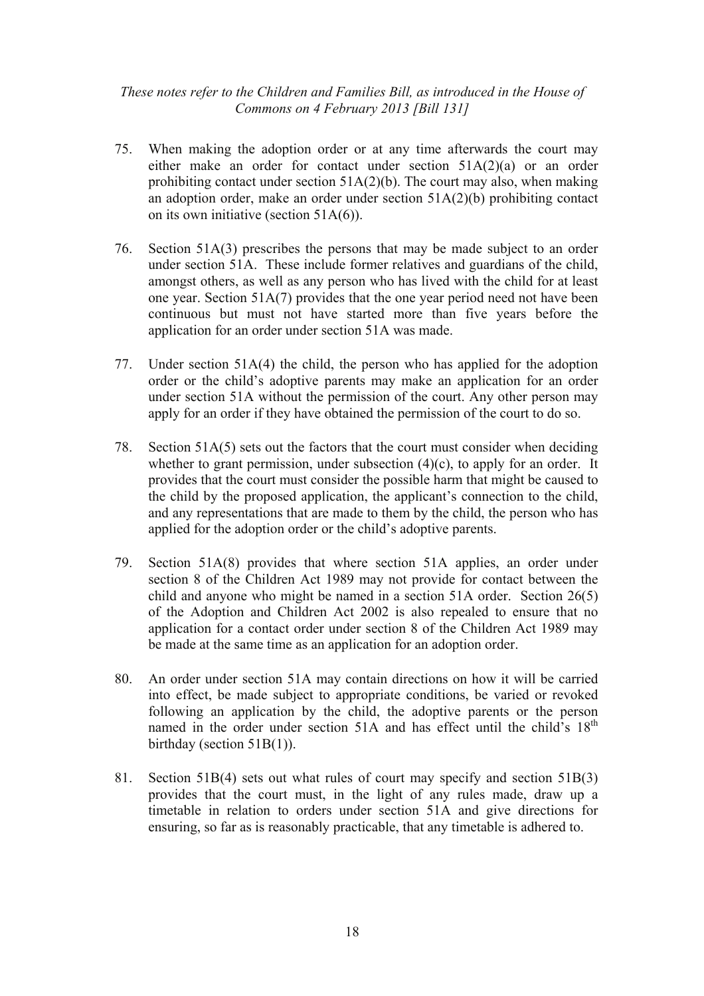- 75. When making the adoption order or at any time afterwards the court may either make an order for contact under section 51A(2)(a) or an order prohibiting contact under section  $51A(2)(b)$ . The court may also, when making an adoption order, make an order under section 51A(2)(b) prohibiting contact on its own initiative (section 51A(6)).
- 76. Section 51A(3) prescribes the persons that may be made subject to an order under section 51A. These include former relatives and guardians of the child, amongst others, as well as any person who has lived with the child for at least one year. Section 51A(7) provides that the one year period need not have been continuous but must not have started more than five years before the application for an order under section 51A was made.
- 77. Under section 51A(4) the child, the person who has applied for the adoption order or the child's adoptive parents may make an application for an order under section 51A without the permission of the court. Any other person may apply for an order if they have obtained the permission of the court to do so.
- 78. Section 51A(5) sets out the factors that the court must consider when deciding whether to grant permission, under subsection (4)(c), to apply for an order. It provides that the court must consider the possible harm that might be caused to the child by the proposed application, the applicant's connection to the child, and any representations that are made to them by the child, the person who has applied for the adoption order or the child's adoptive parents.
- 79. Section 51A(8) provides that where section 51A applies, an order under section 8 of the Children Act 1989 may not provide for contact between the child and anyone who might be named in a section 51A order. Section 26(5) of the Adoption and Children Act 2002 is also repealed to ensure that no application for a contact order under section 8 of the Children Act 1989 may be made at the same time as an application for an adoption order.
- 80. An order under section 51A may contain directions on how it will be carried into effect, be made subject to appropriate conditions, be varied or revoked following an application by the child, the adoptive parents or the person named in the order under section 51A and has effect until the child's 18<sup>th</sup> birthday (section 51B(1)).
- 81. Section 51B(4) sets out what rules of court may specify and section 51B(3) provides that the court must, in the light of any rules made, draw up a timetable in relation to orders under section 51A and give directions for ensuring, so far as is reasonably practicable, that any timetable is adhered to.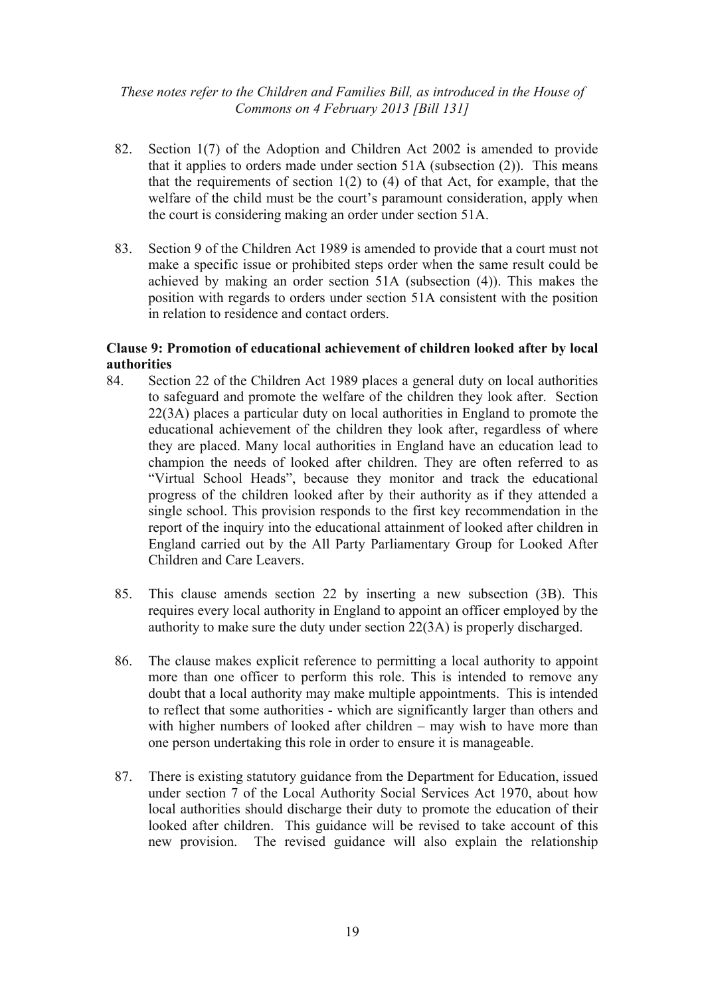- 82. Section 1(7) of the Adoption and Children Act 2002 is amended to provide that it applies to orders made under section 51A (subsection (2)). This means that the requirements of section  $1(2)$  to  $(4)$  of that Act, for example, that the welfare of the child must be the court's paramount consideration, apply when the court is considering making an order under section 51A.
- 83. Section 9 of the Children Act 1989 is amended to provide that a court must not make a specific issue or prohibited steps order when the same result could be achieved by making an order section 51A (subsection (4)). This makes the position with regards to orders under section 51A consistent with the position in relation to residence and contact orders.

## **Clause 9: Promotion of educational achievement of children looked after by local authorities**

- 84. Section 22 of the Children Act 1989 places a general duty on local authorities to safeguard and promote the welfare of the children they look after. Section 22(3A) places a particular duty on local authorities in England to promote the educational achievement of the children they look after, regardless of where they are placed. Many local authorities in England have an education lead to champion the needs of looked after children. They are often referred to as "Virtual School Heads", because they monitor and track the educational progress of the children looked after by their authority as if they attended a single school. This provision responds to the first key recommendation in the report of the inquiry into the educational attainment of looked after children in England carried out by the All Party Parliamentary Group for Looked After Children and Care Leavers.
	- 85. This clause amends section 22 by inserting a new subsection (3B). This requires every local authority in England to appoint an officer employed by the authority to make sure the duty under section 22(3A) is properly discharged.
	- 86. The clause makes explicit reference to permitting a local authority to appoint more than one officer to perform this role. This is intended to remove any doubt that a local authority may make multiple appointments. This is intended to reflect that some authorities - which are significantly larger than others and with higher numbers of looked after children – may wish to have more than one person undertaking this role in order to ensure it is manageable.
	- 87. There is existing statutory guidance from the Department for Education, issued under section 7 of the Local Authority Social Services Act 1970, about how local authorities should discharge their duty to promote the education of their looked after children. This guidance will be revised to take account of this new provision. The revised guidance will also explain the relationship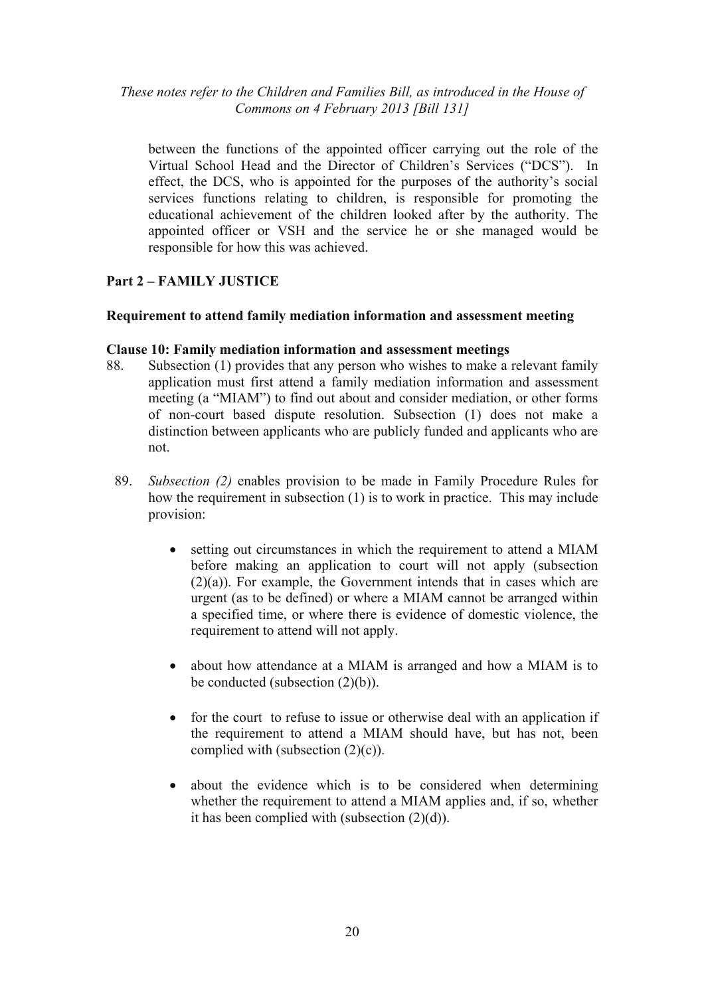between the functions of the appointed officer carrying out the role of the Virtual School Head and the Director of Children's Services ("DCS"). In effect, the DCS, who is appointed for the purposes of the authority's social services functions relating to children, is responsible for promoting the educational achievement of the children looked after by the authority. The appointed officer or VSH and the service he or she managed would be responsible for how this was achieved.

## **Part 2 – FAMILY JUSTICE**

## **Requirement to attend family mediation information and assessment meeting**

#### **Clause 10: Family mediation information and assessment meetings**

- 88. Subsection (1) provides that any person who wishes to make a relevant family application must first attend a family mediation information and assessment meeting (a "MIAM") to find out about and consider mediation, or other forms of non-court based dispute resolution. Subsection (1) does not make a distinction between applicants who are publicly funded and applicants who are not.
	- 89. *Subsection (2)* enables provision to be made in Family Procedure Rules for how the requirement in subsection (1) is to work in practice. This may include provision:
		- setting out circumstances in which the requirement to attend a MIAM before making an application to court will not apply (subsection (2)(a)). For example, the Government intends that in cases which are urgent (as to be defined) or where a MIAM cannot be arranged within a specified time, or where there is evidence of domestic violence, the requirement to attend will not apply.
		- about how attendance at a MIAM is arranged and how a MIAM is to be conducted (subsection (2)(b)).
		- for the court to refuse to issue or otherwise deal with an application if the requirement to attend a MIAM should have, but has not, been complied with (subsection (2)(c)).
		- about the evidence which is to be considered when determining whether the requirement to attend a MIAM applies and, if so, whether it has been complied with (subsection (2)(d)).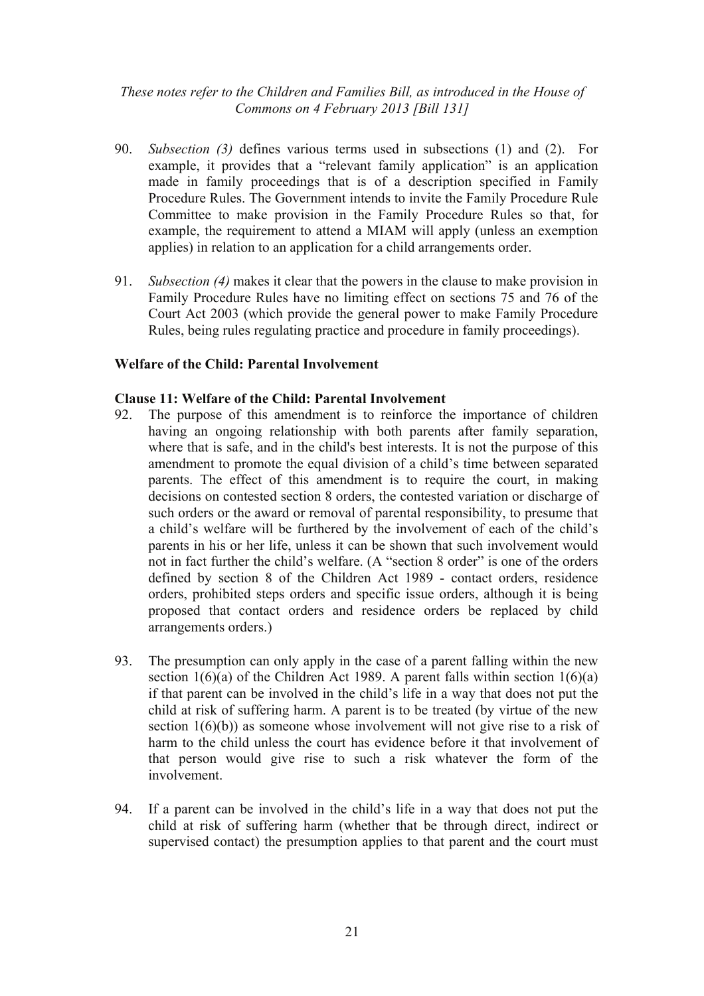- 90. *Subsection (3)* defines various terms used in subsections (1) and (2). For example, it provides that a "relevant family application" is an application made in family proceedings that is of a description specified in Family Procedure Rules. The Government intends to invite the Family Procedure Rule Committee to make provision in the Family Procedure Rules so that, for example, the requirement to attend a MIAM will apply (unless an exemption applies) in relation to an application for a child arrangements order.
- 91. *Subsection (4)* makes it clear that the powers in the clause to make provision in Family Procedure Rules have no limiting effect on sections 75 and 76 of the Court Act 2003 (which provide the general power to make Family Procedure Rules, being rules regulating practice and procedure in family proceedings).

#### **Welfare of the Child: Parental Involvement**

#### **Clause 11: Welfare of the Child: Parental Involvement**

- 92. The purpose of this amendment is to reinforce the importance of children having an ongoing relationship with both parents after family separation, where that is safe, and in the child's best interests. It is not the purpose of this amendment to promote the equal division of a child's time between separated parents. The effect of this amendment is to require the court, in making decisions on contested section 8 orders, the contested variation or discharge of such orders or the award or removal of parental responsibility, to presume that a child's welfare will be furthered by the involvement of each of the child's parents in his or her life, unless it can be shown that such involvement would not in fact further the child's welfare. (A "section 8 order" is one of the orders defined by section 8 of the Children Act 1989 - contact orders, residence orders, prohibited steps orders and specific issue orders, although it is being proposed that contact orders and residence orders be replaced by child arrangements orders.)
- 93. The presumption can only apply in the case of a parent falling within the new section  $1(6)(a)$  of the Children Act 1989. A parent falls within section  $1(6)(a)$ if that parent can be involved in the child's life in a way that does not put the child at risk of suffering harm. A parent is to be treated (by virtue of the new section 1(6)(b)) as someone whose involvement will not give rise to a risk of harm to the child unless the court has evidence before it that involvement of that person would give rise to such a risk whatever the form of the involvement.
- 94. If a parent can be involved in the child's life in a way that does not put the child at risk of suffering harm (whether that be through direct, indirect or supervised contact) the presumption applies to that parent and the court must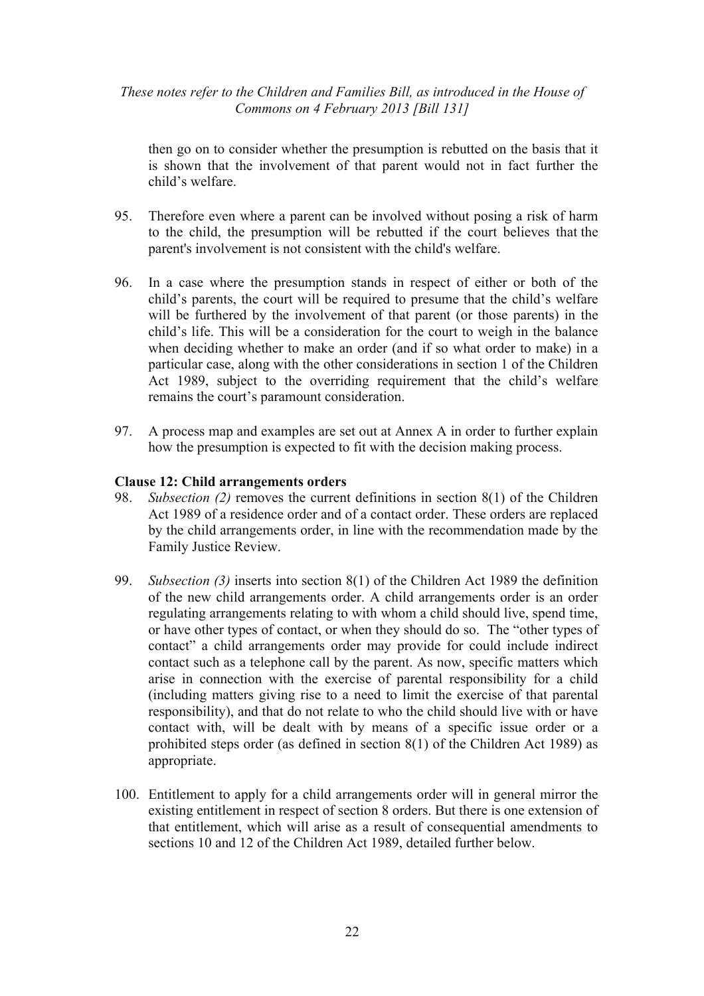then go on to consider whether the presumption is rebutted on the basis that it is shown that the involvement of that parent would not in fact further the child's welfare.

- 95. Therefore even where a parent can be involved without posing a risk of harm to the child, the presumption will be rebutted if the court believes that the parent's involvement is not consistent with the child's welfare.
- 96. In a case where the presumption stands in respect of either or both of the child's parents, the court will be required to presume that the child's welfare will be furthered by the involvement of that parent (or those parents) in the child's life. This will be a consideration for the court to weigh in the balance when deciding whether to make an order (and if so what order to make) in a particular case, along with the other considerations in section 1 of the Children Act 1989, subject to the overriding requirement that the child's welfare remains the court's paramount consideration.
- 97. A process map and examples are set out at Annex A in order to further explain how the presumption is expected to fit with the decision making process.

#### **Clause 12: Child arrangements orders**

- 98. *Subsection (2)* removes the current definitions in section 8(1) of the Children Act 1989 of a residence order and of a contact order. These orders are replaced by the child arrangements order, in line with the recommendation made by the Family Justice Review.
- 99. *Subsection (3)* inserts into section 8(1) of the Children Act 1989 the definition of the new child arrangements order. A child arrangements order is an order regulating arrangements relating to with whom a child should live, spend time, or have other types of contact, or when they should do so. The "other types of contact" a child arrangements order may provide for could include indirect contact such as a telephone call by the parent. As now, specific matters which arise in connection with the exercise of parental responsibility for a child (including matters giving rise to a need to limit the exercise of that parental responsibility), and that do not relate to who the child should live with or have contact with, will be dealt with by means of a specific issue order or a prohibited steps order (as defined in section 8(1) of the Children Act 1989) as appropriate.
- 100. Entitlement to apply for a child arrangements order will in general mirror the existing entitlement in respect of section 8 orders. But there is one extension of that entitlement, which will arise as a result of consequential amendments to sections 10 and 12 of the Children Act 1989, detailed further below.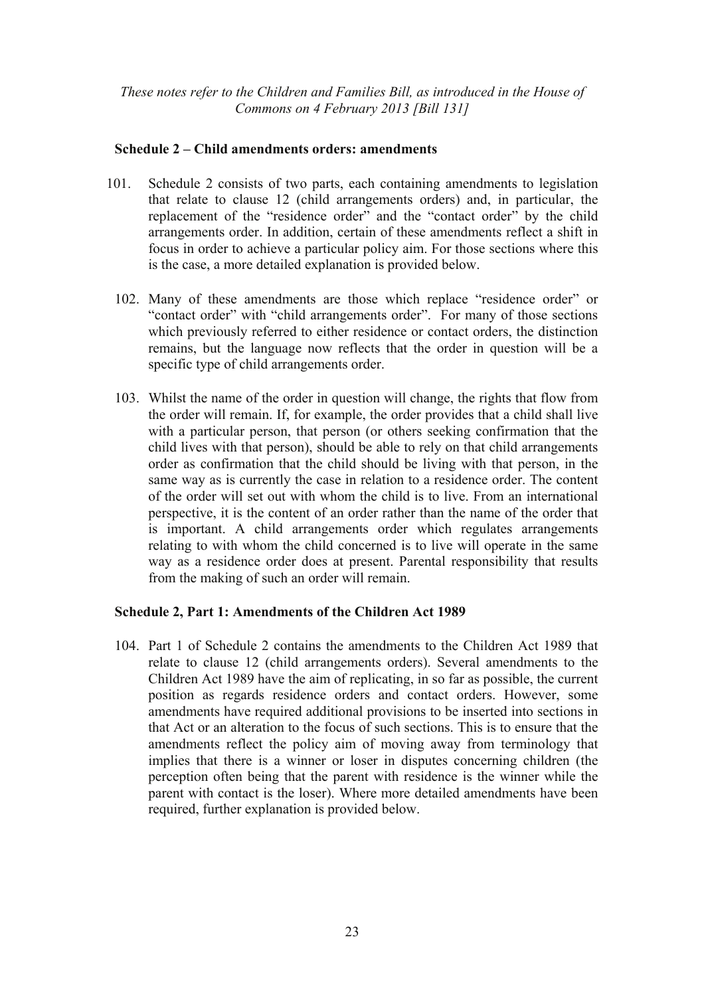#### **Schedule 2 – Child amendments orders: amendments**

- 101. Schedule 2 consists of two parts, each containing amendments to legislation that relate to clause 12 (child arrangements orders) and, in particular, the replacement of the "residence order" and the "contact order" by the child arrangements order. In addition, certain of these amendments reflect a shift in focus in order to achieve a particular policy aim. For those sections where this is the case, a more detailed explanation is provided below.
	- 102. Many of these amendments are those which replace "residence order" or "contact order" with "child arrangements order". For many of those sections which previously referred to either residence or contact orders, the distinction remains, but the language now reflects that the order in question will be a specific type of child arrangements order.
	- 103. Whilst the name of the order in question will change, the rights that flow from the order will remain. If, for example, the order provides that a child shall live with a particular person, that person (or others seeking confirmation that the child lives with that person), should be able to rely on that child arrangements order as confirmation that the child should be living with that person, in the same way as is currently the case in relation to a residence order. The content of the order will set out with whom the child is to live. From an international perspective, it is the content of an order rather than the name of the order that is important. A child arrangements order which regulates arrangements relating to with whom the child concerned is to live will operate in the same way as a residence order does at present. Parental responsibility that results from the making of such an order will remain.

#### **Schedule 2, Part 1: Amendments of the Children Act 1989**

104. Part 1 of Schedule 2 contains the amendments to the Children Act 1989 that relate to clause 12 (child arrangements orders). Several amendments to the Children Act 1989 have the aim of replicating, in so far as possible, the current position as regards residence orders and contact orders. However, some amendments have required additional provisions to be inserted into sections in that Act or an alteration to the focus of such sections. This is to ensure that the amendments reflect the policy aim of moving away from terminology that implies that there is a winner or loser in disputes concerning children (the perception often being that the parent with residence is the winner while the parent with contact is the loser). Where more detailed amendments have been required, further explanation is provided below.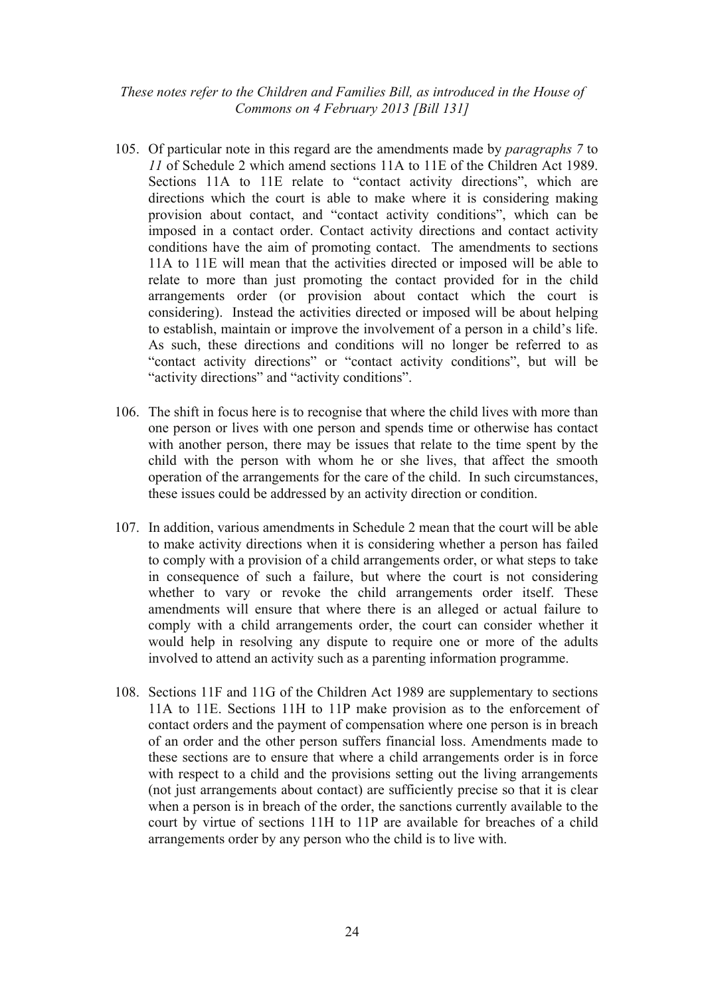- 105. Of particular note in this regard are the amendments made by *paragraphs 7* to *11* of Schedule 2 which amend sections 11A to 11E of the Children Act 1989. Sections 11A to 11E relate to "contact activity directions", which are directions which the court is able to make where it is considering making provision about contact, and "contact activity conditions", which can be imposed in a contact order. Contact activity directions and contact activity conditions have the aim of promoting contact. The amendments to sections 11A to 11E will mean that the activities directed or imposed will be able to relate to more than just promoting the contact provided for in the child arrangements order (or provision about contact which the court is considering). Instead the activities directed or imposed will be about helping to establish, maintain or improve the involvement of a person in a child's life. As such, these directions and conditions will no longer be referred to as "contact activity directions" or "contact activity conditions", but will be "activity directions" and "activity conditions".
- 106. The shift in focus here is to recognise that where the child lives with more than one person or lives with one person and spends time or otherwise has contact with another person, there may be issues that relate to the time spent by the child with the person with whom he or she lives, that affect the smooth operation of the arrangements for the care of the child. In such circumstances, these issues could be addressed by an activity direction or condition.
- 107. In addition, various amendments in Schedule 2 mean that the court will be able to make activity directions when it is considering whether a person has failed to comply with a provision of a child arrangements order, or what steps to take in consequence of such a failure, but where the court is not considering whether to vary or revoke the child arrangements order itself. These amendments will ensure that where there is an alleged or actual failure to comply with a child arrangements order, the court can consider whether it would help in resolving any dispute to require one or more of the adults involved to attend an activity such as a parenting information programme.
- 108. Sections 11F and 11G of the Children Act 1989 are supplementary to sections 11A to 11E. Sections 11H to 11P make provision as to the enforcement of contact orders and the payment of compensation where one person is in breach of an order and the other person suffers financial loss. Amendments made to these sections are to ensure that where a child arrangements order is in force with respect to a child and the provisions setting out the living arrangements (not just arrangements about contact) are sufficiently precise so that it is clear when a person is in breach of the order, the sanctions currently available to the court by virtue of sections 11H to 11P are available for breaches of a child arrangements order by any person who the child is to live with.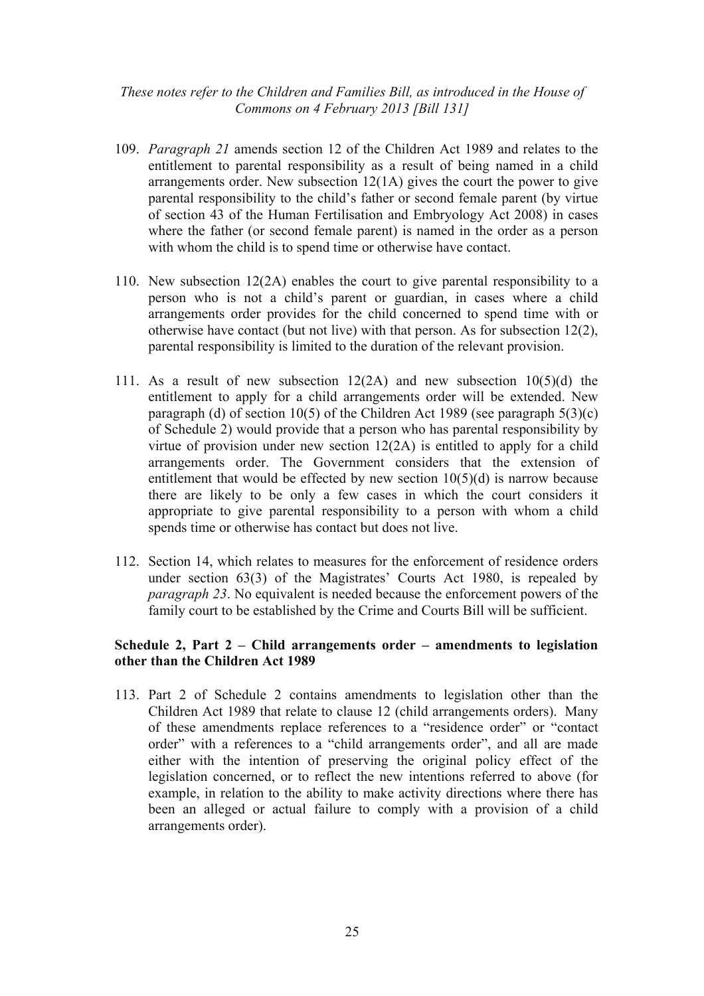- 109. *Paragraph 21* amends section 12 of the Children Act 1989 and relates to the entitlement to parental responsibility as a result of being named in a child arrangements order. New subsection 12(1A) gives the court the power to give parental responsibility to the child's father or second female parent (by virtue of section 43 of the Human Fertilisation and Embryology Act 2008) in cases where the father (or second female parent) is named in the order as a person with whom the child is to spend time or otherwise have contact.
- 110. New subsection 12(2A) enables the court to give parental responsibility to a person who is not a child's parent or guardian, in cases where a child arrangements order provides for the child concerned to spend time with or otherwise have contact (but not live) with that person. As for subsection 12(2), parental responsibility is limited to the duration of the relevant provision.
- 111. As a result of new subsection  $12(2A)$  and new subsection  $10(5)(d)$  the entitlement to apply for a child arrangements order will be extended. New paragraph (d) of section 10(5) of the Children Act 1989 (see paragraph  $5(3)(c)$ of Schedule 2) would provide that a person who has parental responsibility by virtue of provision under new section 12(2A) is entitled to apply for a child arrangements order. The Government considers that the extension of entitlement that would be effected by new section  $10(5)(d)$  is narrow because there are likely to be only a few cases in which the court considers it appropriate to give parental responsibility to a person with whom a child spends time or otherwise has contact but does not live.
- 112. Section 14, which relates to measures for the enforcement of residence orders under section 63(3) of the Magistrates' Courts Act 1980, is repealed by *paragraph 23*. No equivalent is needed because the enforcement powers of the family court to be established by the Crime and Courts Bill will be sufficient.

## **Schedule 2, Part 2 – Child arrangements order – amendments to legislation other than the Children Act 1989**

113. Part 2 of Schedule 2 contains amendments to legislation other than the Children Act 1989 that relate to clause 12 (child arrangements orders). Many of these amendments replace references to a "residence order" or "contact order" with a references to a "child arrangements order", and all are made either with the intention of preserving the original policy effect of the legislation concerned, or to reflect the new intentions referred to above (for example, in relation to the ability to make activity directions where there has been an alleged or actual failure to comply with a provision of a child arrangements order).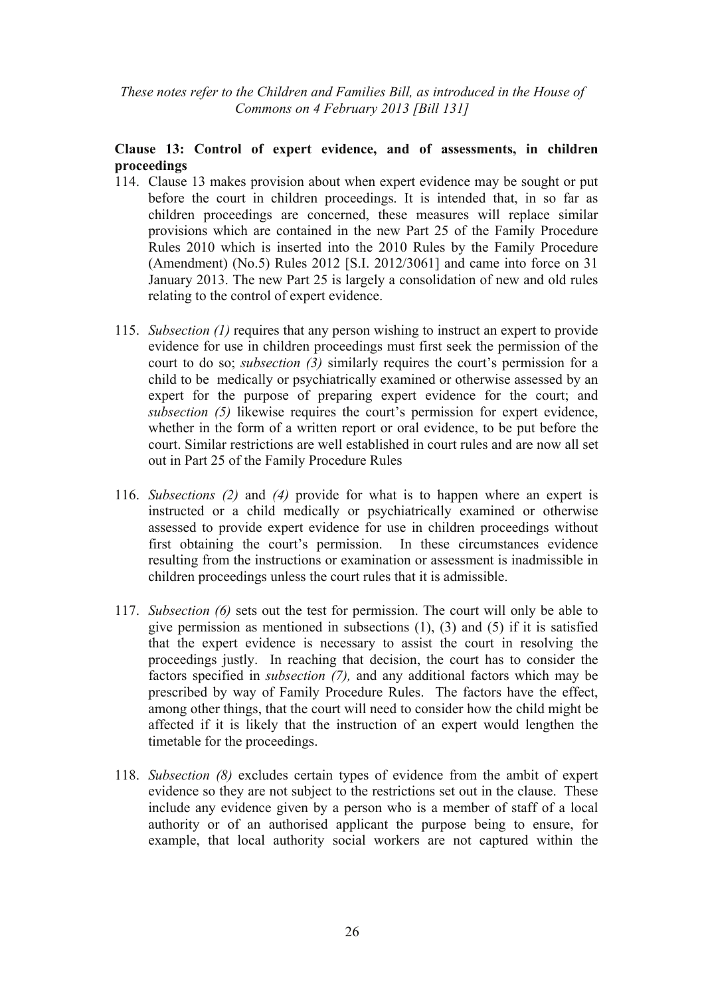## **Clause 13: Control of expert evidence, and of assessments, in children proceedings**

- 114. Clause 13 makes provision about when expert evidence may be sought or put before the court in children proceedings. It is intended that, in so far as children proceedings are concerned, these measures will replace similar provisions which are contained in the new Part 25 of the Family Procedure Rules 2010 which is inserted into the 2010 Rules by the Family Procedure (Amendment) (No.5) Rules 2012 [S.I. 2012/3061] and came into force on 31 January 2013. The new Part 25 is largely a consolidation of new and old rules relating to the control of expert evidence.
- 115. *Subsection (1)* requires that any person wishing to instruct an expert to provide evidence for use in children proceedings must first seek the permission of the court to do so; *subsection (3)* similarly requires the court's permission for a child to be medically or psychiatrically examined or otherwise assessed by an expert for the purpose of preparing expert evidence for the court; and *subsection (5)* likewise requires the court's permission for expert evidence, whether in the form of a written report or oral evidence, to be put before the court. Similar restrictions are well established in court rules and are now all set out in Part 25 of the Family Procedure Rules
- 116. *Subsections (2)* and *(4)* provide for what is to happen where an expert is instructed or a child medically or psychiatrically examined or otherwise assessed to provide expert evidence for use in children proceedings without first obtaining the court's permission. In these circumstances evidence resulting from the instructions or examination or assessment is inadmissible in children proceedings unless the court rules that it is admissible.
- 117. *Subsection (6)* sets out the test for permission. The court will only be able to give permission as mentioned in subsections  $(1)$ ,  $(3)$  and  $(5)$  if it is satisfied that the expert evidence is necessary to assist the court in resolving the proceedings justly. In reaching that decision, the court has to consider the factors specified in *subsection (7),* and any additional factors which may be prescribed by way of Family Procedure Rules. The factors have the effect, among other things, that the court will need to consider how the child might be affected if it is likely that the instruction of an expert would lengthen the timetable for the proceedings.
- 118. *Subsection (8)* excludes certain types of evidence from the ambit of expert evidence so they are not subject to the restrictions set out in the clause. These include any evidence given by a person who is a member of staff of a local authority or of an authorised applicant the purpose being to ensure, for example, that local authority social workers are not captured within the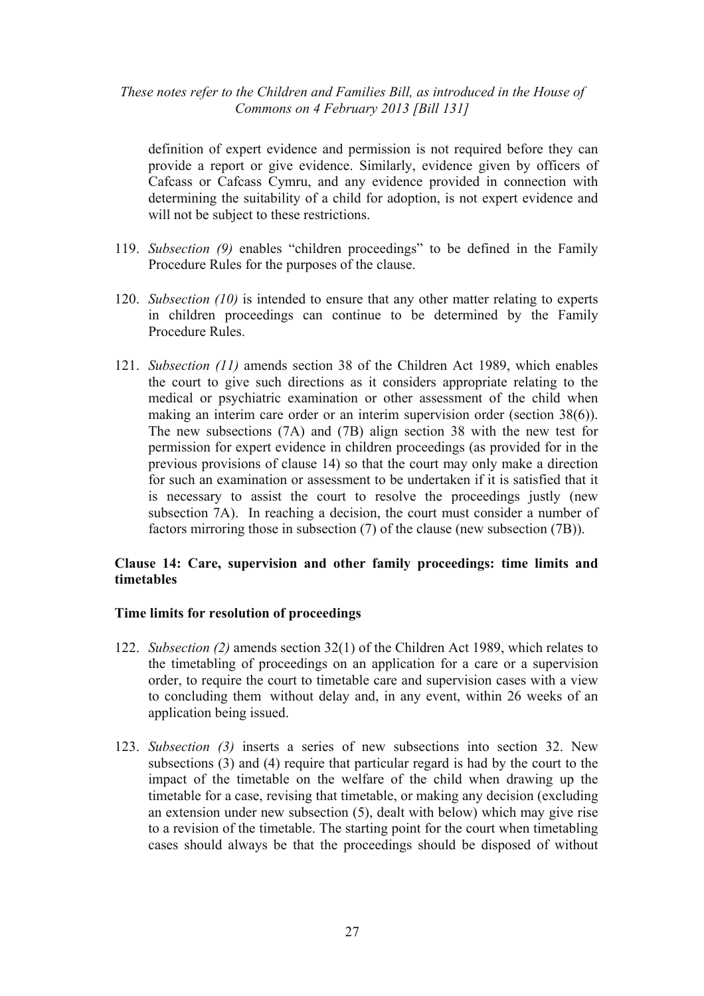definition of expert evidence and permission is not required before they can provide a report or give evidence. Similarly, evidence given by officers of Cafcass or Cafcass Cymru, and any evidence provided in connection with determining the suitability of a child for adoption, is not expert evidence and will not be subject to these restrictions.

- 119. *Subsection (9)* enables "children proceedings" to be defined in the Family Procedure Rules for the purposes of the clause.
- 120. *Subsection (10)* is intended to ensure that any other matter relating to experts in children proceedings can continue to be determined by the Family Procedure Rules.
- 121. *Subsection (11)* amends section 38 of the Children Act 1989, which enables the court to give such directions as it considers appropriate relating to the medical or psychiatric examination or other assessment of the child when making an interim care order or an interim supervision order (section 38(6)). The new subsections (7A) and (7B) align section 38 with the new test for permission for expert evidence in children proceedings (as provided for in the previous provisions of clause 14) so that the court may only make a direction for such an examination or assessment to be undertaken if it is satisfied that it is necessary to assist the court to resolve the proceedings justly (new subsection 7A). In reaching a decision, the court must consider a number of factors mirroring those in subsection (7) of the clause (new subsection (7B)).

## **Clause 14: Care, supervision and other family proceedings: time limits and timetables**

#### **Time limits for resolution of proceedings**

- 122. *Subsection (2)* amends section 32(1) of the Children Act 1989, which relates to the timetabling of proceedings on an application for a care or a supervision order, to require the court to timetable care and supervision cases with a view to concluding them without delay and, in any event, within 26 weeks of an application being issued.
- 123. *Subsection (3)* inserts a series of new subsections into section 32. New subsections (3) and (4) require that particular regard is had by the court to the impact of the timetable on the welfare of the child when drawing up the timetable for a case, revising that timetable, or making any decision (excluding an extension under new subsection (5), dealt with below) which may give rise to a revision of the timetable. The starting point for the court when timetabling cases should always be that the proceedings should be disposed of without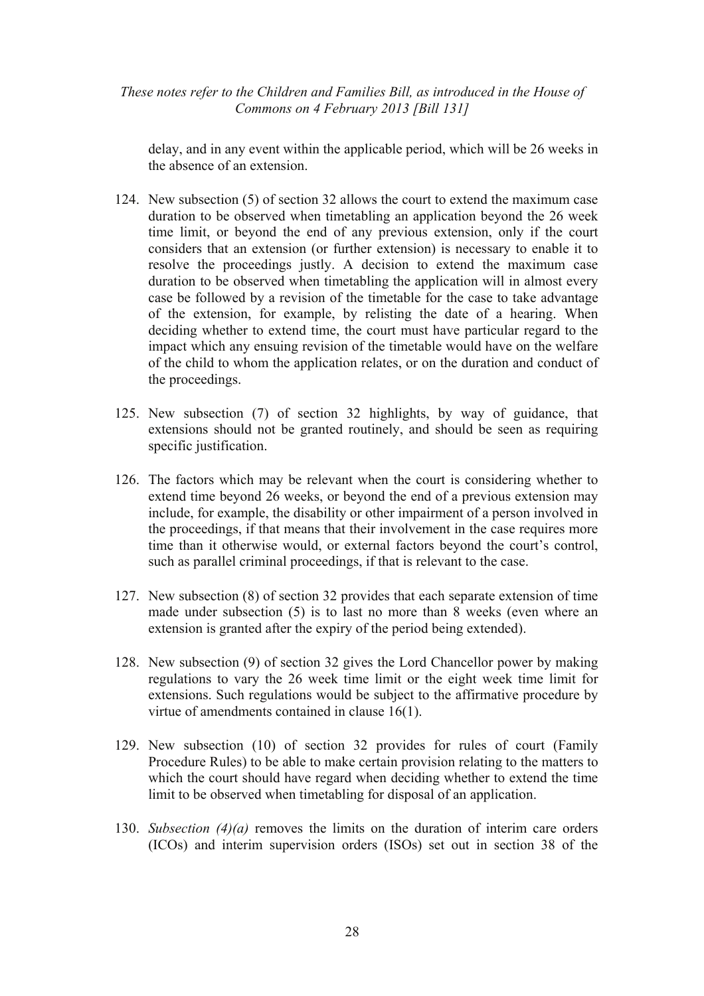delay, and in any event within the applicable period, which will be 26 weeks in the absence of an extension.

- 124. New subsection (5) of section 32 allows the court to extend the maximum case duration to be observed when timetabling an application beyond the 26 week time limit, or beyond the end of any previous extension, only if the court considers that an extension (or further extension) is necessary to enable it to resolve the proceedings justly. A decision to extend the maximum case duration to be observed when timetabling the application will in almost every case be followed by a revision of the timetable for the case to take advantage of the extension, for example, by relisting the date of a hearing. When deciding whether to extend time, the court must have particular regard to the impact which any ensuing revision of the timetable would have on the welfare of the child to whom the application relates, or on the duration and conduct of the proceedings.
- 125. New subsection (7) of section 32 highlights, by way of guidance, that extensions should not be granted routinely, and should be seen as requiring specific justification.
- 126. The factors which may be relevant when the court is considering whether to extend time beyond 26 weeks, or beyond the end of a previous extension may include, for example, the disability or other impairment of a person involved in the proceedings, if that means that their involvement in the case requires more time than it otherwise would, or external factors beyond the court's control, such as parallel criminal proceedings, if that is relevant to the case.
- 127. New subsection (8) of section 32 provides that each separate extension of time made under subsection (5) is to last no more than 8 weeks (even where an extension is granted after the expiry of the period being extended).
- 128. New subsection (9) of section 32 gives the Lord Chancellor power by making regulations to vary the 26 week time limit or the eight week time limit for extensions. Such regulations would be subject to the affirmative procedure by virtue of amendments contained in clause 16(1).
- 129. New subsection (10) of section 32 provides for rules of court (Family Procedure Rules) to be able to make certain provision relating to the matters to which the court should have regard when deciding whether to extend the time limit to be observed when timetabling for disposal of an application.
- 130. *Subsection (4)(a)* removes the limits on the duration of interim care orders (ICOs) and interim supervision orders (ISOs) set out in section 38 of the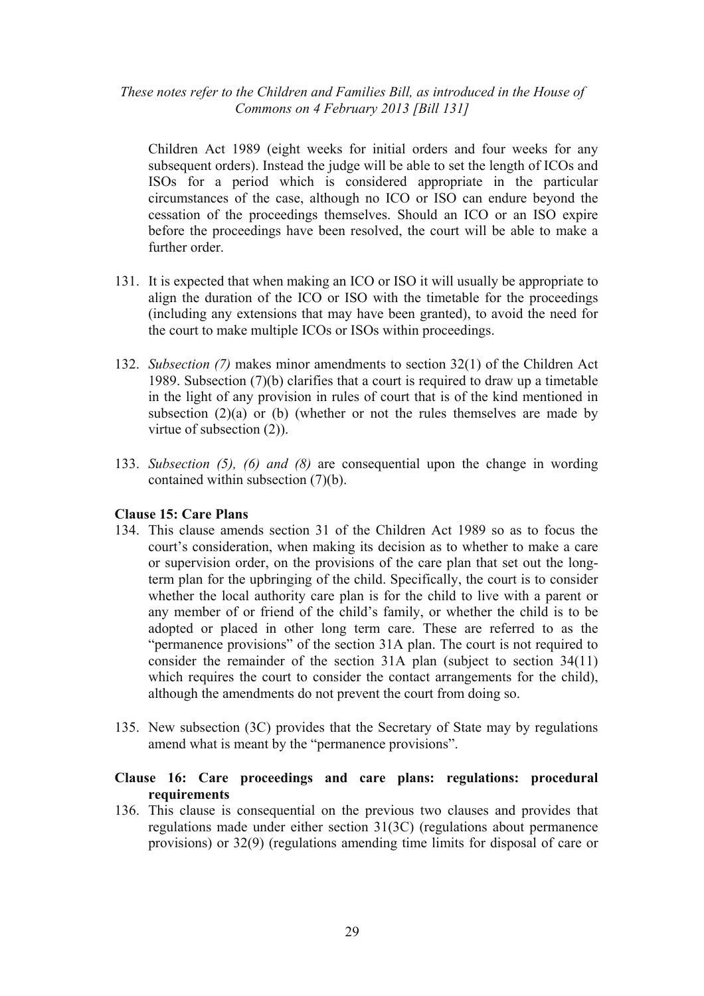Children Act 1989 (eight weeks for initial orders and four weeks for any subsequent orders). Instead the judge will be able to set the length of ICOs and ISOs for a period which is considered appropriate in the particular circumstances of the case, although no ICO or ISO can endure beyond the cessation of the proceedings themselves. Should an ICO or an ISO expire before the proceedings have been resolved, the court will be able to make a further order.

- 131. It is expected that when making an ICO or ISO it will usually be appropriate to align the duration of the ICO or ISO with the timetable for the proceedings (including any extensions that may have been granted), to avoid the need for the court to make multiple ICOs or ISOs within proceedings.
- 132. *Subsection (7)* makes minor amendments to section 32(1) of the Children Act 1989. Subsection (7)(b) clarifies that a court is required to draw up a timetable in the light of any provision in rules of court that is of the kind mentioned in subsection  $(2)(a)$  or (b) (whether or not the rules themselves are made by virtue of subsection (2)).
- 133. *Subsection (5), (6) and (8)* are consequential upon the change in wording contained within subsection (7)(b).

#### **Clause 15: Care Plans**

- 134. This clause amends section 31 of the Children Act 1989 so as to focus the court's consideration, when making its decision as to whether to make a care or supervision order, on the provisions of the care plan that set out the longterm plan for the upbringing of the child. Specifically, the court is to consider whether the local authority care plan is for the child to live with a parent or any member of or friend of the child's family, or whether the child is to be adopted or placed in other long term care. These are referred to as the "permanence provisions" of the section 31A plan. The court is not required to consider the remainder of the section 31A plan (subject to section 34(11) which requires the court to consider the contact arrangements for the child), although the amendments do not prevent the court from doing so.
- 135. New subsection (3C) provides that the Secretary of State may by regulations amend what is meant by the "permanence provisions".

#### **Clause 16: Care proceedings and care plans: regulations: procedural requirements**

136. This clause is consequential on the previous two clauses and provides that regulations made under either section 31(3C) (regulations about permanence provisions) or 32(9) (regulations amending time limits for disposal of care or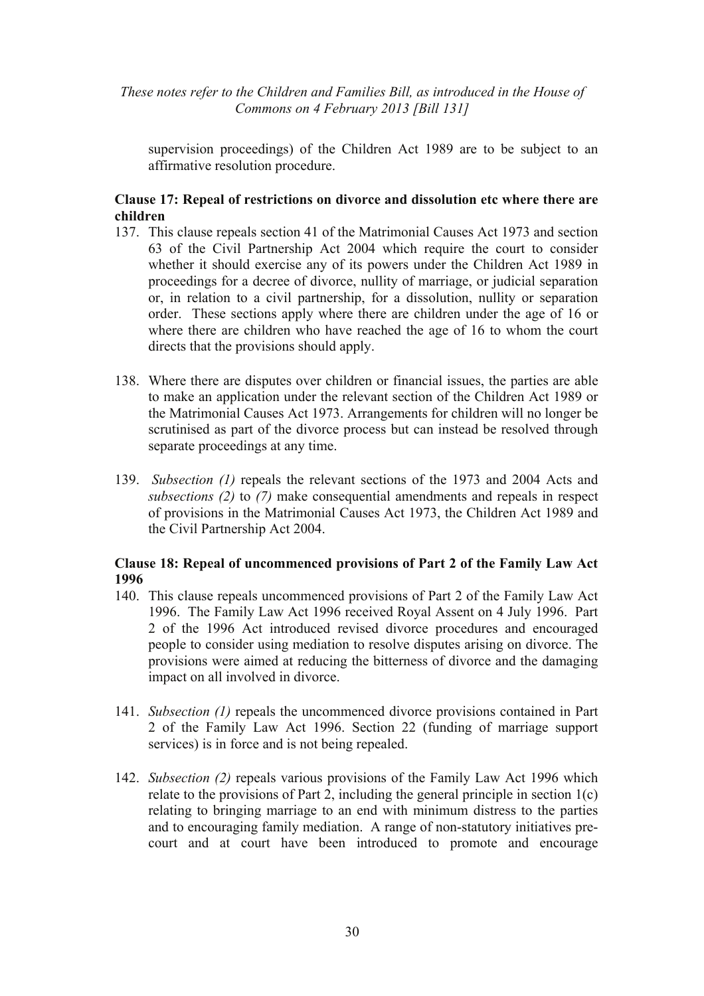supervision proceedings) of the Children Act 1989 are to be subject to an affirmative resolution procedure.

## **Clause 17: Repeal of restrictions on divorce and dissolution etc where there are children**

- 137. This clause repeals section 41 of the Matrimonial Causes Act 1973 and section 63 of the Civil Partnership Act 2004 which require the court to consider whether it should exercise any of its powers under the Children Act 1989 in proceedings for a decree of divorce, nullity of marriage, or judicial separation or, in relation to a civil partnership, for a dissolution, nullity or separation order. These sections apply where there are children under the age of 16 or where there are children who have reached the age of 16 to whom the court directs that the provisions should apply.
- 138. Where there are disputes over children or financial issues, the parties are able to make an application under the relevant section of the Children Act 1989 or the Matrimonial Causes Act 1973. Arrangements for children will no longer be scrutinised as part of the divorce process but can instead be resolved through separate proceedings at any time.
- 139. *Subsection (1)* repeals the relevant sections of the 1973 and 2004 Acts and *subsections (2)* to *(7)* make consequential amendments and repeals in respect of provisions in the Matrimonial Causes Act 1973, the Children Act 1989 and the Civil Partnership Act 2004.

## **Clause 18: Repeal of uncommenced provisions of Part 2 of the Family Law Act 1996**

- 140. This clause repeals uncommenced provisions of Part 2 of the Family Law Act 1996. The Family Law Act 1996 received Royal Assent on 4 July 1996. Part 2 of the 1996 Act introduced revised divorce procedures and encouraged people to consider using mediation to resolve disputes arising on divorce. The provisions were aimed at reducing the bitterness of divorce and the damaging impact on all involved in divorce.
- 141. *Subsection (1)* repeals the uncommenced divorce provisions contained in Part 2 of the Family Law Act 1996. Section 22 (funding of marriage support services) is in force and is not being repealed.
- 142. *Subsection (2)* repeals various provisions of the Family Law Act 1996 which relate to the provisions of Part 2, including the general principle in section 1(c) relating to bringing marriage to an end with minimum distress to the parties and to encouraging family mediation. A range of non-statutory initiatives precourt and at court have been introduced to promote and encourage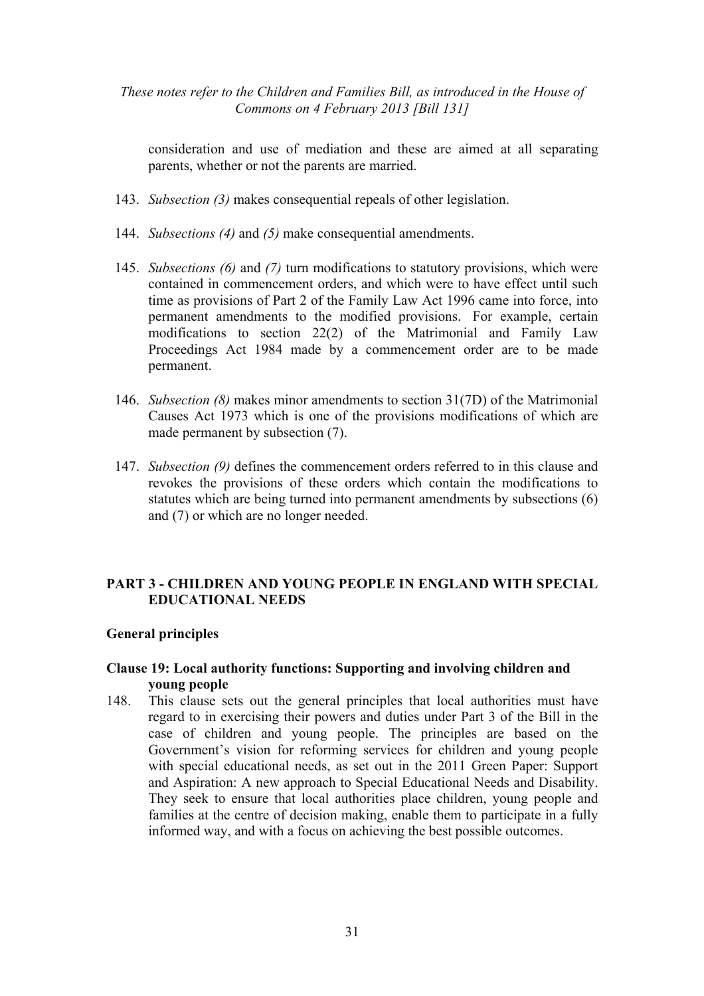consideration and use of mediation and these are aimed at all separating parents, whether or not the parents are married.

- 143. *Subsection (3)* makes consequential repeals of other legislation.
- 144. *Subsections (4)* and *(5)* make consequential amendments.
- 145. *Subsections (6)* and *(7)* turn modifications to statutory provisions, which were contained in commencement orders, and which were to have effect until such time as provisions of Part 2 of the Family Law Act 1996 came into force, into permanent amendments to the modified provisions. For example, certain modifications to section 22(2) of the Matrimonial and Family Law Proceedings Act 1984 made by a commencement order are to be made permanent.
- 146. *Subsection (8)* makes minor amendments to section 31(7D) of the Matrimonial Causes Act 1973 which is one of the provisions modifications of which are made permanent by subsection (7).
- 147. *Subsection (9)* defines the commencement orders referred to in this clause and revokes the provisions of these orders which contain the modifications to statutes which are being turned into permanent amendments by subsections (6) and (7) or which are no longer needed.

## **PART 3 - CHILDREN AND YOUNG PEOPLE IN ENGLAND WITH SPECIAL EDUCATIONAL NEEDS**

#### **General principles**

## **Clause 19: Local authority functions: Supporting and involving children and young people**

148. This clause sets out the general principles that local authorities must have regard to in exercising their powers and duties under Part 3 of the Bill in the case of children and young people. The principles are based on the Government's vision for reforming services for children and young people with special educational needs, as set out in the 2011 Green Paper: Support and Aspiration: A new approach to Special Educational Needs and Disability. They seek to ensure that local authorities place children, young people and families at the centre of decision making, enable them to participate in a fully informed way, and with a focus on achieving the best possible outcomes.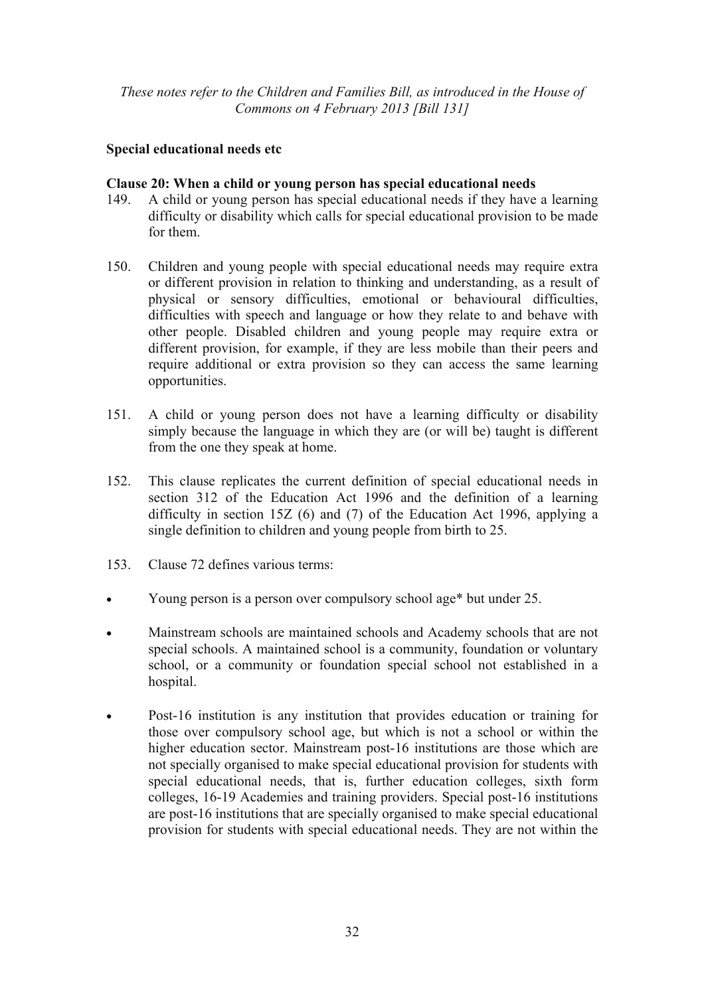## **Special educational needs etc**

#### **Clause 20: When a child or young person has special educational needs**

- 149. A child or young person has special educational needs if they have a learning difficulty or disability which calls for special educational provision to be made for them.
- 150. Children and young people with special educational needs may require extra or different provision in relation to thinking and understanding, as a result of physical or sensory difficulties, emotional or behavioural difficulties, difficulties with speech and language or how they relate to and behave with other people. Disabled children and young people may require extra or different provision, for example, if they are less mobile than their peers and require additional or extra provision so they can access the same learning opportunities.
- 151. A child or young person does not have a learning difficulty or disability simply because the language in which they are (or will be) taught is different from the one they speak at home.
- 152. This clause replicates the current definition of special educational needs in section 312 of the Education Act 1996 and the definition of a learning difficulty in section 15Z (6) and (7) of the Education Act 1996, applying a single definition to children and young people from birth to 25.
- 153. Clause 72 defines various terms:
- Young person is a person over compulsory school age\* but under 25.
- Mainstream schools are maintained schools and Academy schools that are not special schools. A maintained school is a community, foundation or voluntary school, or a community or foundation special school not established in a hospital.
- Post-16 institution is any institution that provides education or training for those over compulsory school age, but which is not a school or within the higher education sector. Mainstream post-16 institutions are those which are not specially organised to make special educational provision for students with special educational needs, that is, further education colleges, sixth form colleges, 16-19 Academies and training providers. Special post-16 institutions are post-16 institutions that are specially organised to make special educational provision for students with special educational needs. They are not within the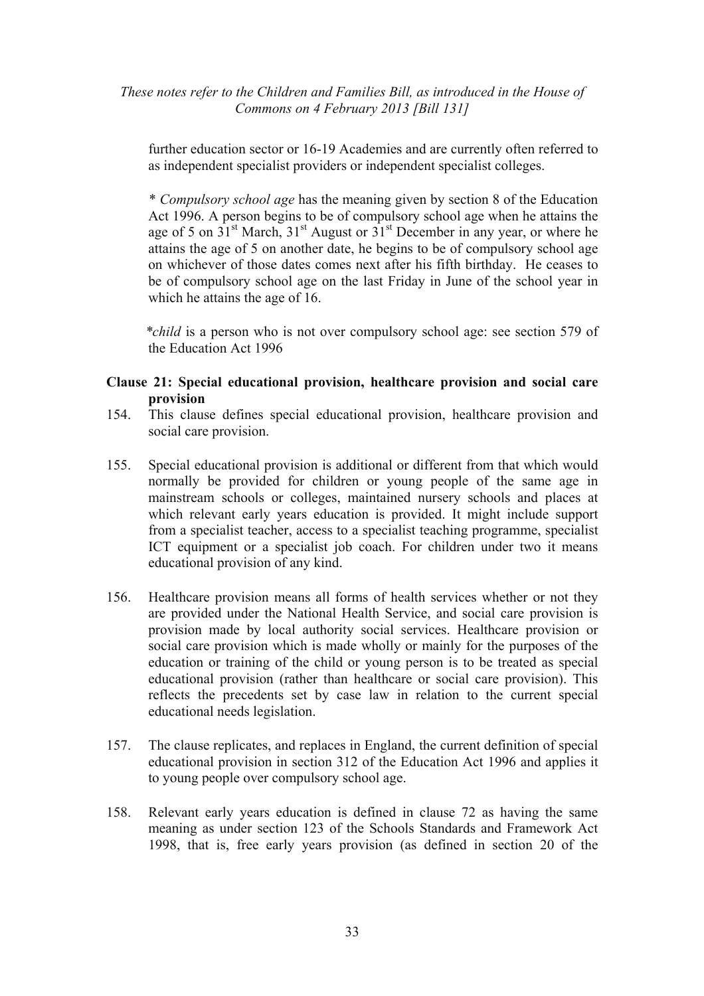further education sector or 16-19 Academies and are currently often referred to as independent specialist providers or independent specialist colleges.

 \* *Compulsory school age* has the meaning given by section 8 of the Education Act 1996. A person begins to be of compulsory school age when he attains the age of 5 on  $31<sup>st</sup>$  March,  $31<sup>st</sup>$  August or  $31<sup>st</sup>$  December in any year, or where he attains the age of 5 on another date, he begins to be of compulsory school age on whichever of those dates comes next after his fifth birthday. He ceases to be of compulsory school age on the last Friday in June of the school year in which he attains the age of 16.

 *\*child* is a person who is not over compulsory school age: see section 579 of the Education Act 1996

- **Clause 21: Special educational provision, healthcare provision and social care provision**
- 154. This clause defines special educational provision, healthcare provision and social care provision.
- 155. Special educational provision is additional or different from that which would normally be provided for children or young people of the same age in mainstream schools or colleges, maintained nursery schools and places at which relevant early years education is provided. It might include support from a specialist teacher, access to a specialist teaching programme, specialist ICT equipment or a specialist job coach. For children under two it means educational provision of any kind.
- 156. Healthcare provision means all forms of health services whether or not they are provided under the National Health Service, and social care provision is provision made by local authority social services. Healthcare provision or social care provision which is made wholly or mainly for the purposes of the education or training of the child or young person is to be treated as special educational provision (rather than healthcare or social care provision). This reflects the precedents set by case law in relation to the current special educational needs legislation.
- 157. The clause replicates, and replaces in England, the current definition of special educational provision in section 312 of the Education Act 1996 and applies it to young people over compulsory school age.
- 158. Relevant early years education is defined in clause 72 as having the same meaning as under section 123 of the Schools Standards and Framework Act 1998, that is, free early years provision (as defined in section 20 of the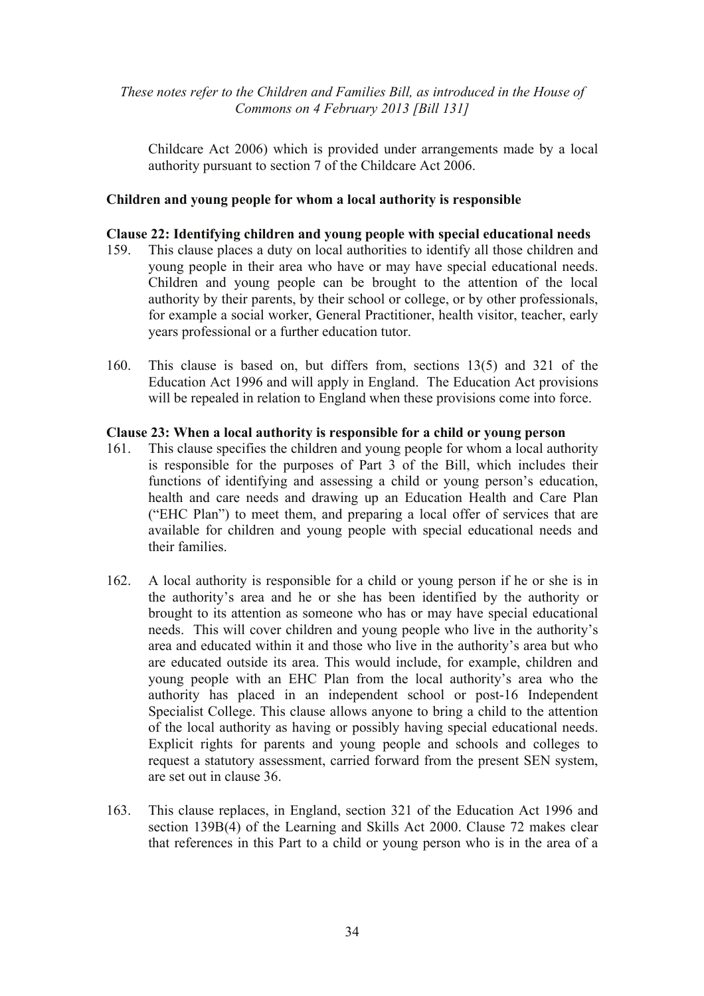Childcare Act 2006) which is provided under arrangements made by a local authority pursuant to section 7 of the Childcare Act 2006.

#### **Children and young people for whom a local authority is responsible**

#### **Clause 22: Identifying children and young people with special educational needs**

- 159. This clause places a duty on local authorities to identify all those children and young people in their area who have or may have special educational needs. Children and young people can be brought to the attention of the local authority by their parents, by their school or college, or by other professionals, for example a social worker, General Practitioner, health visitor, teacher, early years professional or a further education tutor.
- 160. This clause is based on, but differs from, sections 13(5) and 321 of the Education Act 1996 and will apply in England. The Education Act provisions will be repealed in relation to England when these provisions come into force.

#### **Clause 23: When a local authority is responsible for a child or young person**

- 161. This clause specifies the children and young people for whom a local authority is responsible for the purposes of Part 3 of the Bill, which includes their functions of identifying and assessing a child or young person's education, health and care needs and drawing up an Education Health and Care Plan ("EHC Plan") to meet them, and preparing a local offer of services that are available for children and young people with special educational needs and their families.
- 162. A local authority is responsible for a child or young person if he or she is in the authority's area and he or she has been identified by the authority or brought to its attention as someone who has or may have special educational needs. This will cover children and young people who live in the authority's area and educated within it and those who live in the authority's area but who are educated outside its area. This would include, for example, children and young people with an EHC Plan from the local authority's area who the authority has placed in an independent school or post-16 Independent Specialist College. This clause allows anyone to bring a child to the attention of the local authority as having or possibly having special educational needs. Explicit rights for parents and young people and schools and colleges to request a statutory assessment, carried forward from the present SEN system, are set out in clause 36.
- 163. This clause replaces, in England, section 321 of the Education Act 1996 and section 139B(4) of the Learning and Skills Act 2000. Clause 72 makes clear that references in this Part to a child or young person who is in the area of a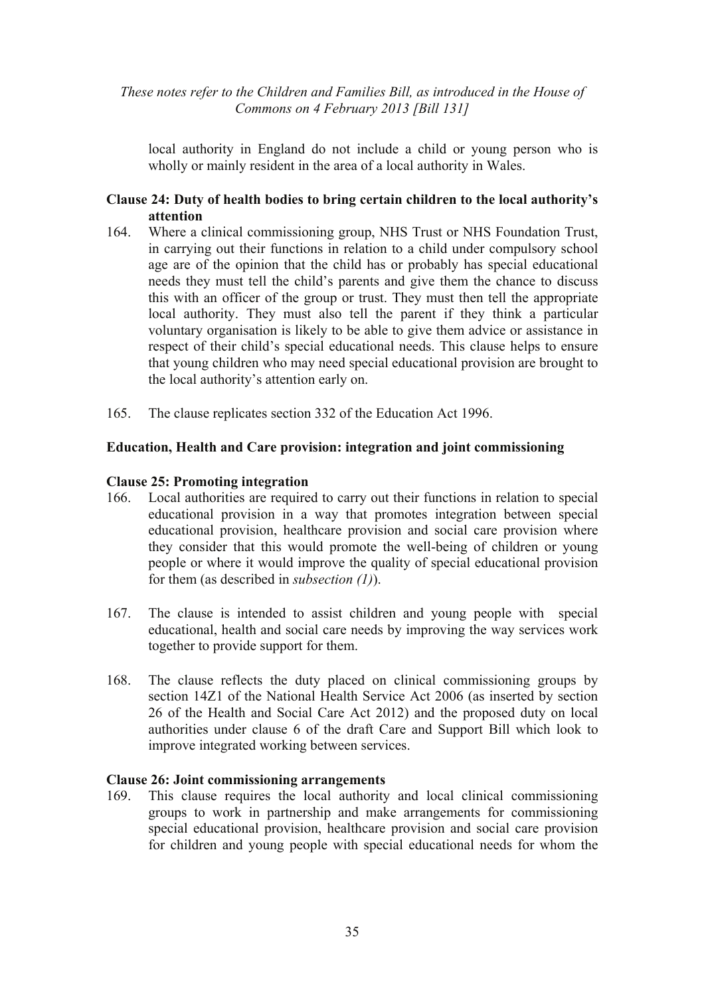local authority in England do not include a child or young person who is wholly or mainly resident in the area of a local authority in Wales.

## **Clause 24: Duty of health bodies to bring certain children to the local authority's attention**

- 164. Where a clinical commissioning group, NHS Trust or NHS Foundation Trust, in carrying out their functions in relation to a child under compulsory school age are of the opinion that the child has or probably has special educational needs they must tell the child's parents and give them the chance to discuss this with an officer of the group or trust. They must then tell the appropriate local authority. They must also tell the parent if they think a particular voluntary organisation is likely to be able to give them advice or assistance in respect of their child's special educational needs. This clause helps to ensure that young children who may need special educational provision are brought to the local authority's attention early on.
- 165. The clause replicates section 332 of the Education Act 1996.

#### **Education, Health and Care provision: integration and joint commissioning**

#### **Clause 25: Promoting integration**

- 166. Local authorities are required to carry out their functions in relation to special educational provision in a way that promotes integration between special educational provision, healthcare provision and social care provision where they consider that this would promote the well-being of children or young people or where it would improve the quality of special educational provision for them (as described in *subsection (1)*).
- 167. The clause is intended to assist children and young people with special educational, health and social care needs by improving the way services work together to provide support for them.
- 168. The clause reflects the duty placed on clinical commissioning groups by section 14Z1 of the National Health Service Act 2006 (as inserted by section 26 of the Health and Social Care Act 2012) and the proposed duty on local authorities under clause 6 of the draft Care and Support Bill which look to improve integrated working between services.

#### **Clause 26: Joint commissioning arrangements**

169. This clause requires the local authority and local clinical commissioning groups to work in partnership and make arrangements for commissioning special educational provision, healthcare provision and social care provision for children and young people with special educational needs for whom the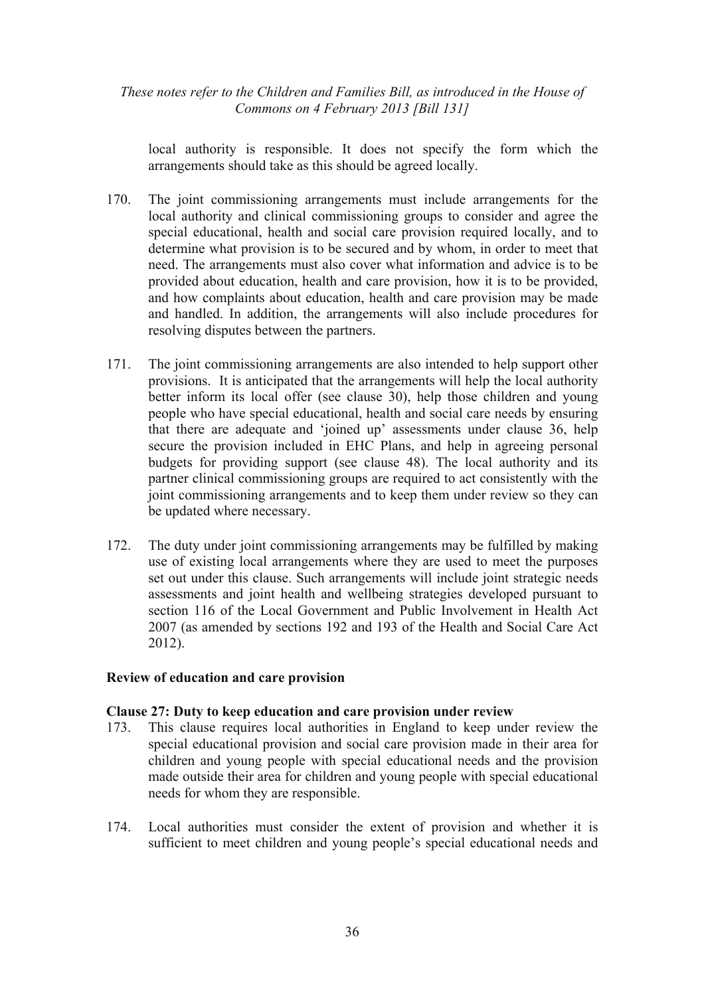local authority is responsible. It does not specify the form which the arrangements should take as this should be agreed locally.

- 170. The joint commissioning arrangements must include arrangements for the local authority and clinical commissioning groups to consider and agree the special educational, health and social care provision required locally, and to determine what provision is to be secured and by whom, in order to meet that need. The arrangements must also cover what information and advice is to be provided about education, health and care provision, how it is to be provided, and how complaints about education, health and care provision may be made and handled. In addition, the arrangements will also include procedures for resolving disputes between the partners.
- 171. The joint commissioning arrangements are also intended to help support other provisions. It is anticipated that the arrangements will help the local authority better inform its local offer (see clause 30), help those children and young people who have special educational, health and social care needs by ensuring that there are adequate and 'joined up' assessments under clause 36, help secure the provision included in EHC Plans, and help in agreeing personal budgets for providing support (see clause 48). The local authority and its partner clinical commissioning groups are required to act consistently with the joint commissioning arrangements and to keep them under review so they can be updated where necessary.
- 172. The duty under joint commissioning arrangements may be fulfilled by making use of existing local arrangements where they are used to meet the purposes set out under this clause. Such arrangements will include joint strategic needs assessments and joint health and wellbeing strategies developed pursuant to section 116 of the Local Government and Public Involvement in Health Act 2007 (as amended by sections 192 and 193 of the Health and Social Care Act 2012).

#### **Review of education and care provision**

#### **Clause 27: Duty to keep education and care provision under review**

- 173. This clause requires local authorities in England to keep under review the special educational provision and social care provision made in their area for children and young people with special educational needs and the provision made outside their area for children and young people with special educational needs for whom they are responsible.
- 174. Local authorities must consider the extent of provision and whether it is sufficient to meet children and young people's special educational needs and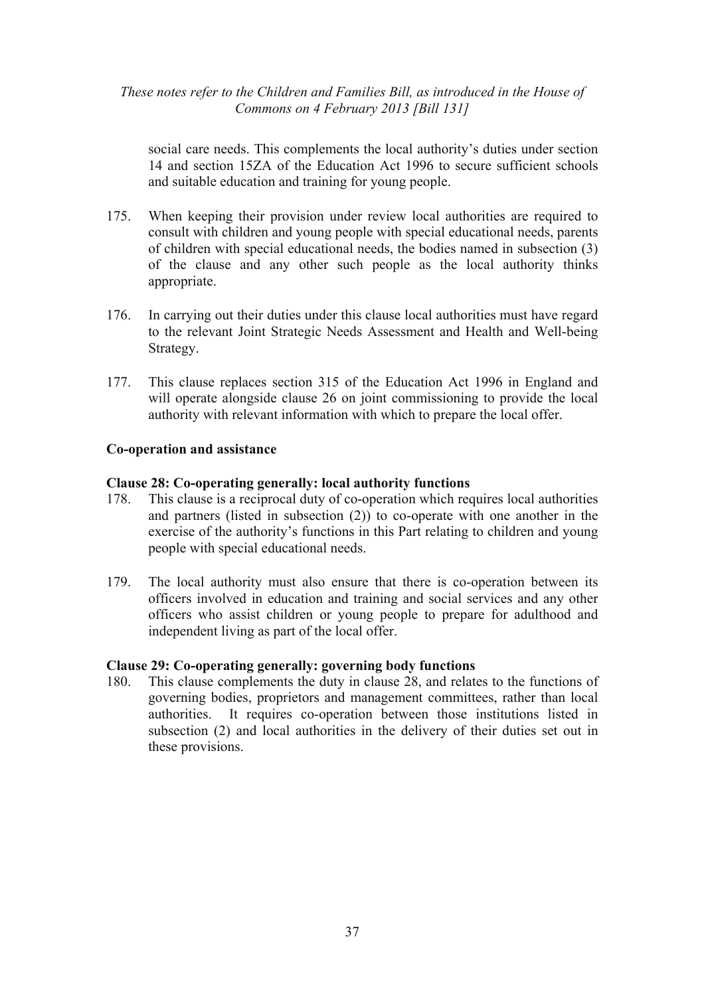social care needs. This complements the local authority's duties under section 14 and section 15ZA of the Education Act 1996 to secure sufficient schools and suitable education and training for young people.

- 175. When keeping their provision under review local authorities are required to consult with children and young people with special educational needs, parents of children with special educational needs, the bodies named in subsection (3) of the clause and any other such people as the local authority thinks appropriate.
- 176. In carrying out their duties under this clause local authorities must have regard to the relevant Joint Strategic Needs Assessment and Health and Well-being Strategy.
- 177. This clause replaces section 315 of the Education Act 1996 in England and will operate alongside clause 26 on joint commissioning to provide the local authority with relevant information with which to prepare the local offer.

### **Co-operation and assistance**

### **Clause 28: Co-operating generally: local authority functions**

- 178. This clause is a reciprocal duty of co-operation which requires local authorities and partners (listed in subsection (2)) to co-operate with one another in the exercise of the authority's functions in this Part relating to children and young people with special educational needs.
- 179. The local authority must also ensure that there is co-operation between its officers involved in education and training and social services and any other officers who assist children or young people to prepare for adulthood and independent living as part of the local offer.

### **Clause 29: Co-operating generally: governing body functions**

180. This clause complements the duty in clause 28, and relates to the functions of governing bodies, proprietors and management committees, rather than local authorities. It requires co-operation between those institutions listed in subsection (2) and local authorities in the delivery of their duties set out in these provisions.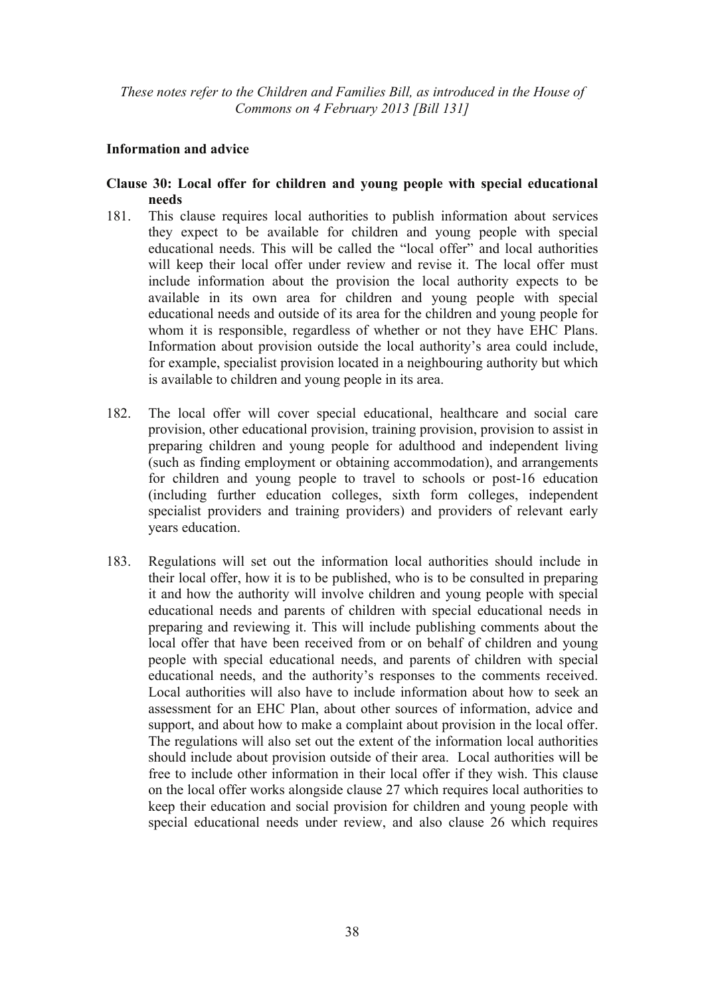### **Information and advice**

- **Clause 30: Local offer for children and young people with special educational needs**
- 181. This clause requires local authorities to publish information about services they expect to be available for children and young people with special educational needs. This will be called the "local offer" and local authorities will keep their local offer under review and revise it. The local offer must include information about the provision the local authority expects to be available in its own area for children and young people with special educational needs and outside of its area for the children and young people for whom it is responsible, regardless of whether or not they have EHC Plans. Information about provision outside the local authority's area could include, for example, specialist provision located in a neighbouring authority but which is available to children and young people in its area.
- 182. The local offer will cover special educational, healthcare and social care provision, other educational provision, training provision, provision to assist in preparing children and young people for adulthood and independent living (such as finding employment or obtaining accommodation), and arrangements for children and young people to travel to schools or post-16 education (including further education colleges, sixth form colleges, independent specialist providers and training providers) and providers of relevant early years education.
- 183. Regulations will set out the information local authorities should include in their local offer, how it is to be published, who is to be consulted in preparing it and how the authority will involve children and young people with special educational needs and parents of children with special educational needs in preparing and reviewing it. This will include publishing comments about the local offer that have been received from or on behalf of children and young people with special educational needs, and parents of children with special educational needs, and the authority's responses to the comments received. Local authorities will also have to include information about how to seek an assessment for an EHC Plan, about other sources of information, advice and support, and about how to make a complaint about provision in the local offer. The regulations will also set out the extent of the information local authorities should include about provision outside of their area. Local authorities will be free to include other information in their local offer if they wish. This clause on the local offer works alongside clause 27 which requires local authorities to keep their education and social provision for children and young people with special educational needs under review, and also clause 26 which requires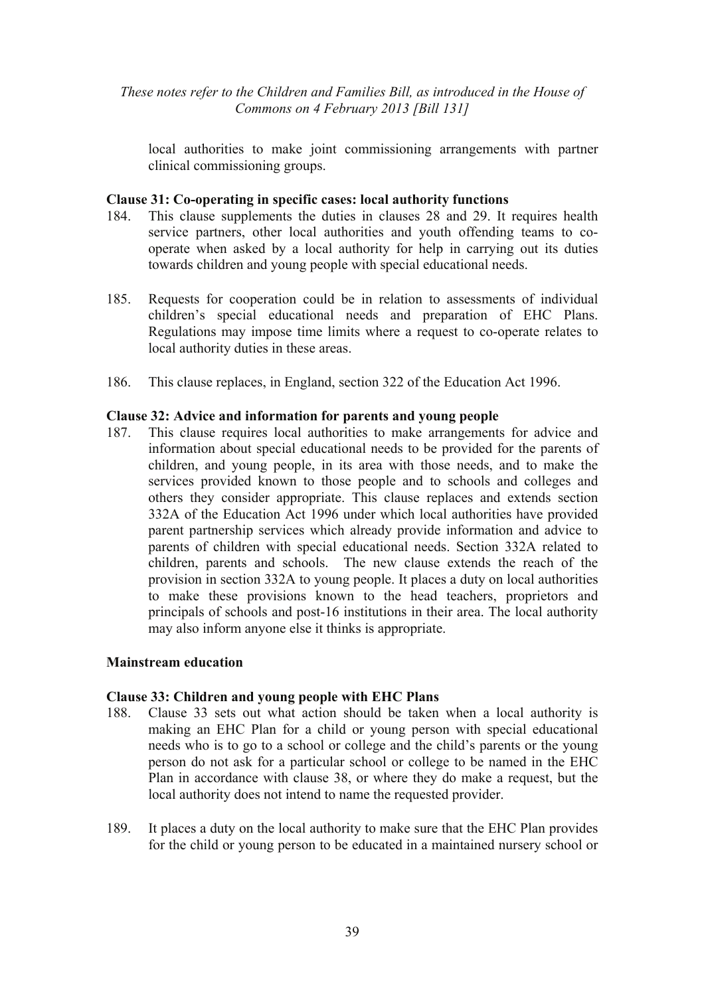local authorities to make joint commissioning arrangements with partner clinical commissioning groups.

#### **Clause 31: Co-operating in specific cases: local authority functions**

- 184. This clause supplements the duties in clauses 28 and 29. It requires health service partners, other local authorities and youth offending teams to cooperate when asked by a local authority for help in carrying out its duties towards children and young people with special educational needs.
- 185. Requests for cooperation could be in relation to assessments of individual children's special educational needs and preparation of EHC Plans. Regulations may impose time limits where a request to co-operate relates to local authority duties in these areas.
- 186. This clause replaces, in England, section 322 of the Education Act 1996.

#### **Clause 32: Advice and information for parents and young people**

187. This clause requires local authorities to make arrangements for advice and information about special educational needs to be provided for the parents of children, and young people, in its area with those needs, and to make the services provided known to those people and to schools and colleges and others they consider appropriate. This clause replaces and extends section 332A of the Education Act 1996 under which local authorities have provided parent partnership services which already provide information and advice to parents of children with special educational needs. Section 332A related to children, parents and schools. The new clause extends the reach of the provision in section 332A to young people. It places a duty on local authorities to make these provisions known to the head teachers, proprietors and principals of schools and post-16 institutions in their area. The local authority may also inform anyone else it thinks is appropriate.

#### **Mainstream education**

#### **Clause 33: Children and young people with EHC Plans**

- 188. Clause 33 sets out what action should be taken when a local authority is making an EHC Plan for a child or young person with special educational needs who is to go to a school or college and the child's parents or the young person do not ask for a particular school or college to be named in the EHC Plan in accordance with clause 38, or where they do make a request, but the local authority does not intend to name the requested provider.
- 189. It places a duty on the local authority to make sure that the EHC Plan provides for the child or young person to be educated in a maintained nursery school or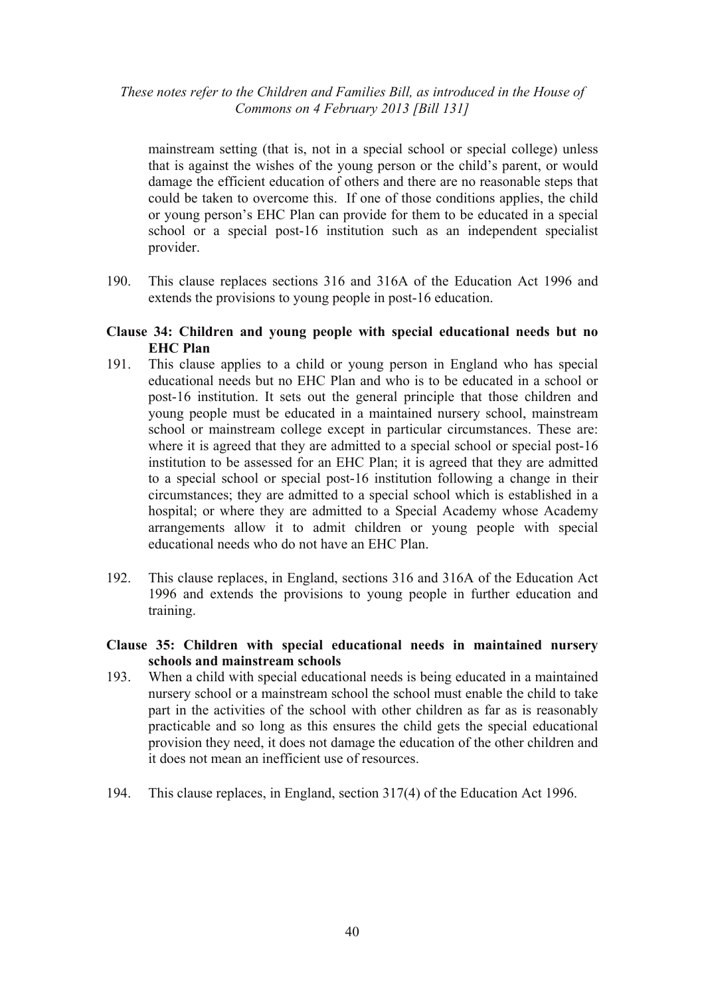mainstream setting (that is, not in a special school or special college) unless that is against the wishes of the young person or the child's parent, or would damage the efficient education of others and there are no reasonable steps that could be taken to overcome this. If one of those conditions applies, the child or young person's EHC Plan can provide for them to be educated in a special school or a special post-16 institution such as an independent specialist provider.

190. This clause replaces sections 316 and 316A of the Education Act 1996 and extends the provisions to young people in post-16 education.

### **Clause 34: Children and young people with special educational needs but no EHC Plan**

- 191. This clause applies to a child or young person in England who has special educational needs but no EHC Plan and who is to be educated in a school or post-16 institution. It sets out the general principle that those children and young people must be educated in a maintained nursery school, mainstream school or mainstream college except in particular circumstances. These are: where it is agreed that they are admitted to a special school or special post-16 institution to be assessed for an EHC Plan; it is agreed that they are admitted to a special school or special post-16 institution following a change in their circumstances; they are admitted to a special school which is established in a hospital; or where they are admitted to a Special Academy whose Academy arrangements allow it to admit children or young people with special educational needs who do not have an EHC Plan.
- 192. This clause replaces, in England, sections 316 and 316A of the Education Act 1996 and extends the provisions to young people in further education and training.

### **Clause 35: Children with special educational needs in maintained nursery schools and mainstream schools**

- 193. When a child with special educational needs is being educated in a maintained nursery school or a mainstream school the school must enable the child to take part in the activities of the school with other children as far as is reasonably practicable and so long as this ensures the child gets the special educational provision they need, it does not damage the education of the other children and it does not mean an inefficient use of resources.
- 194. This clause replaces, in England, section 317(4) of the Education Act 1996.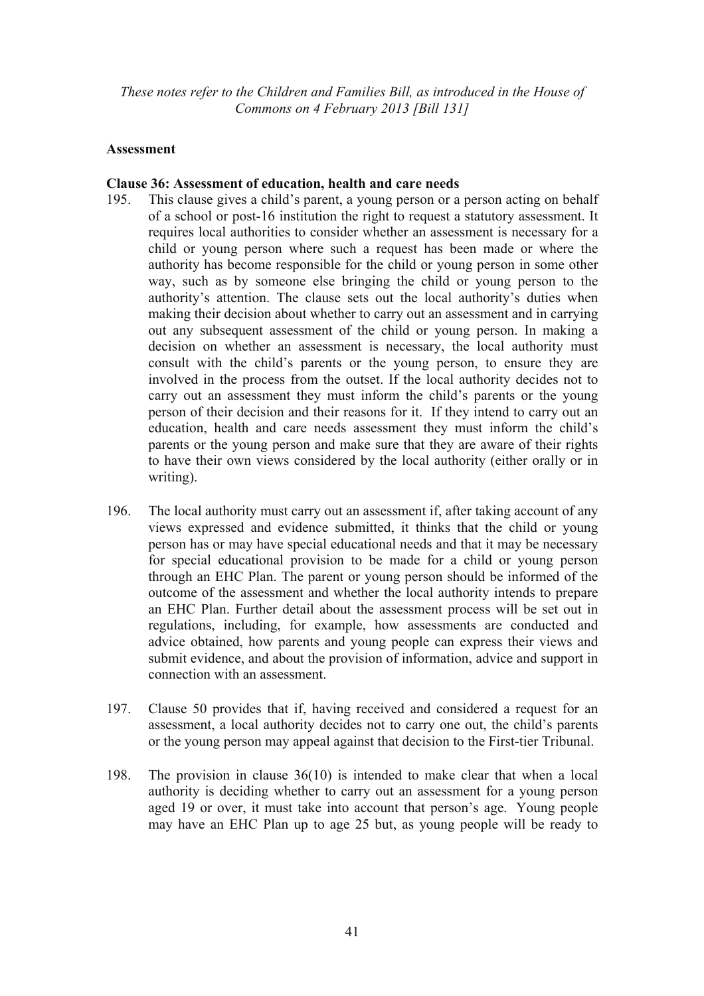### **Assessment**

### **Clause 36: Assessment of education, health and care needs**

- 195. This clause gives a child's parent, a young person or a person acting on behalf of a school or post-16 institution the right to request a statutory assessment. It requires local authorities to consider whether an assessment is necessary for a child or young person where such a request has been made or where the authority has become responsible for the child or young person in some other way, such as by someone else bringing the child or young person to the authority's attention. The clause sets out the local authority's duties when making their decision about whether to carry out an assessment and in carrying out any subsequent assessment of the child or young person. In making a decision on whether an assessment is necessary, the local authority must consult with the child's parents or the young person, to ensure they are involved in the process from the outset. If the local authority decides not to carry out an assessment they must inform the child's parents or the young person of their decision and their reasons for it. If they intend to carry out an education, health and care needs assessment they must inform the child's parents or the young person and make sure that they are aware of their rights to have their own views considered by the local authority (either orally or in writing).
- 196. The local authority must carry out an assessment if, after taking account of any views expressed and evidence submitted, it thinks that the child or young person has or may have special educational needs and that it may be necessary for special educational provision to be made for a child or young person through an EHC Plan. The parent or young person should be informed of the outcome of the assessment and whether the local authority intends to prepare an EHC Plan. Further detail about the assessment process will be set out in regulations, including, for example, how assessments are conducted and advice obtained, how parents and young people can express their views and submit evidence, and about the provision of information, advice and support in connection with an assessment.
- 197. Clause 50 provides that if, having received and considered a request for an assessment, a local authority decides not to carry one out, the child's parents or the young person may appeal against that decision to the First-tier Tribunal.
- 198. The provision in clause 36(10) is intended to make clear that when a local authority is deciding whether to carry out an assessment for a young person aged 19 or over, it must take into account that person's age. Young people may have an EHC Plan up to age 25 but, as young people will be ready to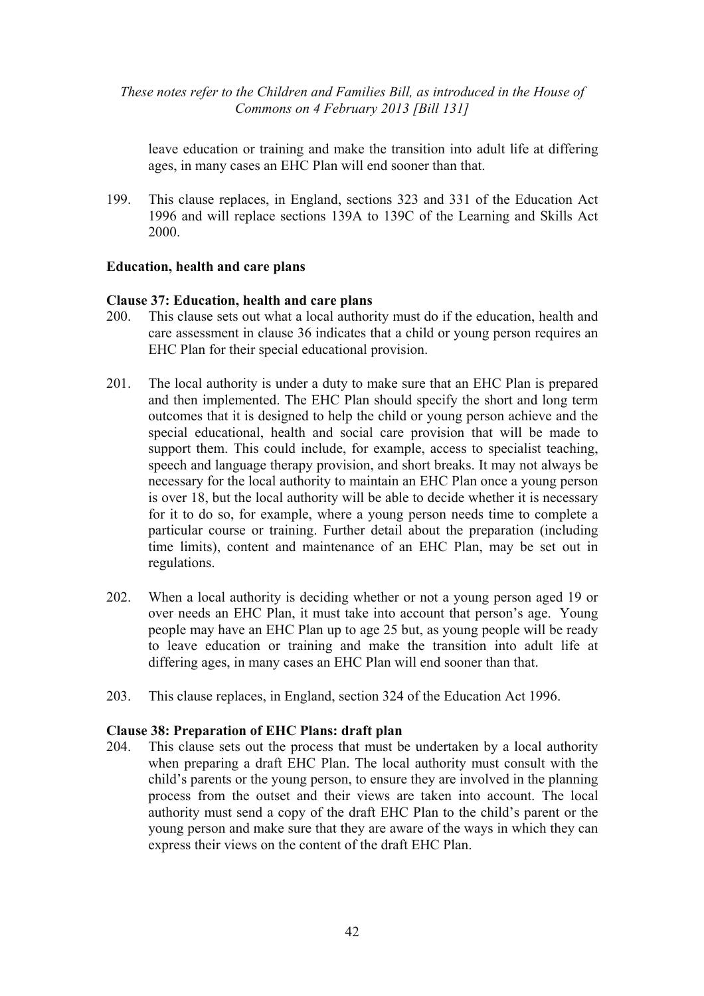leave education or training and make the transition into adult life at differing ages, in many cases an EHC Plan will end sooner than that.

199. This clause replaces, in England, sections 323 and 331 of the Education Act 1996 and will replace sections 139A to 139C of the Learning and Skills Act 2000.

### **Education, health and care plans**

#### **Clause 37: Education, health and care plans**

- 200. This clause sets out what a local authority must do if the education, health and care assessment in clause 36 indicates that a child or young person requires an EHC Plan for their special educational provision.
- 201. The local authority is under a duty to make sure that an EHC Plan is prepared and then implemented. The EHC Plan should specify the short and long term outcomes that it is designed to help the child or young person achieve and the special educational, health and social care provision that will be made to support them. This could include, for example, access to specialist teaching, speech and language therapy provision, and short breaks. It may not always be necessary for the local authority to maintain an EHC Plan once a young person is over 18, but the local authority will be able to decide whether it is necessary for it to do so, for example, where a young person needs time to complete a particular course or training. Further detail about the preparation (including time limits), content and maintenance of an EHC Plan, may be set out in regulations.
- 202. When a local authority is deciding whether or not a young person aged 19 or over needs an EHC Plan, it must take into account that person's age. Young people may have an EHC Plan up to age 25 but, as young people will be ready to leave education or training and make the transition into adult life at differing ages, in many cases an EHC Plan will end sooner than that.
- 203. This clause replaces, in England, section 324 of the Education Act 1996.

#### **Clause 38: Preparation of EHC Plans: draft plan**

204. This clause sets out the process that must be undertaken by a local authority when preparing a draft EHC Plan. The local authority must consult with the child's parents or the young person, to ensure they are involved in the planning process from the outset and their views are taken into account. The local authority must send a copy of the draft EHC Plan to the child's parent or the young person and make sure that they are aware of the ways in which they can express their views on the content of the draft EHC Plan.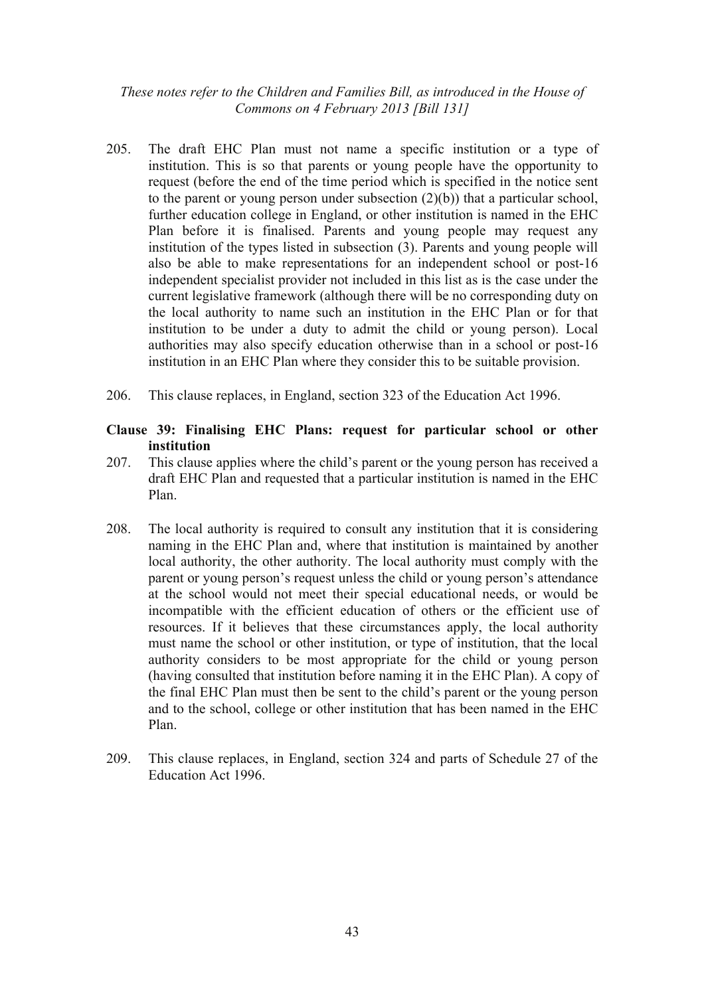- 205. The draft EHC Plan must not name a specific institution or a type of institution. This is so that parents or young people have the opportunity to request (before the end of the time period which is specified in the notice sent to the parent or young person under subsection  $(2)(b)$ ) that a particular school, further education college in England, or other institution is named in the EHC Plan before it is finalised. Parents and young people may request any institution of the types listed in subsection (3). Parents and young people will also be able to make representations for an independent school or post-16 independent specialist provider not included in this list as is the case under the current legislative framework (although there will be no corresponding duty on the local authority to name such an institution in the EHC Plan or for that institution to be under a duty to admit the child or young person). Local authorities may also specify education otherwise than in a school or post-16 institution in an EHC Plan where they consider this to be suitable provision.
- 206. This clause replaces, in England, section 323 of the Education Act 1996.
- **Clause 39: Finalising EHC Plans: request for particular school or other institution**
- 207. This clause applies where the child's parent or the young person has received a draft EHC Plan and requested that a particular institution is named in the EHC Plan.
- 208. The local authority is required to consult any institution that it is considering naming in the EHC Plan and, where that institution is maintained by another local authority, the other authority. The local authority must comply with the parent or young person's request unless the child or young person's attendance at the school would not meet their special educational needs, or would be incompatible with the efficient education of others or the efficient use of resources. If it believes that these circumstances apply, the local authority must name the school or other institution, or type of institution, that the local authority considers to be most appropriate for the child or young person (having consulted that institution before naming it in the EHC Plan). A copy of the final EHC Plan must then be sent to the child's parent or the young person and to the school, college or other institution that has been named in the EHC Plan.
- 209. This clause replaces, in England, section 324 and parts of Schedule 27 of the Education Act 1996.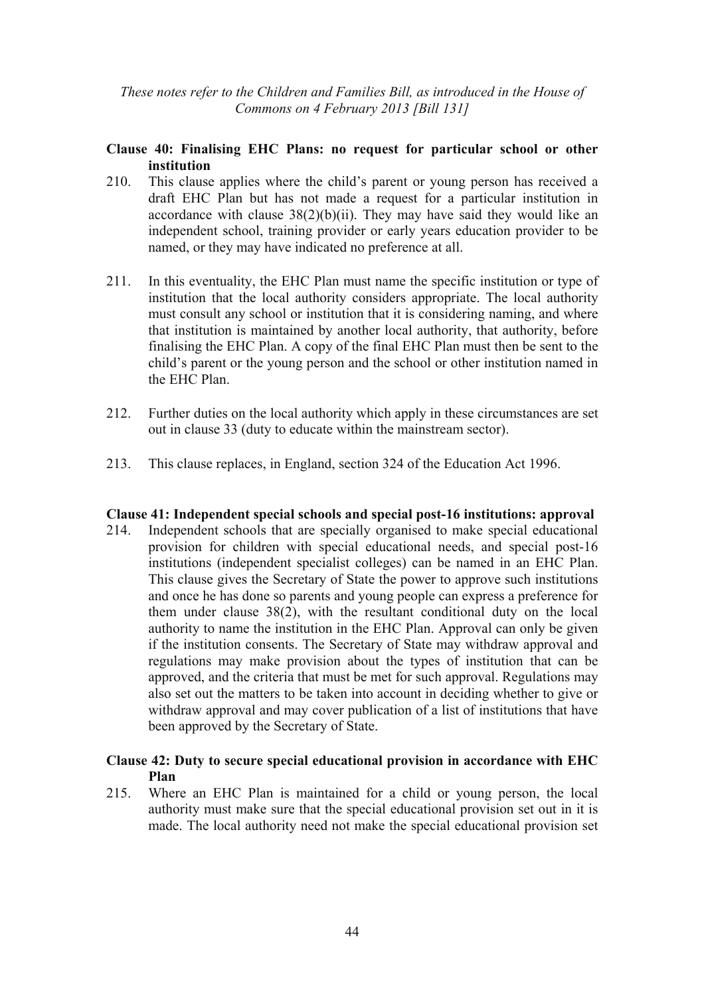### **Clause 40: Finalising EHC Plans: no request for particular school or other institution**

- 210. This clause applies where the child's parent or young person has received a draft EHC Plan but has not made a request for a particular institution in accordance with clause  $38(2)(b)(ii)$ . They may have said they would like an independent school, training provider or early years education provider to be named, or they may have indicated no preference at all.
- 211. In this eventuality, the EHC Plan must name the specific institution or type of institution that the local authority considers appropriate. The local authority must consult any school or institution that it is considering naming, and where that institution is maintained by another local authority, that authority, before finalising the EHC Plan. A copy of the final EHC Plan must then be sent to the child's parent or the young person and the school or other institution named in the EHC Plan.
- 212. Further duties on the local authority which apply in these circumstances are set out in clause 33 (duty to educate within the mainstream sector).
- 213. This clause replaces, in England, section 324 of the Education Act 1996.

#### **Clause 41: Independent special schools and special post-16 institutions: approval**

214. Independent schools that are specially organised to make special educational provision for children with special educational needs, and special post-16 institutions (independent specialist colleges) can be named in an EHC Plan. This clause gives the Secretary of State the power to approve such institutions and once he has done so parents and young people can express a preference for them under clause 38(2), with the resultant conditional duty on the local authority to name the institution in the EHC Plan. Approval can only be given if the institution consents. The Secretary of State may withdraw approval and regulations may make provision about the types of institution that can be approved, and the criteria that must be met for such approval. Regulations may also set out the matters to be taken into account in deciding whether to give or withdraw approval and may cover publication of a list of institutions that have been approved by the Secretary of State.

### **Clause 42: Duty to secure special educational provision in accordance with EHC Plan**

215. Where an EHC Plan is maintained for a child or young person, the local authority must make sure that the special educational provision set out in it is made. The local authority need not make the special educational provision set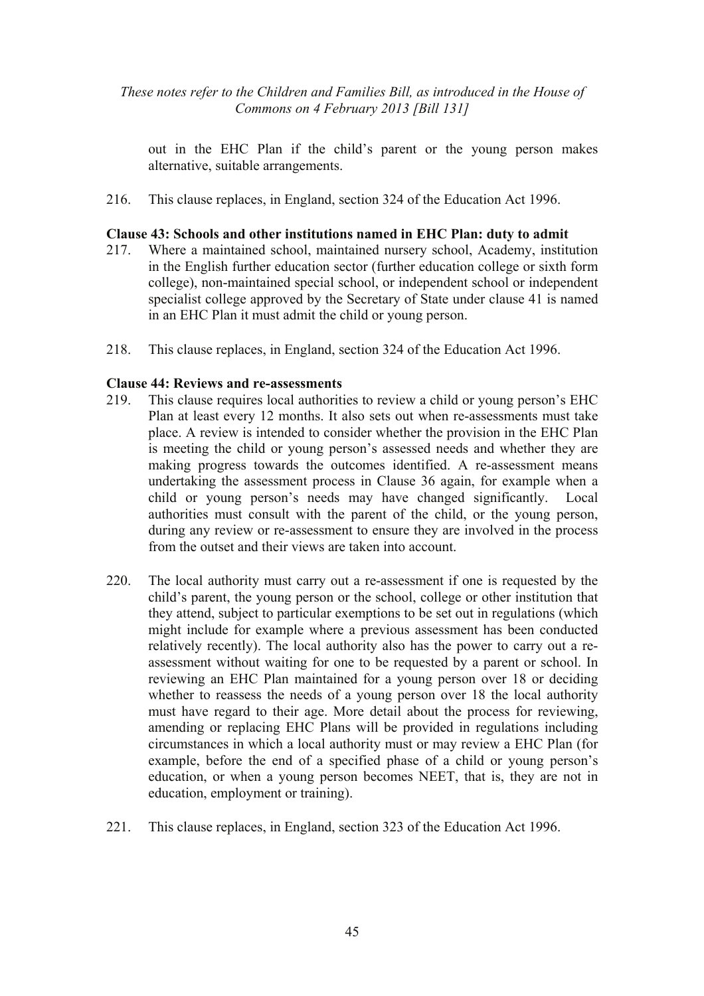out in the EHC Plan if the child's parent or the young person makes alternative, suitable arrangements.

216. This clause replaces, in England, section 324 of the Education Act 1996.

### **Clause 43: Schools and other institutions named in EHC Plan: duty to admit**

- 217. Where a maintained school, maintained nursery school, Academy, institution in the English further education sector (further education college or sixth form college), non-maintained special school, or independent school or independent specialist college approved by the Secretary of State under clause 41 is named in an EHC Plan it must admit the child or young person.
- 218. This clause replaces, in England, section 324 of the Education Act 1996.

### **Clause 44: Reviews and re-assessments**

- 219. This clause requires local authorities to review a child or young person's EHC Plan at least every 12 months. It also sets out when re-assessments must take place. A review is intended to consider whether the provision in the EHC Plan is meeting the child or young person's assessed needs and whether they are making progress towards the outcomes identified. A re-assessment means undertaking the assessment process in Clause 36 again, for example when a child or young person's needs may have changed significantly. Local authorities must consult with the parent of the child, or the young person, during any review or re-assessment to ensure they are involved in the process from the outset and their views are taken into account.
- 220. The local authority must carry out a re-assessment if one is requested by the child's parent, the young person or the school, college or other institution that they attend, subject to particular exemptions to be set out in regulations (which might include for example where a previous assessment has been conducted relatively recently). The local authority also has the power to carry out a reassessment without waiting for one to be requested by a parent or school. In reviewing an EHC Plan maintained for a young person over 18 or deciding whether to reassess the needs of a young person over 18 the local authority must have regard to their age. More detail about the process for reviewing, amending or replacing EHC Plans will be provided in regulations including circumstances in which a local authority must or may review a EHC Plan (for example, before the end of a specified phase of a child or young person's education, or when a young person becomes NEET, that is, they are not in education, employment or training).
- 221. This clause replaces, in England, section 323 of the Education Act 1996.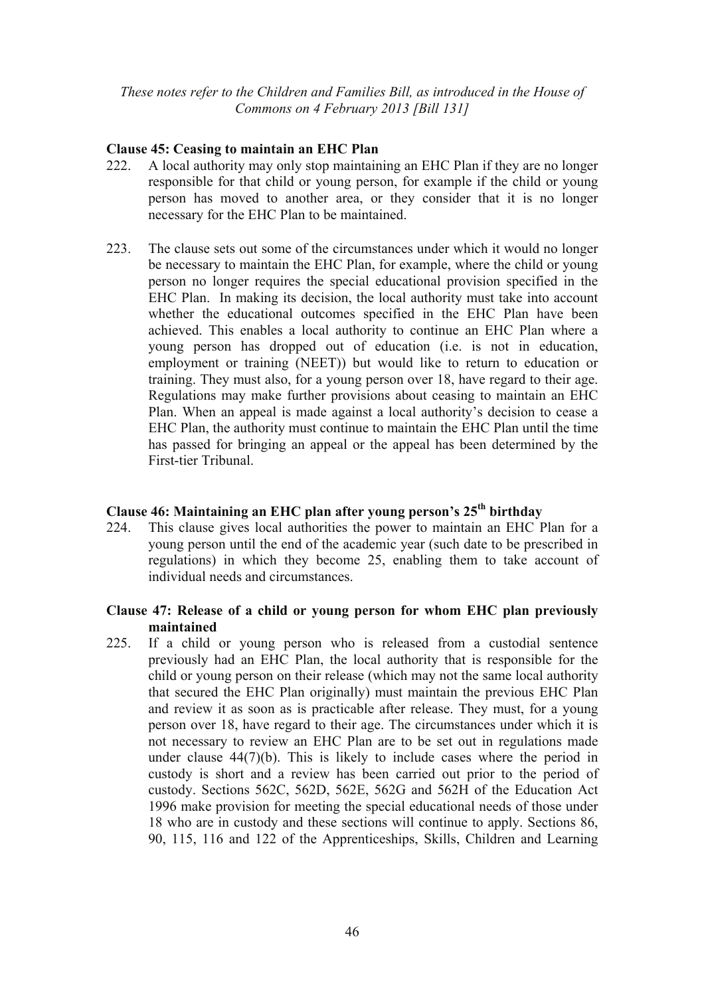### **Clause 45: Ceasing to maintain an EHC Plan**

- 222. A local authority may only stop maintaining an EHC Plan if they are no longer responsible for that child or young person, for example if the child or young person has moved to another area, or they consider that it is no longer necessary for the EHC Plan to be maintained.
- 223. The clause sets out some of the circumstances under which it would no longer be necessary to maintain the EHC Plan, for example, where the child or young person no longer requires the special educational provision specified in the EHC Plan. In making its decision, the local authority must take into account whether the educational outcomes specified in the EHC Plan have been achieved. This enables a local authority to continue an EHC Plan where a young person has dropped out of education (i.e. is not in education, employment or training (NEET)) but would like to return to education or training. They must also, for a young person over 18, have regard to their age. Regulations may make further provisions about ceasing to maintain an EHC Plan. When an appeal is made against a local authority's decision to cease a EHC Plan, the authority must continue to maintain the EHC Plan until the time has passed for bringing an appeal or the appeal has been determined by the First-tier Tribunal.

# **Clause 46: Maintaining an EHC plan after young person's 25th birthday**

- 224. This clause gives local authorities the power to maintain an EHC Plan for a young person until the end of the academic year (such date to be prescribed in regulations) in which they become 25, enabling them to take account of individual needs and circumstances.
- **Clause 47: Release of a child or young person for whom EHC plan previously maintained**
- 225. If a child or young person who is released from a custodial sentence previously had an EHC Plan, the local authority that is responsible for the child or young person on their release (which may not the same local authority that secured the EHC Plan originally) must maintain the previous EHC Plan and review it as soon as is practicable after release. They must, for a young person over 18, have regard to their age. The circumstances under which it is not necessary to review an EHC Plan are to be set out in regulations made under clause  $44(7)(b)$ . This is likely to include cases where the period in custody is short and a review has been carried out prior to the period of custody. Sections 562C, 562D, 562E, 562G and 562H of the Education Act 1996 make provision for meeting the special educational needs of those under 18 who are in custody and these sections will continue to apply. Sections 86, 90, 115, 116 and 122 of the Apprenticeships, Skills, Children and Learning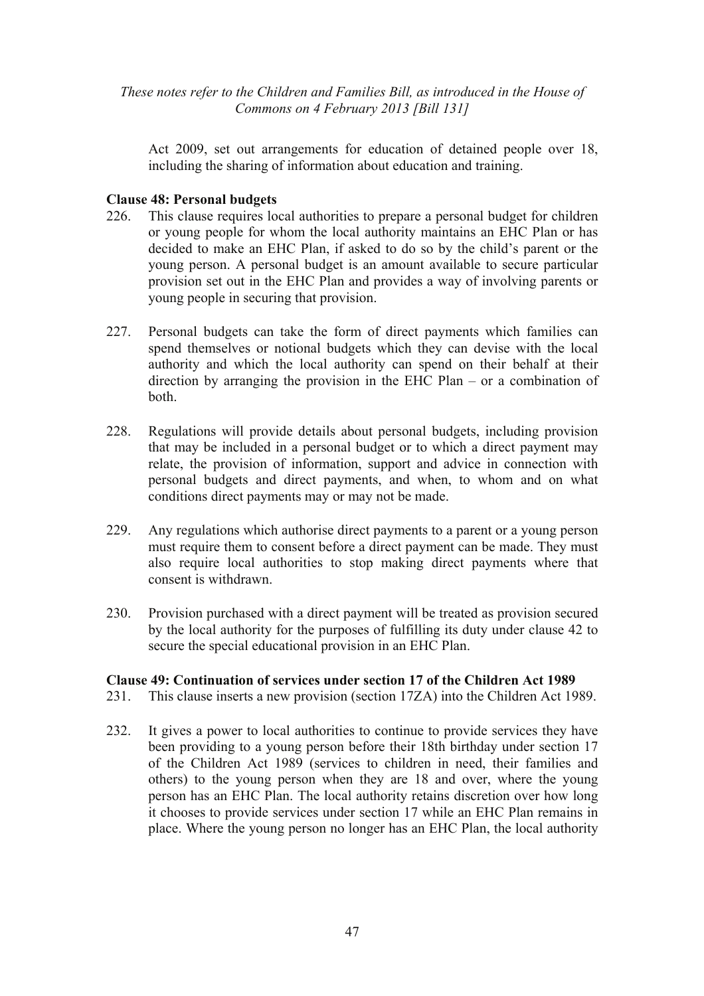Act 2009, set out arrangements for education of detained people over 18, including the sharing of information about education and training.

### **Clause 48: Personal budgets**

- 226. This clause requires local authorities to prepare a personal budget for children or young people for whom the local authority maintains an EHC Plan or has decided to make an EHC Plan, if asked to do so by the child's parent or the young person. A personal budget is an amount available to secure particular provision set out in the EHC Plan and provides a way of involving parents or young people in securing that provision.
- 227. Personal budgets can take the form of direct payments which families can spend themselves or notional budgets which they can devise with the local authority and which the local authority can spend on their behalf at their direction by arranging the provision in the EHC Plan – or a combination of both.
- 228. Regulations will provide details about personal budgets, including provision that may be included in a personal budget or to which a direct payment may relate, the provision of information, support and advice in connection with personal budgets and direct payments, and when, to whom and on what conditions direct payments may or may not be made.
- 229. Any regulations which authorise direct payments to a parent or a young person must require them to consent before a direct payment can be made. They must also require local authorities to stop making direct payments where that consent is withdrawn.
- 230. Provision purchased with a direct payment will be treated as provision secured by the local authority for the purposes of fulfilling its duty under clause 42 to secure the special educational provision in an EHC Plan.

## **Clause 49: Continuation of services under section 17 of the Children Act 1989**

- 231. This clause inserts a new provision (section 17ZA) into the Children Act 1989.
- 232. It gives a power to local authorities to continue to provide services they have been providing to a young person before their 18th birthday under section 17 of the Children Act 1989 (services to children in need, their families and others) to the young person when they are 18 and over, where the young person has an EHC Plan. The local authority retains discretion over how long it chooses to provide services under section 17 while an EHC Plan remains in place. Where the young person no longer has an EHC Plan, the local authority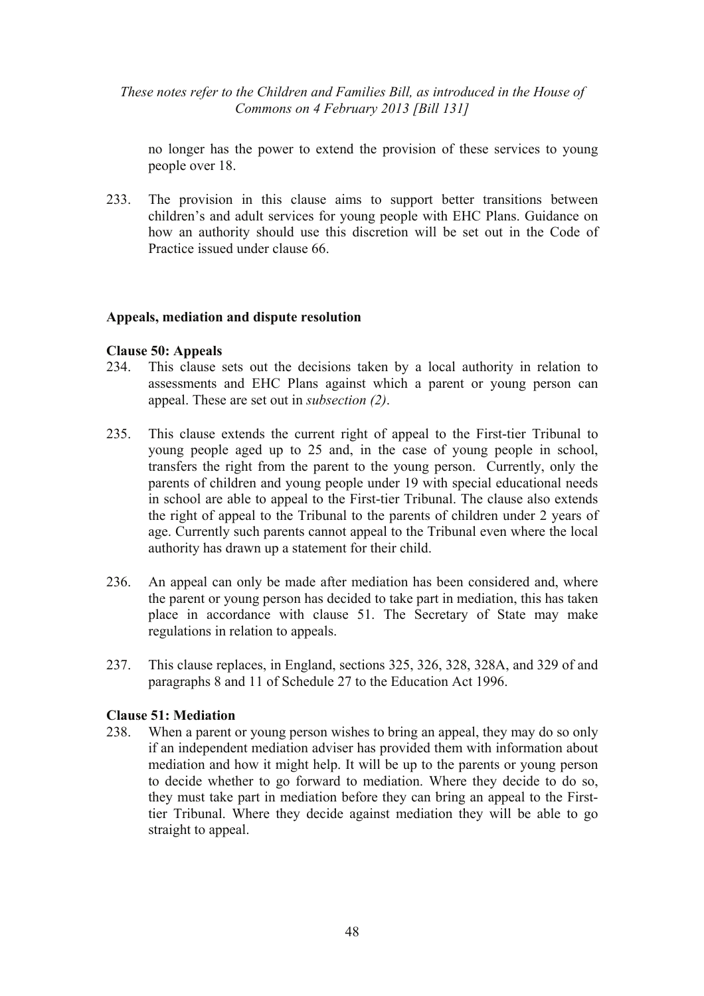no longer has the power to extend the provision of these services to young people over 18.

233. The provision in this clause aims to support better transitions between children's and adult services for young people with EHC Plans. Guidance on how an authority should use this discretion will be set out in the Code of Practice issued under clause 66.

#### **Appeals, mediation and dispute resolution**

#### **Clause 50: Appeals**

- 234. This clause sets out the decisions taken by a local authority in relation to assessments and EHC Plans against which a parent or young person can appeal. These are set out in *subsection (2)*.
- 235. This clause extends the current right of appeal to the First-tier Tribunal to young people aged up to 25 and, in the case of young people in school, transfers the right from the parent to the young person. Currently, only the parents of children and young people under 19 with special educational needs in school are able to appeal to the First-tier Tribunal. The clause also extends the right of appeal to the Tribunal to the parents of children under 2 years of age. Currently such parents cannot appeal to the Tribunal even where the local authority has drawn up a statement for their child.
- 236. An appeal can only be made after mediation has been considered and, where the parent or young person has decided to take part in mediation, this has taken place in accordance with clause 51. The Secretary of State may make regulations in relation to appeals.
- 237. This clause replaces, in England, sections 325, 326, 328, 328A, and 329 of and paragraphs 8 and 11 of Schedule 27 to the Education Act 1996.

### **Clause 51: Mediation**

238. When a parent or young person wishes to bring an appeal, they may do so only if an independent mediation adviser has provided them with information about mediation and how it might help. It will be up to the parents or young person to decide whether to go forward to mediation. Where they decide to do so, they must take part in mediation before they can bring an appeal to the Firsttier Tribunal. Where they decide against mediation they will be able to go straight to appeal.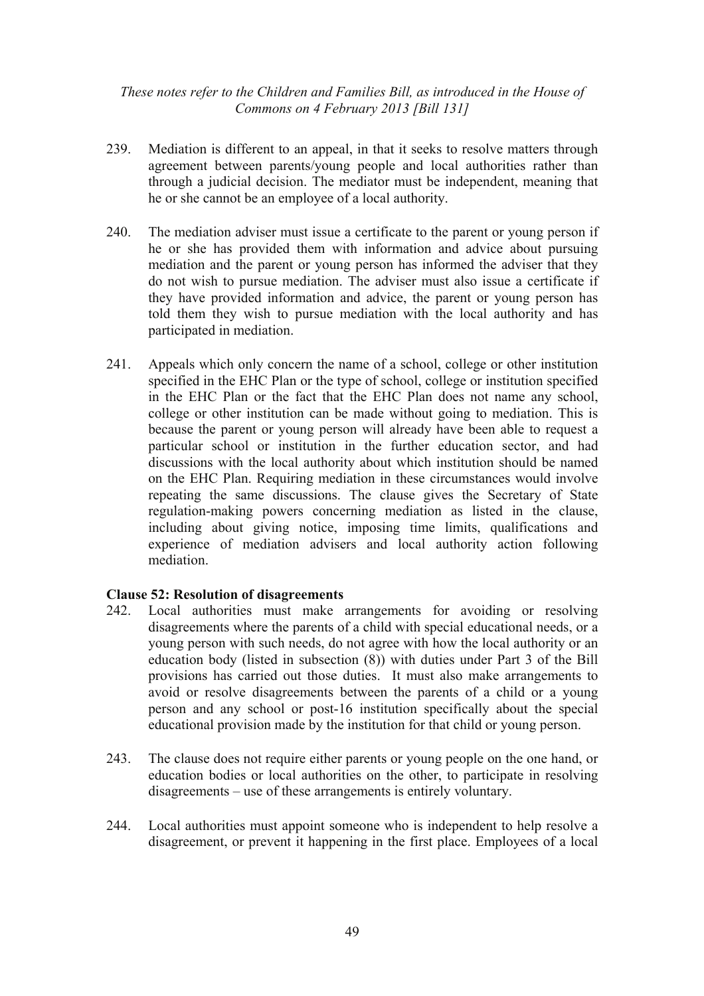- 239. Mediation is different to an appeal, in that it seeks to resolve matters through agreement between parents/young people and local authorities rather than through a judicial decision. The mediator must be independent, meaning that he or she cannot be an employee of a local authority.
- 240. The mediation adviser must issue a certificate to the parent or young person if he or she has provided them with information and advice about pursuing mediation and the parent or young person has informed the adviser that they do not wish to pursue mediation. The adviser must also issue a certificate if they have provided information and advice, the parent or young person has told them they wish to pursue mediation with the local authority and has participated in mediation.
- 241. Appeals which only concern the name of a school, college or other institution specified in the EHC Plan or the type of school, college or institution specified in the EHC Plan or the fact that the EHC Plan does not name any school, college or other institution can be made without going to mediation. This is because the parent or young person will already have been able to request a particular school or institution in the further education sector, and had discussions with the local authority about which institution should be named on the EHC Plan. Requiring mediation in these circumstances would involve repeating the same discussions. The clause gives the Secretary of State regulation-making powers concerning mediation as listed in the clause, including about giving notice, imposing time limits, qualifications and experience of mediation advisers and local authority action following mediation.

## **Clause 52: Resolution of disagreements**

- 242. Local authorities must make arrangements for avoiding or resolving disagreements where the parents of a child with special educational needs, or a young person with such needs, do not agree with how the local authority or an education body (listed in subsection (8)) with duties under Part 3 of the Bill provisions has carried out those duties. It must also make arrangements to avoid or resolve disagreements between the parents of a child or a young person and any school or post-16 institution specifically about the special educational provision made by the institution for that child or young person.
- 243. The clause does not require either parents or young people on the one hand, or education bodies or local authorities on the other, to participate in resolving disagreements – use of these arrangements is entirely voluntary.
- 244. Local authorities must appoint someone who is independent to help resolve a disagreement, or prevent it happening in the first place. Employees of a local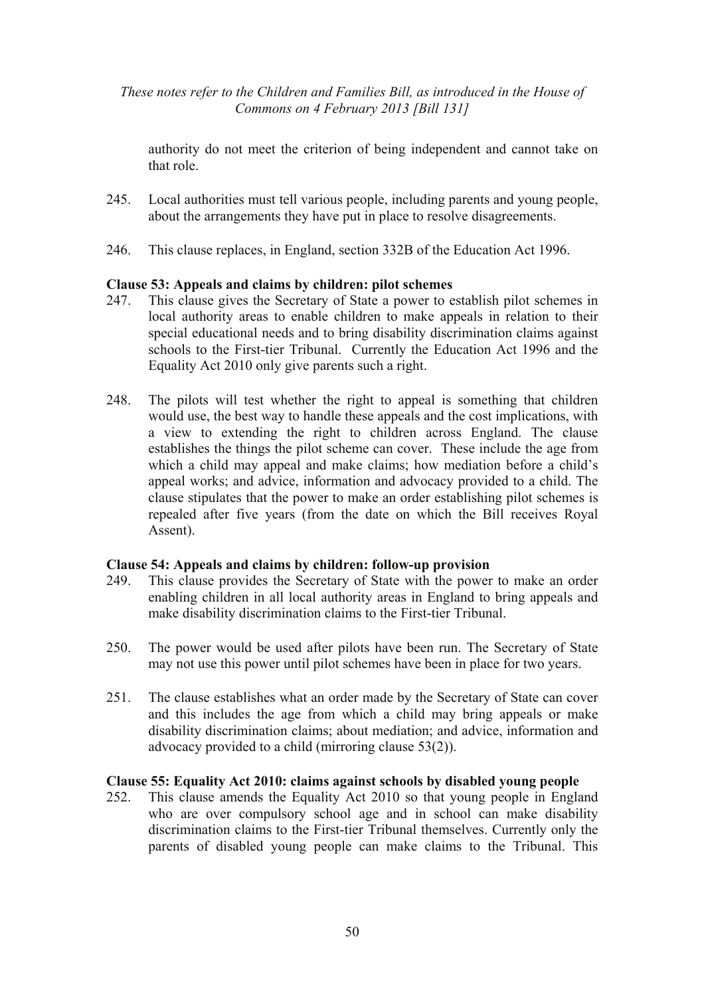authority do not meet the criterion of being independent and cannot take on that role.

- 245. Local authorities must tell various people, including parents and young people, about the arrangements they have put in place to resolve disagreements.
- 246. This clause replaces, in England, section 332B of the Education Act 1996.

### **Clause 53: Appeals and claims by children: pilot schemes**

- 247. This clause gives the Secretary of State a power to establish pilot schemes in local authority areas to enable children to make appeals in relation to their special educational needs and to bring disability discrimination claims against schools to the First-tier Tribunal. Currently the Education Act 1996 and the Equality Act 2010 only give parents such a right.
- 248. The pilots will test whether the right to appeal is something that children would use, the best way to handle these appeals and the cost implications, with a view to extending the right to children across England. The clause establishes the things the pilot scheme can cover. These include the age from which a child may appeal and make claims; how mediation before a child's appeal works; and advice, information and advocacy provided to a child. The clause stipulates that the power to make an order establishing pilot schemes is repealed after five years (from the date on which the Bill receives Royal Assent).

### **Clause 54: Appeals and claims by children: follow-up provision**

- 249. This clause provides the Secretary of State with the power to make an order enabling children in all local authority areas in England to bring appeals and make disability discrimination claims to the First-tier Tribunal.
- 250. The power would be used after pilots have been run. The Secretary of State may not use this power until pilot schemes have been in place for two years.
- 251. The clause establishes what an order made by the Secretary of State can cover and this includes the age from which a child may bring appeals or make disability discrimination claims; about mediation; and advice, information and advocacy provided to a child (mirroring clause 53(2)).

### **Clause 55: Equality Act 2010: claims against schools by disabled young people**

252. This clause amends the Equality Act 2010 so that young people in England who are over compulsory school age and in school can make disability discrimination claims to the First-tier Tribunal themselves. Currently only the parents of disabled young people can make claims to the Tribunal. This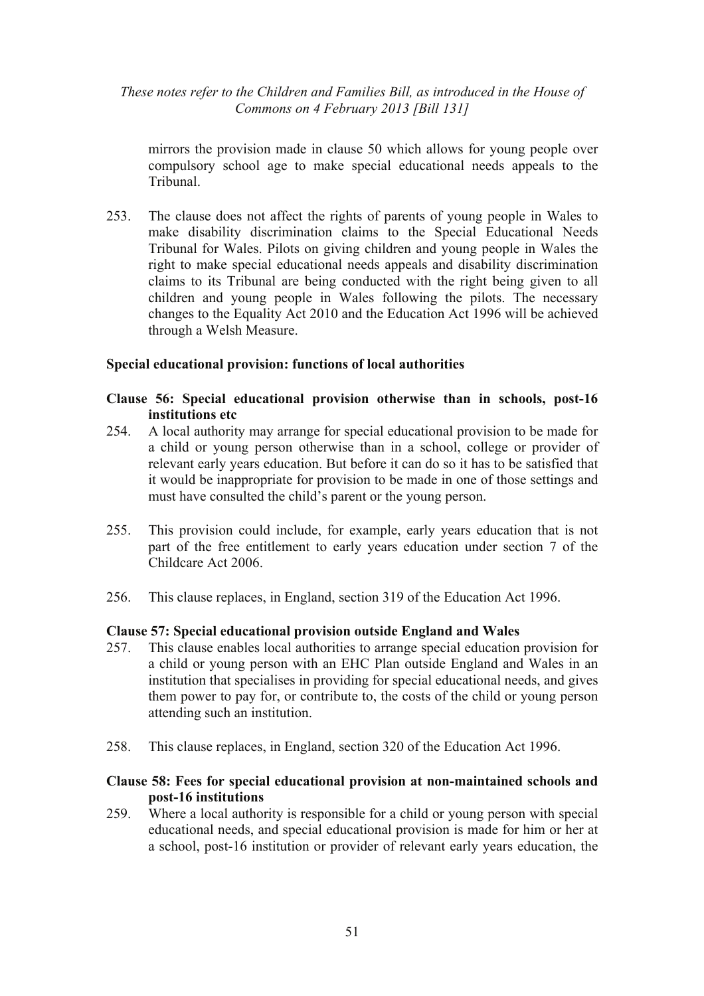mirrors the provision made in clause 50 which allows for young people over compulsory school age to make special educational needs appeals to the Tribunal.

253. The clause does not affect the rights of parents of young people in Wales to make disability discrimination claims to the Special Educational Needs Tribunal for Wales. Pilots on giving children and young people in Wales the right to make special educational needs appeals and disability discrimination claims to its Tribunal are being conducted with the right being given to all children and young people in Wales following the pilots. The necessary changes to the Equality Act 2010 and the Education Act 1996 will be achieved through a Welsh Measure.

#### **Special educational provision: functions of local authorities**

- **Clause 56: Special educational provision otherwise than in schools, post-16 institutions etc**
- 254. A local authority may arrange for special educational provision to be made for a child or young person otherwise than in a school, college or provider of relevant early years education. But before it can do so it has to be satisfied that it would be inappropriate for provision to be made in one of those settings and must have consulted the child's parent or the young person.
- 255. This provision could include, for example, early years education that is not part of the free entitlement to early years education under section 7 of the Childcare Act 2006.
- 256. This clause replaces, in England, section 319 of the Education Act 1996.

#### **Clause 57: Special educational provision outside England and Wales**

- 257. This clause enables local authorities to arrange special education provision for a child or young person with an EHC Plan outside England and Wales in an institution that specialises in providing for special educational needs, and gives them power to pay for, or contribute to, the costs of the child or young person attending such an institution.
- 258. This clause replaces, in England, section 320 of the Education Act 1996.

#### **Clause 58: Fees for special educational provision at non-maintained schools and post-16 institutions**

259. Where a local authority is responsible for a child or young person with special educational needs, and special educational provision is made for him or her at a school, post-16 institution or provider of relevant early years education, the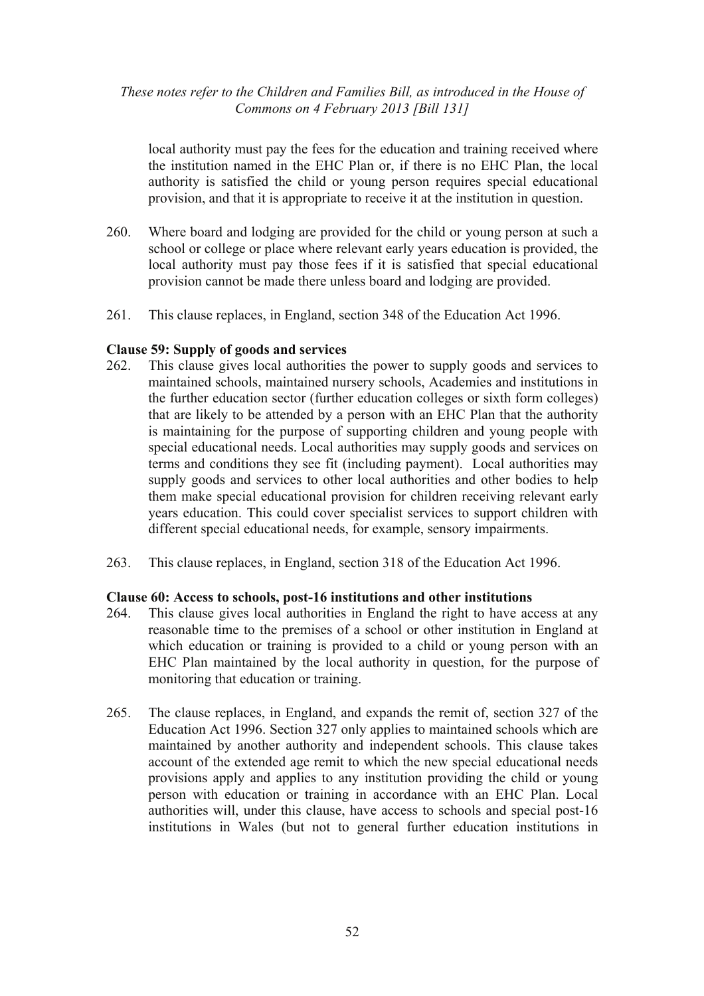local authority must pay the fees for the education and training received where the institution named in the EHC Plan or, if there is no EHC Plan, the local authority is satisfied the child or young person requires special educational provision, and that it is appropriate to receive it at the institution in question.

- 260. Where board and lodging are provided for the child or young person at such a school or college or place where relevant early years education is provided, the local authority must pay those fees if it is satisfied that special educational provision cannot be made there unless board and lodging are provided.
- 261. This clause replaces, in England, section 348 of the Education Act 1996.

### **Clause 59: Supply of goods and services**

- 262. This clause gives local authorities the power to supply goods and services to maintained schools, maintained nursery schools, Academies and institutions in the further education sector (further education colleges or sixth form colleges) that are likely to be attended by a person with an EHC Plan that the authority is maintaining for the purpose of supporting children and young people with special educational needs. Local authorities may supply goods and services on terms and conditions they see fit (including payment). Local authorities may supply goods and services to other local authorities and other bodies to help them make special educational provision for children receiving relevant early years education. This could cover specialist services to support children with different special educational needs, for example, sensory impairments.
- 263. This clause replaces, in England, section 318 of the Education Act 1996.

### **Clause 60: Access to schools, post-16 institutions and other institutions**

- 264. This clause gives local authorities in England the right to have access at any reasonable time to the premises of a school or other institution in England at which education or training is provided to a child or young person with an EHC Plan maintained by the local authority in question, for the purpose of monitoring that education or training.
- 265. The clause replaces, in England, and expands the remit of, section 327 of the Education Act 1996. Section 327 only applies to maintained schools which are maintained by another authority and independent schools. This clause takes account of the extended age remit to which the new special educational needs provisions apply and applies to any institution providing the child or young person with education or training in accordance with an EHC Plan. Local authorities will, under this clause, have access to schools and special post-16 institutions in Wales (but not to general further education institutions in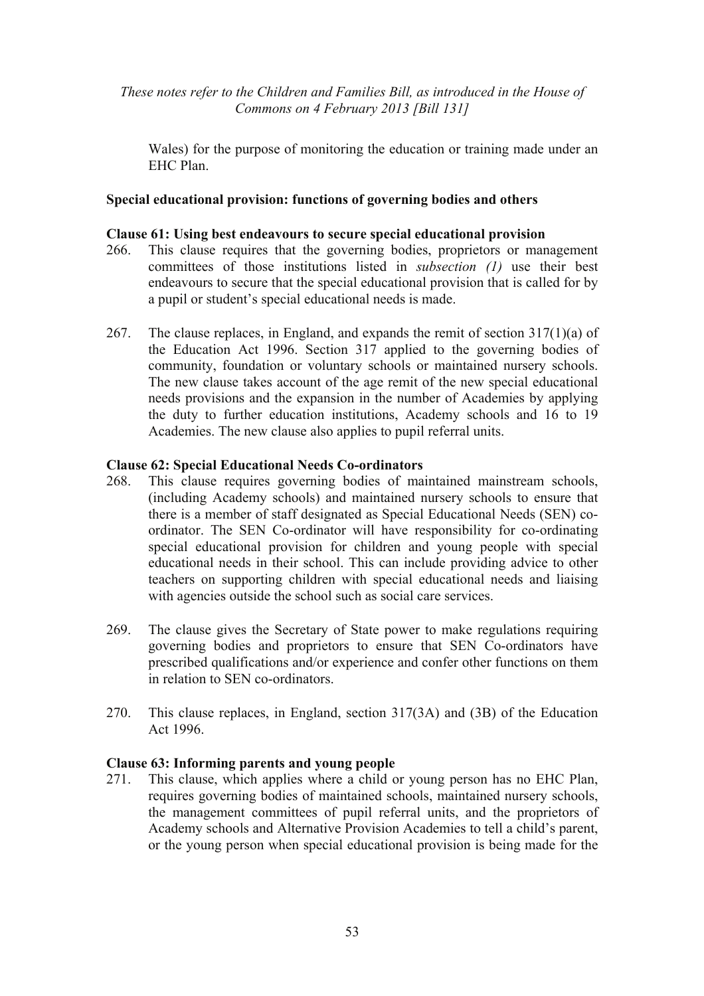Wales) for the purpose of monitoring the education or training made under an EHC Plan.

### **Special educational provision: functions of governing bodies and others**

#### **Clause 61: Using best endeavours to secure special educational provision**

- 266. This clause requires that the governing bodies, proprietors or management committees of those institutions listed in *subsection (1)* use their best endeavours to secure that the special educational provision that is called for by a pupil or student's special educational needs is made.
- 267. The clause replaces, in England, and expands the remit of section 317(1)(a) of the Education Act 1996. Section 317 applied to the governing bodies of community, foundation or voluntary schools or maintained nursery schools. The new clause takes account of the age remit of the new special educational needs provisions and the expansion in the number of Academies by applying the duty to further education institutions, Academy schools and 16 to 19 Academies. The new clause also applies to pupil referral units.

#### **Clause 62: Special Educational Needs Co-ordinators**

- 268. This clause requires governing bodies of maintained mainstream schools, (including Academy schools) and maintained nursery schools to ensure that there is a member of staff designated as Special Educational Needs (SEN) coordinator. The SEN Co-ordinator will have responsibility for co-ordinating special educational provision for children and young people with special educational needs in their school. This can include providing advice to other teachers on supporting children with special educational needs and liaising with agencies outside the school such as social care services.
- 269. The clause gives the Secretary of State power to make regulations requiring governing bodies and proprietors to ensure that SEN Co-ordinators have prescribed qualifications and/or experience and confer other functions on them in relation to SEN co-ordinators.
- 270. This clause replaces, in England, section 317(3A) and (3B) of the Education Act 1996.

#### **Clause 63: Informing parents and young people**

271. This clause, which applies where a child or young person has no EHC Plan, requires governing bodies of maintained schools, maintained nursery schools, the management committees of pupil referral units, and the proprietors of Academy schools and Alternative Provision Academies to tell a child's parent, or the young person when special educational provision is being made for the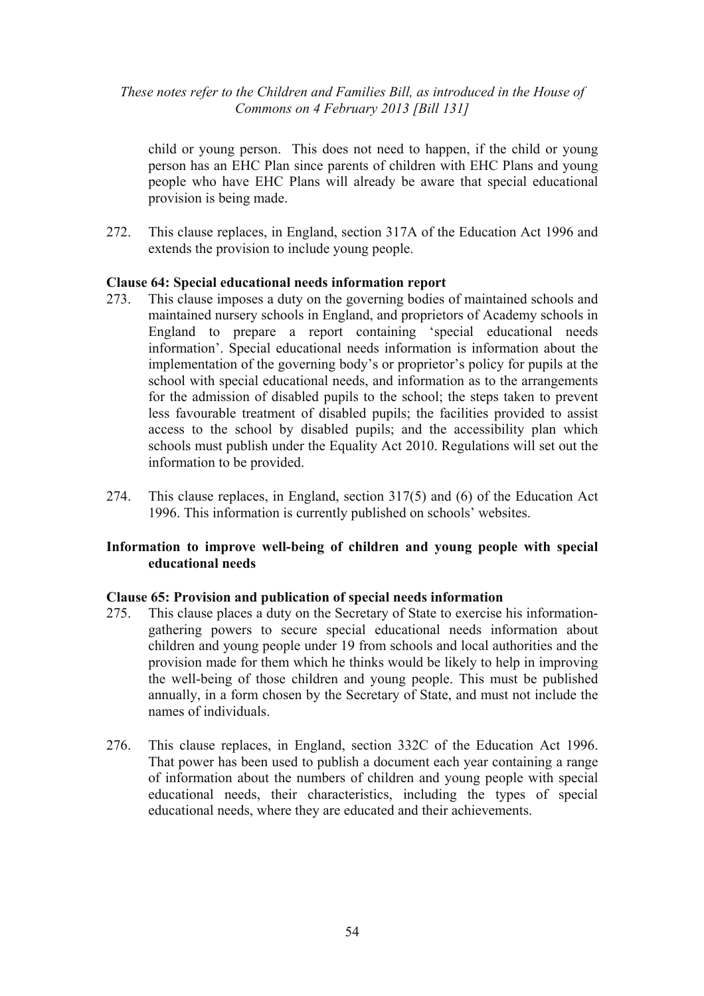child or young person. This does not need to happen, if the child or young person has an EHC Plan since parents of children with EHC Plans and young people who have EHC Plans will already be aware that special educational provision is being made.

272. This clause replaces, in England, section 317A of the Education Act 1996 and extends the provision to include young people.

### **Clause 64: Special educational needs information report**

- 273. This clause imposes a duty on the governing bodies of maintained schools and maintained nursery schools in England, and proprietors of Academy schools in England to prepare a report containing 'special educational needs information'. Special educational needs information is information about the implementation of the governing body's or proprietor's policy for pupils at the school with special educational needs, and information as to the arrangements for the admission of disabled pupils to the school; the steps taken to prevent less favourable treatment of disabled pupils; the facilities provided to assist access to the school by disabled pupils; and the accessibility plan which schools must publish under the Equality Act 2010. Regulations will set out the information to be provided.
- 274. This clause replaces, in England, section 317(5) and (6) of the Education Act 1996. This information is currently published on schools' websites.

### **Information to improve well-being of children and young people with special educational needs**

#### **Clause 65: Provision and publication of special needs information**

- 275. This clause places a duty on the Secretary of State to exercise his informationgathering powers to secure special educational needs information about children and young people under 19 from schools and local authorities and the provision made for them which he thinks would be likely to help in improving the well-being of those children and young people. This must be published annually, in a form chosen by the Secretary of State, and must not include the names of individuals.
- 276. This clause replaces, in England, section 332C of the Education Act 1996. That power has been used to publish a document each year containing a range of information about the numbers of children and young people with special educational needs, their characteristics, including the types of special educational needs, where they are educated and their achievements.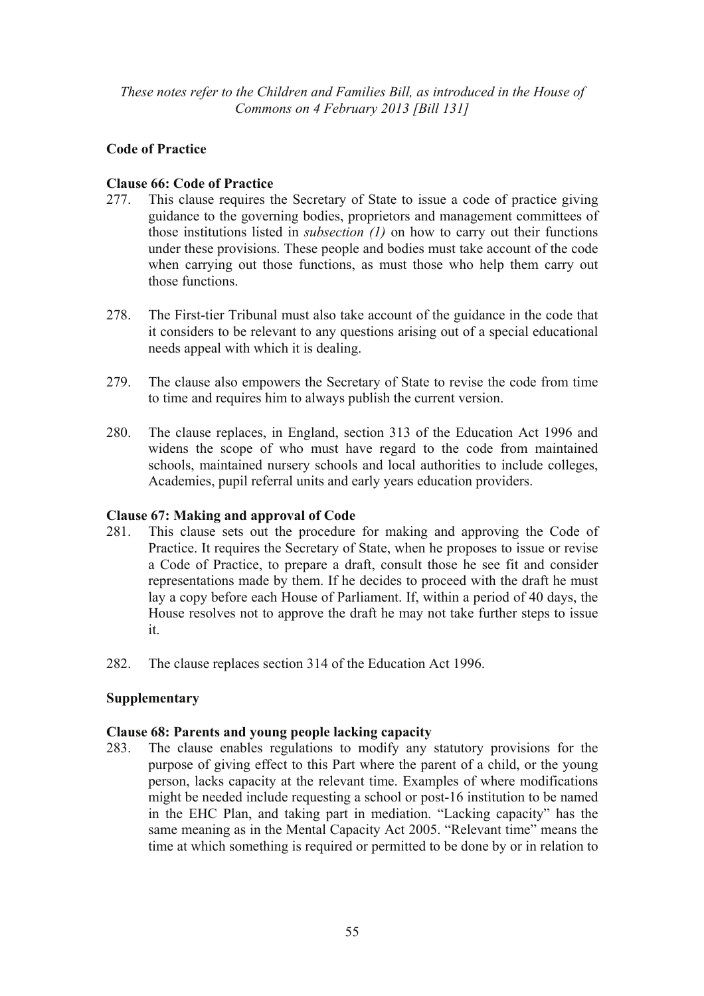## **Code of Practice**

## **Clause 66: Code of Practice**

- 277. This clause requires the Secretary of State to issue a code of practice giving guidance to the governing bodies, proprietors and management committees of those institutions listed in *subsection (1)* on how to carry out their functions under these provisions. These people and bodies must take account of the code when carrying out those functions, as must those who help them carry out those functions.
- 278. The First-tier Tribunal must also take account of the guidance in the code that it considers to be relevant to any questions arising out of a special educational needs appeal with which it is dealing.
- 279. The clause also empowers the Secretary of State to revise the code from time to time and requires him to always publish the current version.
- 280. The clause replaces, in England, section 313 of the Education Act 1996 and widens the scope of who must have regard to the code from maintained schools, maintained nursery schools and local authorities to include colleges, Academies, pupil referral units and early years education providers.

## **Clause 67: Making and approval of Code**

- 281. This clause sets out the procedure for making and approving the Code of Practice. It requires the Secretary of State, when he proposes to issue or revise a Code of Practice, to prepare a draft, consult those he see fit and consider representations made by them. If he decides to proceed with the draft he must lay a copy before each House of Parliament. If, within a period of 40 days, the House resolves not to approve the draft he may not take further steps to issue it.
- 282. The clause replaces section 314 of the Education Act 1996.

## **Supplementary**

## **Clause 68: Parents and young people lacking capacity**

283. The clause enables regulations to modify any statutory provisions for the purpose of giving effect to this Part where the parent of a child, or the young person, lacks capacity at the relevant time. Examples of where modifications might be needed include requesting a school or post-16 institution to be named in the EHC Plan, and taking part in mediation. "Lacking capacity" has the same meaning as in the Mental Capacity Act 2005. "Relevant time" means the time at which something is required or permitted to be done by or in relation to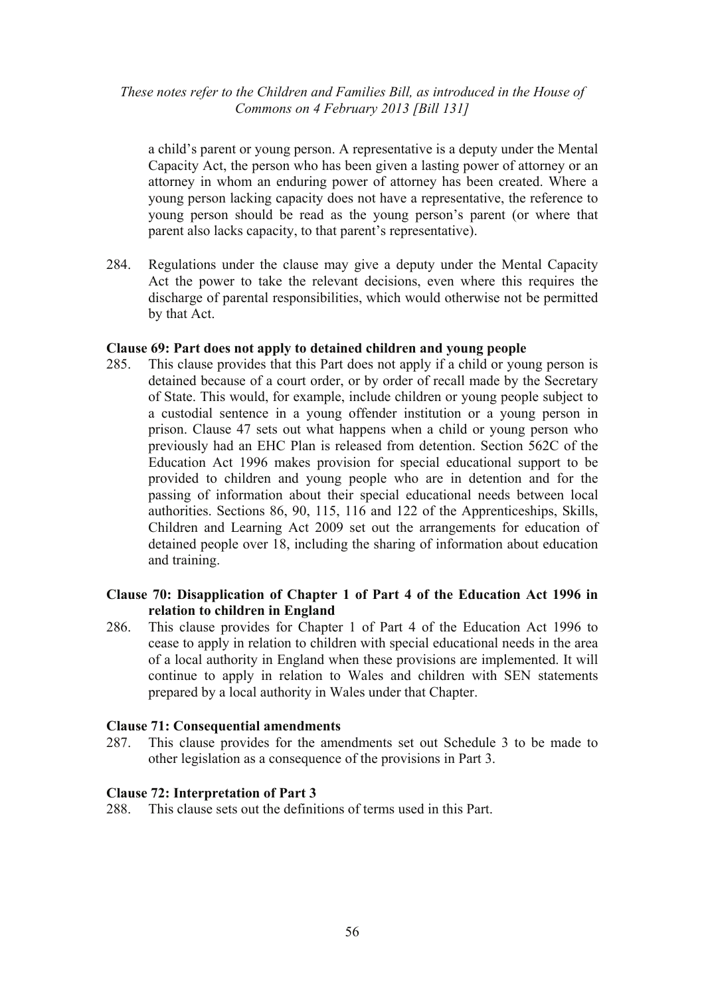a child's parent or young person. A representative is a deputy under the Mental Capacity Act, the person who has been given a lasting power of attorney or an attorney in whom an enduring power of attorney has been created. Where a young person lacking capacity does not have a representative, the reference to young person should be read as the young person's parent (or where that parent also lacks capacity, to that parent's representative).

284. Regulations under the clause may give a deputy under the Mental Capacity Act the power to take the relevant decisions, even where this requires the discharge of parental responsibilities, which would otherwise not be permitted by that Act.

### **Clause 69: Part does not apply to detained children and young people**

285. This clause provides that this Part does not apply if a child or young person is detained because of a court order, or by order of recall made by the Secretary of State. This would, for example, include children or young people subject to a custodial sentence in a young offender institution or a young person in prison. Clause 47 sets out what happens when a child or young person who previously had an EHC Plan is released from detention. Section 562C of the Education Act 1996 makes provision for special educational support to be provided to children and young people who are in detention and for the passing of information about their special educational needs between local authorities. Sections 86, 90, 115, 116 and 122 of the Apprenticeships, Skills, Children and Learning Act 2009 set out the arrangements for education of detained people over 18, including the sharing of information about education and training.

## **Clause 70: Disapplication of Chapter 1 of Part 4 of the Education Act 1996 in relation to children in England**

286. This clause provides for Chapter 1 of Part 4 of the Education Act 1996 to cease to apply in relation to children with special educational needs in the area of a local authority in England when these provisions are implemented. It will continue to apply in relation to Wales and children with SEN statements prepared by a local authority in Wales under that Chapter.

### **Clause 71: Consequential amendments**

287. This clause provides for the amendments set out Schedule 3 to be made to other legislation as a consequence of the provisions in Part 3.

## **Clause 72: Interpretation of Part 3**

288. This clause sets out the definitions of terms used in this Part.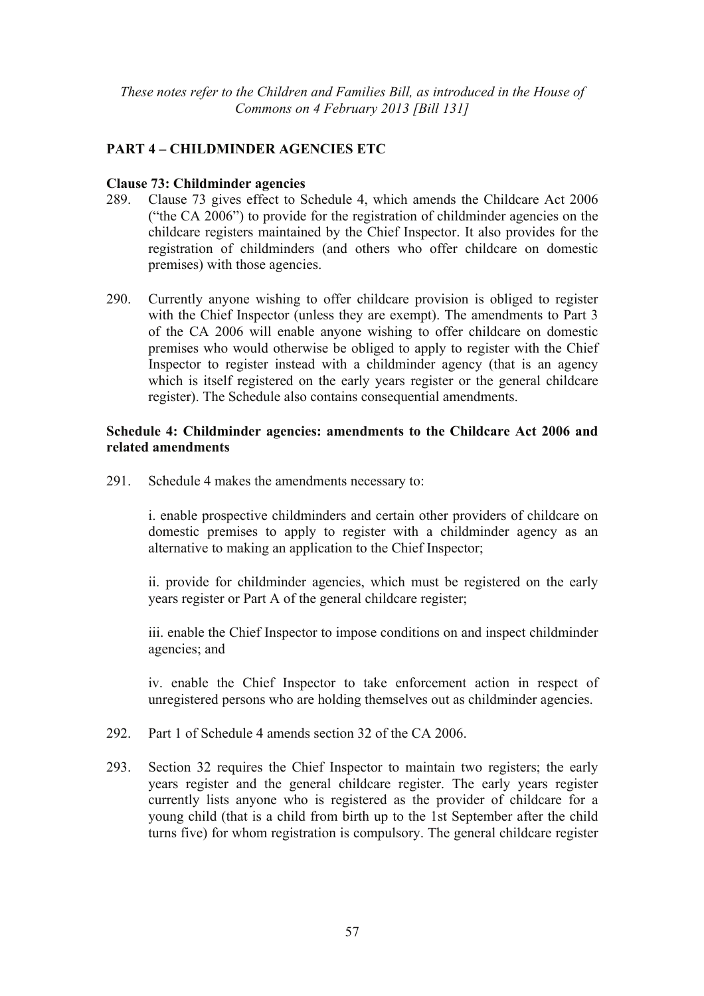## **PART 4 – CHILDMINDER AGENCIES ETC**

### **Clause 73: Childminder agencies**

- 289. Clause 73 gives effect to Schedule 4, which amends the Childcare Act 2006 ("the CA 2006") to provide for the registration of childminder agencies on the childcare registers maintained by the Chief Inspector. It also provides for the registration of childminders (and others who offer childcare on domestic premises) with those agencies.
- 290. Currently anyone wishing to offer childcare provision is obliged to register with the Chief Inspector (unless they are exempt). The amendments to Part 3 of the CA 2006 will enable anyone wishing to offer childcare on domestic premises who would otherwise be obliged to apply to register with the Chief Inspector to register instead with a childminder agency (that is an agency which is itself registered on the early years register or the general childcare register). The Schedule also contains consequential amendments.

## **Schedule 4: Childminder agencies: amendments to the Childcare Act 2006 and related amendments**

291. Schedule 4 makes the amendments necessary to:

i. enable prospective childminders and certain other providers of childcare on domestic premises to apply to register with a childminder agency as an alternative to making an application to the Chief Inspector;

ii. provide for childminder agencies, which must be registered on the early years register or Part A of the general childcare register;

iii. enable the Chief Inspector to impose conditions on and inspect childminder agencies; and

iv. enable the Chief Inspector to take enforcement action in respect of unregistered persons who are holding themselves out as childminder agencies.

- 292. Part 1 of Schedule 4 amends section 32 of the CA 2006.
- 293. Section 32 requires the Chief Inspector to maintain two registers; the early years register and the general childcare register. The early years register currently lists anyone who is registered as the provider of childcare for a young child (that is a child from birth up to the 1st September after the child turns five) for whom registration is compulsory. The general childcare register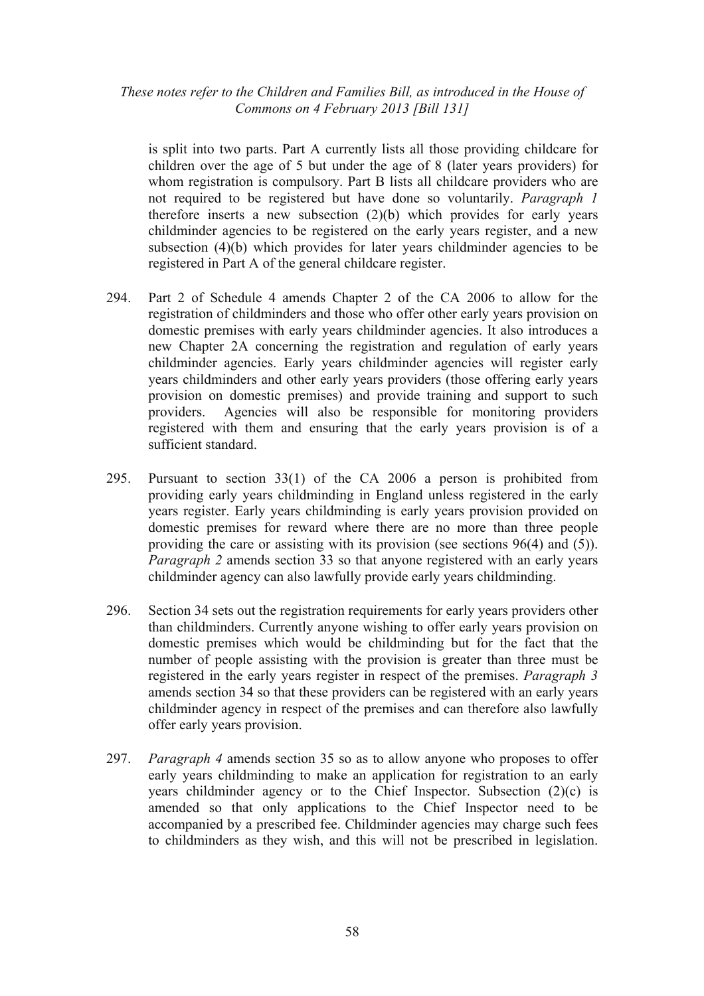is split into two parts. Part A currently lists all those providing childcare for children over the age of 5 but under the age of 8 (later years providers) for whom registration is compulsory. Part B lists all childcare providers who are not required to be registered but have done so voluntarily. *Paragraph 1* therefore inserts a new subsection (2)(b) which provides for early years childminder agencies to be registered on the early years register, and a new subsection (4)(b) which provides for later years childminder agencies to be registered in Part A of the general childcare register.

- 294. Part 2 of Schedule 4 amends Chapter 2 of the CA 2006 to allow for the registration of childminders and those who offer other early years provision on domestic premises with early years childminder agencies. It also introduces a new Chapter 2A concerning the registration and regulation of early years childminder agencies. Early years childminder agencies will register early years childminders and other early years providers (those offering early years provision on domestic premises) and provide training and support to such providers. Agencies will also be responsible for monitoring providers registered with them and ensuring that the early years provision is of a sufficient standard.
- 295. Pursuant to section 33(1) of the CA 2006 a person is prohibited from providing early years childminding in England unless registered in the early years register. Early years childminding is early years provision provided on domestic premises for reward where there are no more than three people providing the care or assisting with its provision (see sections 96(4) and (5)). *Paragraph 2* amends section 33 so that anyone registered with an early years childminder agency can also lawfully provide early years childminding.
- 296. Section 34 sets out the registration requirements for early years providers other than childminders. Currently anyone wishing to offer early years provision on domestic premises which would be childminding but for the fact that the number of people assisting with the provision is greater than three must be registered in the early years register in respect of the premises. *Paragraph 3* amends section 34 so that these providers can be registered with an early years childminder agency in respect of the premises and can therefore also lawfully offer early years provision.
- 297. *Paragraph 4* amends section 35 so as to allow anyone who proposes to offer early years childminding to make an application for registration to an early years childminder agency or to the Chief Inspector. Subsection (2)(c) is amended so that only applications to the Chief Inspector need to be accompanied by a prescribed fee. Childminder agencies may charge such fees to childminders as they wish, and this will not be prescribed in legislation.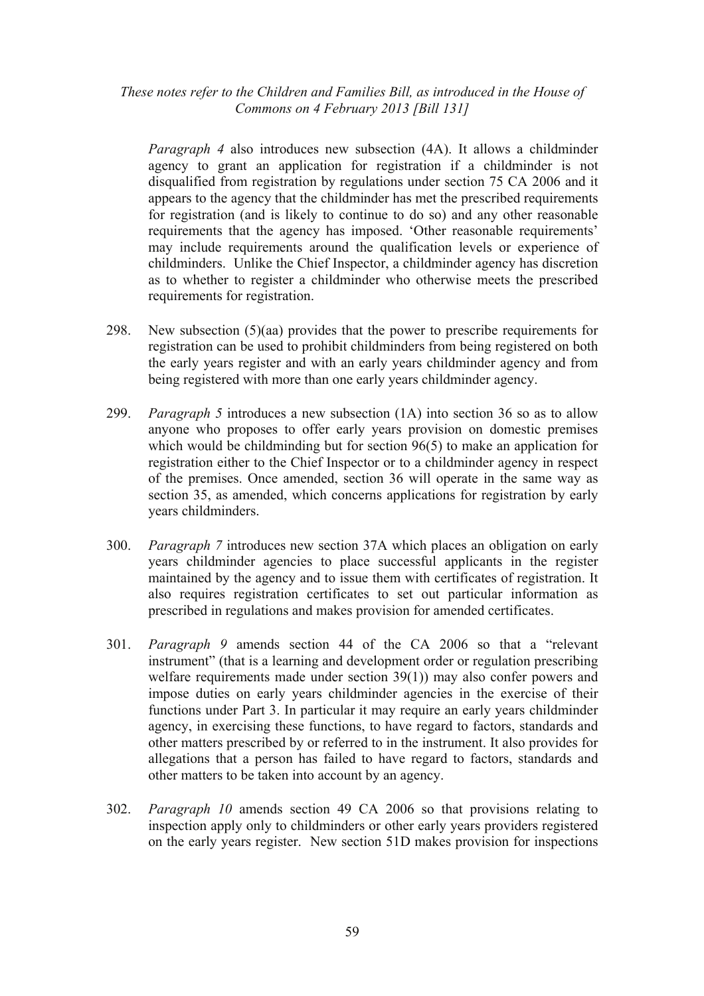*Paragraph 4* also introduces new subsection (4A). It allows a childminder agency to grant an application for registration if a childminder is not disqualified from registration by regulations under section 75 CA 2006 and it appears to the agency that the childminder has met the prescribed requirements for registration (and is likely to continue to do so) and any other reasonable requirements that the agency has imposed. 'Other reasonable requirements' may include requirements around the qualification levels or experience of childminders. Unlike the Chief Inspector, a childminder agency has discretion as to whether to register a childminder who otherwise meets the prescribed requirements for registration.

- 298. New subsection (5)(aa) provides that the power to prescribe requirements for registration can be used to prohibit childminders from being registered on both the early years register and with an early years childminder agency and from being registered with more than one early years childminder agency.
- 299. *Paragraph 5* introduces a new subsection (1A) into section 36 so as to allow anyone who proposes to offer early years provision on domestic premises which would be childminding but for section 96(5) to make an application for registration either to the Chief Inspector or to a childminder agency in respect of the premises. Once amended, section 36 will operate in the same way as section 35, as amended, which concerns applications for registration by early years childminders.
- 300. *Paragraph 7* introduces new section 37A which places an obligation on early years childminder agencies to place successful applicants in the register maintained by the agency and to issue them with certificates of registration. It also requires registration certificates to set out particular information as prescribed in regulations and makes provision for amended certificates.
- 301. *Paragraph 9* amends section 44 of the CA 2006 so that a "relevant instrument" (that is a learning and development order or regulation prescribing welfare requirements made under section 39(1)) may also confer powers and impose duties on early years childminder agencies in the exercise of their functions under Part 3. In particular it may require an early years childminder agency, in exercising these functions, to have regard to factors, standards and other matters prescribed by or referred to in the instrument. It also provides for allegations that a person has failed to have regard to factors, standards and other matters to be taken into account by an agency.
- 302. *Paragraph 10* amends section 49 CA 2006 so that provisions relating to inspection apply only to childminders or other early years providers registered on the early years register. New section 51D makes provision for inspections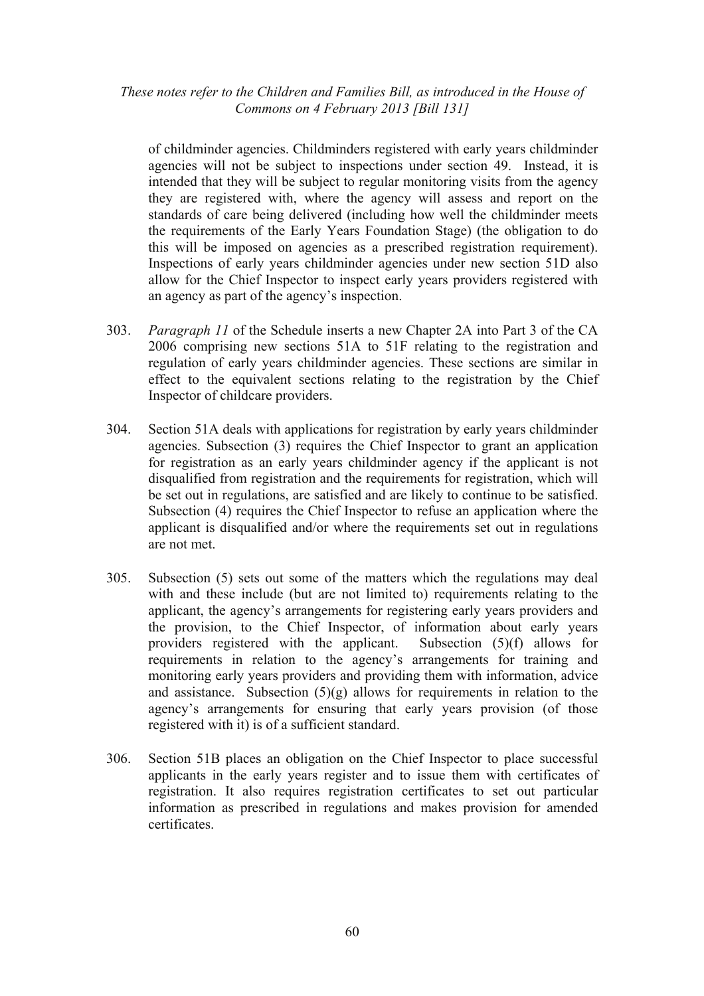of childminder agencies. Childminders registered with early years childminder agencies will not be subject to inspections under section 49. Instead, it is intended that they will be subject to regular monitoring visits from the agency they are registered with, where the agency will assess and report on the standards of care being delivered (including how well the childminder meets the requirements of the Early Years Foundation Stage) (the obligation to do this will be imposed on agencies as a prescribed registration requirement). Inspections of early years childminder agencies under new section 51D also allow for the Chief Inspector to inspect early years providers registered with an agency as part of the agency's inspection.

- 303. *Paragraph 11* of the Schedule inserts a new Chapter 2A into Part 3 of the CA 2006 comprising new sections 51A to 51F relating to the registration and regulation of early years childminder agencies. These sections are similar in effect to the equivalent sections relating to the registration by the Chief Inspector of childcare providers.
- 304. Section 51A deals with applications for registration by early years childminder agencies. Subsection (3) requires the Chief Inspector to grant an application for registration as an early years childminder agency if the applicant is not disqualified from registration and the requirements for registration, which will be set out in regulations, are satisfied and are likely to continue to be satisfied. Subsection (4) requires the Chief Inspector to refuse an application where the applicant is disqualified and/or where the requirements set out in regulations are not met.
- 305. Subsection (5) sets out some of the matters which the regulations may deal with and these include (but are not limited to) requirements relating to the applicant, the agency's arrangements for registering early years providers and the provision, to the Chief Inspector, of information about early years providers registered with the applicant. Subsection (5)(f) allows for requirements in relation to the agency's arrangements for training and monitoring early years providers and providing them with information, advice and assistance. Subsection  $(5)(g)$  allows for requirements in relation to the agency's arrangements for ensuring that early years provision (of those registered with it) is of a sufficient standard.
- 306. Section 51B places an obligation on the Chief Inspector to place successful applicants in the early years register and to issue them with certificates of registration. It also requires registration certificates to set out particular information as prescribed in regulations and makes provision for amended certificates.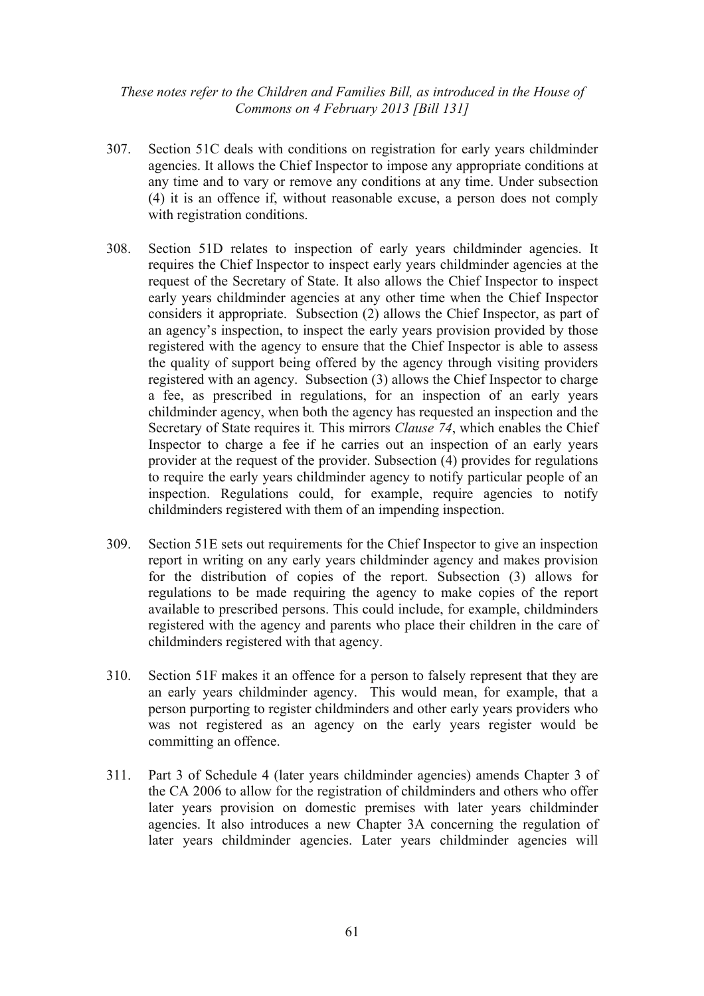- 307. Section 51C deals with conditions on registration for early years childminder agencies. It allows the Chief Inspector to impose any appropriate conditions at any time and to vary or remove any conditions at any time. Under subsection (4) it is an offence if, without reasonable excuse, a person does not comply with registration conditions.
- 308. Section 51D relates to inspection of early years childminder agencies. It requires the Chief Inspector to inspect early years childminder agencies at the request of the Secretary of State. It also allows the Chief Inspector to inspect early years childminder agencies at any other time when the Chief Inspector considers it appropriate. Subsection (2) allows the Chief Inspector, as part of an agency's inspection, to inspect the early years provision provided by those registered with the agency to ensure that the Chief Inspector is able to assess the quality of support being offered by the agency through visiting providers registered with an agency. Subsection (3) allows the Chief Inspector to charge a fee, as prescribed in regulations, for an inspection of an early years childminder agency, when both the agency has requested an inspection and the Secretary of State requires it*.* This mirrors *Clause 74*, which enables the Chief Inspector to charge a fee if he carries out an inspection of an early years provider at the request of the provider. Subsection (4) provides for regulations to require the early years childminder agency to notify particular people of an inspection. Regulations could, for example, require agencies to notify childminders registered with them of an impending inspection.
- 309. Section 51E sets out requirements for the Chief Inspector to give an inspection report in writing on any early years childminder agency and makes provision for the distribution of copies of the report. Subsection (3) allows for regulations to be made requiring the agency to make copies of the report available to prescribed persons. This could include, for example, childminders registered with the agency and parents who place their children in the care of childminders registered with that agency.
- 310. Section 51F makes it an offence for a person to falsely represent that they are an early years childminder agency. This would mean, for example, that a person purporting to register childminders and other early years providers who was not registered as an agency on the early years register would be committing an offence.
- 311. Part 3 of Schedule 4 (later years childminder agencies) amends Chapter 3 of the CA 2006 to allow for the registration of childminders and others who offer later years provision on domestic premises with later years childminder agencies. It also introduces a new Chapter 3A concerning the regulation of later years childminder agencies. Later years childminder agencies will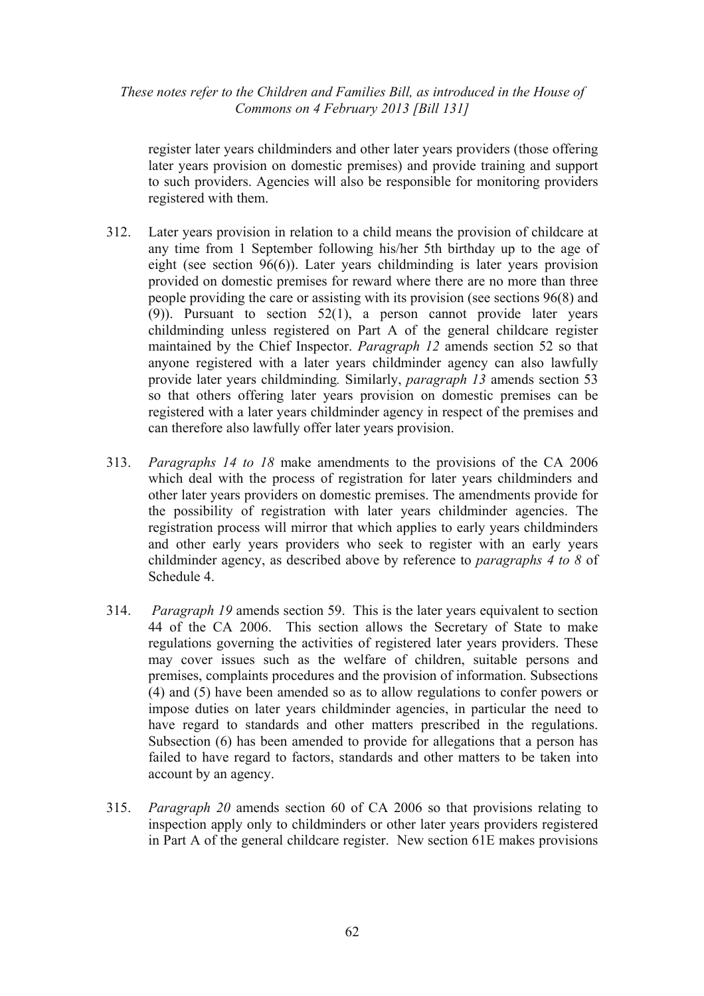register later years childminders and other later years providers (those offering later years provision on domestic premises) and provide training and support to such providers. Agencies will also be responsible for monitoring providers registered with them.

- 312. Later years provision in relation to a child means the provision of childcare at any time from 1 September following his/her 5th birthday up to the age of eight (see section 96(6)). Later years childminding is later years provision provided on domestic premises for reward where there are no more than three people providing the care or assisting with its provision (see sections 96(8) and (9)). Pursuant to section 52(1), a person cannot provide later years childminding unless registered on Part A of the general childcare register maintained by the Chief Inspector. *Paragraph 12* amends section 52 so that anyone registered with a later years childminder agency can also lawfully provide later years childminding*.* Similarly, *paragraph 13* amends section 53 so that others offering later years provision on domestic premises can be registered with a later years childminder agency in respect of the premises and can therefore also lawfully offer later years provision.
- 313. *Paragraphs 14 to 18* make amendments to the provisions of the CA 2006 which deal with the process of registration for later years childminders and other later years providers on domestic premises. The amendments provide for the possibility of registration with later years childminder agencies. The registration process will mirror that which applies to early years childminders and other early years providers who seek to register with an early years childminder agency, as described above by reference to *paragraphs 4 to 8* of Schedule 4.
- 314. *Paragraph 19* amends section 59. This is the later years equivalent to section 44 of the CA 2006. This section allows the Secretary of State to make regulations governing the activities of registered later years providers. These may cover issues such as the welfare of children, suitable persons and premises, complaints procedures and the provision of information. Subsections (4) and (5) have been amended so as to allow regulations to confer powers or impose duties on later years childminder agencies, in particular the need to have regard to standards and other matters prescribed in the regulations. Subsection (6) has been amended to provide for allegations that a person has failed to have regard to factors, standards and other matters to be taken into account by an agency.
- 315. *Paragraph 20* amends section 60 of CA 2006 so that provisions relating to inspection apply only to childminders or other later years providers registered in Part A of the general childcare register. New section 61E makes provisions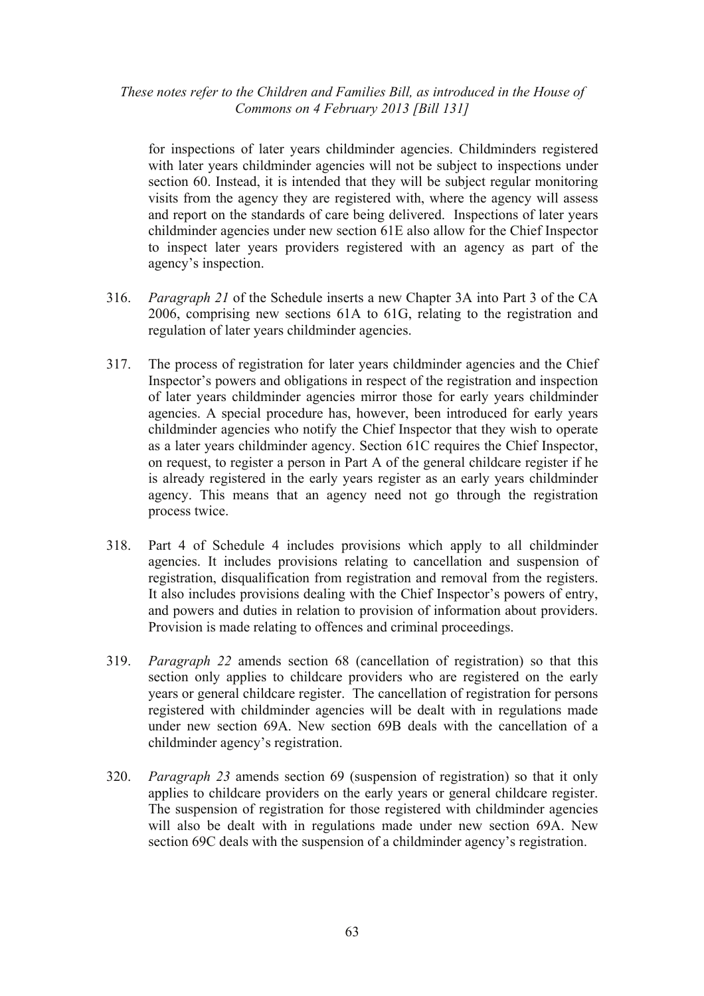for inspections of later years childminder agencies. Childminders registered with later years childminder agencies will not be subject to inspections under section 60. Instead, it is intended that they will be subject regular monitoring visits from the agency they are registered with, where the agency will assess and report on the standards of care being delivered. Inspections of later years childminder agencies under new section 61E also allow for the Chief Inspector to inspect later years providers registered with an agency as part of the agency's inspection.

- 316. *Paragraph 21* of the Schedule inserts a new Chapter 3A into Part 3 of the CA 2006, comprising new sections 61A to 61G, relating to the registration and regulation of later years childminder agencies.
- 317. The process of registration for later years childminder agencies and the Chief Inspector's powers and obligations in respect of the registration and inspection of later years childminder agencies mirror those for early years childminder agencies. A special procedure has, however, been introduced for early years childminder agencies who notify the Chief Inspector that they wish to operate as a later years childminder agency. Section 61C requires the Chief Inspector, on request, to register a person in Part A of the general childcare register if he is already registered in the early years register as an early years childminder agency. This means that an agency need not go through the registration process twice.
- 318. Part 4 of Schedule 4 includes provisions which apply to all childminder agencies. It includes provisions relating to cancellation and suspension of registration, disqualification from registration and removal from the registers. It also includes provisions dealing with the Chief Inspector's powers of entry, and powers and duties in relation to provision of information about providers. Provision is made relating to offences and criminal proceedings.
- 319. *Paragraph 22* amends section 68 (cancellation of registration) so that this section only applies to childcare providers who are registered on the early years or general childcare register. The cancellation of registration for persons registered with childminder agencies will be dealt with in regulations made under new section 69A. New section 69B deals with the cancellation of a childminder agency's registration.
- 320. *Paragraph 23* amends section 69 (suspension of registration) so that it only applies to childcare providers on the early years or general childcare register. The suspension of registration for those registered with childminder agencies will also be dealt with in regulations made under new section 69A. New section 69C deals with the suspension of a childminder agency's registration.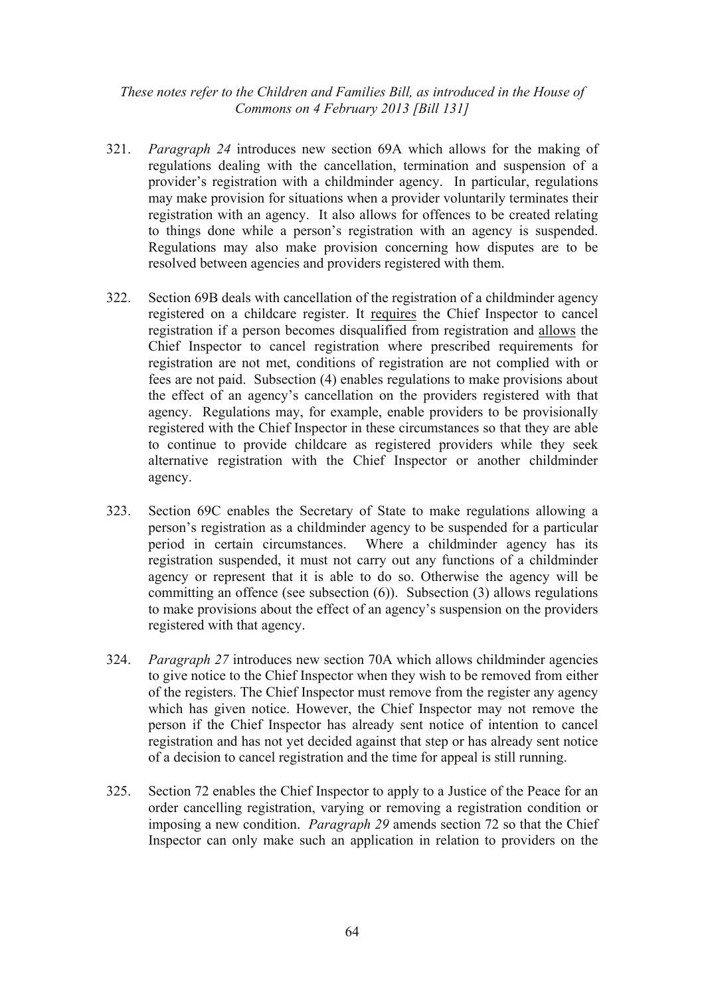- 321. *Paragraph 24* introduces new section 69A which allows for the making of regulations dealing with the cancellation, termination and suspension of a provider's registration with a childminder agency. In particular, regulations may make provision for situations when a provider voluntarily terminates their registration with an agency. It also allows for offences to be created relating to things done while a person's registration with an agency is suspended. Regulations may also make provision concerning how disputes are to be resolved between agencies and providers registered with them.
- 322. Section 69B deals with cancellation of the registration of a childminder agency registered on a childcare register. It requires the Chief Inspector to cancel registration if a person becomes disqualified from registration and allows the Chief Inspector to cancel registration where prescribed requirements for registration are not met, conditions of registration are not complied with or fees are not paid. Subsection (4) enables regulations to make provisions about the effect of an agency's cancellation on the providers registered with that agency. Regulations may, for example, enable providers to be provisionally registered with the Chief Inspector in these circumstances so that they are able to continue to provide childcare as registered providers while they seek alternative registration with the Chief Inspector or another childminder agency.
- 323. Section 69C enables the Secretary of State to make regulations allowing a person's registration as a childminder agency to be suspended for a particular period in certain circumstances. Where a childminder agency has its registration suspended, it must not carry out any functions of a childminder agency or represent that it is able to do so. Otherwise the agency will be committing an offence (see subsection (6)). Subsection (3) allows regulations to make provisions about the effect of an agency's suspension on the providers registered with that agency.
- 324. *Paragraph 27* introduces new section 70A which allows childminder agencies to give notice to the Chief Inspector when they wish to be removed from either of the registers. The Chief Inspector must remove from the register any agency which has given notice. However, the Chief Inspector may not remove the person if the Chief Inspector has already sent notice of intention to cancel registration and has not yet decided against that step or has already sent notice of a decision to cancel registration and the time for appeal is still running.
- 325. Section 72 enables the Chief Inspector to apply to a Justice of the Peace for an order cancelling registration, varying or removing a registration condition or imposing a new condition. *Paragraph 29* amends section 72 so that the Chief Inspector can only make such an application in relation to providers on the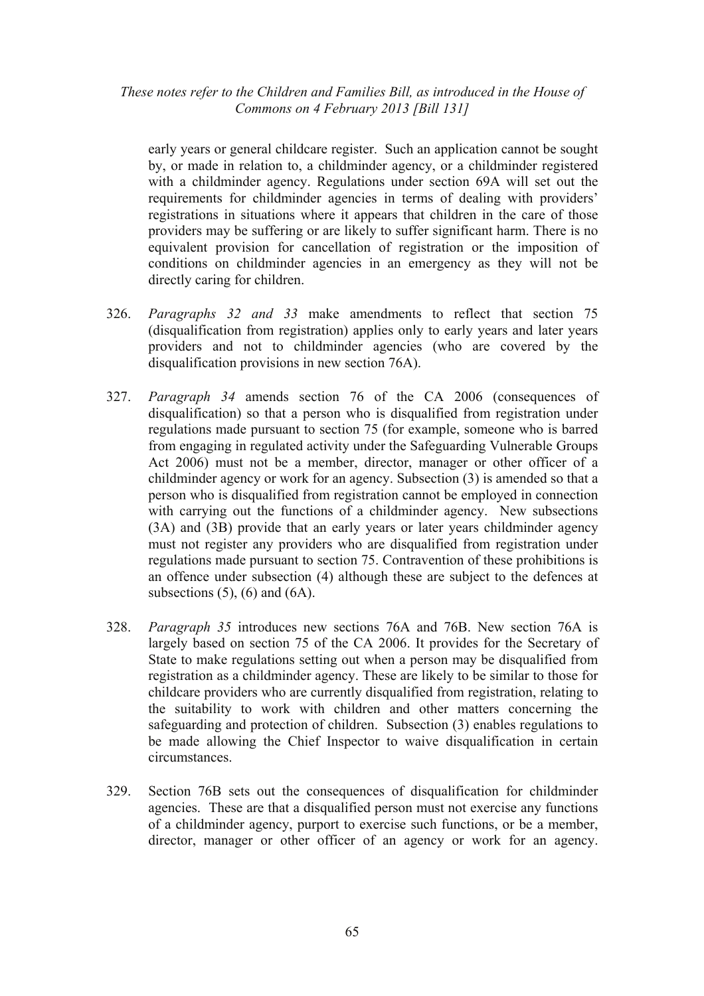early years or general childcare register. Such an application cannot be sought by, or made in relation to, a childminder agency, or a childminder registered with a childminder agency. Regulations under section 69A will set out the requirements for childminder agencies in terms of dealing with providers' registrations in situations where it appears that children in the care of those providers may be suffering or are likely to suffer significant harm. There is no equivalent provision for cancellation of registration or the imposition of conditions on childminder agencies in an emergency as they will not be directly caring for children.

- 326. *Paragraphs 32 and 33* make amendments to reflect that section 75 (disqualification from registration) applies only to early years and later years providers and not to childminder agencies (who are covered by the disqualification provisions in new section 76A).
- 327. *Paragraph 34* amends section 76 of the CA 2006 (consequences of disqualification) so that a person who is disqualified from registration under regulations made pursuant to section 75 (for example, someone who is barred from engaging in regulated activity under the Safeguarding Vulnerable Groups Act 2006) must not be a member, director, manager or other officer of a childminder agency or work for an agency. Subsection (3) is amended so that a person who is disqualified from registration cannot be employed in connection with carrying out the functions of a childminder agency. New subsections (3A) and (3B) provide that an early years or later years childminder agency must not register any providers who are disqualified from registration under regulations made pursuant to section 75. Contravention of these prohibitions is an offence under subsection (4) although these are subject to the defences at subsections  $(5)$ ,  $(6)$  and  $(6A)$ .
- 328. *Paragraph 35* introduces new sections 76A and 76B. New section 76A is largely based on section 75 of the CA 2006. It provides for the Secretary of State to make regulations setting out when a person may be disqualified from registration as a childminder agency. These are likely to be similar to those for childcare providers who are currently disqualified from registration, relating to the suitability to work with children and other matters concerning the safeguarding and protection of children. Subsection (3) enables regulations to be made allowing the Chief Inspector to waive disqualification in certain circumstances.
- 329. Section 76B sets out the consequences of disqualification for childminder agencies. These are that a disqualified person must not exercise any functions of a childminder agency, purport to exercise such functions, or be a member, director, manager or other officer of an agency or work for an agency.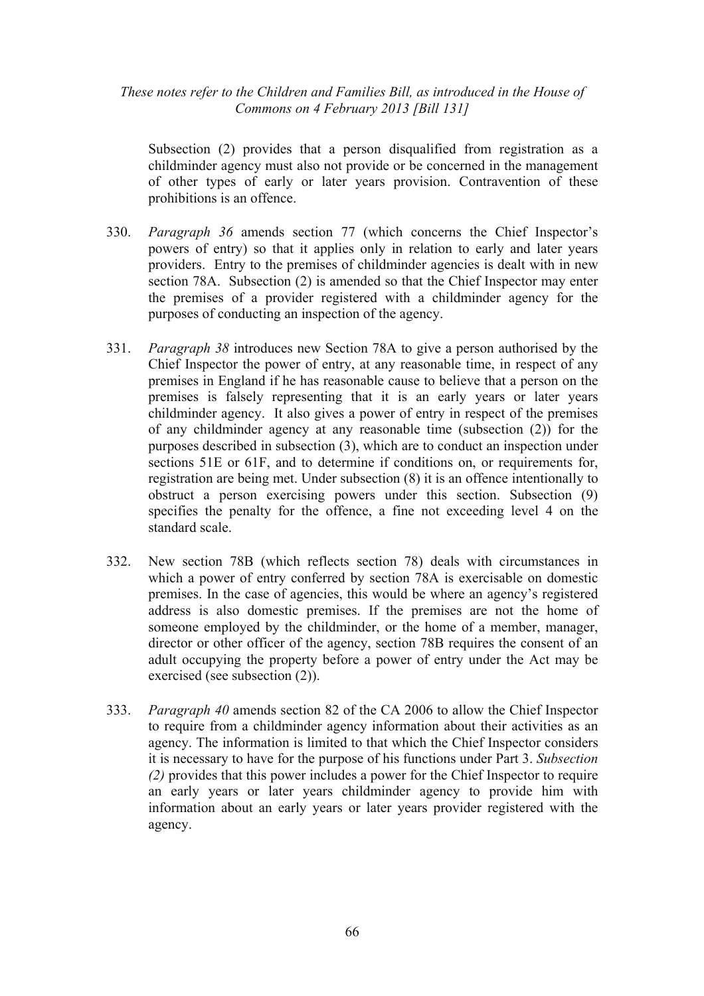Subsection (2) provides that a person disqualified from registration as a childminder agency must also not provide or be concerned in the management of other types of early or later years provision. Contravention of these prohibitions is an offence.

- 330. *Paragraph 36* amends section 77 (which concerns the Chief Inspector's powers of entry) so that it applies only in relation to early and later years providers. Entry to the premises of childminder agencies is dealt with in new section 78A. Subsection (2) is amended so that the Chief Inspector may enter the premises of a provider registered with a childminder agency for the purposes of conducting an inspection of the agency.
- 331. *Paragraph 38* introduces new Section 78A to give a person authorised by the Chief Inspector the power of entry, at any reasonable time, in respect of any premises in England if he has reasonable cause to believe that a person on the premises is falsely representing that it is an early years or later years childminder agency. It also gives a power of entry in respect of the premises of any childminder agency at any reasonable time (subsection (2)) for the purposes described in subsection (3), which are to conduct an inspection under sections 51E or 61F, and to determine if conditions on, or requirements for, registration are being met. Under subsection (8) it is an offence intentionally to obstruct a person exercising powers under this section. Subsection (9) specifies the penalty for the offence, a fine not exceeding level 4 on the standard scale.
- 332. New section 78B (which reflects section 78) deals with circumstances in which a power of entry conferred by section 78A is exercisable on domestic premises. In the case of agencies, this would be where an agency's registered address is also domestic premises. If the premises are not the home of someone employed by the childminder, or the home of a member, manager, director or other officer of the agency, section 78B requires the consent of an adult occupying the property before a power of entry under the Act may be exercised (see subsection (2)).
- 333. *Paragraph 40* amends section 82 of the CA 2006 to allow the Chief Inspector to require from a childminder agency information about their activities as an agency. The information is limited to that which the Chief Inspector considers it is necessary to have for the purpose of his functions under Part 3. *Subsection (2)* provides that this power includes a power for the Chief Inspector to require an early years or later years childminder agency to provide him with information about an early years or later years provider registered with the agency.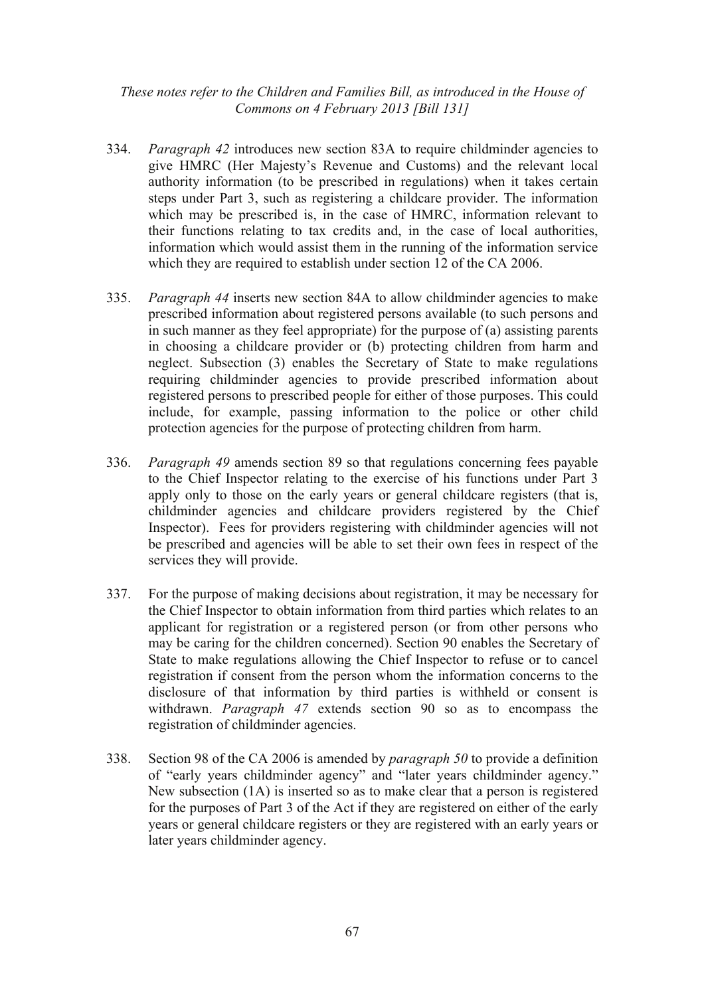- 334. *Paragraph 42* introduces new section 83A to require childminder agencies to give HMRC (Her Majesty's Revenue and Customs) and the relevant local authority information (to be prescribed in regulations) when it takes certain steps under Part 3, such as registering a childcare provider. The information which may be prescribed is, in the case of HMRC, information relevant to their functions relating to tax credits and, in the case of local authorities, information which would assist them in the running of the information service which they are required to establish under section 12 of the CA 2006.
- 335. *Paragraph 44* inserts new section 84A to allow childminder agencies to make prescribed information about registered persons available (to such persons and in such manner as they feel appropriate) for the purpose of (a) assisting parents in choosing a childcare provider or (b) protecting children from harm and neglect. Subsection (3) enables the Secretary of State to make regulations requiring childminder agencies to provide prescribed information about registered persons to prescribed people for either of those purposes. This could include, for example, passing information to the police or other child protection agencies for the purpose of protecting children from harm.
- 336. *Paragraph 49* amends section 89 so that regulations concerning fees payable to the Chief Inspector relating to the exercise of his functions under Part 3 apply only to those on the early years or general childcare registers (that is, childminder agencies and childcare providers registered by the Chief Inspector). Fees for providers registering with childminder agencies will not be prescribed and agencies will be able to set their own fees in respect of the services they will provide.
- 337. For the purpose of making decisions about registration, it may be necessary for the Chief Inspector to obtain information from third parties which relates to an applicant for registration or a registered person (or from other persons who may be caring for the children concerned). Section 90 enables the Secretary of State to make regulations allowing the Chief Inspector to refuse or to cancel registration if consent from the person whom the information concerns to the disclosure of that information by third parties is withheld or consent is withdrawn. *Paragraph 47* extends section 90 so as to encompass the registration of childminder agencies.
- 338. Section 98 of the CA 2006 is amended by *paragraph 50* to provide a definition of "early years childminder agency" and "later years childminder agency." New subsection (1A) is inserted so as to make clear that a person is registered for the purposes of Part 3 of the Act if they are registered on either of the early years or general childcare registers or they are registered with an early years or later years childminder agency.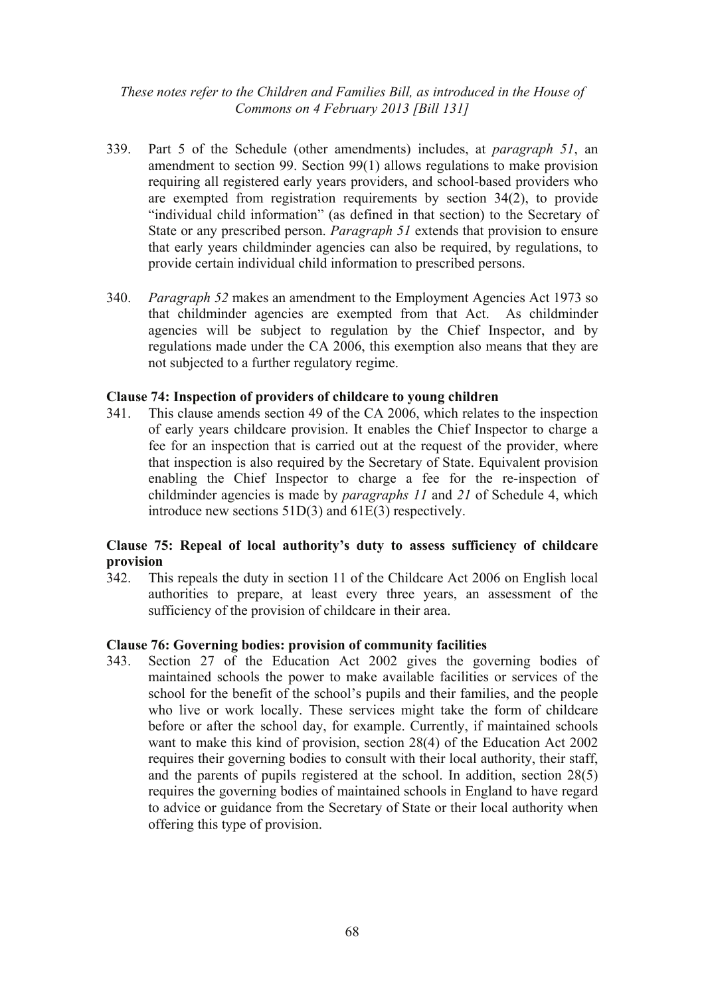- 339. Part 5 of the Schedule (other amendments) includes, at *paragraph 51*, an amendment to section 99. Section 99(1) allows regulations to make provision requiring all registered early years providers, and school-based providers who are exempted from registration requirements by section 34(2), to provide "individual child information" (as defined in that section) to the Secretary of State or any prescribed person. *Paragraph 51* extends that provision to ensure that early years childminder agencies can also be required, by regulations, to provide certain individual child information to prescribed persons.
- 340. *Paragraph 52* makes an amendment to the Employment Agencies Act 1973 so that childminder agencies are exempted from that Act. As childminder agencies will be subject to regulation by the Chief Inspector, and by regulations made under the CA 2006, this exemption also means that they are not subjected to a further regulatory regime.

### **Clause 74: Inspection of providers of childcare to young children**

341. This clause amends section 49 of the CA 2006, which relates to the inspection of early years childcare provision. It enables the Chief Inspector to charge a fee for an inspection that is carried out at the request of the provider, where that inspection is also required by the Secretary of State. Equivalent provision enabling the Chief Inspector to charge a fee for the re-inspection of childminder agencies is made by *paragraphs 11* and *21* of Schedule 4, which introduce new sections 51D(3) and 61E(3) respectively.

### **Clause 75: Repeal of local authority's duty to assess sufficiency of childcare provision**

342. This repeals the duty in section 11 of the Childcare Act 2006 on English local authorities to prepare, at least every three years, an assessment of the sufficiency of the provision of childcare in their area.

### **Clause 76: Governing bodies: provision of community facilities**

343. Section 27 of the Education Act 2002 gives the governing bodies of maintained schools the power to make available facilities or services of the school for the benefit of the school's pupils and their families, and the people who live or work locally. These services might take the form of childcare before or after the school day, for example. Currently, if maintained schools want to make this kind of provision, section 28(4) of the Education Act 2002 requires their governing bodies to consult with their local authority, their staff, and the parents of pupils registered at the school. In addition, section 28(5) requires the governing bodies of maintained schools in England to have regard to advice or guidance from the Secretary of State or their local authority when offering this type of provision.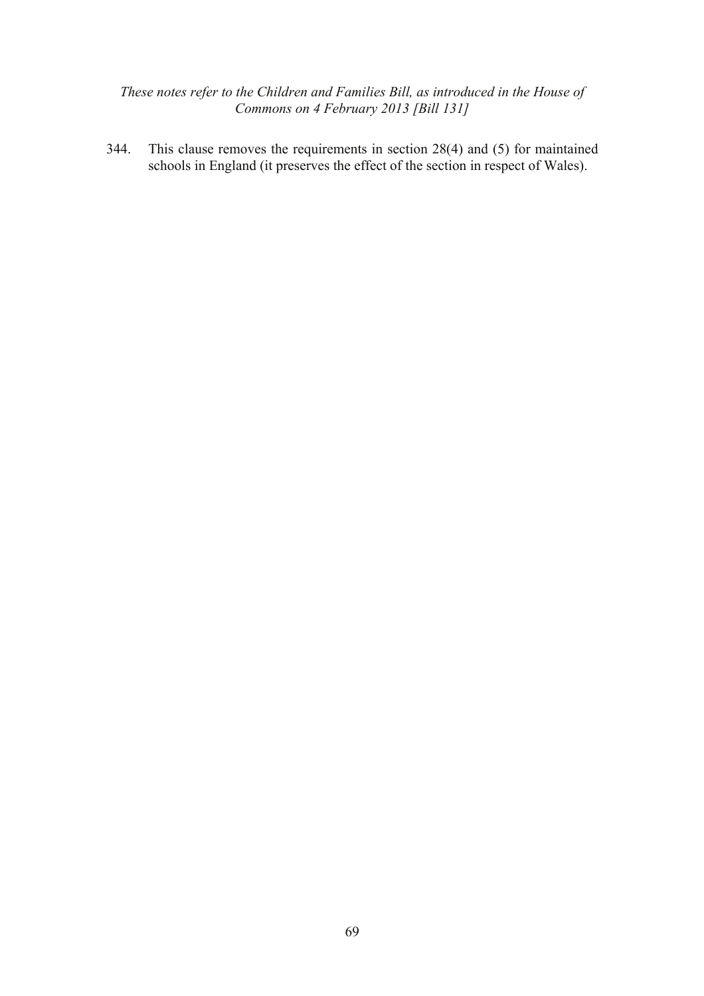344. This clause removes the requirements in section 28(4) and (5) for maintained schools in England (it preserves the effect of the section in respect of Wales).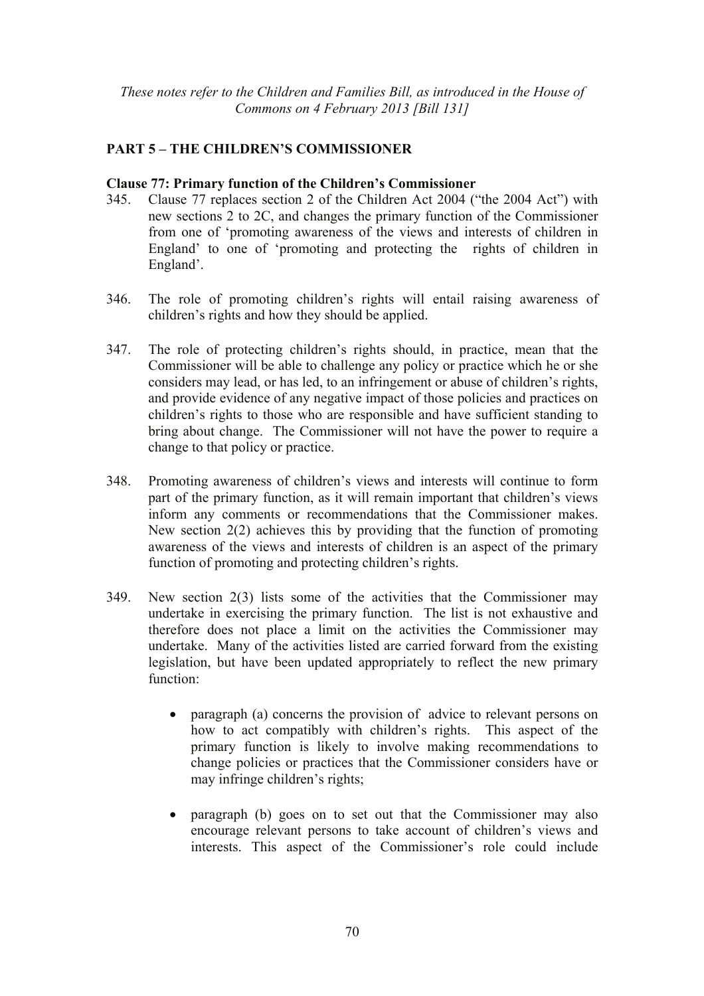## **PART 5 – THE CHILDREN'S COMMISSIONER**

### **Clause 77: Primary function of the Children's Commissioner**

- 345. Clause 77 replaces section 2 of the Children Act 2004 ("the 2004 Act") with new sections 2 to 2C, and changes the primary function of the Commissioner from one of 'promoting awareness of the views and interests of children in England' to one of 'promoting and protecting the rights of children in England'.
- 346. The role of promoting children's rights will entail raising awareness of children's rights and how they should be applied.
- 347. The role of protecting children's rights should, in practice, mean that the Commissioner will be able to challenge any policy or practice which he or she considers may lead, or has led, to an infringement or abuse of children's rights, and provide evidence of any negative impact of those policies and practices on children's rights to those who are responsible and have sufficient standing to bring about change. The Commissioner will not have the power to require a change to that policy or practice.
- 348. Promoting awareness of children's views and interests will continue to form part of the primary function, as it will remain important that children's views inform any comments or recommendations that the Commissioner makes. New section 2(2) achieves this by providing that the function of promoting awareness of the views and interests of children is an aspect of the primary function of promoting and protecting children's rights.
- 349. New section 2(3) lists some of the activities that the Commissioner may undertake in exercising the primary function. The list is not exhaustive and therefore does not place a limit on the activities the Commissioner may undertake. Many of the activities listed are carried forward from the existing legislation, but have been updated appropriately to reflect the new primary function:
	- paragraph (a) concerns the provision of advice to relevant persons on how to act compatibly with children's rights. This aspect of the primary function is likely to involve making recommendations to change policies or practices that the Commissioner considers have or may infringe children's rights;
	- paragraph (b) goes on to set out that the Commissioner may also encourage relevant persons to take account of children's views and interests. This aspect of the Commissioner's role could include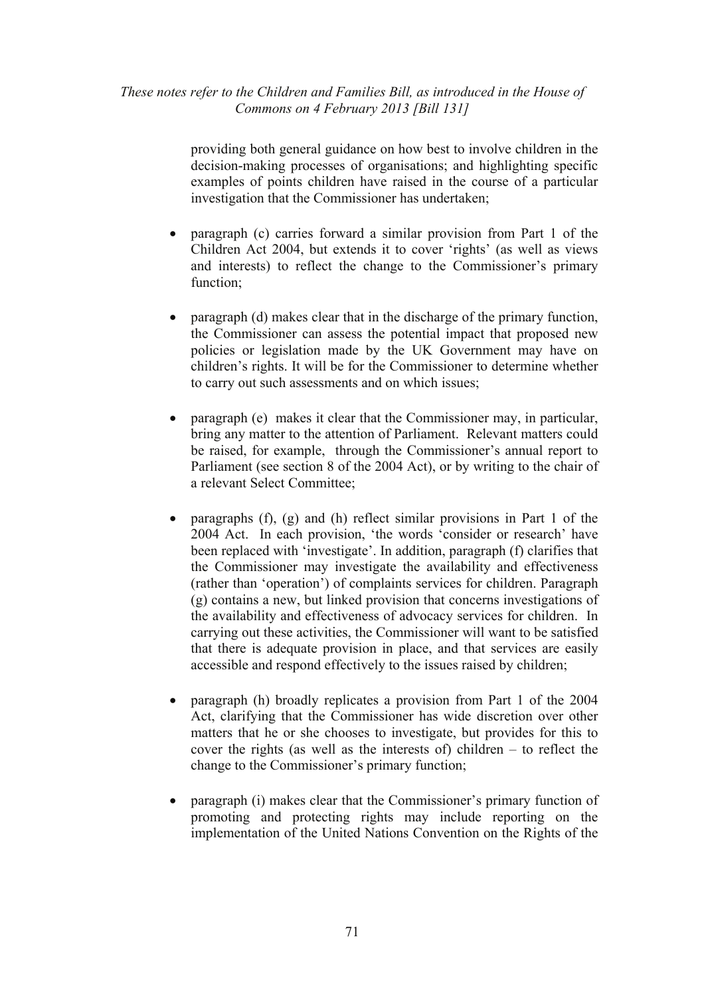providing both general guidance on how best to involve children in the decision-making processes of organisations; and highlighting specific examples of points children have raised in the course of a particular investigation that the Commissioner has undertaken;

- paragraph (c) carries forward a similar provision from Part 1 of the Children Act 2004, but extends it to cover 'rights' (as well as views and interests) to reflect the change to the Commissioner's primary function:
- paragraph (d) makes clear that in the discharge of the primary function, the Commissioner can assess the potential impact that proposed new policies or legislation made by the UK Government may have on children's rights. It will be for the Commissioner to determine whether to carry out such assessments and on which issues;
- paragraph (e) makes it clear that the Commissioner may, in particular, bring any matter to the attention of Parliament. Relevant matters could be raised, for example, through the Commissioner's annual report to Parliament (see section 8 of the 2004 Act), or by writing to the chair of a relevant Select Committee;
- paragraphs (f), (g) and (h) reflect similar provisions in Part 1 of the 2004 Act. In each provision, 'the words 'consider or research' have been replaced with 'investigate'. In addition, paragraph (f) clarifies that the Commissioner may investigate the availability and effectiveness (rather than 'operation') of complaints services for children. Paragraph (g) contains a new, but linked provision that concerns investigations of the availability and effectiveness of advocacy services for children. In carrying out these activities, the Commissioner will want to be satisfied that there is adequate provision in place, and that services are easily accessible and respond effectively to the issues raised by children;
- paragraph (h) broadly replicates a provision from Part 1 of the 2004 Act, clarifying that the Commissioner has wide discretion over other matters that he or she chooses to investigate, but provides for this to cover the rights (as well as the interests of) children – to reflect the change to the Commissioner's primary function;
- paragraph (i) makes clear that the Commissioner's primary function of promoting and protecting rights may include reporting on the implementation of the United Nations Convention on the Rights of the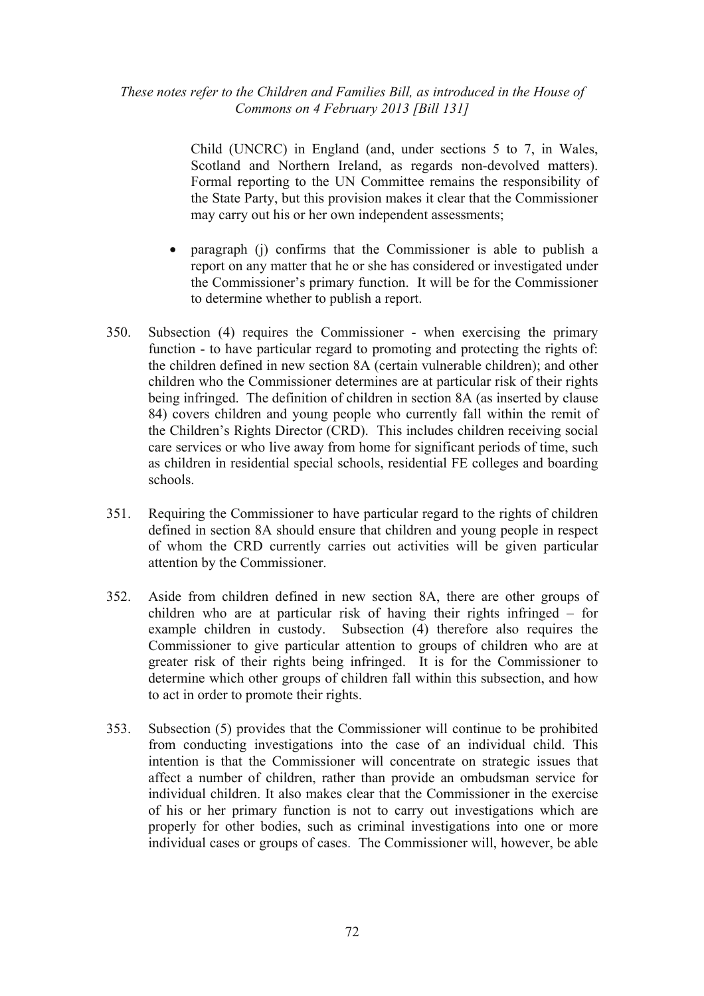Child (UNCRC) in England (and, under sections 5 to 7, in Wales, Scotland and Northern Ireland, as regards non-devolved matters). Formal reporting to the UN Committee remains the responsibility of the State Party, but this provision makes it clear that the Commissioner may carry out his or her own independent assessments;

- paragraph (j) confirms that the Commissioner is able to publish a report on any matter that he or she has considered or investigated under the Commissioner's primary function. It will be for the Commissioner to determine whether to publish a report.
- 350. Subsection (4) requires the Commissioner when exercising the primary function - to have particular regard to promoting and protecting the rights of: the children defined in new section 8A (certain vulnerable children); and other children who the Commissioner determines are at particular risk of their rights being infringed. The definition of children in section 8A (as inserted by clause 84) covers children and young people who currently fall within the remit of the Children's Rights Director (CRD). This includes children receiving social care services or who live away from home for significant periods of time, such as children in residential special schools, residential FE colleges and boarding schools.
- 351. Requiring the Commissioner to have particular regard to the rights of children defined in section 8A should ensure that children and young people in respect of whom the CRD currently carries out activities will be given particular attention by the Commissioner.
- 352. Aside from children defined in new section 8A, there are other groups of children who are at particular risk of having their rights infringed – for example children in custody. Subsection (4) therefore also requires the Commissioner to give particular attention to groups of children who are at greater risk of their rights being infringed. It is for the Commissioner to determine which other groups of children fall within this subsection, and how to act in order to promote their rights.
- 353. Subsection (5) provides that the Commissioner will continue to be prohibited from conducting investigations into the case of an individual child. This intention is that the Commissioner will concentrate on strategic issues that affect a number of children, rather than provide an ombudsman service for individual children. It also makes clear that the Commissioner in the exercise of his or her primary function is not to carry out investigations which are properly for other bodies, such as criminal investigations into one or more individual cases or groups of cases. The Commissioner will, however, be able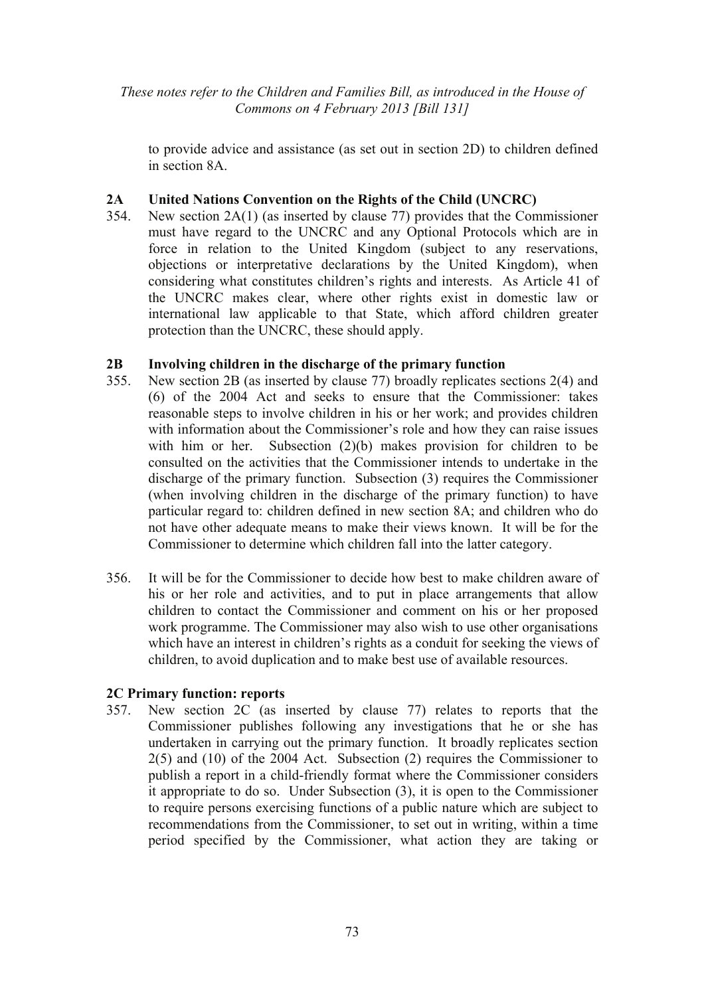to provide advice and assistance (as set out in section 2D) to children defined in section 8A.

# **2A United Nations Convention on the Rights of the Child (UNCRC)**

354. New section 2A(1) (as inserted by clause 77) provides that the Commissioner must have regard to the UNCRC and any Optional Protocols which are in force in relation to the United Kingdom (subject to any reservations, objections or interpretative declarations by the United Kingdom), when considering what constitutes children's rights and interests. As Article 41 of the UNCRC makes clear, where other rights exist in domestic law or international law applicable to that State, which afford children greater protection than the UNCRC, these should apply.

## **2B Involving children in the discharge of the primary function**

- 355. New section 2B (as inserted by clause 77) broadly replicates sections 2(4) and (6) of the 2004 Act and seeks to ensure that the Commissioner: takes reasonable steps to involve children in his or her work; and provides children with information about the Commissioner's role and how they can raise issues with him or her. Subsection (2)(b) makes provision for children to be consulted on the activities that the Commissioner intends to undertake in the discharge of the primary function. Subsection (3) requires the Commissioner (when involving children in the discharge of the primary function) to have particular regard to: children defined in new section 8A; and children who do not have other adequate means to make their views known. It will be for the Commissioner to determine which children fall into the latter category.
- 356. It will be for the Commissioner to decide how best to make children aware of his or her role and activities, and to put in place arrangements that allow children to contact the Commissioner and comment on his or her proposed work programme. The Commissioner may also wish to use other organisations which have an interest in children's rights as a conduit for seeking the views of children, to avoid duplication and to make best use of available resources.

# **2C Primary function: reports**

357. New section 2C (as inserted by clause 77) relates to reports that the Commissioner publishes following any investigations that he or she has undertaken in carrying out the primary function. It broadly replicates section 2(5) and (10) of the 2004 Act. Subsection (2) requires the Commissioner to publish a report in a child-friendly format where the Commissioner considers it appropriate to do so. Under Subsection (3), it is open to the Commissioner to require persons exercising functions of a public nature which are subject to recommendations from the Commissioner, to set out in writing, within a time period specified by the Commissioner, what action they are taking or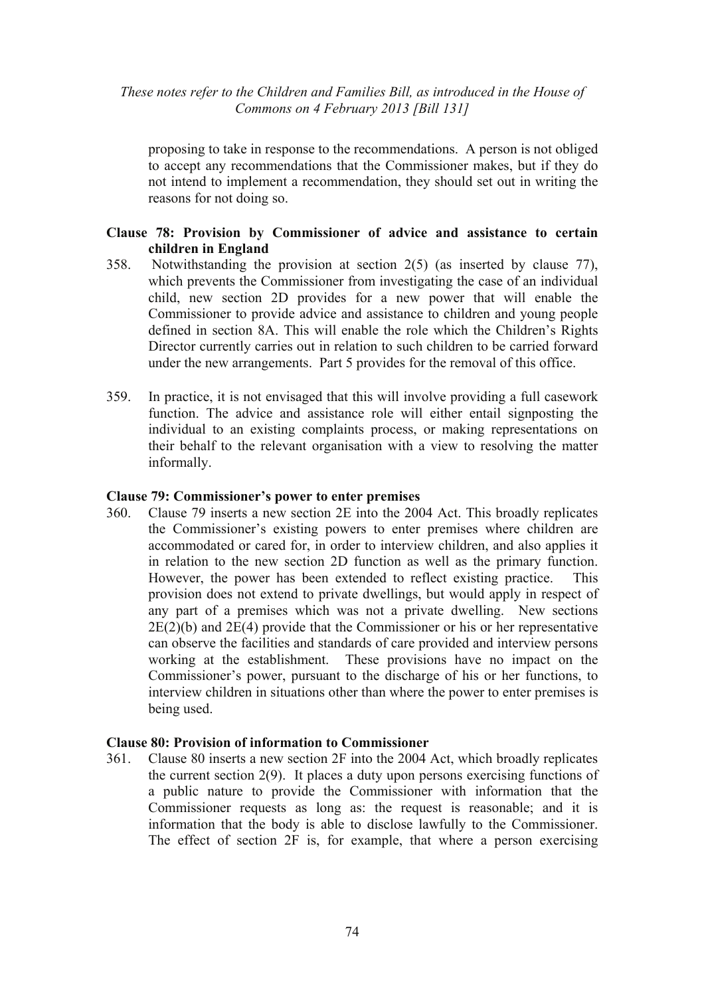proposing to take in response to the recommendations. A person is not obliged to accept any recommendations that the Commissioner makes, but if they do not intend to implement a recommendation, they should set out in writing the reasons for not doing so.

## **Clause 78: Provision by Commissioner of advice and assistance to certain children in England**

- 358. Notwithstanding the provision at section 2(5) (as inserted by clause 77), which prevents the Commissioner from investigating the case of an individual child, new section 2D provides for a new power that will enable the Commissioner to provide advice and assistance to children and young people defined in section 8A. This will enable the role which the Children's Rights Director currently carries out in relation to such children to be carried forward under the new arrangements. Part 5 provides for the removal of this office.
- 359. In practice, it is not envisaged that this will involve providing a full casework function. The advice and assistance role will either entail signposting the individual to an existing complaints process, or making representations on their behalf to the relevant organisation with a view to resolving the matter informally.

#### **Clause 79: Commissioner's power to enter premises**

360. Clause 79 inserts a new section 2E into the 2004 Act. This broadly replicates the Commissioner's existing powers to enter premises where children are accommodated or cared for, in order to interview children, and also applies it in relation to the new section 2D function as well as the primary function. However, the power has been extended to reflect existing practice. This provision does not extend to private dwellings, but would apply in respect of any part of a premises which was not a private dwelling. New sections  $2E(2)(b)$  and  $2E(4)$  provide that the Commissioner or his or her representative can observe the facilities and standards of care provided and interview persons working at the establishment. These provisions have no impact on the Commissioner's power, pursuant to the discharge of his or her functions, to interview children in situations other than where the power to enter premises is being used.

### **Clause 80: Provision of information to Commissioner**

361. Clause 80 inserts a new section 2F into the 2004 Act, which broadly replicates the current section 2(9). It places a duty upon persons exercising functions of a public nature to provide the Commissioner with information that the Commissioner requests as long as: the request is reasonable; and it is information that the body is able to disclose lawfully to the Commissioner. The effect of section 2F is, for example, that where a person exercising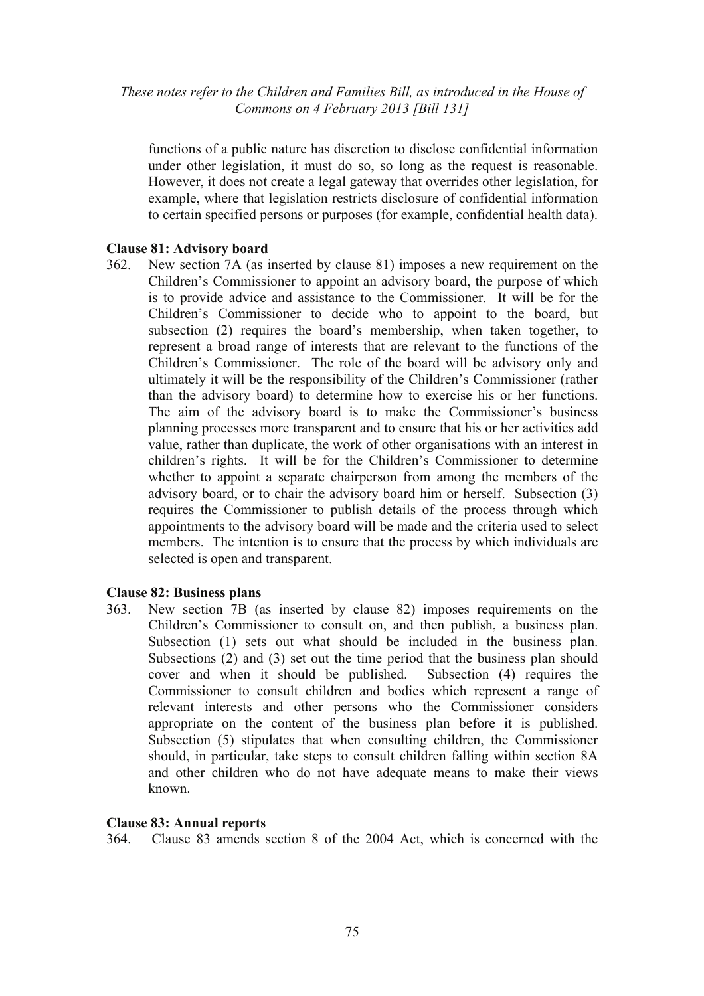functions of a public nature has discretion to disclose confidential information under other legislation, it must do so, so long as the request is reasonable. However, it does not create a legal gateway that overrides other legislation, for example, where that legislation restricts disclosure of confidential information to certain specified persons or purposes (for example, confidential health data).

## **Clause 81: Advisory board**

362. New section 7A (as inserted by clause 81) imposes a new requirement on the Children's Commissioner to appoint an advisory board, the purpose of which is to provide advice and assistance to the Commissioner. It will be for the Children's Commissioner to decide who to appoint to the board, but subsection (2) requires the board's membership, when taken together, to represent a broad range of interests that are relevant to the functions of the Children's Commissioner. The role of the board will be advisory only and ultimately it will be the responsibility of the Children's Commissioner (rather than the advisory board) to determine how to exercise his or her functions. The aim of the advisory board is to make the Commissioner's business planning processes more transparent and to ensure that his or her activities add value, rather than duplicate, the work of other organisations with an interest in children's rights. It will be for the Children's Commissioner to determine whether to appoint a separate chairperson from among the members of the advisory board, or to chair the advisory board him or herself. Subsection (3) requires the Commissioner to publish details of the process through which appointments to the advisory board will be made and the criteria used to select members. The intention is to ensure that the process by which individuals are selected is open and transparent.

# **Clause 82: Business plans**

363. New section 7B (as inserted by clause 82) imposes requirements on the Children's Commissioner to consult on, and then publish, a business plan. Subsection (1) sets out what should be included in the business plan. Subsections (2) and (3) set out the time period that the business plan should cover and when it should be published. Subsection (4) requires the Commissioner to consult children and bodies which represent a range of relevant interests and other persons who the Commissioner considers appropriate on the content of the business plan before it is published. Subsection (5) stipulates that when consulting children, the Commissioner should, in particular, take steps to consult children falling within section 8A and other children who do not have adequate means to make their views known.

# **Clause 83: Annual reports**

364. Clause 83 amends section 8 of the 2004 Act, which is concerned with the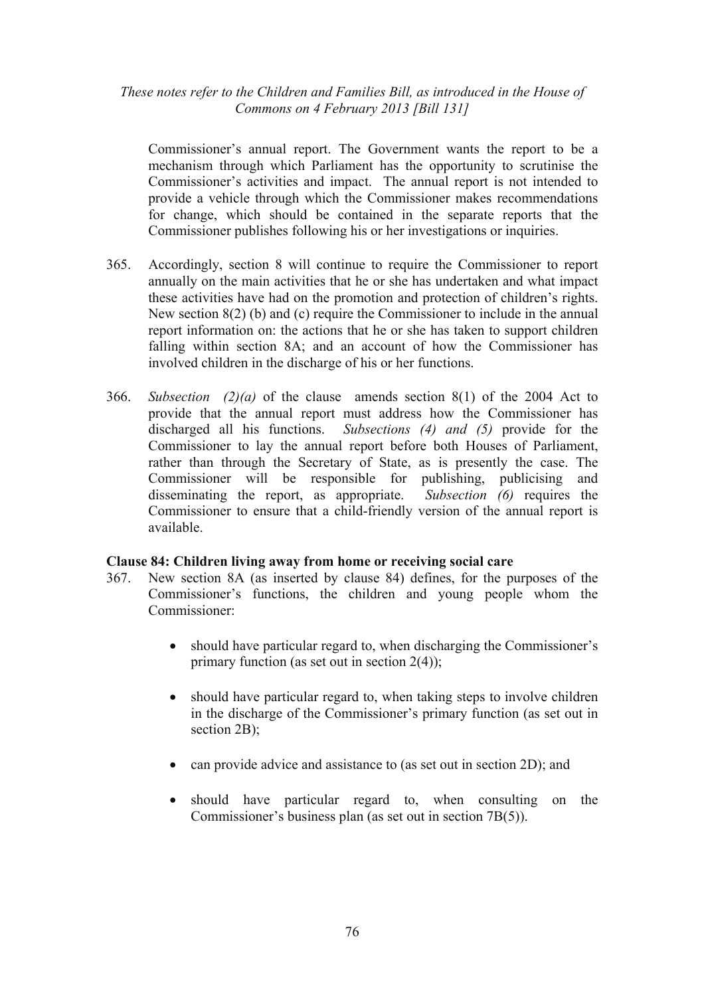Commissioner's annual report. The Government wants the report to be a mechanism through which Parliament has the opportunity to scrutinise the Commissioner's activities and impact. The annual report is not intended to provide a vehicle through which the Commissioner makes recommendations for change, which should be contained in the separate reports that the Commissioner publishes following his or her investigations or inquiries.

- 365. Accordingly, section 8 will continue to require the Commissioner to report annually on the main activities that he or she has undertaken and what impact these activities have had on the promotion and protection of children's rights. New section 8(2) (b) and (c) require the Commissioner to include in the annual report information on: the actions that he or she has taken to support children falling within section 8A; and an account of how the Commissioner has involved children in the discharge of his or her functions.
- 366. *Subsection (2)(a)* of the clause amends section 8(1) of the 2004 Act to provide that the annual report must address how the Commissioner has discharged all his functions. *Subsections (4) and (5)* provide for the Commissioner to lay the annual report before both Houses of Parliament, rather than through the Secretary of State, as is presently the case. The Commissioner will be responsible for publishing, publicising and disseminating the report, as appropriate. *Subsection (6)* requires the Commissioner to ensure that a child-friendly version of the annual report is available.

### **Clause 84: Children living away from home or receiving social care**

- 367. New section 8A (as inserted by clause 84) defines, for the purposes of the Commissioner's functions, the children and young people whom the Commissioner:
	- should have particular regard to, when discharging the Commissioner's primary function (as set out in section 2(4));
	- should have particular regard to, when taking steps to involve children in the discharge of the Commissioner's primary function (as set out in section 2B);
	- can provide advice and assistance to (as set out in section 2D); and
	- should have particular regard to, when consulting on the Commissioner's business plan (as set out in section 7B(5)).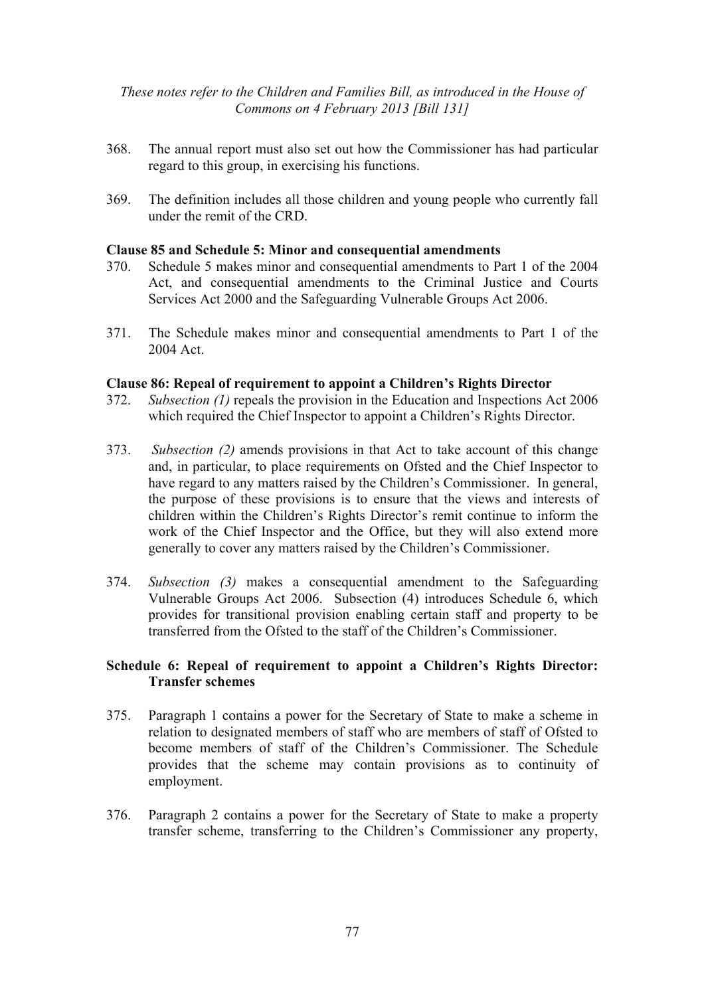- 368. The annual report must also set out how the Commissioner has had particular regard to this group, in exercising his functions.
- 369. The definition includes all those children and young people who currently fall under the remit of the CRD.

#### **Clause 85 and Schedule 5: Minor and consequential amendments**

- 370. Schedule 5 makes minor and consequential amendments to Part 1 of the 2004 Act, and consequential amendments to the Criminal Justice and Courts Services Act 2000 and the Safeguarding Vulnerable Groups Act 2006.
- 371. The Schedule makes minor and consequential amendments to Part 1 of the 2004 Act.

### **Clause 86: Repeal of requirement to appoint a Children's Rights Director**

- 372. *Subsection (1)* repeals the provision in the Education and Inspections Act 2006 which required the Chief Inspector to appoint a Children's Rights Director.
- 373. *Subsection (2)* amends provisions in that Act to take account of this change and, in particular, to place requirements on Ofsted and the Chief Inspector to have regard to any matters raised by the Children's Commissioner. In general, the purpose of these provisions is to ensure that the views and interests of children within the Children's Rights Director's remit continue to inform the work of the Chief Inspector and the Office, but they will also extend more generally to cover any matters raised by the Children's Commissioner.
- 374. *Subsection (3)* makes a consequential amendment to the Safeguarding Vulnerable Groups Act 2006. Subsection (4) introduces Schedule 6, which provides for transitional provision enabling certain staff and property to be transferred from the Ofsted to the staff of the Children's Commissioner.

### **Schedule 6: Repeal of requirement to appoint a Children's Rights Director: Transfer schemes**

- 375. Paragraph 1 contains a power for the Secretary of State to make a scheme in relation to designated members of staff who are members of staff of Ofsted to become members of staff of the Children's Commissioner. The Schedule provides that the scheme may contain provisions as to continuity of employment.
- 376. Paragraph 2 contains a power for the Secretary of State to make a property transfer scheme, transferring to the Children's Commissioner any property,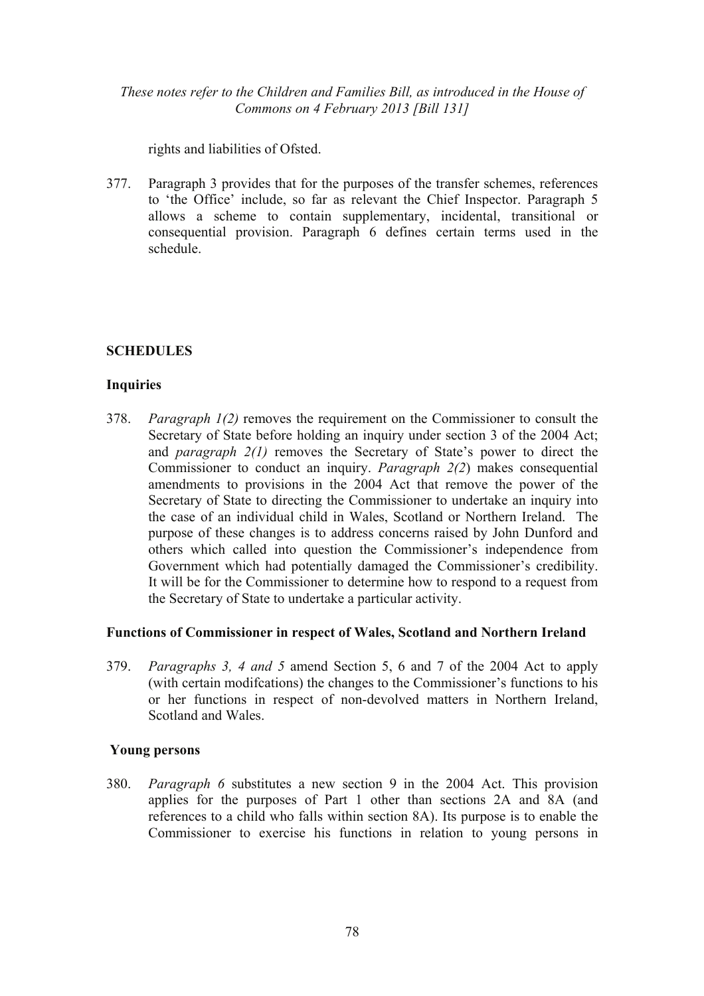rights and liabilities of Ofsted.

377. Paragraph 3 provides that for the purposes of the transfer schemes, references to 'the Office' include, so far as relevant the Chief Inspector. Paragraph 5 allows a scheme to contain supplementary, incidental, transitional or consequential provision. Paragraph 6 defines certain terms used in the schedule.

# **SCHEDULES**

## **Inquiries**

378. *Paragraph 1(2)* removes the requirement on the Commissioner to consult the Secretary of State before holding an inquiry under section 3 of the 2004 Act; and *paragraph 2(1)* removes the Secretary of State's power to direct the Commissioner to conduct an inquiry. *Paragraph 2(2*) makes consequential amendments to provisions in the 2004 Act that remove the power of the Secretary of State to directing the Commissioner to undertake an inquiry into the case of an individual child in Wales, Scotland or Northern Ireland. The purpose of these changes is to address concerns raised by John Dunford and others which called into question the Commissioner's independence from Government which had potentially damaged the Commissioner's credibility. It will be for the Commissioner to determine how to respond to a request from the Secretary of State to undertake a particular activity.

### **Functions of Commissioner in respect of Wales, Scotland and Northern Ireland**

379. *Paragraphs 3, 4 and 5* amend Section 5, 6 and 7 of the 2004 Act to apply (with certain modifcations) the changes to the Commissioner's functions to his or her functions in respect of non-devolved matters in Northern Ireland, Scotland and Wales.

### **Young persons**

380. *Paragraph 6* substitutes a new section 9 in the 2004 Act. This provision applies for the purposes of Part 1 other than sections 2A and 8A (and references to a child who falls within section 8A). Its purpose is to enable the Commissioner to exercise his functions in relation to young persons in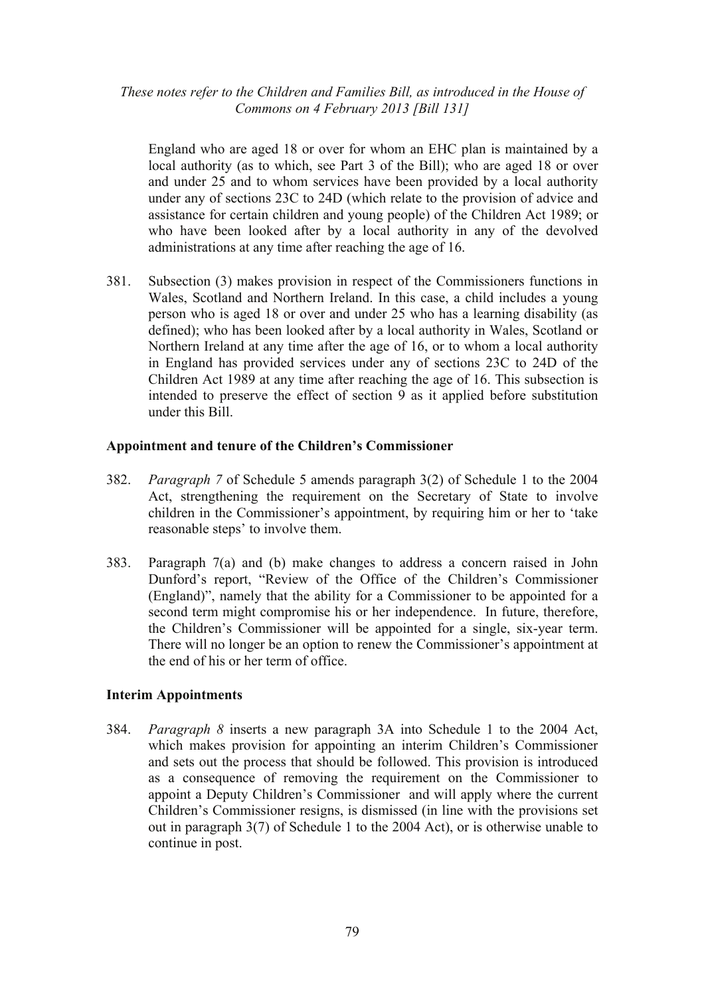England who are aged 18 or over for whom an EHC plan is maintained by a local authority (as to which, see Part 3 of the Bill); who are aged 18 or over and under 25 and to whom services have been provided by a local authority under any of sections 23C to 24D (which relate to the provision of advice and assistance for certain children and young people) of the Children Act 1989; or who have been looked after by a local authority in any of the devolved administrations at any time after reaching the age of 16.

381. Subsection (3) makes provision in respect of the Commissioners functions in Wales, Scotland and Northern Ireland. In this case, a child includes a young person who is aged 18 or over and under 25 who has a learning disability (as defined); who has been looked after by a local authority in Wales, Scotland or Northern Ireland at any time after the age of 16, or to whom a local authority in England has provided services under any of sections 23C to 24D of the Children Act 1989 at any time after reaching the age of 16. This subsection is intended to preserve the effect of section 9 as it applied before substitution under this Bill.

## **Appointment and tenure of the Children's Commissioner**

- 382. *Paragraph 7* of Schedule 5 amends paragraph 3(2) of Schedule 1 to the 2004 Act, strengthening the requirement on the Secretary of State to involve children in the Commissioner's appointment, by requiring him or her to 'take reasonable steps' to involve them.
- 383. Paragraph 7(a) and (b) make changes to address a concern raised in John Dunford's report, "Review of the Office of the Children's Commissioner (England)", namely that the ability for a Commissioner to be appointed for a second term might compromise his or her independence. In future, therefore, the Children's Commissioner will be appointed for a single, six-year term. There will no longer be an option to renew the Commissioner's appointment at the end of his or her term of office.

# **Interim Appointments**

384. *Paragraph 8* inserts a new paragraph 3A into Schedule 1 to the 2004 Act, which makes provision for appointing an interim Children's Commissioner and sets out the process that should be followed. This provision is introduced as a consequence of removing the requirement on the Commissioner to appoint a Deputy Children's Commissioner and will apply where the current Children's Commissioner resigns, is dismissed (in line with the provisions set out in paragraph 3(7) of Schedule 1 to the 2004 Act), or is otherwise unable to continue in post.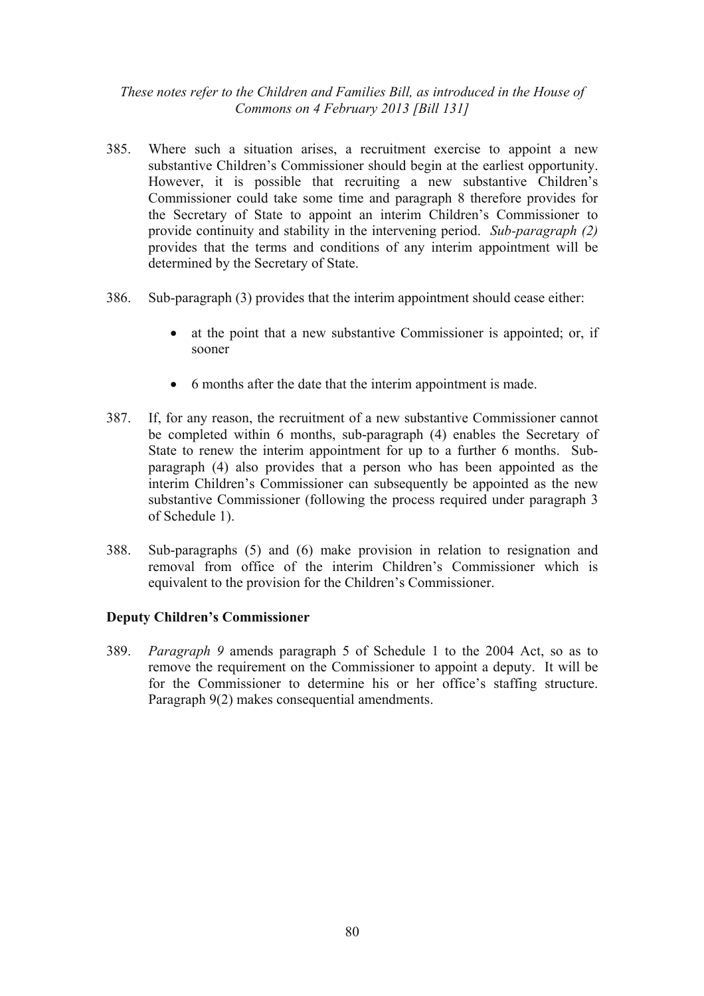- 385. Where such a situation arises, a recruitment exercise to appoint a new substantive Children's Commissioner should begin at the earliest opportunity. However, it is possible that recruiting a new substantive Children's Commissioner could take some time and paragraph 8 therefore provides for the Secretary of State to appoint an interim Children's Commissioner to provide continuity and stability in the intervening period. *Sub-paragraph (2)* provides that the terms and conditions of any interim appointment will be determined by the Secretary of State.
- 386. Sub-paragraph (3) provides that the interim appointment should cease either:
	- at the point that a new substantive Commissioner is appointed; or, if sooner
	- 6 months after the date that the interim appointment is made.
- 387. If, for any reason, the recruitment of a new substantive Commissioner cannot be completed within 6 months, sub-paragraph (4) enables the Secretary of State to renew the interim appointment for up to a further 6 months. Subparagraph (4) also provides that a person who has been appointed as the interim Children's Commissioner can subsequently be appointed as the new substantive Commissioner (following the process required under paragraph 3 of Schedule 1).
- 388. Sub-paragraphs (5) and (6) make provision in relation to resignation and removal from office of the interim Children's Commissioner which is equivalent to the provision for the Children's Commissioner.

### **Deputy Children's Commissioner**

389. *Paragraph 9* amends paragraph 5 of Schedule 1 to the 2004 Act, so as to remove the requirement on the Commissioner to appoint a deputy. It will be for the Commissioner to determine his or her office's staffing structure. Paragraph 9(2) makes consequential amendments.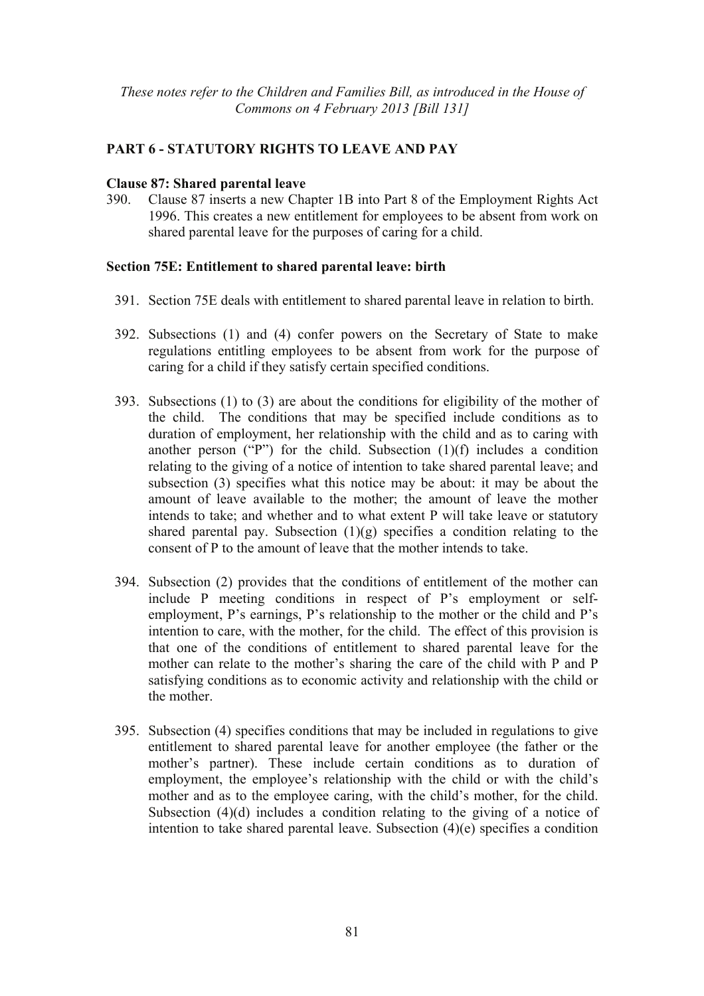# **PART 6 - STATUTORY RIGHTS TO LEAVE AND PAY**

## **Clause 87: Shared parental leave**

390. Clause 87 inserts a new Chapter 1B into Part 8 of the Employment Rights Act 1996. This creates a new entitlement for employees to be absent from work on shared parental leave for the purposes of caring for a child.

## **Section 75E: Entitlement to shared parental leave: birth**

- 391. Section 75E deals with entitlement to shared parental leave in relation to birth.
- 392. Subsections (1) and (4) confer powers on the Secretary of State to make regulations entitling employees to be absent from work for the purpose of caring for a child if they satisfy certain specified conditions.
- 393. Subsections (1) to (3) are about the conditions for eligibility of the mother of the child. The conditions that may be specified include conditions as to duration of employment, her relationship with the child and as to caring with another person ("P") for the child. Subsection  $(1)(f)$  includes a condition relating to the giving of a notice of intention to take shared parental leave; and subsection (3) specifies what this notice may be about: it may be about the amount of leave available to the mother; the amount of leave the mother intends to take; and whether and to what extent P will take leave or statutory shared parental pay. Subsection  $(1)(g)$  specifies a condition relating to the consent of P to the amount of leave that the mother intends to take.
- 394. Subsection (2) provides that the conditions of entitlement of the mother can include P meeting conditions in respect of P's employment or selfemployment, P's earnings, P's relationship to the mother or the child and P's intention to care, with the mother, for the child. The effect of this provision is that one of the conditions of entitlement to shared parental leave for the mother can relate to the mother's sharing the care of the child with P and P satisfying conditions as to economic activity and relationship with the child or the mother.
- 395. Subsection (4) specifies conditions that may be included in regulations to give entitlement to shared parental leave for another employee (the father or the mother's partner). These include certain conditions as to duration of employment, the employee's relationship with the child or with the child's mother and as to the employee caring, with the child's mother, for the child. Subsection (4)(d) includes a condition relating to the giving of a notice of intention to take shared parental leave. Subsection (4)(e) specifies a condition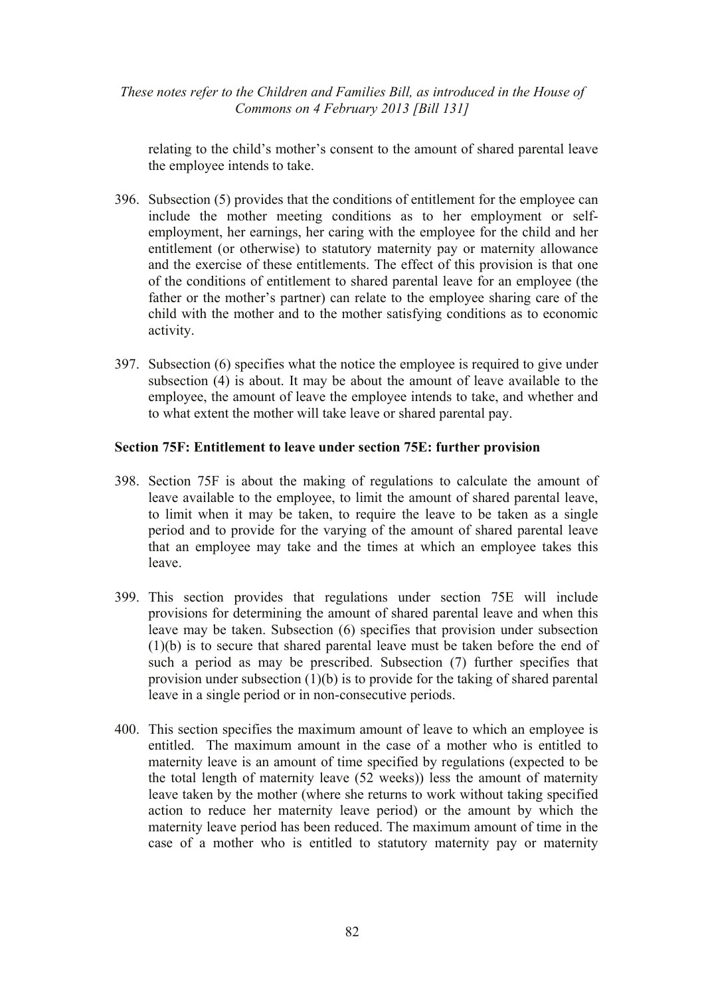relating to the child's mother's consent to the amount of shared parental leave the employee intends to take.

- 396. Subsection (5) provides that the conditions of entitlement for the employee can include the mother meeting conditions as to her employment or selfemployment, her earnings, her caring with the employee for the child and her entitlement (or otherwise) to statutory maternity pay or maternity allowance and the exercise of these entitlements. The effect of this provision is that one of the conditions of entitlement to shared parental leave for an employee (the father or the mother's partner) can relate to the employee sharing care of the child with the mother and to the mother satisfying conditions as to economic activity.
- 397. Subsection (6) specifies what the notice the employee is required to give under subsection (4) is about. It may be about the amount of leave available to the employee, the amount of leave the employee intends to take, and whether and to what extent the mother will take leave or shared parental pay.

### **Section 75F: Entitlement to leave under section 75E: further provision**

- 398. Section 75F is about the making of regulations to calculate the amount of leave available to the employee, to limit the amount of shared parental leave, to limit when it may be taken, to require the leave to be taken as a single period and to provide for the varying of the amount of shared parental leave that an employee may take and the times at which an employee takes this leave.
- 399. This section provides that regulations under section 75E will include provisions for determining the amount of shared parental leave and when this leave may be taken. Subsection (6) specifies that provision under subsection (1)(b) is to secure that shared parental leave must be taken before the end of such a period as may be prescribed. Subsection (7) further specifies that provision under subsection (1)(b) is to provide for the taking of shared parental leave in a single period or in non-consecutive periods.
- 400. This section specifies the maximum amount of leave to which an employee is entitled. The maximum amount in the case of a mother who is entitled to maternity leave is an amount of time specified by regulations (expected to be the total length of maternity leave (52 weeks)) less the amount of maternity leave taken by the mother (where she returns to work without taking specified action to reduce her maternity leave period) or the amount by which the maternity leave period has been reduced. The maximum amount of time in the case of a mother who is entitled to statutory maternity pay or maternity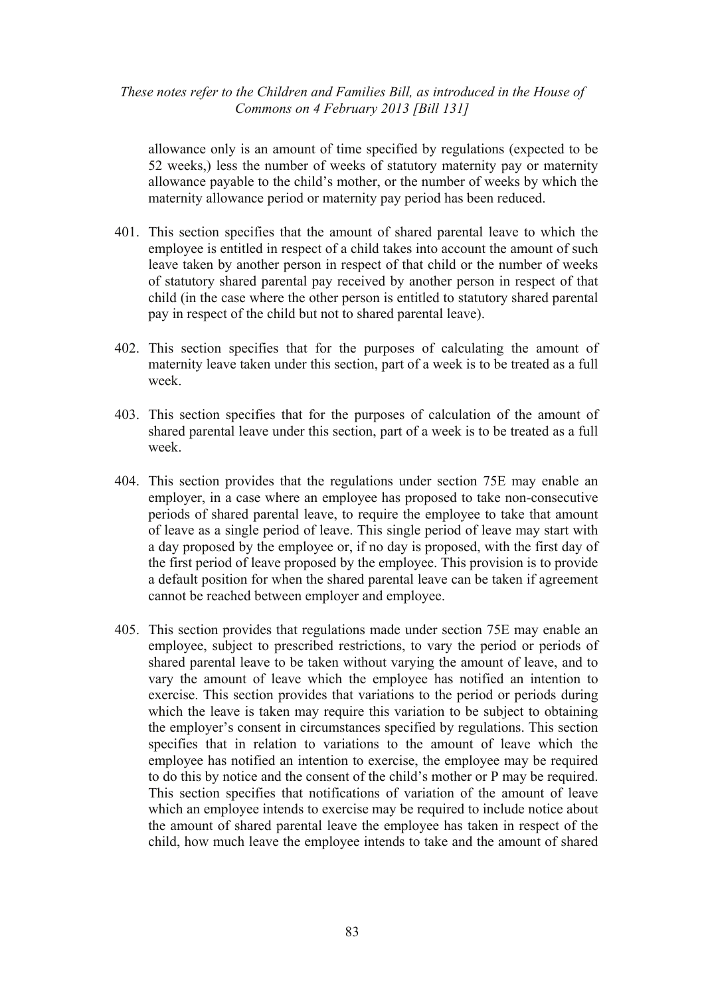allowance only is an amount of time specified by regulations (expected to be 52 weeks,) less the number of weeks of statutory maternity pay or maternity allowance payable to the child's mother, or the number of weeks by which the maternity allowance period or maternity pay period has been reduced.

- 401. This section specifies that the amount of shared parental leave to which the employee is entitled in respect of a child takes into account the amount of such leave taken by another person in respect of that child or the number of weeks of statutory shared parental pay received by another person in respect of that child (in the case where the other person is entitled to statutory shared parental pay in respect of the child but not to shared parental leave).
- 402. This section specifies that for the purposes of calculating the amount of maternity leave taken under this section, part of a week is to be treated as a full week.
- 403. This section specifies that for the purposes of calculation of the amount of shared parental leave under this section, part of a week is to be treated as a full week.
- 404. This section provides that the regulations under section 75E may enable an employer, in a case where an employee has proposed to take non-consecutive periods of shared parental leave, to require the employee to take that amount of leave as a single period of leave. This single period of leave may start with a day proposed by the employee or, if no day is proposed, with the first day of the first period of leave proposed by the employee. This provision is to provide a default position for when the shared parental leave can be taken if agreement cannot be reached between employer and employee.
- 405. This section provides that regulations made under section 75E may enable an employee, subject to prescribed restrictions, to vary the period or periods of shared parental leave to be taken without varying the amount of leave, and to vary the amount of leave which the employee has notified an intention to exercise. This section provides that variations to the period or periods during which the leave is taken may require this variation to be subject to obtaining the employer's consent in circumstances specified by regulations. This section specifies that in relation to variations to the amount of leave which the employee has notified an intention to exercise, the employee may be required to do this by notice and the consent of the child's mother or P may be required. This section specifies that notifications of variation of the amount of leave which an employee intends to exercise may be required to include notice about the amount of shared parental leave the employee has taken in respect of the child, how much leave the employee intends to take and the amount of shared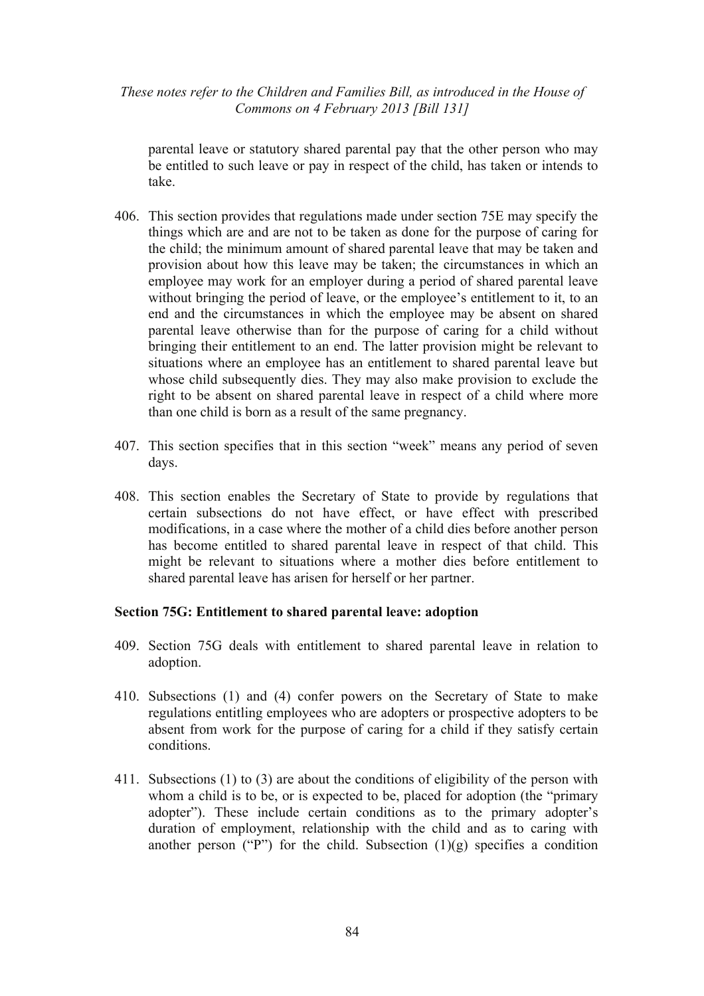parental leave or statutory shared parental pay that the other person who may be entitled to such leave or pay in respect of the child, has taken or intends to take.

- 406. This section provides that regulations made under section 75E may specify the things which are and are not to be taken as done for the purpose of caring for the child; the minimum amount of shared parental leave that may be taken and provision about how this leave may be taken; the circumstances in which an employee may work for an employer during a period of shared parental leave without bringing the period of leave, or the employee's entitlement to it, to an end and the circumstances in which the employee may be absent on shared parental leave otherwise than for the purpose of caring for a child without bringing their entitlement to an end. The latter provision might be relevant to situations where an employee has an entitlement to shared parental leave but whose child subsequently dies. They may also make provision to exclude the right to be absent on shared parental leave in respect of a child where more than one child is born as a result of the same pregnancy.
- 407. This section specifies that in this section "week" means any period of seven days.
- 408. This section enables the Secretary of State to provide by regulations that certain subsections do not have effect, or have effect with prescribed modifications, in a case where the mother of a child dies before another person has become entitled to shared parental leave in respect of that child. This might be relevant to situations where a mother dies before entitlement to shared parental leave has arisen for herself or her partner.

### **Section 75G: Entitlement to shared parental leave: adoption**

- 409. Section 75G deals with entitlement to shared parental leave in relation to adoption.
- 410. Subsections (1) and (4) confer powers on the Secretary of State to make regulations entitling employees who are adopters or prospective adopters to be absent from work for the purpose of caring for a child if they satisfy certain conditions.
- 411. Subsections (1) to (3) are about the conditions of eligibility of the person with whom a child is to be, or is expected to be, placed for adoption (the "primary adopter"). These include certain conditions as to the primary adopter's duration of employment, relationship with the child and as to caring with another person ("P") for the child. Subsection  $(1)(g)$  specifies a condition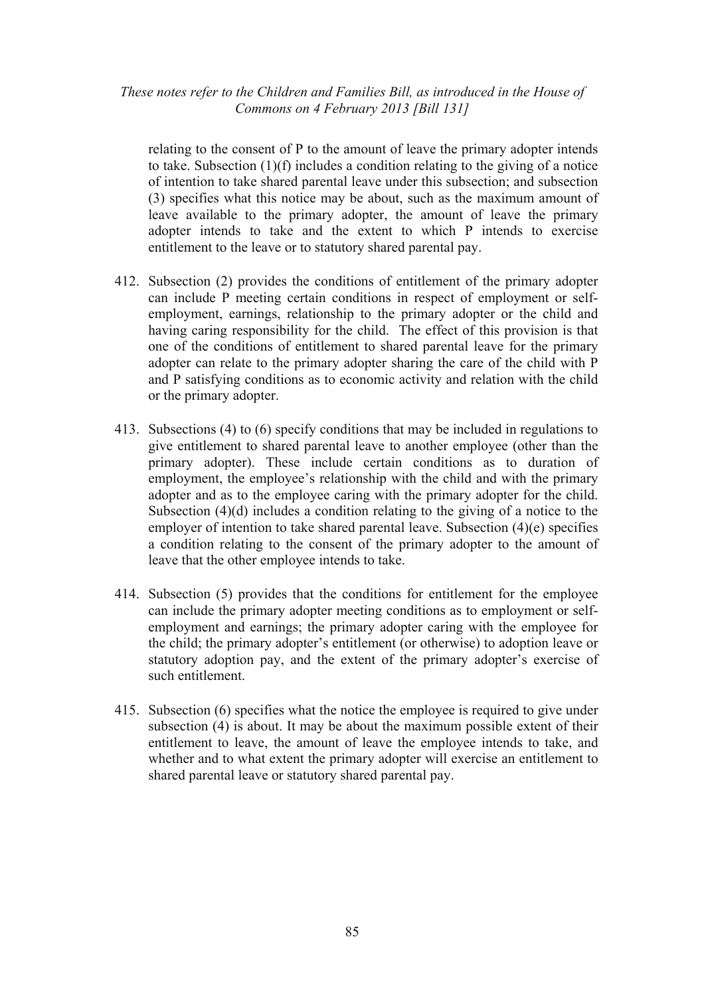relating to the consent of P to the amount of leave the primary adopter intends to take. Subsection (1)(f) includes a condition relating to the giving of a notice of intention to take shared parental leave under this subsection; and subsection (3) specifies what this notice may be about, such as the maximum amount of leave available to the primary adopter, the amount of leave the primary adopter intends to take and the extent to which P intends to exercise entitlement to the leave or to statutory shared parental pay.

- 412. Subsection (2) provides the conditions of entitlement of the primary adopter can include P meeting certain conditions in respect of employment or selfemployment, earnings, relationship to the primary adopter or the child and having caring responsibility for the child. The effect of this provision is that one of the conditions of entitlement to shared parental leave for the primary adopter can relate to the primary adopter sharing the care of the child with P and P satisfying conditions as to economic activity and relation with the child or the primary adopter.
- 413. Subsections (4) to (6) specify conditions that may be included in regulations to give entitlement to shared parental leave to another employee (other than the primary adopter). These include certain conditions as to duration of employment, the employee's relationship with the child and with the primary adopter and as to the employee caring with the primary adopter for the child. Subsection (4)(d) includes a condition relating to the giving of a notice to the employer of intention to take shared parental leave. Subsection (4)(e) specifies a condition relating to the consent of the primary adopter to the amount of leave that the other employee intends to take.
- 414. Subsection (5) provides that the conditions for entitlement for the employee can include the primary adopter meeting conditions as to employment or selfemployment and earnings; the primary adopter caring with the employee for the child; the primary adopter's entitlement (or otherwise) to adoption leave or statutory adoption pay, and the extent of the primary adopter's exercise of such entitlement.
- 415. Subsection (6) specifies what the notice the employee is required to give under subsection (4) is about. It may be about the maximum possible extent of their entitlement to leave, the amount of leave the employee intends to take, and whether and to what extent the primary adopter will exercise an entitlement to shared parental leave or statutory shared parental pay.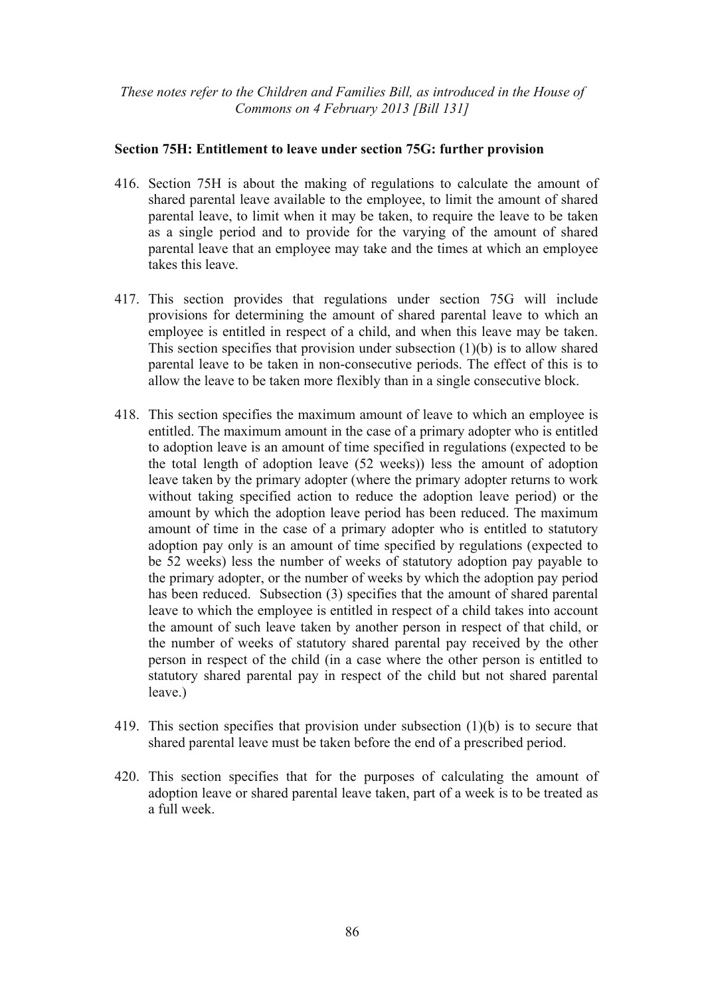### **Section 75H: Entitlement to leave under section 75G: further provision**

- 416. Section 75H is about the making of regulations to calculate the amount of shared parental leave available to the employee, to limit the amount of shared parental leave, to limit when it may be taken, to require the leave to be taken as a single period and to provide for the varying of the amount of shared parental leave that an employee may take and the times at which an employee takes this leave.
- 417. This section provides that regulations under section 75G will include provisions for determining the amount of shared parental leave to which an employee is entitled in respect of a child, and when this leave may be taken. This section specifies that provision under subsection  $(1)(b)$  is to allow shared parental leave to be taken in non-consecutive periods. The effect of this is to allow the leave to be taken more flexibly than in a single consecutive block.
- 418. This section specifies the maximum amount of leave to which an employee is entitled. The maximum amount in the case of a primary adopter who is entitled to adoption leave is an amount of time specified in regulations (expected to be the total length of adoption leave (52 weeks)) less the amount of adoption leave taken by the primary adopter (where the primary adopter returns to work without taking specified action to reduce the adoption leave period) or the amount by which the adoption leave period has been reduced. The maximum amount of time in the case of a primary adopter who is entitled to statutory adoption pay only is an amount of time specified by regulations (expected to be 52 weeks) less the number of weeks of statutory adoption pay payable to the primary adopter, or the number of weeks by which the adoption pay period has been reduced. Subsection (3) specifies that the amount of shared parental leave to which the employee is entitled in respect of a child takes into account the amount of such leave taken by another person in respect of that child, or the number of weeks of statutory shared parental pay received by the other person in respect of the child (in a case where the other person is entitled to statutory shared parental pay in respect of the child but not shared parental leave.)
- 419. This section specifies that provision under subsection (1)(b) is to secure that shared parental leave must be taken before the end of a prescribed period.
- 420. This section specifies that for the purposes of calculating the amount of adoption leave or shared parental leave taken, part of a week is to be treated as a full week.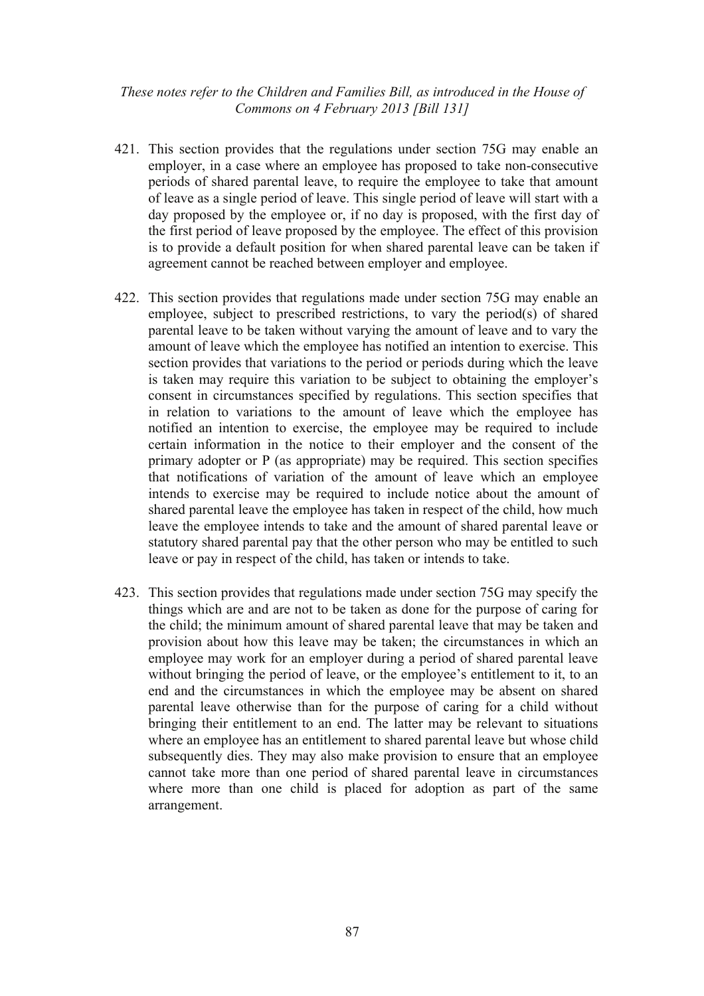- 421. This section provides that the regulations under section 75G may enable an employer, in a case where an employee has proposed to take non-consecutive periods of shared parental leave, to require the employee to take that amount of leave as a single period of leave. This single period of leave will start with a day proposed by the employee or, if no day is proposed, with the first day of the first period of leave proposed by the employee. The effect of this provision is to provide a default position for when shared parental leave can be taken if agreement cannot be reached between employer and employee.
- 422. This section provides that regulations made under section 75G may enable an employee, subject to prescribed restrictions, to vary the period(s) of shared parental leave to be taken without varying the amount of leave and to vary the amount of leave which the employee has notified an intention to exercise. This section provides that variations to the period or periods during which the leave is taken may require this variation to be subject to obtaining the employer's consent in circumstances specified by regulations. This section specifies that in relation to variations to the amount of leave which the employee has notified an intention to exercise, the employee may be required to include certain information in the notice to their employer and the consent of the primary adopter or P (as appropriate) may be required. This section specifies that notifications of variation of the amount of leave which an employee intends to exercise may be required to include notice about the amount of shared parental leave the employee has taken in respect of the child, how much leave the employee intends to take and the amount of shared parental leave or statutory shared parental pay that the other person who may be entitled to such leave or pay in respect of the child, has taken or intends to take.
- 423. This section provides that regulations made under section 75G may specify the things which are and are not to be taken as done for the purpose of caring for the child; the minimum amount of shared parental leave that may be taken and provision about how this leave may be taken; the circumstances in which an employee may work for an employer during a period of shared parental leave without bringing the period of leave, or the employee's entitlement to it, to an end and the circumstances in which the employee may be absent on shared parental leave otherwise than for the purpose of caring for a child without bringing their entitlement to an end. The latter may be relevant to situations where an employee has an entitlement to shared parental leave but whose child subsequently dies. They may also make provision to ensure that an employee cannot take more than one period of shared parental leave in circumstances where more than one child is placed for adoption as part of the same arrangement.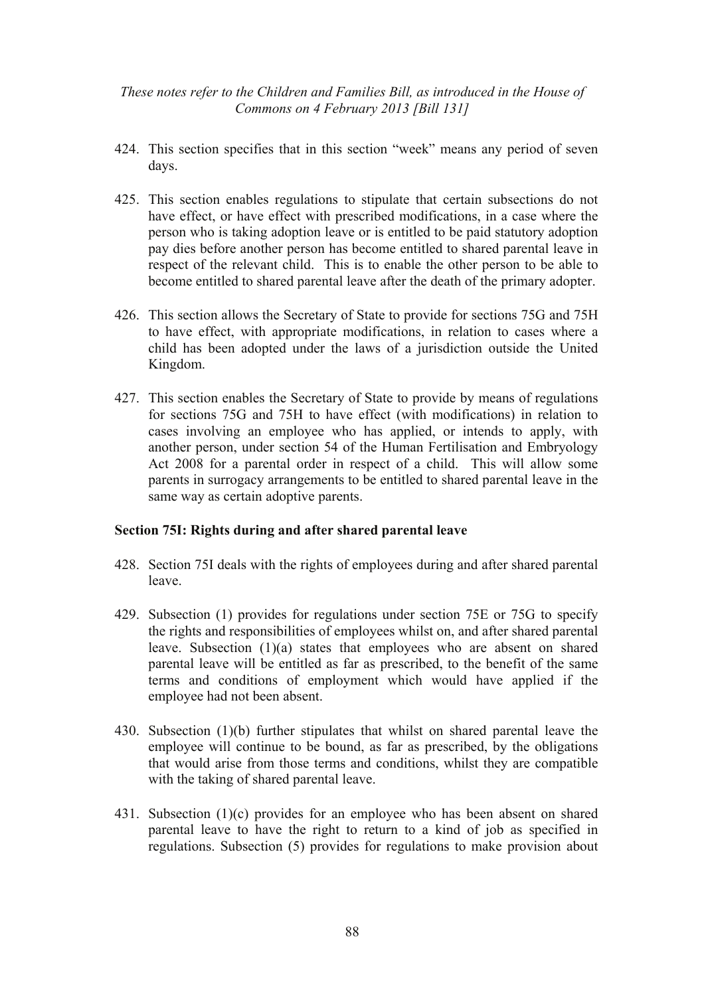- 424. This section specifies that in this section "week" means any period of seven days.
- 425. This section enables regulations to stipulate that certain subsections do not have effect, or have effect with prescribed modifications, in a case where the person who is taking adoption leave or is entitled to be paid statutory adoption pay dies before another person has become entitled to shared parental leave in respect of the relevant child. This is to enable the other person to be able to become entitled to shared parental leave after the death of the primary adopter.
- 426. This section allows the Secretary of State to provide for sections 75G and 75H to have effect, with appropriate modifications, in relation to cases where a child has been adopted under the laws of a jurisdiction outside the United Kingdom.
- 427. This section enables the Secretary of State to provide by means of regulations for sections 75G and 75H to have effect (with modifications) in relation to cases involving an employee who has applied, or intends to apply, with another person, under section 54 of the Human Fertilisation and Embryology Act 2008 for a parental order in respect of a child. This will allow some parents in surrogacy arrangements to be entitled to shared parental leave in the same way as certain adoptive parents.

### **Section 75I: Rights during and after shared parental leave**

- 428. Section 75I deals with the rights of employees during and after shared parental leave.
- 429. Subsection (1) provides for regulations under section 75E or 75G to specify the rights and responsibilities of employees whilst on, and after shared parental leave. Subsection (1)(a) states that employees who are absent on shared parental leave will be entitled as far as prescribed, to the benefit of the same terms and conditions of employment which would have applied if the employee had not been absent.
- 430. Subsection (1)(b) further stipulates that whilst on shared parental leave the employee will continue to be bound, as far as prescribed, by the obligations that would arise from those terms and conditions, whilst they are compatible with the taking of shared parental leave.
- 431. Subsection (1)(c) provides for an employee who has been absent on shared parental leave to have the right to return to a kind of job as specified in regulations. Subsection (5) provides for regulations to make provision about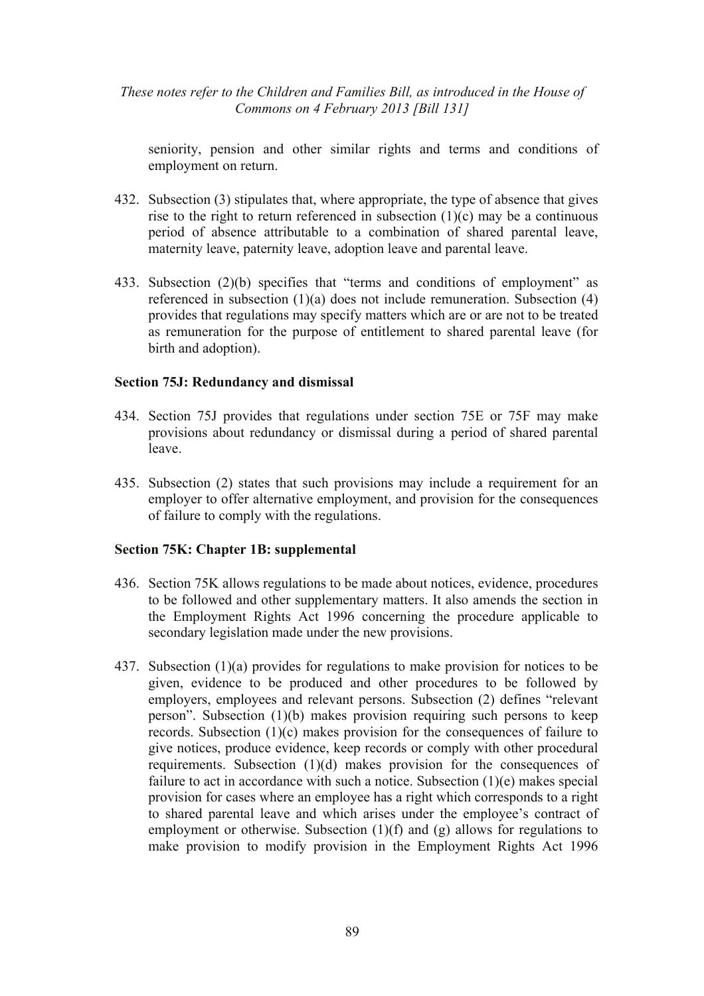seniority, pension and other similar rights and terms and conditions of employment on return.

- 432. Subsection (3) stipulates that, where appropriate, the type of absence that gives rise to the right to return referenced in subsection  $(1)(c)$  may be a continuous period of absence attributable to a combination of shared parental leave, maternity leave, paternity leave, adoption leave and parental leave.
- 433. Subsection (2)(b) specifies that "terms and conditions of employment" as referenced in subsection (1)(a) does not include remuneration. Subsection (4) provides that regulations may specify matters which are or are not to be treated as remuneration for the purpose of entitlement to shared parental leave (for birth and adoption).

#### **Section 75J: Redundancy and dismissal**

- 434. Section 75J provides that regulations under section 75E or 75F may make provisions about redundancy or dismissal during a period of shared parental leave.
- 435. Subsection (2) states that such provisions may include a requirement for an employer to offer alternative employment, and provision for the consequences of failure to comply with the regulations.

#### **Section 75K: Chapter 1B: supplemental**

- 436. Section 75K allows regulations to be made about notices, evidence, procedures to be followed and other supplementary matters. It also amends the section in the Employment Rights Act 1996 concerning the procedure applicable to secondary legislation made under the new provisions.
- 437. Subsection (1)(a) provides for regulations to make provision for notices to be given, evidence to be produced and other procedures to be followed by employers, employees and relevant persons. Subsection (2) defines "relevant person". Subsection (1)(b) makes provision requiring such persons to keep records. Subsection (1)(c) makes provision for the consequences of failure to give notices, produce evidence, keep records or comply with other procedural requirements. Subsection (1)(d) makes provision for the consequences of failure to act in accordance with such a notice. Subsection (1)(e) makes special provision for cases where an employee has a right which corresponds to a right to shared parental leave and which arises under the employee's contract of employment or otherwise. Subsection  $(1)(f)$  and  $(g)$  allows for regulations to make provision to modify provision in the Employment Rights Act 1996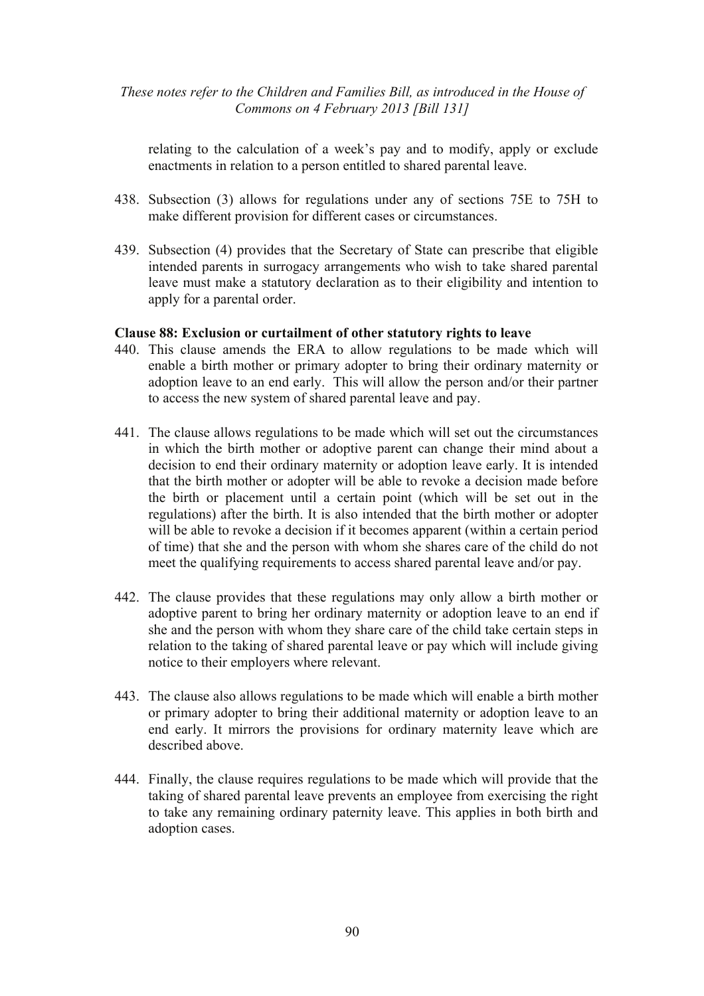relating to the calculation of a week's pay and to modify, apply or exclude enactments in relation to a person entitled to shared parental leave.

- 438. Subsection (3) allows for regulations under any of sections 75E to 75H to make different provision for different cases or circumstances.
- 439. Subsection (4) provides that the Secretary of State can prescribe that eligible intended parents in surrogacy arrangements who wish to take shared parental leave must make a statutory declaration as to their eligibility and intention to apply for a parental order.

#### **Clause 88: Exclusion or curtailment of other statutory rights to leave**

- 440. This clause amends the ERA to allow regulations to be made which will enable a birth mother or primary adopter to bring their ordinary maternity or adoption leave to an end early. This will allow the person and/or their partner to access the new system of shared parental leave and pay.
- 441. The clause allows regulations to be made which will set out the circumstances in which the birth mother or adoptive parent can change their mind about a decision to end their ordinary maternity or adoption leave early. It is intended that the birth mother or adopter will be able to revoke a decision made before the birth or placement until a certain point (which will be set out in the regulations) after the birth. It is also intended that the birth mother or adopter will be able to revoke a decision if it becomes apparent (within a certain period of time) that she and the person with whom she shares care of the child do not meet the qualifying requirements to access shared parental leave and/or pay.
- 442. The clause provides that these regulations may only allow a birth mother or adoptive parent to bring her ordinary maternity or adoption leave to an end if she and the person with whom they share care of the child take certain steps in relation to the taking of shared parental leave or pay which will include giving notice to their employers where relevant.
- 443. The clause also allows regulations to be made which will enable a birth mother or primary adopter to bring their additional maternity or adoption leave to an end early. It mirrors the provisions for ordinary maternity leave which are described above.
- 444. Finally, the clause requires regulations to be made which will provide that the taking of shared parental leave prevents an employee from exercising the right to take any remaining ordinary paternity leave. This applies in both birth and adoption cases.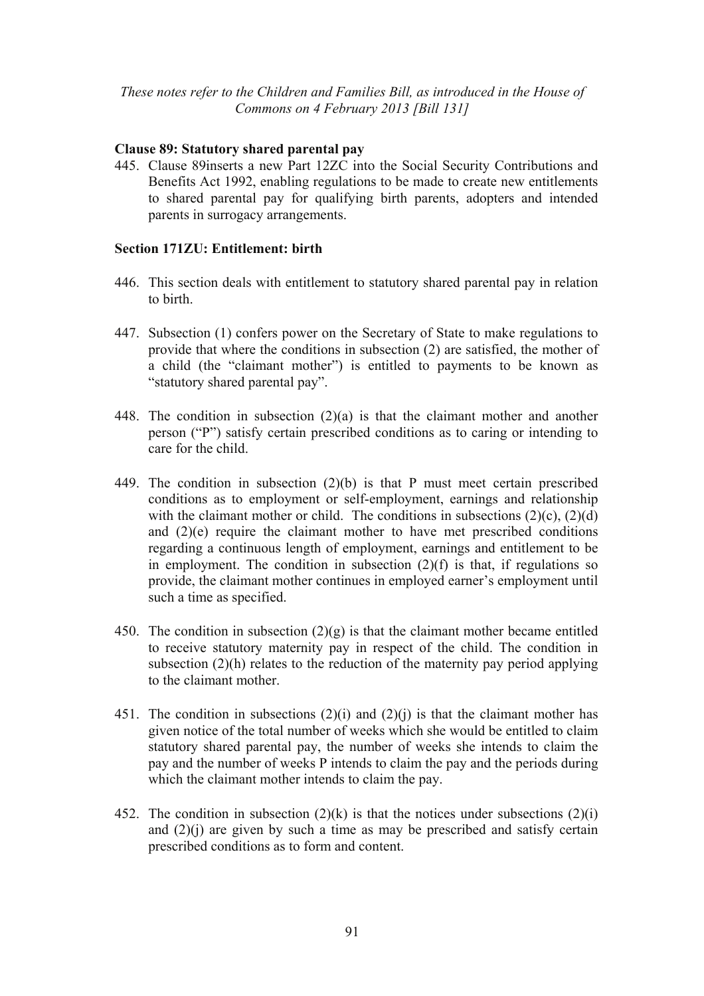### **Clause 89: Statutory shared parental pay**

445. Clause 89inserts a new Part 12ZC into the Social Security Contributions and Benefits Act 1992, enabling regulations to be made to create new entitlements to shared parental pay for qualifying birth parents, adopters and intended parents in surrogacy arrangements.

### **Section 171ZU: Entitlement: birth**

- 446. This section deals with entitlement to statutory shared parental pay in relation to birth.
- 447. Subsection (1) confers power on the Secretary of State to make regulations to provide that where the conditions in subsection (2) are satisfied, the mother of a child (the "claimant mother") is entitled to payments to be known as "statutory shared parental pay".
- 448. The condition in subsection (2)(a) is that the claimant mother and another person ("P") satisfy certain prescribed conditions as to caring or intending to care for the child.
- 449. The condition in subsection (2)(b) is that P must meet certain prescribed conditions as to employment or self-employment, earnings and relationship with the claimant mother or child. The conditions in subsections  $(2)(c)$ ,  $(2)(d)$ and (2)(e) require the claimant mother to have met prescribed conditions regarding a continuous length of employment, earnings and entitlement to be in employment. The condition in subsection  $(2)(f)$  is that, if regulations so provide, the claimant mother continues in employed earner's employment until such a time as specified.
- 450. The condition in subsection  $(2)(g)$  is that the claimant mother became entitled to receive statutory maternity pay in respect of the child. The condition in subsection (2)(h) relates to the reduction of the maternity pay period applying to the claimant mother.
- 451. The condition in subsections  $(2)(i)$  and  $(2)(j)$  is that the claimant mother has given notice of the total number of weeks which she would be entitled to claim statutory shared parental pay, the number of weeks she intends to claim the pay and the number of weeks P intends to claim the pay and the periods during which the claimant mother intends to claim the pay.
- 452. The condition in subsection  $(2)(k)$  is that the notices under subsections  $(2)(i)$ and  $(2)(i)$  are given by such a time as may be prescribed and satisfy certain prescribed conditions as to form and content.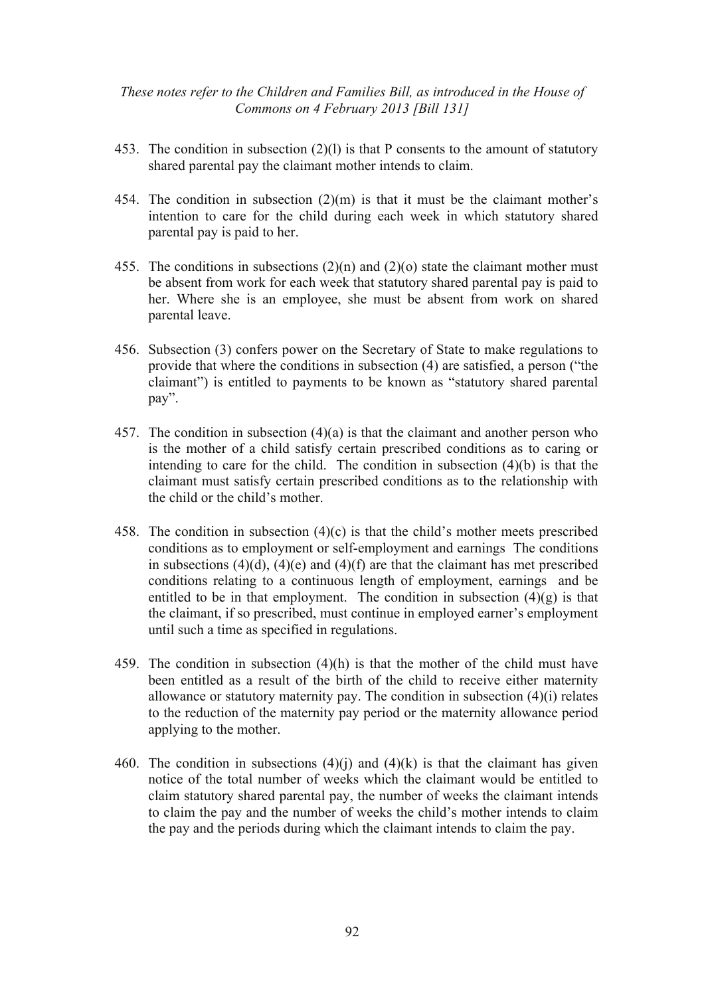- 453. The condition in subsection (2)(l) is that P consents to the amount of statutory shared parental pay the claimant mother intends to claim.
- 454. The condition in subsection (2)(m) is that it must be the claimant mother's intention to care for the child during each week in which statutory shared parental pay is paid to her.
- 455. The conditions in subsections  $(2)(n)$  and  $(2)(o)$  state the claimant mother must be absent from work for each week that statutory shared parental pay is paid to her. Where she is an employee, she must be absent from work on shared parental leave.
- 456. Subsection (3) confers power on the Secretary of State to make regulations to provide that where the conditions in subsection (4) are satisfied, a person ("the claimant") is entitled to payments to be known as "statutory shared parental pay".
- 457. The condition in subsection (4)(a) is that the claimant and another person who is the mother of a child satisfy certain prescribed conditions as to caring or intending to care for the child. The condition in subsection (4)(b) is that the claimant must satisfy certain prescribed conditions as to the relationship with the child or the child's mother.
- 458. The condition in subsection (4)(c) is that the child's mother meets prescribed conditions as to employment or self-employment and earnings The conditions in subsections  $(4)(d)$ ,  $(4)(e)$  and  $(4)(f)$  are that the claimant has met prescribed conditions relating to a continuous length of employment, earnings and be entitled to be in that employment. The condition in subsection  $(4)(g)$  is that the claimant, if so prescribed, must continue in employed earner's employment until such a time as specified in regulations.
- 459. The condition in subsection (4)(h) is that the mother of the child must have been entitled as a result of the birth of the child to receive either maternity allowance or statutory maternity pay. The condition in subsection (4)(i) relates to the reduction of the maternity pay period or the maternity allowance period applying to the mother.
- 460. The condition in subsections  $(4)(i)$  and  $(4)(k)$  is that the claimant has given notice of the total number of weeks which the claimant would be entitled to claim statutory shared parental pay, the number of weeks the claimant intends to claim the pay and the number of weeks the child's mother intends to claim the pay and the periods during which the claimant intends to claim the pay.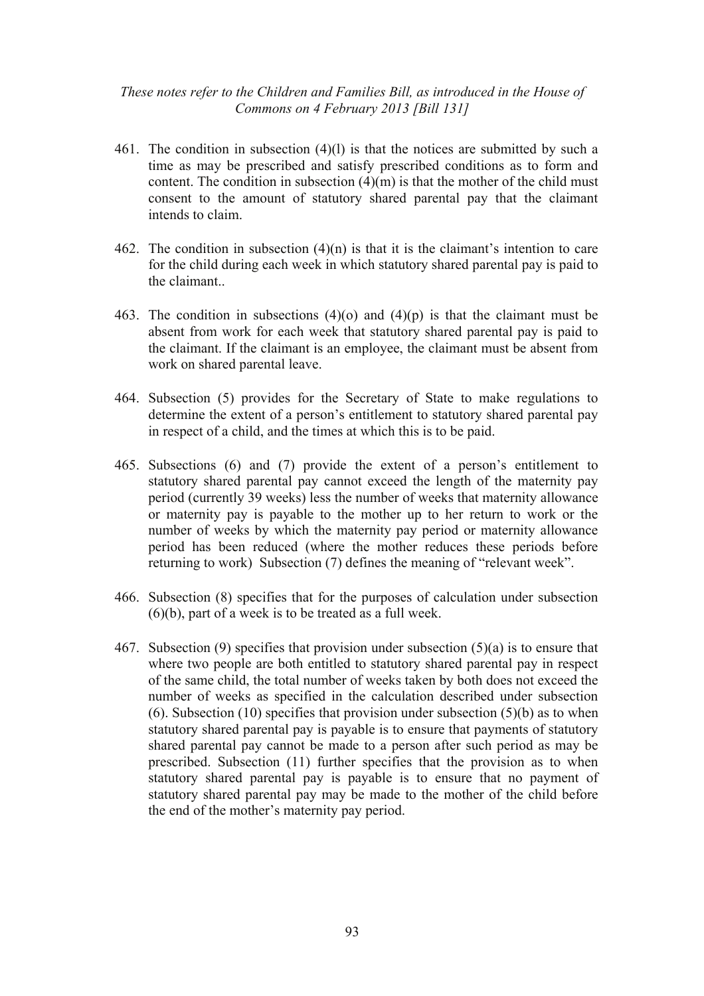- 461. The condition in subsection (4)(l) is that the notices are submitted by such a time as may be prescribed and satisfy prescribed conditions as to form and content. The condition in subsection  $(4)(m)$  is that the mother of the child must consent to the amount of statutory shared parental pay that the claimant intends to claim.
- 462. The condition in subsection  $(4)(n)$  is that it is the claimant's intention to care for the child during each week in which statutory shared parental pay is paid to the claimant..
- 463. The condition in subsections  $(4)(o)$  and  $(4)(p)$  is that the claimant must be absent from work for each week that statutory shared parental pay is paid to the claimant. If the claimant is an employee, the claimant must be absent from work on shared parental leave.
- 464. Subsection (5) provides for the Secretary of State to make regulations to determine the extent of a person's entitlement to statutory shared parental pay in respect of a child, and the times at which this is to be paid.
- 465. Subsections (6) and (7) provide the extent of a person's entitlement to statutory shared parental pay cannot exceed the length of the maternity pay period (currently 39 weeks) less the number of weeks that maternity allowance or maternity pay is payable to the mother up to her return to work or the number of weeks by which the maternity pay period or maternity allowance period has been reduced (where the mother reduces these periods before returning to work) Subsection (7) defines the meaning of "relevant week".
- 466. Subsection (8) specifies that for the purposes of calculation under subsection (6)(b), part of a week is to be treated as a full week.
- 467. Subsection (9) specifies that provision under subsection (5)(a) is to ensure that where two people are both entitled to statutory shared parental pay in respect of the same child, the total number of weeks taken by both does not exceed the number of weeks as specified in the calculation described under subsection (6). Subsection (10) specifies that provision under subsection  $(5)(b)$  as to when statutory shared parental pay is payable is to ensure that payments of statutory shared parental pay cannot be made to a person after such period as may be prescribed. Subsection (11) further specifies that the provision as to when statutory shared parental pay is payable is to ensure that no payment of statutory shared parental pay may be made to the mother of the child before the end of the mother's maternity pay period.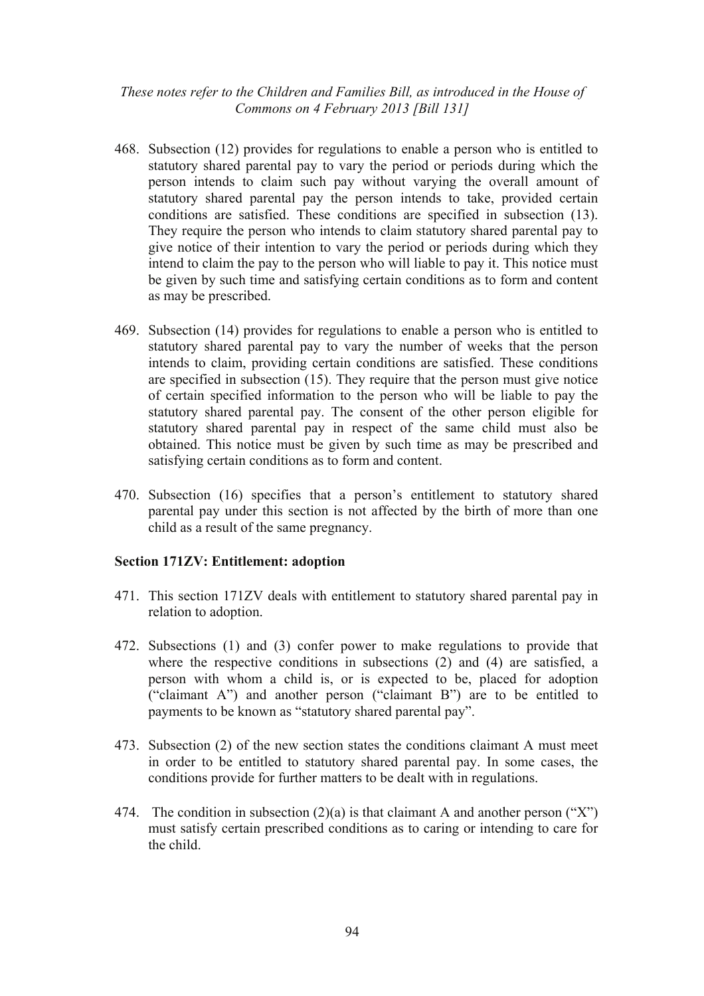- 468. Subsection (12) provides for regulations to enable a person who is entitled to statutory shared parental pay to vary the period or periods during which the person intends to claim such pay without varying the overall amount of statutory shared parental pay the person intends to take, provided certain conditions are satisfied. These conditions are specified in subsection (13). They require the person who intends to claim statutory shared parental pay to give notice of their intention to vary the period or periods during which they intend to claim the pay to the person who will liable to pay it. This notice must be given by such time and satisfying certain conditions as to form and content as may be prescribed.
- 469. Subsection (14) provides for regulations to enable a person who is entitled to statutory shared parental pay to vary the number of weeks that the person intends to claim, providing certain conditions are satisfied. These conditions are specified in subsection (15). They require that the person must give notice of certain specified information to the person who will be liable to pay the statutory shared parental pay. The consent of the other person eligible for statutory shared parental pay in respect of the same child must also be obtained. This notice must be given by such time as may be prescribed and satisfying certain conditions as to form and content.
- 470. Subsection (16) specifies that a person's entitlement to statutory shared parental pay under this section is not affected by the birth of more than one child as a result of the same pregnancy.

### **Section 171ZV: Entitlement: adoption**

- 471. This section 171ZV deals with entitlement to statutory shared parental pay in relation to adoption.
- 472. Subsections (1) and (3) confer power to make regulations to provide that where the respective conditions in subsections (2) and (4) are satisfied, a person with whom a child is, or is expected to be, placed for adoption ("claimant A") and another person ("claimant B") are to be entitled to payments to be known as "statutory shared parental pay".
- 473. Subsection (2) of the new section states the conditions claimant A must meet in order to be entitled to statutory shared parental pay. In some cases, the conditions provide for further matters to be dealt with in regulations.
- 474. The condition in subsection  $(2)(a)$  is that claimant A and another person ("X") must satisfy certain prescribed conditions as to caring or intending to care for the child.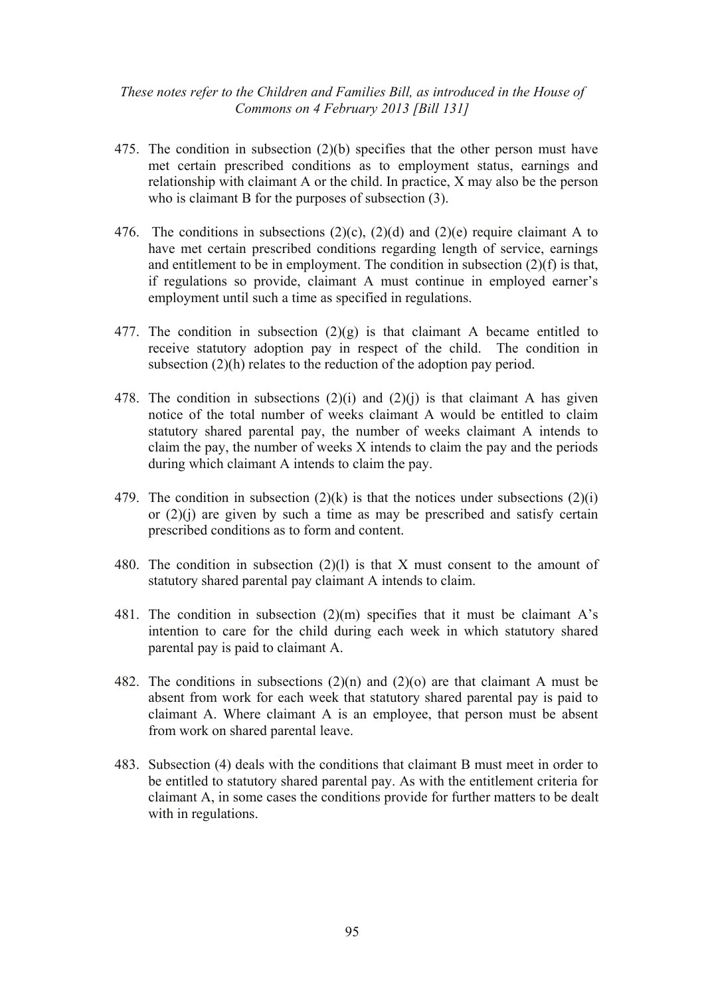- 475. The condition in subsection (2)(b) specifies that the other person must have met certain prescribed conditions as to employment status, earnings and relationship with claimant A or the child. In practice, X may also be the person who is claimant B for the purposes of subsection (3).
- 476. The conditions in subsections  $(2)(c)$ ,  $(2)(d)$  and  $(2)(e)$  require claimant A to have met certain prescribed conditions regarding length of service, earnings and entitlement to be in employment. The condition in subsection  $(2)(f)$  is that, if regulations so provide, claimant A must continue in employed earner's employment until such a time as specified in regulations.
- 477. The condition in subsection  $(2)(g)$  is that claimant A became entitled to receive statutory adoption pay in respect of the child. The condition in subsection (2)(h) relates to the reduction of the adoption pay period.
- 478. The condition in subsections  $(2)(i)$  and  $(2)(j)$  is that claimant A has given notice of the total number of weeks claimant A would be entitled to claim statutory shared parental pay, the number of weeks claimant A intends to claim the pay, the number of weeks X intends to claim the pay and the periods during which claimant A intends to claim the pay.
- 479. The condition in subsection  $(2)(k)$  is that the notices under subsections  $(2)(i)$ or  $(2)(i)$  are given by such a time as may be prescribed and satisfy certain prescribed conditions as to form and content.
- 480. The condition in subsection (2)(l) is that X must consent to the amount of statutory shared parental pay claimant A intends to claim.
- 481. The condition in subsection  $(2)(m)$  specifies that it must be claimant A's intention to care for the child during each week in which statutory shared parental pay is paid to claimant A.
- 482. The conditions in subsections  $(2)(n)$  and  $(2)(o)$  are that claimant A must be absent from work for each week that statutory shared parental pay is paid to claimant A. Where claimant A is an employee, that person must be absent from work on shared parental leave.
- 483. Subsection (4) deals with the conditions that claimant B must meet in order to be entitled to statutory shared parental pay. As with the entitlement criteria for claimant A, in some cases the conditions provide for further matters to be dealt with in regulations.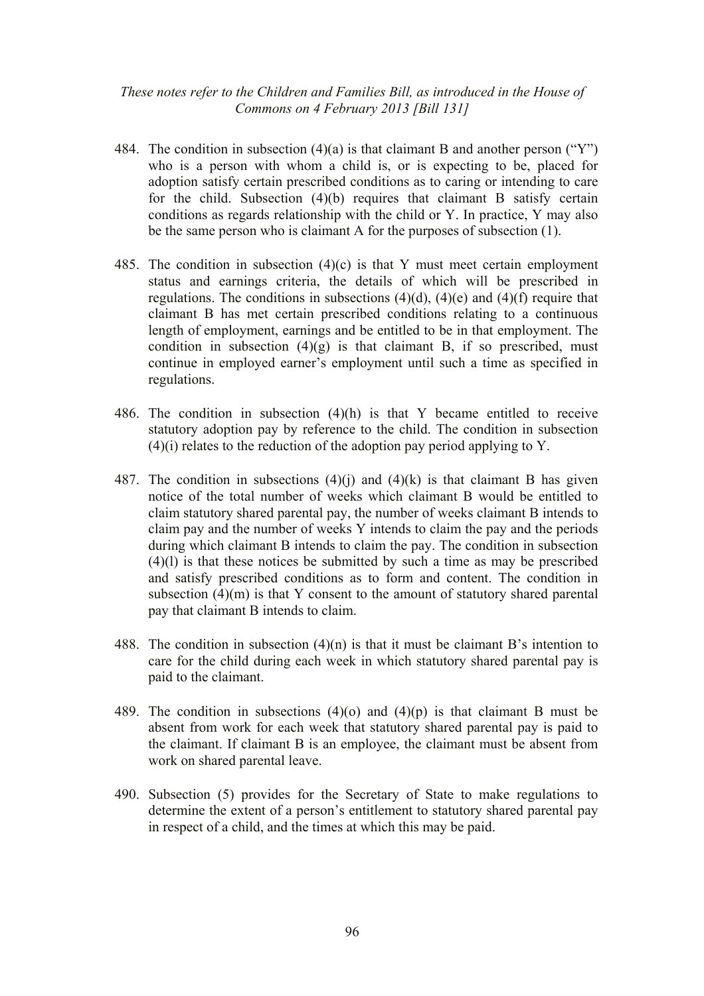- 484. The condition in subsection  $(4)(a)$  is that claimant B and another person ("Y") who is a person with whom a child is, or is expecting to be, placed for adoption satisfy certain prescribed conditions as to caring or intending to care for the child. Subsection (4)(b) requires that claimant B satisfy certain conditions as regards relationship with the child or Y. In practice, Y may also be the same person who is claimant A for the purposes of subsection (1).
- 485. The condition in subsection (4)(c) is that Y must meet certain employment status and earnings criteria, the details of which will be prescribed in regulations. The conditions in subsections  $(4)(d)$ ,  $(4)(e)$  and  $(4)(f)$  require that claimant B has met certain prescribed conditions relating to a continuous length of employment, earnings and be entitled to be in that employment. The condition in subsection  $(4)(g)$  is that claimant B, if so prescribed, must continue in employed earner's employment until such a time as specified in regulations.
- 486. The condition in subsection  $(4)(h)$  is that Y became entitled to receive statutory adoption pay by reference to the child. The condition in subsection  $(4)(i)$  relates to the reduction of the adoption pay period applying to Y.
- 487. The condition in subsections  $(4)(i)$  and  $(4)(k)$  is that claimant B has given notice of the total number of weeks which claimant B would be entitled to claim statutory shared parental pay, the number of weeks claimant B intends to claim pay and the number of weeks Y intends to claim the pay and the periods during which claimant B intends to claim the pay. The condition in subsection (4)(l) is that these notices be submitted by such a time as may be prescribed and satisfy prescribed conditions as to form and content. The condition in subsection  $(4)(m)$  is that Y consent to the amount of statutory shared parental pay that claimant B intends to claim.
- 488. The condition in subsection  $(4)(n)$  is that it must be claimant B's intention to care for the child during each week in which statutory shared parental pay is paid to the claimant.
- 489. The condition in subsections (4)(o) and (4)(p) is that claimant B must be absent from work for each week that statutory shared parental pay is paid to the claimant. If claimant B is an employee, the claimant must be absent from work on shared parental leave.
- 490. Subsection (5) provides for the Secretary of State to make regulations to determine the extent of a person's entitlement to statutory shared parental pay in respect of a child, and the times at which this may be paid.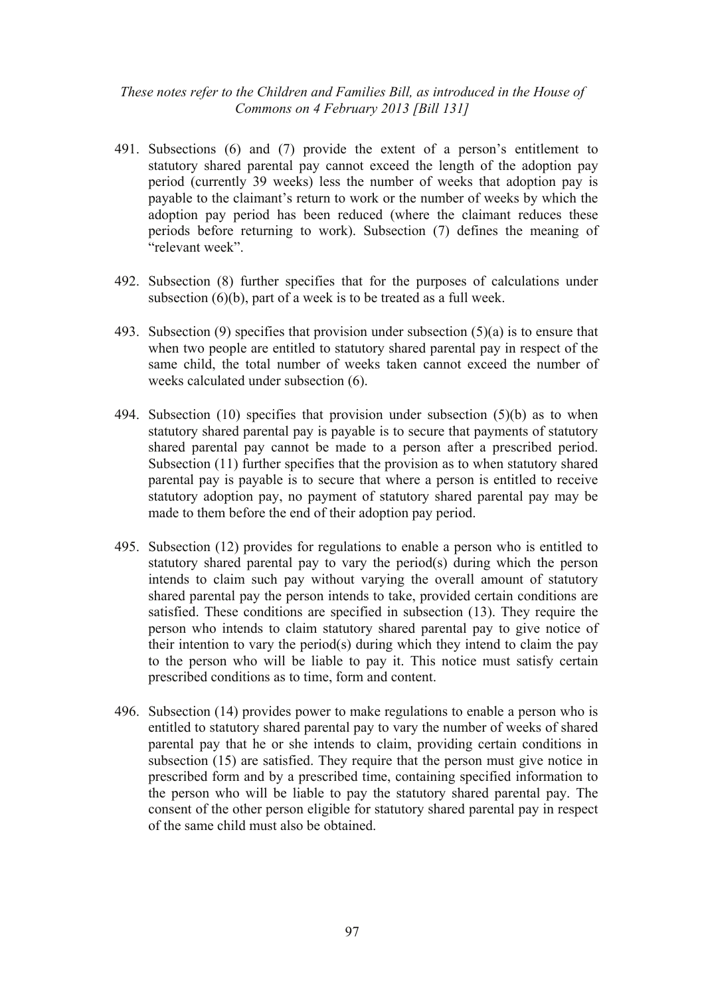- 491. Subsections (6) and (7) provide the extent of a person's entitlement to statutory shared parental pay cannot exceed the length of the adoption pay period (currently 39 weeks) less the number of weeks that adoption pay is payable to the claimant's return to work or the number of weeks by which the adoption pay period has been reduced (where the claimant reduces these periods before returning to work). Subsection (7) defines the meaning of "relevant week".
- 492. Subsection (8) further specifies that for the purposes of calculations under subsection (6)(b), part of a week is to be treated as a full week.
- 493. Subsection (9) specifies that provision under subsection (5)(a) is to ensure that when two people are entitled to statutory shared parental pay in respect of the same child, the total number of weeks taken cannot exceed the number of weeks calculated under subsection (6).
- 494. Subsection (10) specifies that provision under subsection (5)(b) as to when statutory shared parental pay is payable is to secure that payments of statutory shared parental pay cannot be made to a person after a prescribed period. Subsection (11) further specifies that the provision as to when statutory shared parental pay is payable is to secure that where a person is entitled to receive statutory adoption pay, no payment of statutory shared parental pay may be made to them before the end of their adoption pay period.
- 495. Subsection (12) provides for regulations to enable a person who is entitled to statutory shared parental pay to vary the period(s) during which the person intends to claim such pay without varying the overall amount of statutory shared parental pay the person intends to take, provided certain conditions are satisfied. These conditions are specified in subsection (13). They require the person who intends to claim statutory shared parental pay to give notice of their intention to vary the period(s) during which they intend to claim the pay to the person who will be liable to pay it. This notice must satisfy certain prescribed conditions as to time, form and content.
- 496. Subsection (14) provides power to make regulations to enable a person who is entitled to statutory shared parental pay to vary the number of weeks of shared parental pay that he or she intends to claim, providing certain conditions in subsection (15) are satisfied. They require that the person must give notice in prescribed form and by a prescribed time, containing specified information to the person who will be liable to pay the statutory shared parental pay. The consent of the other person eligible for statutory shared parental pay in respect of the same child must also be obtained.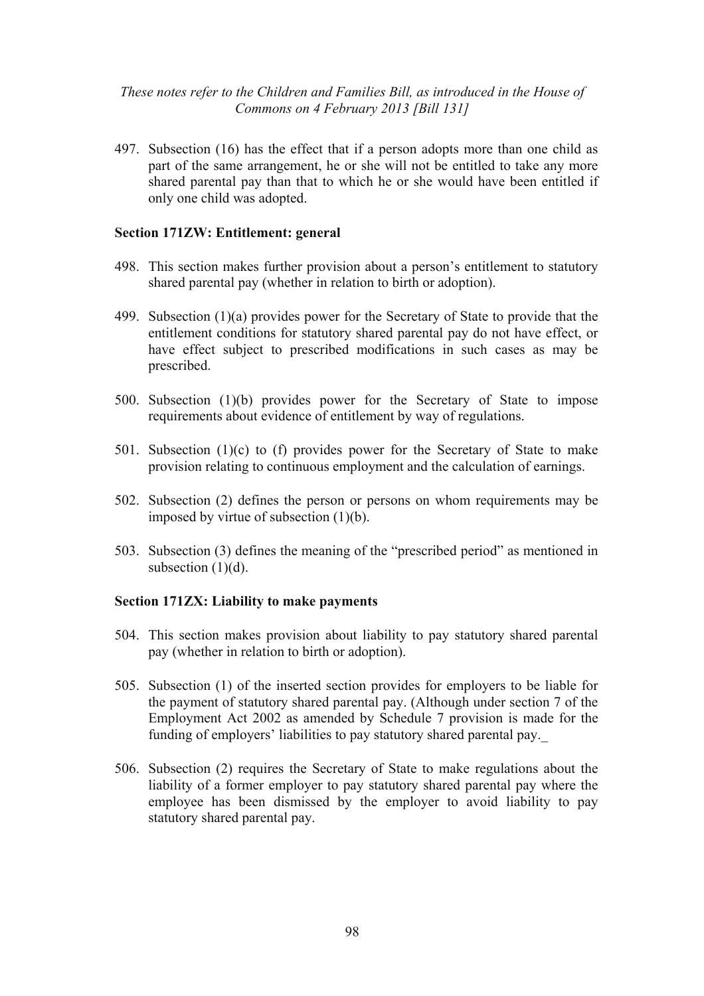497. Subsection (16) has the effect that if a person adopts more than one child as part of the same arrangement, he or she will not be entitled to take any more shared parental pay than that to which he or she would have been entitled if only one child was adopted.

#### **Section 171ZW: Entitlement: general**

- 498. This section makes further provision about a person's entitlement to statutory shared parental pay (whether in relation to birth or adoption).
- 499. Subsection (1)(a) provides power for the Secretary of State to provide that the entitlement conditions for statutory shared parental pay do not have effect, or have effect subject to prescribed modifications in such cases as may be prescribed.
- 500. Subsection (1)(b) provides power for the Secretary of State to impose requirements about evidence of entitlement by way of regulations.
- 501. Subsection (1)(c) to (f) provides power for the Secretary of State to make provision relating to continuous employment and the calculation of earnings.
- 502. Subsection (2) defines the person or persons on whom requirements may be imposed by virtue of subsection (1)(b).
- 503. Subsection (3) defines the meaning of the "prescribed period" as mentioned in subsection (1)(d).

#### **Section 171ZX: Liability to make payments**

- 504. This section makes provision about liability to pay statutory shared parental pay (whether in relation to birth or adoption).
- 505. Subsection (1) of the inserted section provides for employers to be liable for the payment of statutory shared parental pay. (Although under section 7 of the Employment Act 2002 as amended by Schedule 7 provision is made for the funding of employers' liabilities to pay statutory shared parental pay.\_
- 506. Subsection (2) requires the Secretary of State to make regulations about the liability of a former employer to pay statutory shared parental pay where the employee has been dismissed by the employer to avoid liability to pay statutory shared parental pay.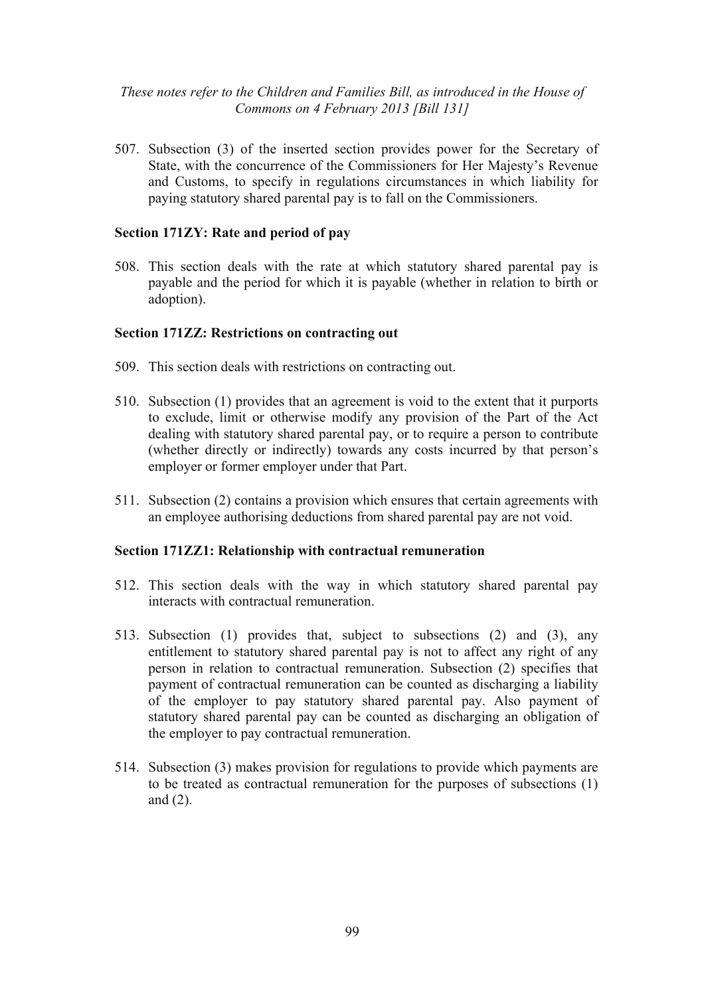507. Subsection (3) of the inserted section provides power for the Secretary of State, with the concurrence of the Commissioners for Her Majesty's Revenue and Customs, to specify in regulations circumstances in which liability for paying statutory shared parental pay is to fall on the Commissioners.

## **Section 171ZY: Rate and period of pay**

508. This section deals with the rate at which statutory shared parental pay is payable and the period for which it is payable (whether in relation to birth or adoption).

### **Section 171ZZ: Restrictions on contracting out**

- 509. This section deals with restrictions on contracting out.
- 510. Subsection (1) provides that an agreement is void to the extent that it purports to exclude, limit or otherwise modify any provision of the Part of the Act dealing with statutory shared parental pay, or to require a person to contribute (whether directly or indirectly) towards any costs incurred by that person's employer or former employer under that Part.
- 511. Subsection (2) contains a provision which ensures that certain agreements with an employee authorising deductions from shared parental pay are not void.

### **Section 171ZZ1: Relationship with contractual remuneration**

- 512. This section deals with the way in which statutory shared parental pay interacts with contractual remuneration.
- 513. Subsection (1) provides that, subject to subsections (2) and (3), any entitlement to statutory shared parental pay is not to affect any right of any person in relation to contractual remuneration. Subsection (2) specifies that payment of contractual remuneration can be counted as discharging a liability of the employer to pay statutory shared parental pay. Also payment of statutory shared parental pay can be counted as discharging an obligation of the employer to pay contractual remuneration.
- 514. Subsection (3) makes provision for regulations to provide which payments are to be treated as contractual remuneration for the purposes of subsections (1) and (2).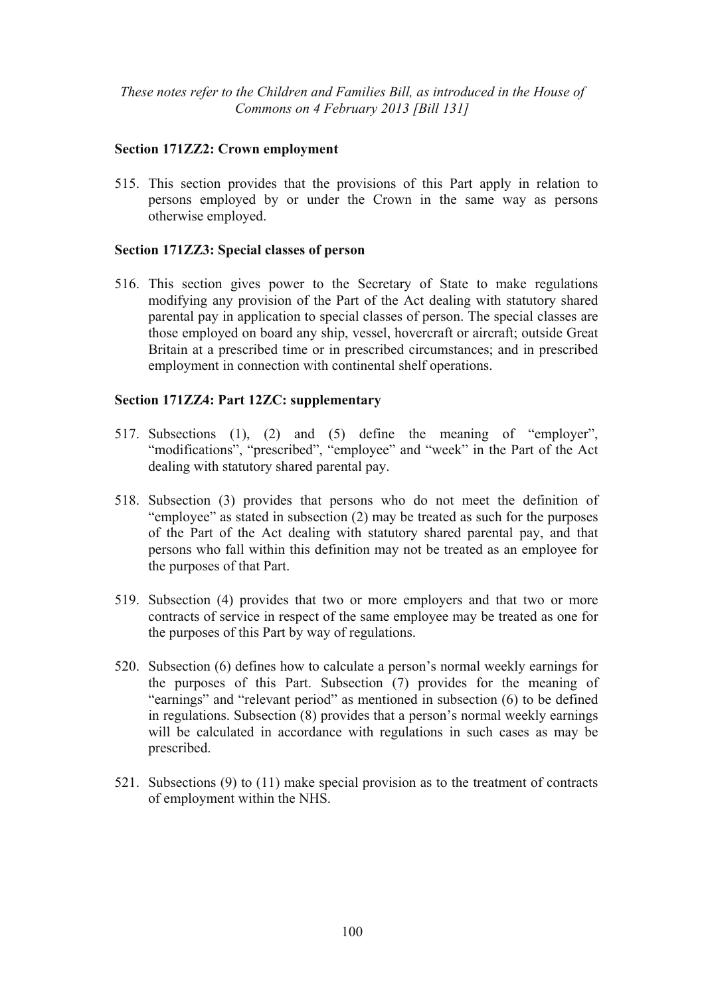## **Section 171ZZ2: Crown employment**

515. This section provides that the provisions of this Part apply in relation to persons employed by or under the Crown in the same way as persons otherwise employed.

### **Section 171ZZ3: Special classes of person**

516. This section gives power to the Secretary of State to make regulations modifying any provision of the Part of the Act dealing with statutory shared parental pay in application to special classes of person. The special classes are those employed on board any ship, vessel, hovercraft or aircraft; outside Great Britain at a prescribed time or in prescribed circumstances; and in prescribed employment in connection with continental shelf operations.

# **Section 171ZZ4: Part 12ZC: supplementary**

- 517. Subsections (1), (2) and (5) define the meaning of "employer", "modifications", "prescribed", "employee" and "week" in the Part of the Act dealing with statutory shared parental pay.
- 518. Subsection (3) provides that persons who do not meet the definition of "employee" as stated in subsection (2) may be treated as such for the purposes of the Part of the Act dealing with statutory shared parental pay, and that persons who fall within this definition may not be treated as an employee for the purposes of that Part.
- 519. Subsection (4) provides that two or more employers and that two or more contracts of service in respect of the same employee may be treated as one for the purposes of this Part by way of regulations.
- 520. Subsection (6) defines how to calculate a person's normal weekly earnings for the purposes of this Part. Subsection (7) provides for the meaning of "earnings" and "relevant period" as mentioned in subsection (6) to be defined in regulations. Subsection (8) provides that a person's normal weekly earnings will be calculated in accordance with regulations in such cases as may be prescribed.
- 521. Subsections (9) to (11) make special provision as to the treatment of contracts of employment within the NHS.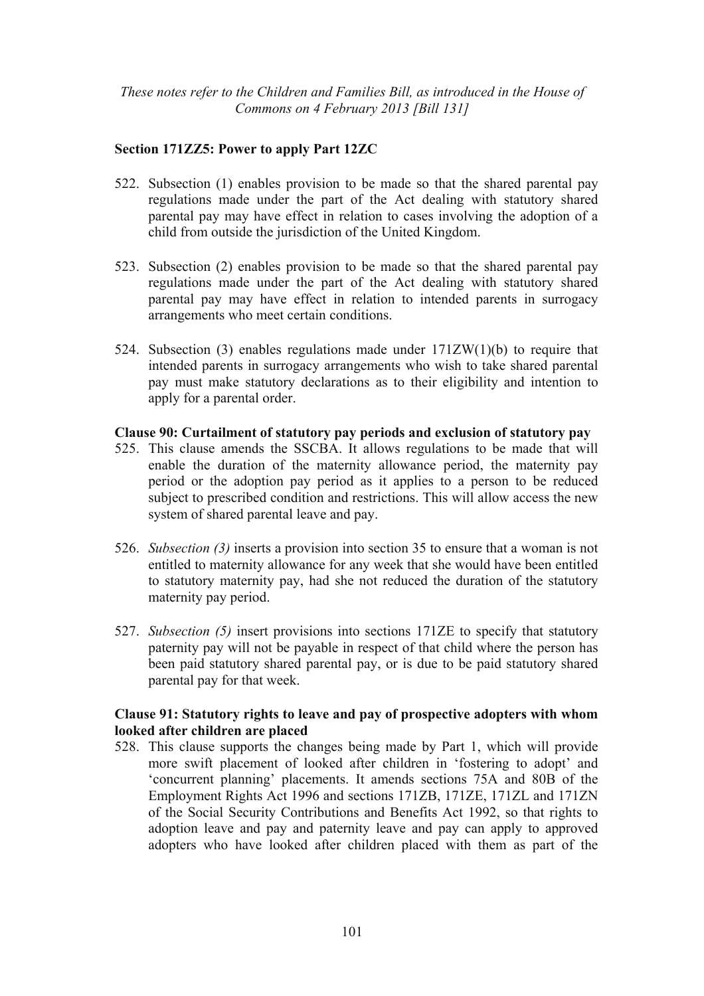# **Section 171ZZ5: Power to apply Part 12ZC**

- 522. Subsection (1) enables provision to be made so that the shared parental pay regulations made under the part of the Act dealing with statutory shared parental pay may have effect in relation to cases involving the adoption of a child from outside the jurisdiction of the United Kingdom.
- 523. Subsection (2) enables provision to be made so that the shared parental pay regulations made under the part of the Act dealing with statutory shared parental pay may have effect in relation to intended parents in surrogacy arrangements who meet certain conditions.
- 524. Subsection (3) enables regulations made under 171ZW(1)(b) to require that intended parents in surrogacy arrangements who wish to take shared parental pay must make statutory declarations as to their eligibility and intention to apply for a parental order.

## **Clause 90: Curtailment of statutory pay periods and exclusion of statutory pay**

- 525. This clause amends the SSCBA. It allows regulations to be made that will enable the duration of the maternity allowance period, the maternity pay period or the adoption pay period as it applies to a person to be reduced subject to prescribed condition and restrictions. This will allow access the new system of shared parental leave and pay.
- 526. *Subsection (3)* inserts a provision into section 35 to ensure that a woman is not entitled to maternity allowance for any week that she would have been entitled to statutory maternity pay, had she not reduced the duration of the statutory maternity pay period.
- 527. *Subsection (5)* insert provisions into sections 171ZE to specify that statutory paternity pay will not be payable in respect of that child where the person has been paid statutory shared parental pay, or is due to be paid statutory shared parental pay for that week.

## **Clause 91: Statutory rights to leave and pay of prospective adopters with whom looked after children are placed**

528. This clause supports the changes being made by Part 1, which will provide more swift placement of looked after children in 'fostering to adopt' and 'concurrent planning' placements. It amends sections 75A and 80B of the Employment Rights Act 1996 and sections 171ZB, 171ZE, 171ZL and 171ZN of the Social Security Contributions and Benefits Act 1992, so that rights to adoption leave and pay and paternity leave and pay can apply to approved adopters who have looked after children placed with them as part of the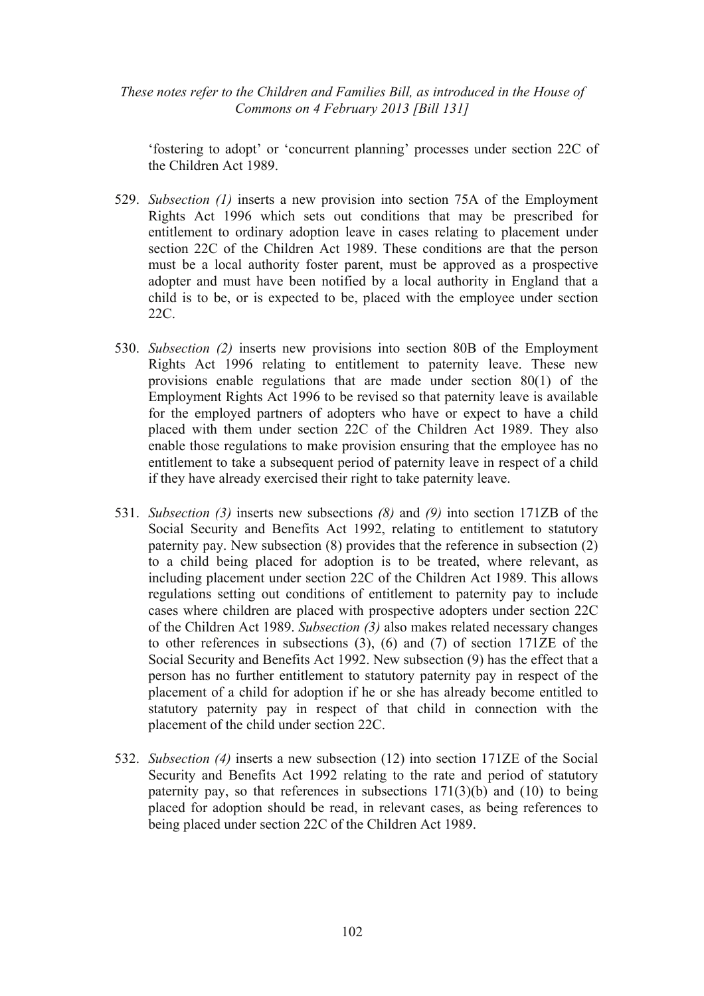'fostering to adopt' or 'concurrent planning' processes under section 22C of the Children Act 1989.

- 529. *Subsection (1)* inserts a new provision into section 75A of the Employment Rights Act 1996 which sets out conditions that may be prescribed for entitlement to ordinary adoption leave in cases relating to placement under section 22C of the Children Act 1989. These conditions are that the person must be a local authority foster parent, must be approved as a prospective adopter and must have been notified by a local authority in England that a child is to be, or is expected to be, placed with the employee under section 22C.
- 530. *Subsection (2)* inserts new provisions into section 80B of the Employment Rights Act 1996 relating to entitlement to paternity leave. These new provisions enable regulations that are made under section 80(1) of the Employment Rights Act 1996 to be revised so that paternity leave is available for the employed partners of adopters who have or expect to have a child placed with them under section 22C of the Children Act 1989. They also enable those regulations to make provision ensuring that the employee has no entitlement to take a subsequent period of paternity leave in respect of a child if they have already exercised their right to take paternity leave.
- 531. *Subsection (3)* inserts new subsections *(8)* and *(9)* into section 171ZB of the Social Security and Benefits Act 1992, relating to entitlement to statutory paternity pay. New subsection (8) provides that the reference in subsection (2) to a child being placed for adoption is to be treated, where relevant, as including placement under section 22C of the Children Act 1989. This allows regulations setting out conditions of entitlement to paternity pay to include cases where children are placed with prospective adopters under section 22C of the Children Act 1989. *Subsection (3)* also makes related necessary changes to other references in subsections (3), (6) and (7) of section 171ZE of the Social Security and Benefits Act 1992. New subsection (9) has the effect that a person has no further entitlement to statutory paternity pay in respect of the placement of a child for adoption if he or she has already become entitled to statutory paternity pay in respect of that child in connection with the placement of the child under section 22C.
- 532. *Subsection (4)* inserts a new subsection (12) into section 171ZE of the Social Security and Benefits Act 1992 relating to the rate and period of statutory paternity pay, so that references in subsections  $171(3)(b)$  and  $(10)$  to being placed for adoption should be read, in relevant cases, as being references to being placed under section 22C of the Children Act 1989.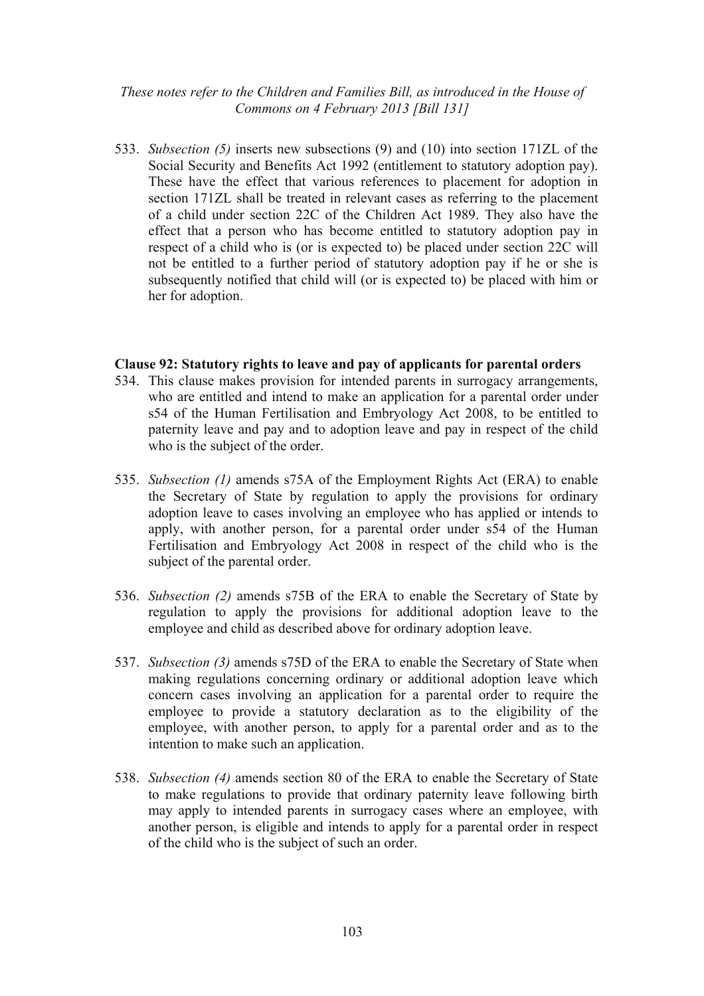533. *Subsection (5)* inserts new subsections (9) and (10) into section 171ZL of the Social Security and Benefits Act 1992 (entitlement to statutory adoption pay). These have the effect that various references to placement for adoption in section 171ZL shall be treated in relevant cases as referring to the placement of a child under section 22C of the Children Act 1989. They also have the effect that a person who has become entitled to statutory adoption pay in respect of a child who is (or is expected to) be placed under section 22C will not be entitled to a further period of statutory adoption pay if he or she is subsequently notified that child will (or is expected to) be placed with him or her for adoption.

### **Clause 92: Statutory rights to leave and pay of applicants for parental orders**

- 534. This clause makes provision for intended parents in surrogacy arrangements, who are entitled and intend to make an application for a parental order under s54 of the Human Fertilisation and Embryology Act 2008, to be entitled to paternity leave and pay and to adoption leave and pay in respect of the child who is the subject of the order.
- 535. *Subsection (1)* amends s75A of the Employment Rights Act (ERA) to enable the Secretary of State by regulation to apply the provisions for ordinary adoption leave to cases involving an employee who has applied or intends to apply, with another person, for a parental order under s54 of the Human Fertilisation and Embryology Act 2008 in respect of the child who is the subject of the parental order.
- 536. *Subsection (2)* amends s75B of the ERA to enable the Secretary of State by regulation to apply the provisions for additional adoption leave to the employee and child as described above for ordinary adoption leave.
- 537. *Subsection (3)* amends s75D of the ERA to enable the Secretary of State when making regulations concerning ordinary or additional adoption leave which concern cases involving an application for a parental order to require the employee to provide a statutory declaration as to the eligibility of the employee, with another person, to apply for a parental order and as to the intention to make such an application.
- 538. *Subsection (4)* amends section 80 of the ERA to enable the Secretary of State to make regulations to provide that ordinary paternity leave following birth may apply to intended parents in surrogacy cases where an employee, with another person, is eligible and intends to apply for a parental order in respect of the child who is the subject of such an order.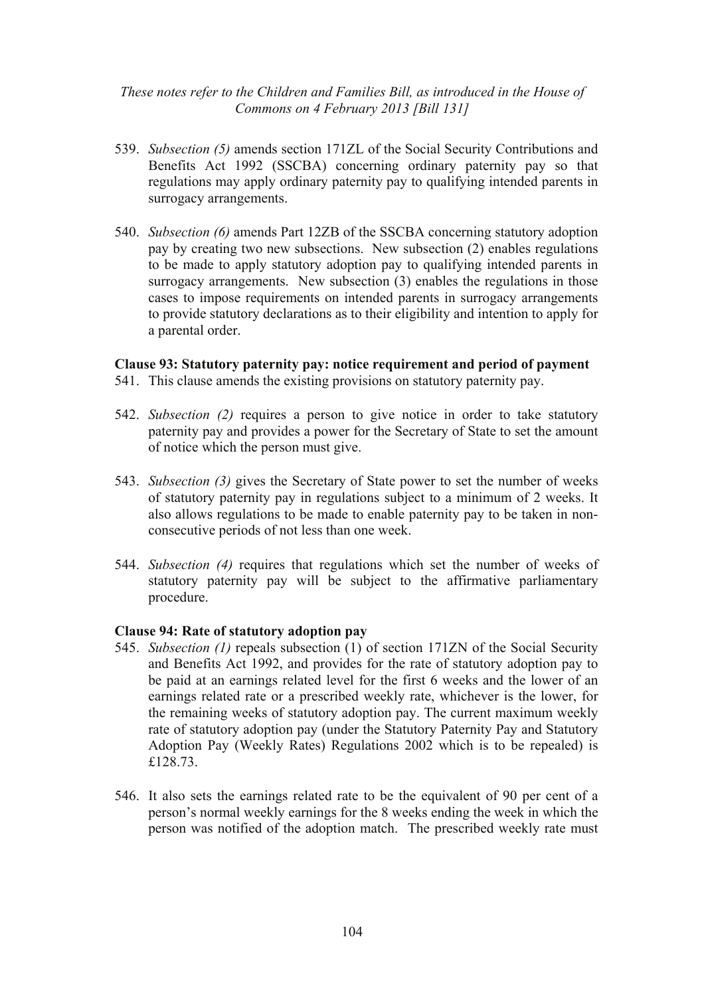- 539. *Subsection (5)* amends section 171ZL of the Social Security Contributions and Benefits Act 1992 (SSCBA) concerning ordinary paternity pay so that regulations may apply ordinary paternity pay to qualifying intended parents in surrogacy arrangements.
- 540. *Subsection (6)* amends Part 12ZB of the SSCBA concerning statutory adoption pay by creating two new subsections. New subsection (2) enables regulations to be made to apply statutory adoption pay to qualifying intended parents in surrogacy arrangements. New subsection (3) enables the regulations in those cases to impose requirements on intended parents in surrogacy arrangements to provide statutory declarations as to their eligibility and intention to apply for a parental order.

## **Clause 93: Statutory paternity pay: notice requirement and period of payment**

- 541. This clause amends the existing provisions on statutory paternity pay.
- 542. *Subsection (2)* requires a person to give notice in order to take statutory paternity pay and provides a power for the Secretary of State to set the amount of notice which the person must give.
- 543. *Subsection (3)* gives the Secretary of State power to set the number of weeks of statutory paternity pay in regulations subject to a minimum of 2 weeks. It also allows regulations to be made to enable paternity pay to be taken in nonconsecutive periods of not less than one week.
- 544. *Subsection (4)* requires that regulations which set the number of weeks of statutory paternity pay will be subject to the affirmative parliamentary procedure.

### **Clause 94: Rate of statutory adoption pay**

- 545. *Subsection (1)* repeals subsection (1) of section 171ZN of the Social Security and Benefits Act 1992, and provides for the rate of statutory adoption pay to be paid at an earnings related level for the first 6 weeks and the lower of an earnings related rate or a prescribed weekly rate, whichever is the lower, for the remaining weeks of statutory adoption pay. The current maximum weekly rate of statutory adoption pay (under the Statutory Paternity Pay and Statutory Adoption Pay (Weekly Rates) Regulations 2002 which is to be repealed) is £128.73.
- 546. It also sets the earnings related rate to be the equivalent of 90 per cent of a person's normal weekly earnings for the 8 weeks ending the week in which the person was notified of the adoption match. The prescribed weekly rate must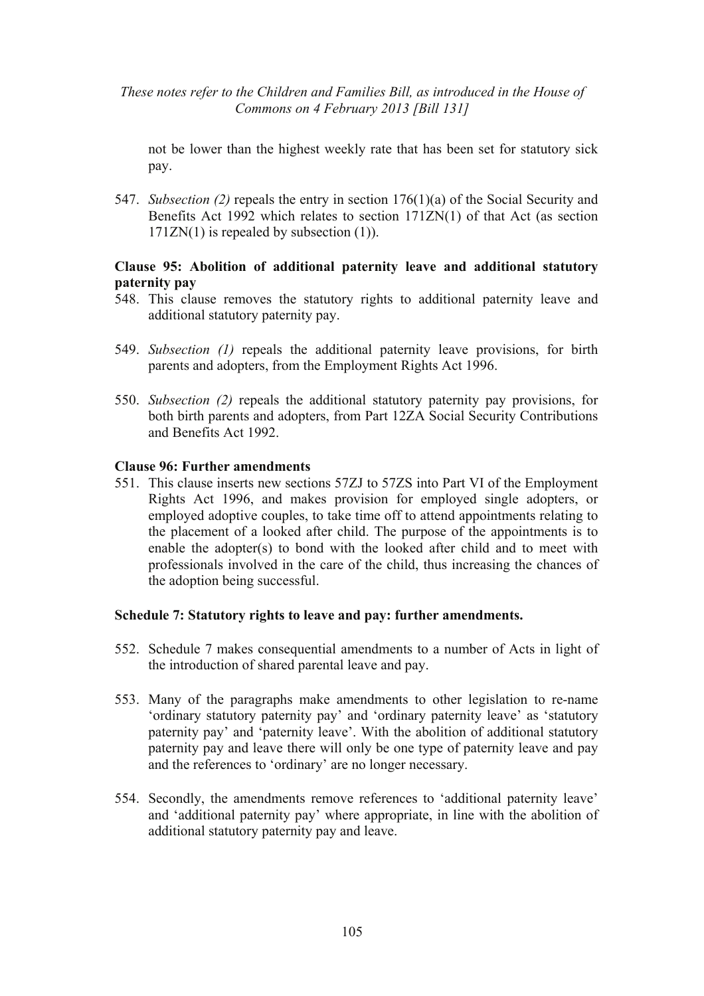not be lower than the highest weekly rate that has been set for statutory sick pay.

547. *Subsection (2)* repeals the entry in section 176(1)(a) of the Social Security and Benefits Act 1992 which relates to section 171ZN(1) of that Act (as section 171ZN(1) is repealed by subsection (1)).

# **Clause 95: Abolition of additional paternity leave and additional statutory paternity pay**

- 548. This clause removes the statutory rights to additional paternity leave and additional statutory paternity pay.
- 549. *Subsection (1)* repeals the additional paternity leave provisions, for birth parents and adopters, from the Employment Rights Act 1996.
- 550. *Subsection (2)* repeals the additional statutory paternity pay provisions, for both birth parents and adopters, from Part 12ZA Social Security Contributions and Benefits Act 1992.

### **Clause 96: Further amendments**

551. This clause inserts new sections 57ZJ to 57ZS into Part VI of the Employment Rights Act 1996, and makes provision for employed single adopters, or employed adoptive couples, to take time off to attend appointments relating to the placement of a looked after child. The purpose of the appointments is to enable the adopter(s) to bond with the looked after child and to meet with professionals involved in the care of the child, thus increasing the chances of the adoption being successful.

#### **Schedule 7: Statutory rights to leave and pay: further amendments.**

- 552. Schedule 7 makes consequential amendments to a number of Acts in light of the introduction of shared parental leave and pay.
- 553. Many of the paragraphs make amendments to other legislation to re-name 'ordinary statutory paternity pay' and 'ordinary paternity leave' as 'statutory paternity pay' and 'paternity leave'. With the abolition of additional statutory paternity pay and leave there will only be one type of paternity leave and pay and the references to 'ordinary' are no longer necessary.
- 554. Secondly, the amendments remove references to 'additional paternity leave' and 'additional paternity pay' where appropriate, in line with the abolition of additional statutory paternity pay and leave.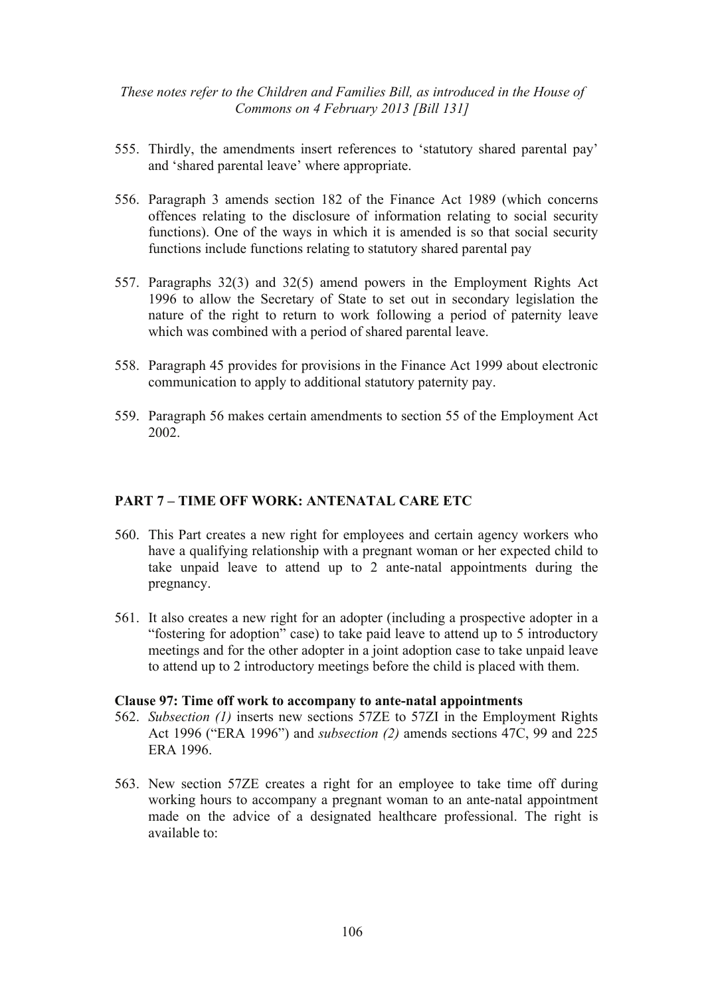- 555. Thirdly, the amendments insert references to 'statutory shared parental pay' and 'shared parental leave' where appropriate.
- 556. Paragraph 3 amends section 182 of the Finance Act 1989 (which concerns offences relating to the disclosure of information relating to social security functions). One of the ways in which it is amended is so that social security functions include functions relating to statutory shared parental pay
- 557. Paragraphs 32(3) and 32(5) amend powers in the Employment Rights Act 1996 to allow the Secretary of State to set out in secondary legislation the nature of the right to return to work following a period of paternity leave which was combined with a period of shared parental leave.
- 558. Paragraph 45 provides for provisions in the Finance Act 1999 about electronic communication to apply to additional statutory paternity pay.
- 559. Paragraph 56 makes certain amendments to section 55 of the Employment Act 2002.

### **PART 7 – TIME OFF WORK: ANTENATAL CARE ETC**

- 560. This Part creates a new right for employees and certain agency workers who have a qualifying relationship with a pregnant woman or her expected child to take unpaid leave to attend up to 2 ante-natal appointments during the pregnancy.
- 561. It also creates a new right for an adopter (including a prospective adopter in a "fostering for adoption" case) to take paid leave to attend up to 5 introductory meetings and for the other adopter in a joint adoption case to take unpaid leave to attend up to 2 introductory meetings before the child is placed with them.

#### **Clause 97: Time off work to accompany to ante-natal appointments**

- 562. *Subsection (1)* inserts new sections 57ZE to 57ZI in the Employment Rights Act 1996 ("ERA 1996") and *subsection (2)* amends sections 47C, 99 and 225 ERA 1996.
- 563. New section 57ZE creates a right for an employee to take time off during working hours to accompany a pregnant woman to an ante-natal appointment made on the advice of a designated healthcare professional. The right is available to: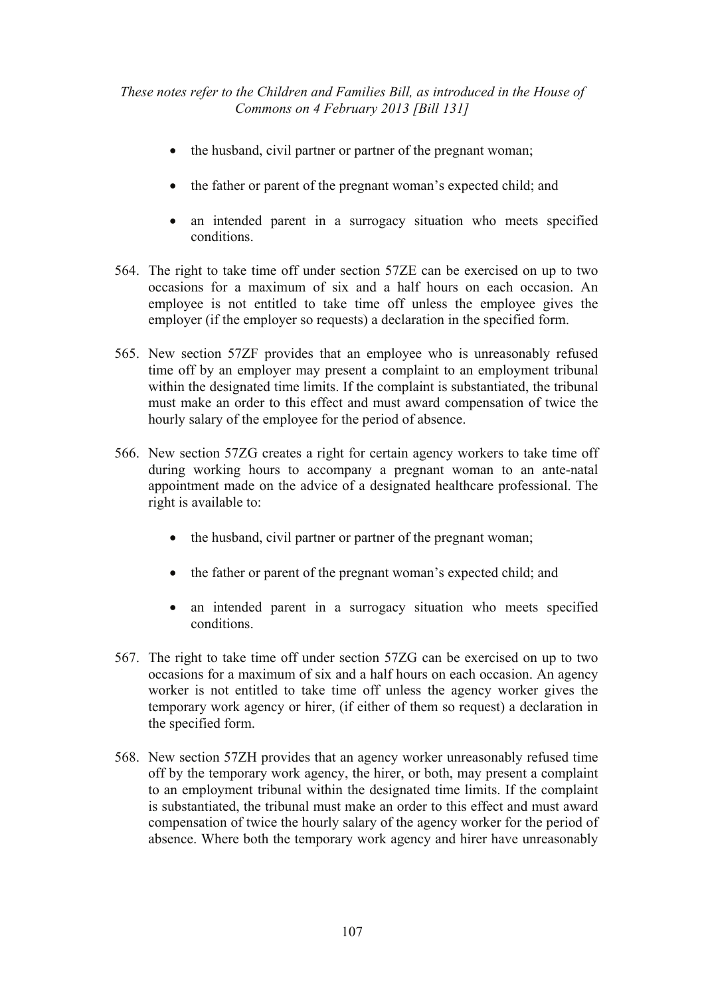- the husband, civil partner or partner of the pregnant woman;
- the father or parent of the pregnant woman's expected child; and
- an intended parent in a surrogacy situation who meets specified conditions.
- 564. The right to take time off under section 57ZE can be exercised on up to two occasions for a maximum of six and a half hours on each occasion. An employee is not entitled to take time off unless the employee gives the employer (if the employer so requests) a declaration in the specified form.
- 565. New section 57ZF provides that an employee who is unreasonably refused time off by an employer may present a complaint to an employment tribunal within the designated time limits. If the complaint is substantiated, the tribunal must make an order to this effect and must award compensation of twice the hourly salary of the employee for the period of absence.
- 566. New section 57ZG creates a right for certain agency workers to take time off during working hours to accompany a pregnant woman to an ante-natal appointment made on the advice of a designated healthcare professional. The right is available to:
	- the husband, civil partner or partner of the pregnant woman;
	- the father or parent of the pregnant woman's expected child; and
	- an intended parent in a surrogacy situation who meets specified conditions.
- 567. The right to take time off under section 57ZG can be exercised on up to two occasions for a maximum of six and a half hours on each occasion. An agency worker is not entitled to take time off unless the agency worker gives the temporary work agency or hirer, (if either of them so request) a declaration in the specified form.
- 568. New section 57ZH provides that an agency worker unreasonably refused time off by the temporary work agency, the hirer, or both, may present a complaint to an employment tribunal within the designated time limits. If the complaint is substantiated, the tribunal must make an order to this effect and must award compensation of twice the hourly salary of the agency worker for the period of absence. Where both the temporary work agency and hirer have unreasonably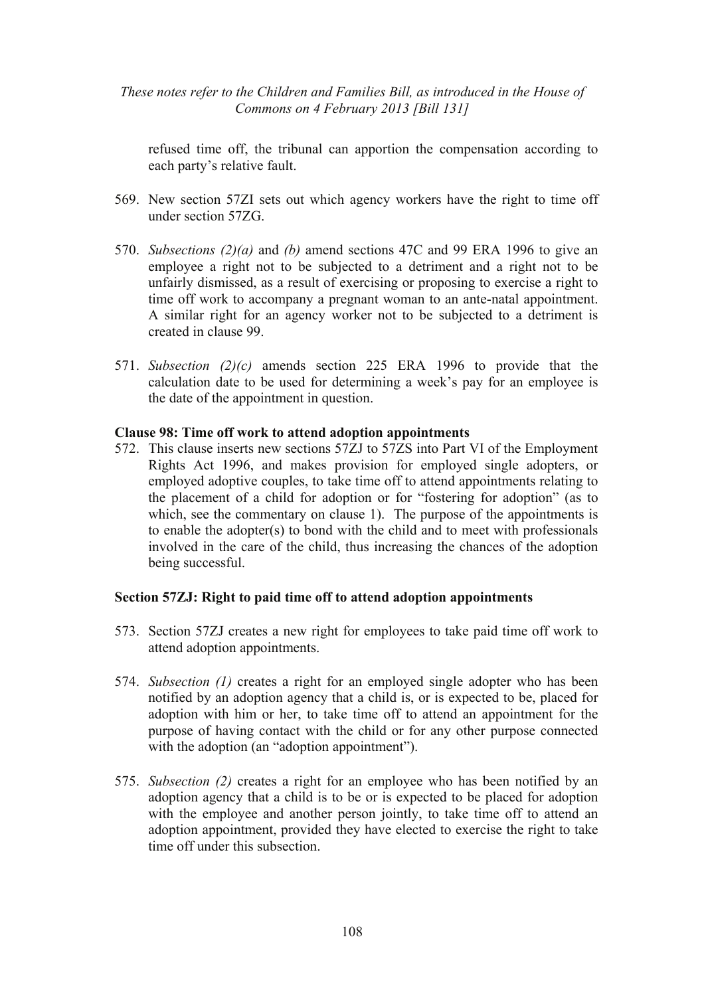refused time off, the tribunal can apportion the compensation according to each party's relative fault.

- 569. New section 57ZI sets out which agency workers have the right to time off under section 57ZG.
- 570. *Subsections (2)(a)* and *(b)* amend sections 47C and 99 ERA 1996 to give an employee a right not to be subjected to a detriment and a right not to be unfairly dismissed, as a result of exercising or proposing to exercise a right to time off work to accompany a pregnant woman to an ante-natal appointment. A similar right for an agency worker not to be subjected to a detriment is created in clause 99.
- 571. *Subsection (2)(c)* amends section 225 ERA 1996 to provide that the calculation date to be used for determining a week's pay for an employee is the date of the appointment in question.

#### **Clause 98: Time off work to attend adoption appointments**

572. This clause inserts new sections 57ZJ to 57ZS into Part VI of the Employment Rights Act 1996, and makes provision for employed single adopters, or employed adoptive couples, to take time off to attend appointments relating to the placement of a child for adoption or for "fostering for adoption" (as to which, see the commentary on clause 1). The purpose of the appointments is to enable the adopter(s) to bond with the child and to meet with professionals involved in the care of the child, thus increasing the chances of the adoption being successful.

#### **Section 57ZJ: Right to paid time off to attend adoption appointments**

- 573. Section 57ZJ creates a new right for employees to take paid time off work to attend adoption appointments.
- 574. *Subsection (1)* creates a right for an employed single adopter who has been notified by an adoption agency that a child is, or is expected to be, placed for adoption with him or her, to take time off to attend an appointment for the purpose of having contact with the child or for any other purpose connected with the adoption (an "adoption appointment").
- 575. *Subsection (2)* creates a right for an employee who has been notified by an adoption agency that a child is to be or is expected to be placed for adoption with the employee and another person jointly, to take time off to attend an adoption appointment, provided they have elected to exercise the right to take time off under this subsection.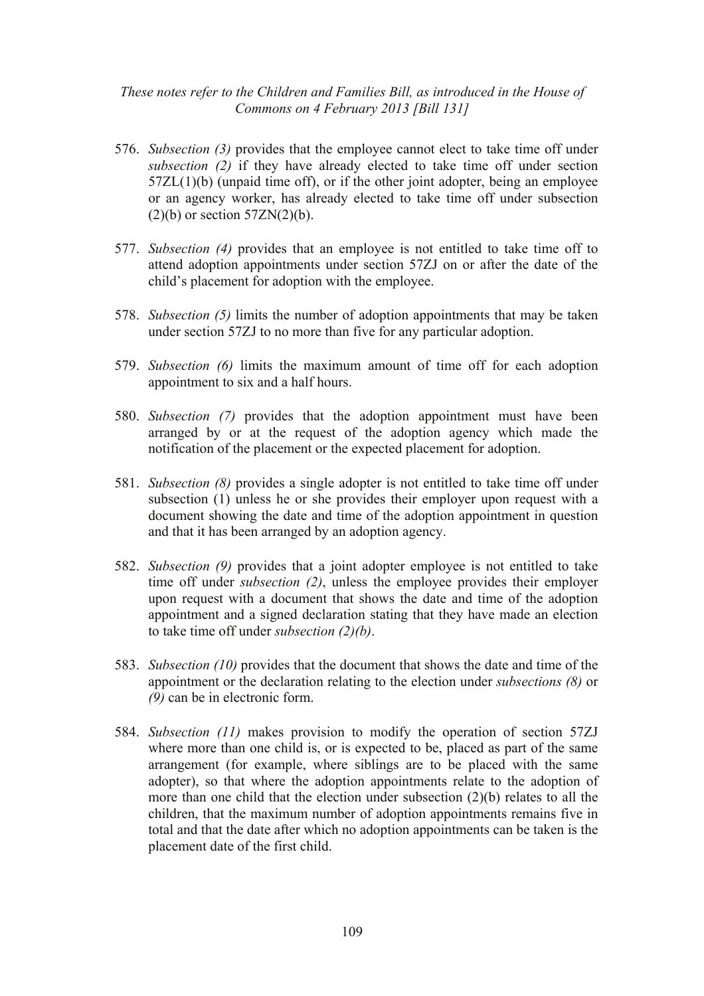- 576. *Subsection (3)* provides that the employee cannot elect to take time off under *subsection (2)* if they have already elected to take time off under section  $57ZL(1)(b)$  (unpaid time off), or if the other joint adopter, being an employee or an agency worker, has already elected to take time off under subsection  $(2)(b)$  or section  $57ZN(2)(b)$ .
- 577. *Subsection (4)* provides that an employee is not entitled to take time off to attend adoption appointments under section 57ZJ on or after the date of the child's placement for adoption with the employee.
- 578. *Subsection (5)* limits the number of adoption appointments that may be taken under section 57ZJ to no more than five for any particular adoption.
- 579. *Subsection (6)* limits the maximum amount of time off for each adoption appointment to six and a half hours.
- 580. *Subsection (7)* provides that the adoption appointment must have been arranged by or at the request of the adoption agency which made the notification of the placement or the expected placement for adoption.
- 581. *Subsection (8)* provides a single adopter is not entitled to take time off under subsection (1) unless he or she provides their employer upon request with a document showing the date and time of the adoption appointment in question and that it has been arranged by an adoption agency.
- 582. *Subsection (9)* provides that a joint adopter employee is not entitled to take time off under *subsection (2)*, unless the employee provides their employer upon request with a document that shows the date and time of the adoption appointment and a signed declaration stating that they have made an election to take time off under *subsection (2)(b)*.
- 583. *Subsection (10)* provides that the document that shows the date and time of the appointment or the declaration relating to the election under *subsections (8)* or *(9)* can be in electronic form.
- 584. *Subsection (11)* makes provision to modify the operation of section 57ZJ where more than one child is, or is expected to be, placed as part of the same arrangement (for example, where siblings are to be placed with the same adopter), so that where the adoption appointments relate to the adoption of more than one child that the election under subsection (2)(b) relates to all the children, that the maximum number of adoption appointments remains five in total and that the date after which no adoption appointments can be taken is the placement date of the first child.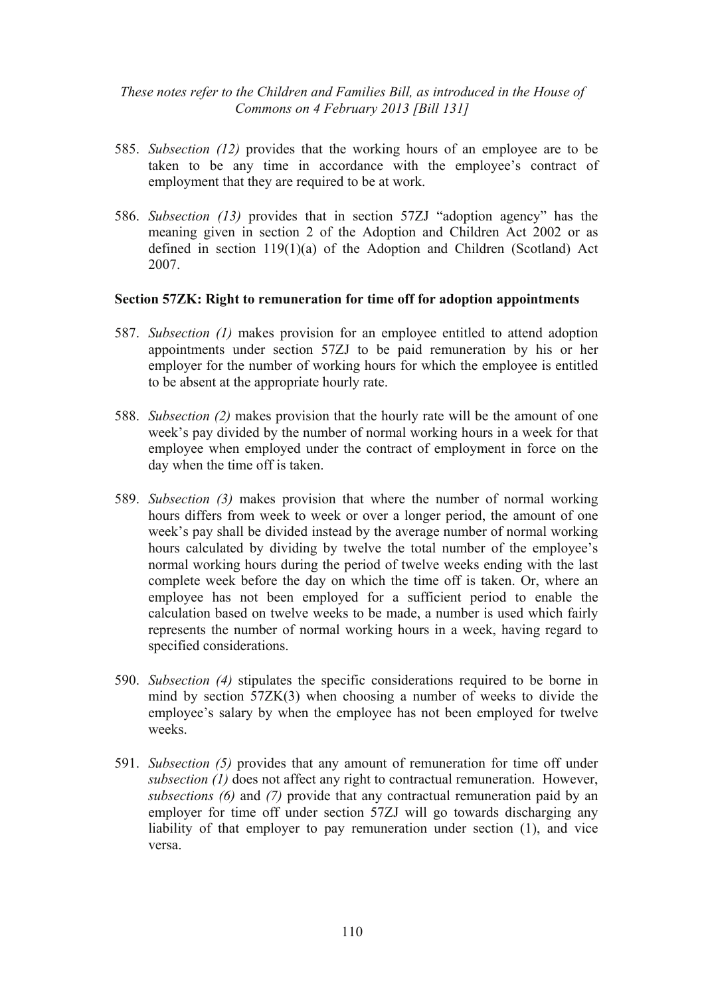- 585. *Subsection (12)* provides that the working hours of an employee are to be taken to be any time in accordance with the employee's contract of employment that they are required to be at work.
- 586. *Subsection (13)* provides that in section 57ZJ "adoption agency" has the meaning given in section 2 of the Adoption and Children Act 2002 or as defined in section 119(1)(a) of the Adoption and Children (Scotland) Act 2007.

#### **Section 57ZK: Right to remuneration for time off for adoption appointments**

- 587. *Subsection (1)* makes provision for an employee entitled to attend adoption appointments under section 57ZJ to be paid remuneration by his or her employer for the number of working hours for which the employee is entitled to be absent at the appropriate hourly rate.
- 588. *Subsection (2)* makes provision that the hourly rate will be the amount of one week's pay divided by the number of normal working hours in a week for that employee when employed under the contract of employment in force on the day when the time off is taken.
- 589. *Subsection (3)* makes provision that where the number of normal working hours differs from week to week or over a longer period, the amount of one week's pay shall be divided instead by the average number of normal working hours calculated by dividing by twelve the total number of the employee's normal working hours during the period of twelve weeks ending with the last complete week before the day on which the time off is taken. Or, where an employee has not been employed for a sufficient period to enable the calculation based on twelve weeks to be made, a number is used which fairly represents the number of normal working hours in a week, having regard to specified considerations.
- 590. *Subsection (4)* stipulates the specific considerations required to be borne in mind by section 57ZK(3) when choosing a number of weeks to divide the employee's salary by when the employee has not been employed for twelve weeks.
- 591. *Subsection (5)* provides that any amount of remuneration for time off under *subsection (1)* does not affect any right to contractual remuneration. However, *subsections (6)* and *(7)* provide that any contractual remuneration paid by an employer for time off under section 57ZJ will go towards discharging any liability of that employer to pay remuneration under section (1), and vice versa.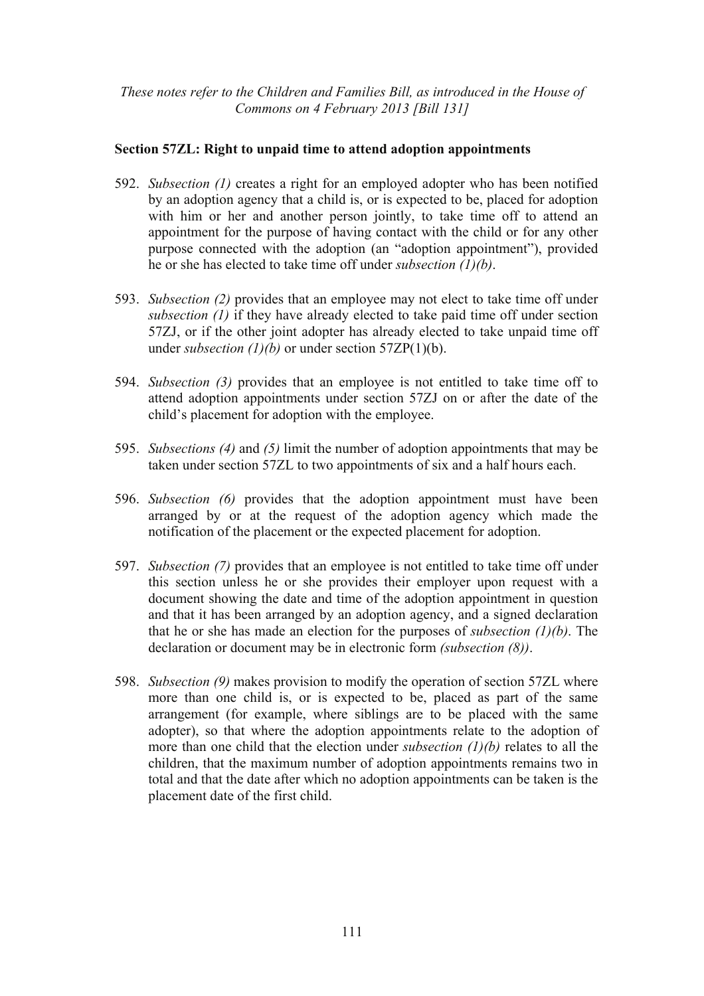#### **Section 57ZL: Right to unpaid time to attend adoption appointments**

- 592. *Subsection (1)* creates a right for an employed adopter who has been notified by an adoption agency that a child is, or is expected to be, placed for adoption with him or her and another person jointly, to take time off to attend an appointment for the purpose of having contact with the child or for any other purpose connected with the adoption (an "adoption appointment"), provided he or she has elected to take time off under *subsection (1)(b)*.
- 593. *Subsection (2)* provides that an employee may not elect to take time off under *subsection (1)* if they have already elected to take paid time off under section 57ZJ, or if the other joint adopter has already elected to take unpaid time off under *subsection (1)(b)* or under section 57ZP(1)(b).
- 594. *Subsection (3)* provides that an employee is not entitled to take time off to attend adoption appointments under section 57ZJ on or after the date of the child's placement for adoption with the employee.
- 595. *Subsections (4)* and *(5)* limit the number of adoption appointments that may be taken under section 57ZL to two appointments of six and a half hours each.
- 596. *Subsection (6)* provides that the adoption appointment must have been arranged by or at the request of the adoption agency which made the notification of the placement or the expected placement for adoption.
- 597. *Subsection (7)* provides that an employee is not entitled to take time off under this section unless he or she provides their employer upon request with a document showing the date and time of the adoption appointment in question and that it has been arranged by an adoption agency, and a signed declaration that he or she has made an election for the purposes of *subsection (1)(b)*. The declaration or document may be in electronic form *(subsection (8))*.
- 598. *Subsection (9)* makes provision to modify the operation of section 57ZL where more than one child is, or is expected to be, placed as part of the same arrangement (for example, where siblings are to be placed with the same adopter), so that where the adoption appointments relate to the adoption of more than one child that the election under *subsection (1)(b)* relates to all the children, that the maximum number of adoption appointments remains two in total and that the date after which no adoption appointments can be taken is the placement date of the first child.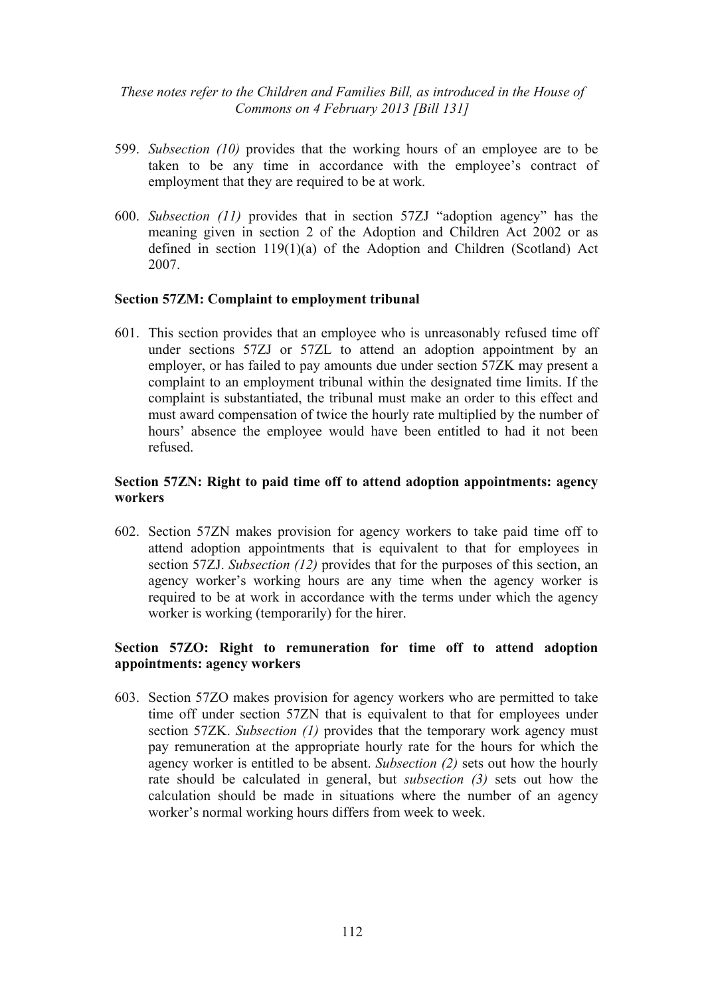- 599. *Subsection (10)* provides that the working hours of an employee are to be taken to be any time in accordance with the employee's contract of employment that they are required to be at work.
- 600. *Subsection (11)* provides that in section 57ZJ "adoption agency" has the meaning given in section 2 of the Adoption and Children Act 2002 or as defined in section 119(1)(a) of the Adoption and Children (Scotland) Act 2007.

#### **Section 57ZM: Complaint to employment tribunal**

601. This section provides that an employee who is unreasonably refused time off under sections 57ZJ or 57ZL to attend an adoption appointment by an employer, or has failed to pay amounts due under section 57ZK may present a complaint to an employment tribunal within the designated time limits. If the complaint is substantiated, the tribunal must make an order to this effect and must award compensation of twice the hourly rate multiplied by the number of hours' absence the employee would have been entitled to had it not been refused.

## **Section 57ZN: Right to paid time off to attend adoption appointments: agency workers**

602. Section 57ZN makes provision for agency workers to take paid time off to attend adoption appointments that is equivalent to that for employees in section 57ZJ. *Subsection (12)* provides that for the purposes of this section, an agency worker's working hours are any time when the agency worker is required to be at work in accordance with the terms under which the agency worker is working (temporarily) for the hirer.

## **Section 57ZO: Right to remuneration for time off to attend adoption appointments: agency workers**

603. Section 57ZO makes provision for agency workers who are permitted to take time off under section 57ZN that is equivalent to that for employees under section 57ZK. *Subsection (1)* provides that the temporary work agency must pay remuneration at the appropriate hourly rate for the hours for which the agency worker is entitled to be absent. *Subsection (2)* sets out how the hourly rate should be calculated in general, but *subsection (3)* sets out how the calculation should be made in situations where the number of an agency worker's normal working hours differs from week to week.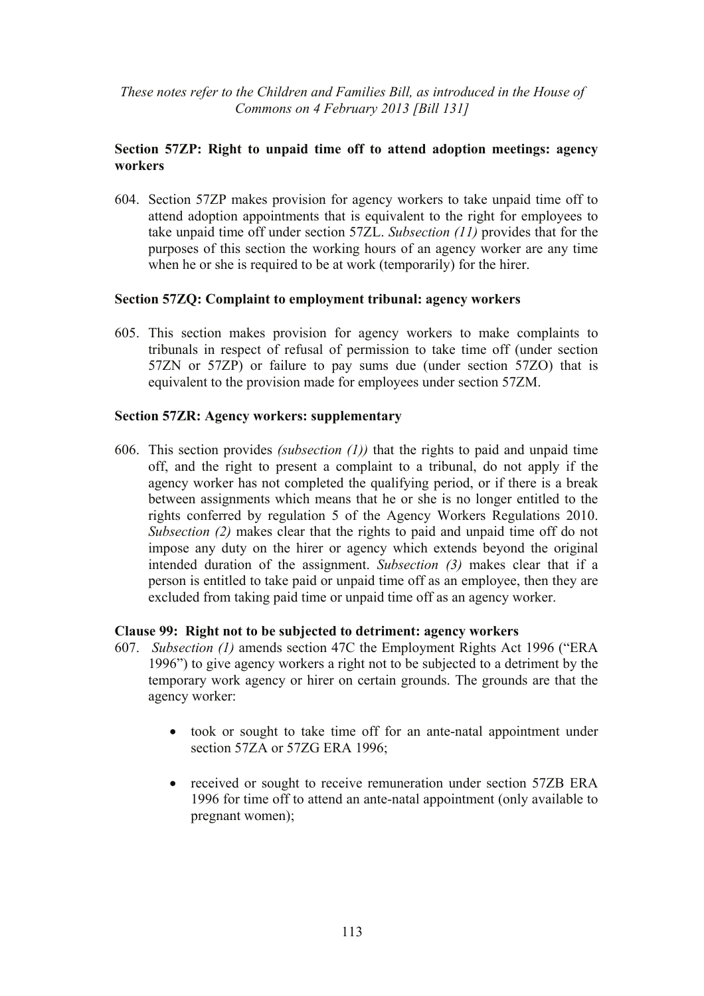#### **Section 57ZP: Right to unpaid time off to attend adoption meetings: agency workers**

604. Section 57ZP makes provision for agency workers to take unpaid time off to attend adoption appointments that is equivalent to the right for employees to take unpaid time off under section 57ZL. *Subsection (11)* provides that for the purposes of this section the working hours of an agency worker are any time when he or she is required to be at work (temporarily) for the hirer.

#### **Section 57ZQ: Complaint to employment tribunal: agency workers**

605. This section makes provision for agency workers to make complaints to tribunals in respect of refusal of permission to take time off (under section 57ZN or 57ZP) or failure to pay sums due (under section 57ZO) that is equivalent to the provision made for employees under section 57ZM.

#### **Section 57ZR: Agency workers: supplementary**

606. This section provides *(subsection (1))* that the rights to paid and unpaid time off, and the right to present a complaint to a tribunal, do not apply if the agency worker has not completed the qualifying period, or if there is a break between assignments which means that he or she is no longer entitled to the rights conferred by regulation 5 of the Agency Workers Regulations 2010. *Subsection (2)* makes clear that the rights to paid and unpaid time off do not impose any duty on the hirer or agency which extends beyond the original intended duration of the assignment. *Subsection (3)* makes clear that if a person is entitled to take paid or unpaid time off as an employee, then they are excluded from taking paid time or unpaid time off as an agency worker.

#### **Clause 99: Right not to be subjected to detriment: agency workers**

- 607. *Subsection (1)* amends section 47C the Employment Rights Act 1996 ("ERA 1996") to give agency workers a right not to be subjected to a detriment by the temporary work agency or hirer on certain grounds. The grounds are that the agency worker:
	- took or sought to take time off for an ante-natal appointment under section 57ZA or 57ZG ERA 1996;
	- received or sought to receive remuneration under section 57ZB ERA 1996 for time off to attend an ante-natal appointment (only available to pregnant women);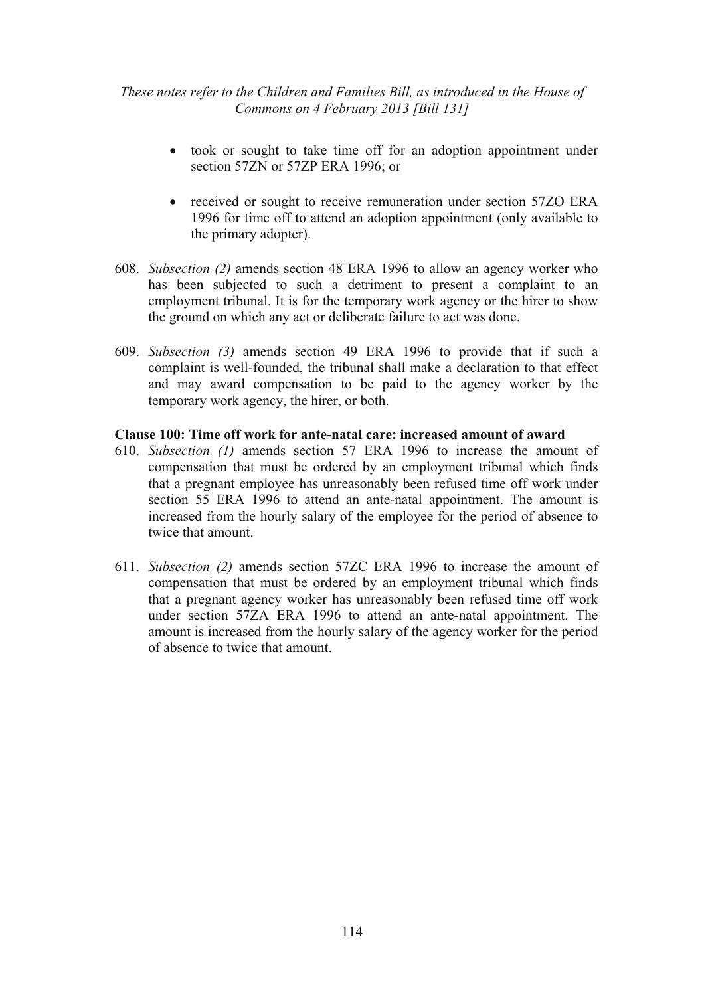- took or sought to take time off for an adoption appointment under section 57ZN or 57ZP ERA 1996; or
- received or sought to receive remuneration under section 57ZO ERA 1996 for time off to attend an adoption appointment (only available to the primary adopter).
- 608. *Subsection (2)* amends section 48 ERA 1996 to allow an agency worker who has been subjected to such a detriment to present a complaint to an employment tribunal. It is for the temporary work agency or the hirer to show the ground on which any act or deliberate failure to act was done.
- 609. *Subsection (3)* amends section 49 ERA 1996 to provide that if such a complaint is well-founded, the tribunal shall make a declaration to that effect and may award compensation to be paid to the agency worker by the temporary work agency, the hirer, or both.

#### **Clause 100: Time off work for ante-natal care: increased amount of award**

- 610. *Subsection (1)* amends section 57 ERA 1996 to increase the amount of compensation that must be ordered by an employment tribunal which finds that a pregnant employee has unreasonably been refused time off work under section 55 ERA 1996 to attend an ante-natal appointment. The amount is increased from the hourly salary of the employee for the period of absence to twice that amount.
- 611. *Subsection (2)* amends section 57ZC ERA 1996 to increase the amount of compensation that must be ordered by an employment tribunal which finds that a pregnant agency worker has unreasonably been refused time off work under section 57ZA ERA 1996 to attend an ante-natal appointment. The amount is increased from the hourly salary of the agency worker for the period of absence to twice that amount.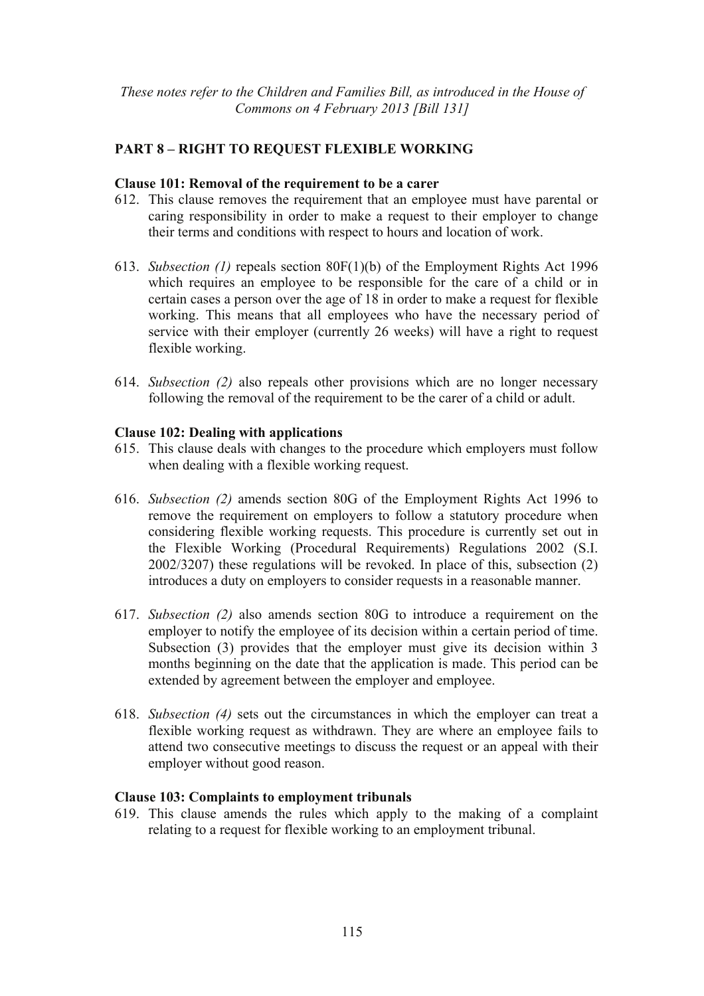## **PART 8 – RIGHT TO REQUEST FLEXIBLE WORKING**

#### **Clause 101: Removal of the requirement to be a carer**

- 612. This clause removes the requirement that an employee must have parental or caring responsibility in order to make a request to their employer to change their terms and conditions with respect to hours and location of work.
- 613. *Subsection (1)* repeals section 80F(1)(b) of the Employment Rights Act 1996 which requires an employee to be responsible for the care of a child or in certain cases a person over the age of 18 in order to make a request for flexible working. This means that all employees who have the necessary period of service with their employer (currently 26 weeks) will have a right to request flexible working.
- 614. *Subsection (2)* also repeals other provisions which are no longer necessary following the removal of the requirement to be the carer of a child or adult.

#### **Clause 102: Dealing with applications**

- 615. This clause deals with changes to the procedure which employers must follow when dealing with a flexible working request.
- 616. *Subsection (2)* amends section 80G of the Employment Rights Act 1996 to remove the requirement on employers to follow a statutory procedure when considering flexible working requests. This procedure is currently set out in the Flexible Working (Procedural Requirements) Regulations 2002 (S.I. 2002/3207) these regulations will be revoked. In place of this, subsection (2) introduces a duty on employers to consider requests in a reasonable manner.
- 617. *Subsection (2)* also amends section 80G to introduce a requirement on the employer to notify the employee of its decision within a certain period of time. Subsection (3) provides that the employer must give its decision within 3 months beginning on the date that the application is made. This period can be extended by agreement between the employer and employee.
- 618. *Subsection (4)* sets out the circumstances in which the employer can treat a flexible working request as withdrawn. They are where an employee fails to attend two consecutive meetings to discuss the request or an appeal with their employer without good reason.

#### **Clause 103: Complaints to employment tribunals**

619. This clause amends the rules which apply to the making of a complaint relating to a request for flexible working to an employment tribunal.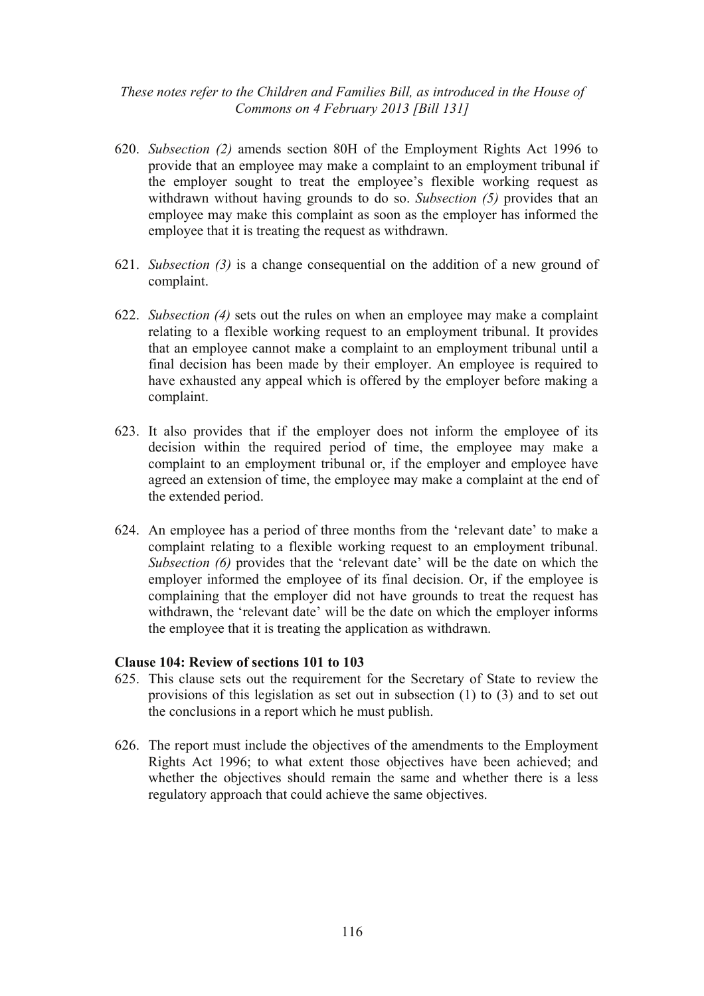- 620. *Subsection (2)* amends section 80H of the Employment Rights Act 1996 to provide that an employee may make a complaint to an employment tribunal if the employer sought to treat the employee's flexible working request as withdrawn without having grounds to do so. *Subsection (5)* provides that an employee may make this complaint as soon as the employer has informed the employee that it is treating the request as withdrawn.
- 621. *Subsection (3)* is a change consequential on the addition of a new ground of complaint.
- 622. *Subsection (4)* sets out the rules on when an employee may make a complaint relating to a flexible working request to an employment tribunal. It provides that an employee cannot make a complaint to an employment tribunal until a final decision has been made by their employer. An employee is required to have exhausted any appeal which is offered by the employer before making a complaint.
- 623. It also provides that if the employer does not inform the employee of its decision within the required period of time, the employee may make a complaint to an employment tribunal or, if the employer and employee have agreed an extension of time, the employee may make a complaint at the end of the extended period.
- 624. An employee has a period of three months from the 'relevant date' to make a complaint relating to a flexible working request to an employment tribunal. *Subsection (6)* provides that the 'relevant date' will be the date on which the employer informed the employee of its final decision. Or, if the employee is complaining that the employer did not have grounds to treat the request has withdrawn, the 'relevant date' will be the date on which the employer informs the employee that it is treating the application as withdrawn.

#### **Clause 104: Review of sections 101 to 103**

- 625. This clause sets out the requirement for the Secretary of State to review the provisions of this legislation as set out in subsection (1) to (3) and to set out the conclusions in a report which he must publish.
- 626. The report must include the objectives of the amendments to the Employment Rights Act 1996; to what extent those objectives have been achieved; and whether the objectives should remain the same and whether there is a less regulatory approach that could achieve the same objectives.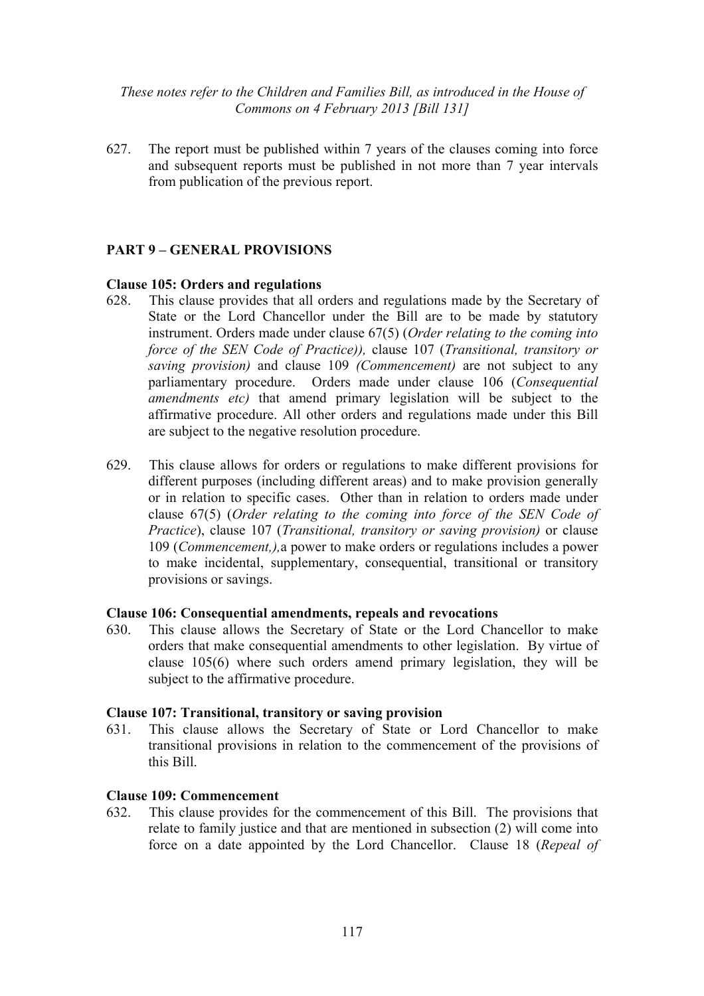627. The report must be published within 7 years of the clauses coming into force and subsequent reports must be published in not more than 7 year intervals from publication of the previous report.

#### **PART 9 – GENERAL PROVISIONS**

#### **Clause 105: Orders and regulations**

- 628. This clause provides that all orders and regulations made by the Secretary of State or the Lord Chancellor under the Bill are to be made by statutory instrument. Orders made under clause 67(5) (*Order relating to the coming into force of the SEN Code of Practice)),* clause 107 (*Transitional, transitory or saving provision)* and clause 109 *(Commencement)* are not subject to any parliamentary procedure. Orders made under clause 106 (*Consequential amendments etc)* that amend primary legislation will be subject to the affirmative procedure. All other orders and regulations made under this Bill are subject to the negative resolution procedure.
- 629. This clause allows for orders or regulations to make different provisions for different purposes (including different areas) and to make provision generally or in relation to specific cases. Other than in relation to orders made under clause 67(5) (*Order relating to the coming into force of the SEN Code of Practice*), clause 107 (*Transitional, transitory or saving provision)* or clause 109 (*Commencement,),*a power to make orders or regulations includes a power to make incidental, supplementary, consequential, transitional or transitory provisions or savings.

#### **Clause 106: Consequential amendments, repeals and revocations**

630. This clause allows the Secretary of State or the Lord Chancellor to make orders that make consequential amendments to other legislation. By virtue of clause 105(6) where such orders amend primary legislation, they will be subject to the affirmative procedure.

#### **Clause 107: Transitional, transitory or saving provision**

631. This clause allows the Secretary of State or Lord Chancellor to make transitional provisions in relation to the commencement of the provisions of this Bill.

#### **Clause 109: Commencement**

632. This clause provides for the commencement of this Bill. The provisions that relate to family justice and that are mentioned in subsection (2) will come into force on a date appointed by the Lord Chancellor. Clause 18 (*Repeal of*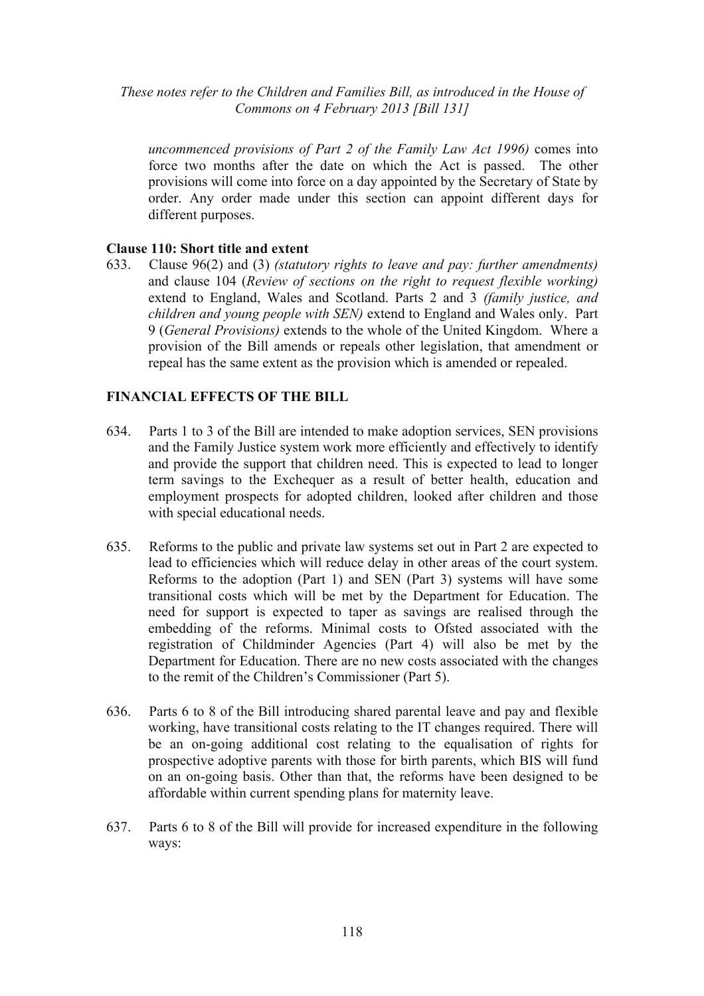*uncommenced provisions of Part 2 of the Family Law Act 1996)* comes into force two months after the date on which the Act is passed. The other provisions will come into force on a day appointed by the Secretary of State by order. Any order made under this section can appoint different days for different purposes.

#### **Clause 110: Short title and extent**

633. Clause 96(2) and (3) *(statutory rights to leave and pay: further amendments)*  and clause 104 (*Review of sections on the right to request flexible working)* extend to England, Wales and Scotland. Parts 2 and 3 *(family justice, and children and young people with SEN)* extend to England and Wales only. Part 9 (*General Provisions)* extends to the whole of the United Kingdom. Where a provision of the Bill amends or repeals other legislation, that amendment or repeal has the same extent as the provision which is amended or repealed.

## **FINANCIAL EFFECTS OF THE BILL**

- 634. Parts 1 to 3 of the Bill are intended to make adoption services, SEN provisions and the Family Justice system work more efficiently and effectively to identify and provide the support that children need. This is expected to lead to longer term savings to the Exchequer as a result of better health, education and employment prospects for adopted children, looked after children and those with special educational needs.
- 635. Reforms to the public and private law systems set out in Part 2 are expected to lead to efficiencies which will reduce delay in other areas of the court system. Reforms to the adoption (Part 1) and SEN (Part 3) systems will have some transitional costs which will be met by the Department for Education. The need for support is expected to taper as savings are realised through the embedding of the reforms. Minimal costs to Ofsted associated with the registration of Childminder Agencies (Part 4) will also be met by the Department for Education. There are no new costs associated with the changes to the remit of the Children's Commissioner (Part 5).
- 636. Parts 6 to 8 of the Bill introducing shared parental leave and pay and flexible working, have transitional costs relating to the IT changes required. There will be an on-going additional cost relating to the equalisation of rights for prospective adoptive parents with those for birth parents, which BIS will fund on an on-going basis. Other than that, the reforms have been designed to be affordable within current spending plans for maternity leave.
- 637. Parts 6 to 8 of the Bill will provide for increased expenditure in the following ways: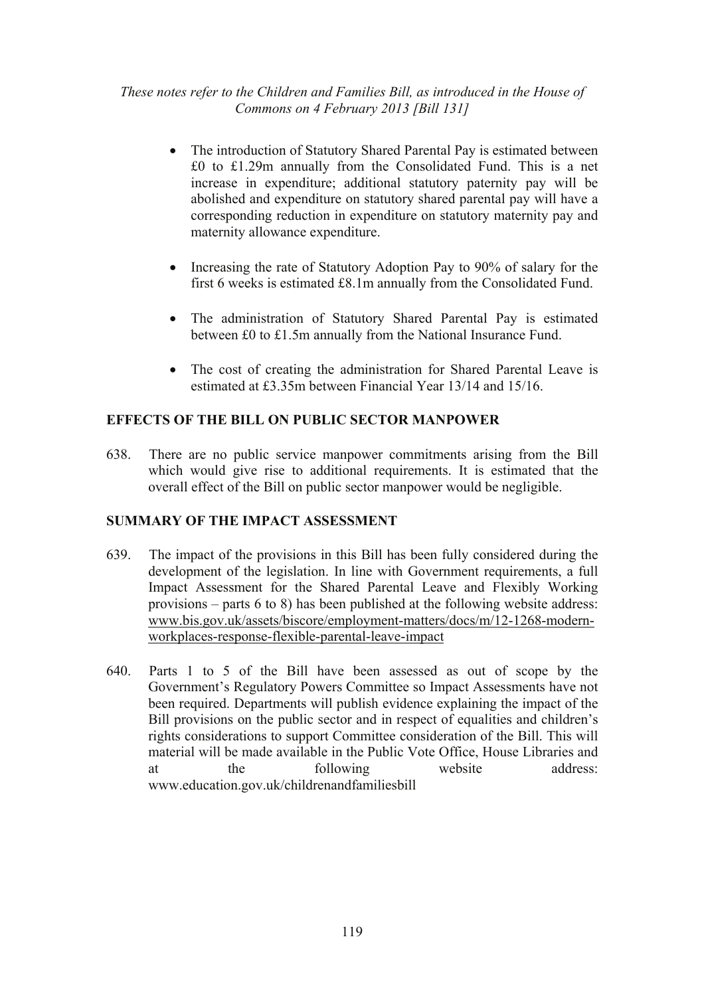- The introduction of Statutory Shared Parental Pay is estimated between £0 to £1.29m annually from the Consolidated Fund. This is a net increase in expenditure; additional statutory paternity pay will be abolished and expenditure on statutory shared parental pay will have a corresponding reduction in expenditure on statutory maternity pay and maternity allowance expenditure.
- Increasing the rate of Statutory Adoption Pay to 90% of salary for the first 6 weeks is estimated £8.1m annually from the Consolidated Fund.
- The administration of Statutory Shared Parental Pay is estimated between £0 to £1.5m annually from the National Insurance Fund.
- The cost of creating the administration for Shared Parental Leave is estimated at £3.35m between Financial Year 13/14 and 15/16.

## **EFFECTS OF THE BILL ON PUBLIC SECTOR MANPOWER**

638. There are no public service manpower commitments arising from the Bill which would give rise to additional requirements. It is estimated that the overall effect of the Bill on public sector manpower would be negligible.

## **SUMMARY OF THE IMPACT ASSESSMENT**

- 639. The impact of the provisions in this Bill has been fully considered during the development of the legislation. In line with Government requirements, a full Impact Assessment for the Shared Parental Leave and Flexibly Working provisions – parts 6 to 8) has been published at the following website address: www.bis.gov.uk/assets/biscore/employment-matters/docs/m/12-1268-modernworkplaces-response-flexible-parental-leave-impact
- 640. Parts 1 to 5 of the Bill have been assessed as out of scope by the Government's Regulatory Powers Committee so Impact Assessments have not been required. Departments will publish evidence explaining the impact of the Bill provisions on the public sector and in respect of equalities and children's rights considerations to support Committee consideration of the Bill. This will material will be made available in the Public Vote Office, House Libraries and at the following website address: www.education.gov.uk/childrenandfamiliesbill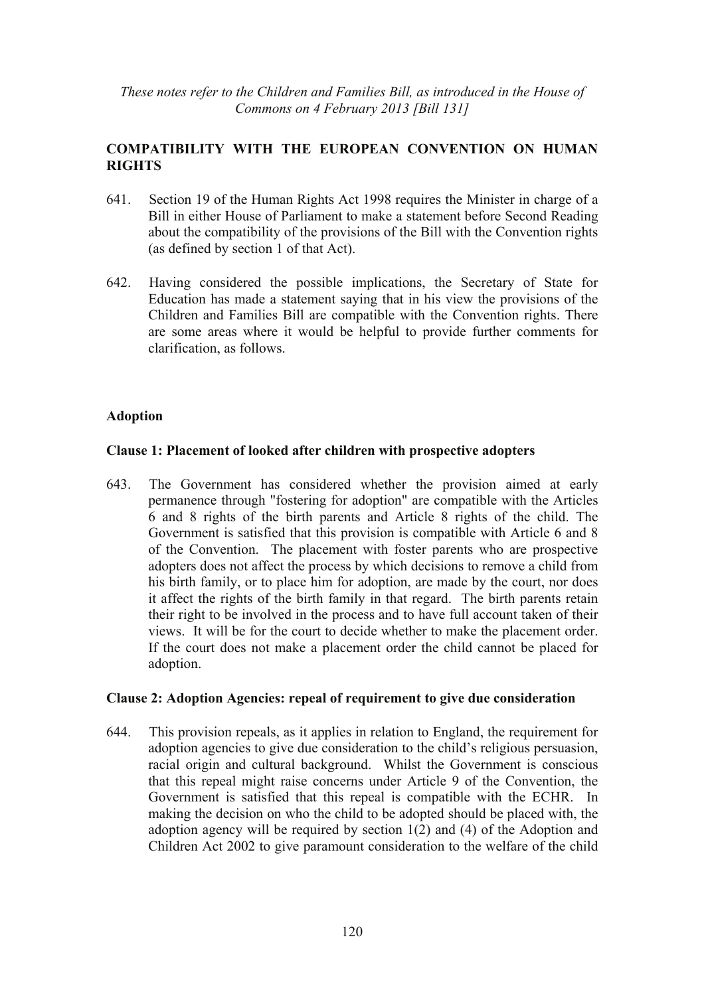## **COMPATIBILITY WITH THE EUROPEAN CONVENTION ON HUMAN RIGHTS**

- 641. Section 19 of the Human Rights Act 1998 requires the Minister in charge of a Bill in either House of Parliament to make a statement before Second Reading about the compatibility of the provisions of the Bill with the Convention rights (as defined by section 1 of that Act).
- 642. Having considered the possible implications, the Secretary of State for Education has made a statement saying that in his view the provisions of the Children and Families Bill are compatible with the Convention rights. There are some areas where it would be helpful to provide further comments for clarification, as follows.

#### **Adoption**

#### **Clause 1: Placement of looked after children with prospective adopters**

643. The Government has considered whether the provision aimed at early permanence through "fostering for adoption" are compatible with the Articles 6 and 8 rights of the birth parents and Article 8 rights of the child. The Government is satisfied that this provision is compatible with Article 6 and 8 of the Convention. The placement with foster parents who are prospective adopters does not affect the process by which decisions to remove a child from his birth family, or to place him for adoption, are made by the court, nor does it affect the rights of the birth family in that regard. The birth parents retain their right to be involved in the process and to have full account taken of their views. It will be for the court to decide whether to make the placement order. If the court does not make a placement order the child cannot be placed for adoption.

#### **Clause 2: Adoption Agencies: repeal of requirement to give due consideration**

644. This provision repeals, as it applies in relation to England, the requirement for adoption agencies to give due consideration to the child's religious persuasion, racial origin and cultural background. Whilst the Government is conscious that this repeal might raise concerns under Article 9 of the Convention, the Government is satisfied that this repeal is compatible with the ECHR. In making the decision on who the child to be adopted should be placed with, the adoption agency will be required by section  $1(2)$  and  $(4)$  of the Adoption and Children Act 2002 to give paramount consideration to the welfare of the child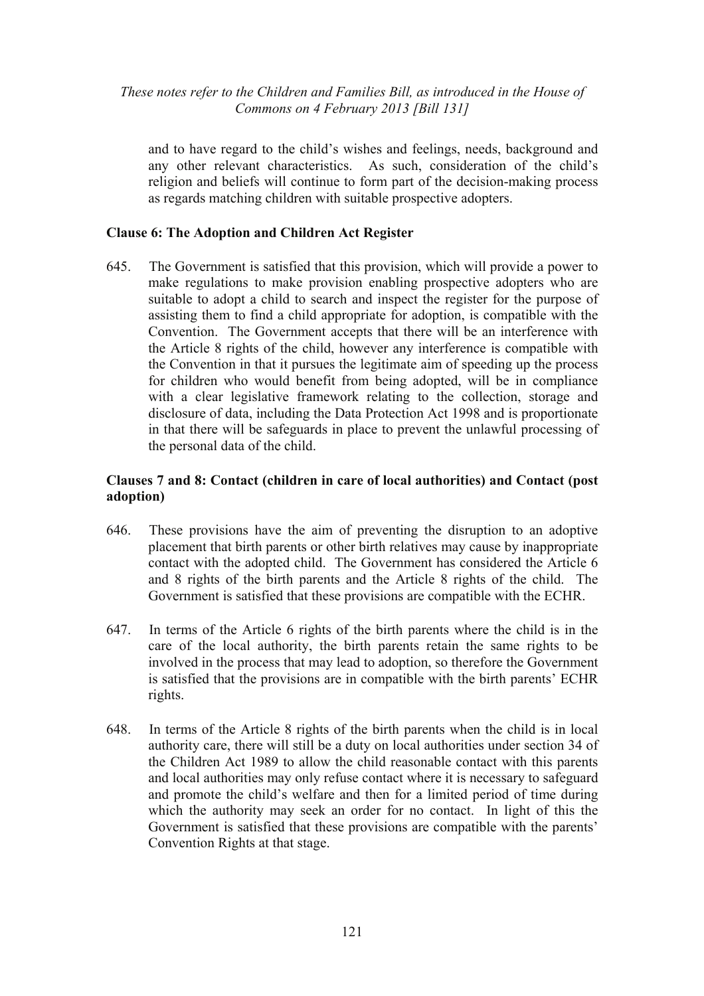and to have regard to the child's wishes and feelings, needs, background and any other relevant characteristics. As such, consideration of the child's religion and beliefs will continue to form part of the decision-making process as regards matching children with suitable prospective adopters.

## **Clause 6: The Adoption and Children Act Register**

645. The Government is satisfied that this provision, which will provide a power to make regulations to make provision enabling prospective adopters who are suitable to adopt a child to search and inspect the register for the purpose of assisting them to find a child appropriate for adoption, is compatible with the Convention. The Government accepts that there will be an interference with the Article 8 rights of the child, however any interference is compatible with the Convention in that it pursues the legitimate aim of speeding up the process for children who would benefit from being adopted, will be in compliance with a clear legislative framework relating to the collection, storage and disclosure of data, including the Data Protection Act 1998 and is proportionate in that there will be safeguards in place to prevent the unlawful processing of the personal data of the child.

#### **Clauses 7 and 8: Contact (children in care of local authorities) and Contact (post adoption)**

- 646. These provisions have the aim of preventing the disruption to an adoptive placement that birth parents or other birth relatives may cause by inappropriate contact with the adopted child. The Government has considered the Article 6 and 8 rights of the birth parents and the Article 8 rights of the child. The Government is satisfied that these provisions are compatible with the ECHR.
- 647. In terms of the Article 6 rights of the birth parents where the child is in the care of the local authority, the birth parents retain the same rights to be involved in the process that may lead to adoption, so therefore the Government is satisfied that the provisions are in compatible with the birth parents' ECHR rights.
- 648. In terms of the Article 8 rights of the birth parents when the child is in local authority care, there will still be a duty on local authorities under section 34 of the Children Act 1989 to allow the child reasonable contact with this parents and local authorities may only refuse contact where it is necessary to safeguard and promote the child's welfare and then for a limited period of time during which the authority may seek an order for no contact. In light of this the Government is satisfied that these provisions are compatible with the parents' Convention Rights at that stage.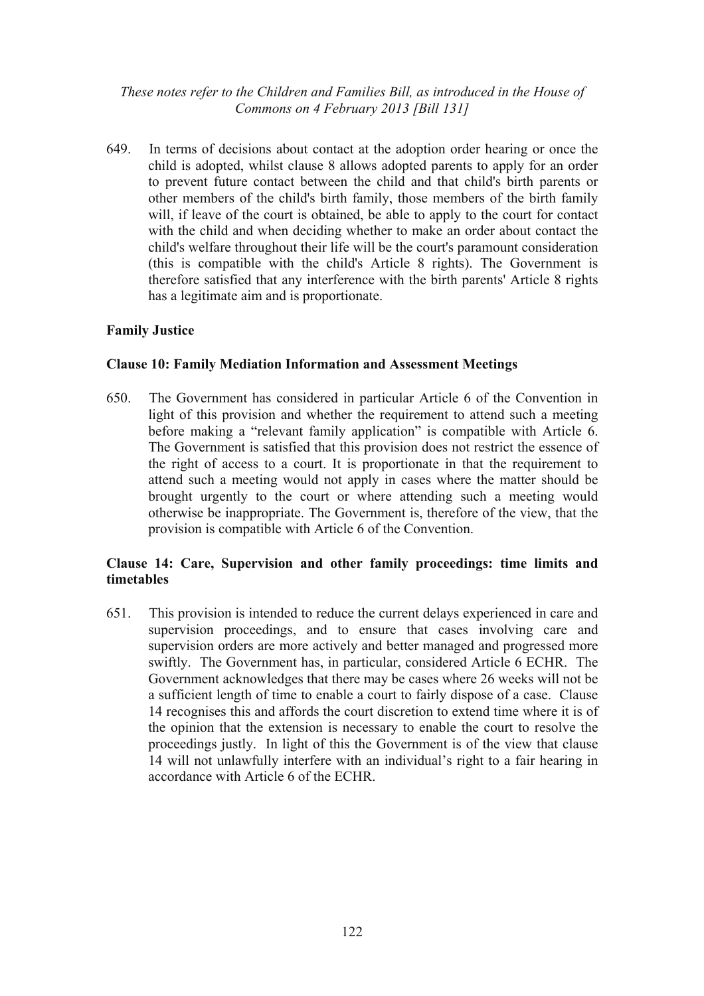649. In terms of decisions about contact at the adoption order hearing or once the child is adopted, whilst clause 8 allows adopted parents to apply for an order to prevent future contact between the child and that child's birth parents or other members of the child's birth family, those members of the birth family will, if leave of the court is obtained, be able to apply to the court for contact with the child and when deciding whether to make an order about contact the child's welfare throughout their life will be the court's paramount consideration (this is compatible with the child's Article 8 rights). The Government is therefore satisfied that any interference with the birth parents' Article 8 rights has a legitimate aim and is proportionate.

## **Family Justice**

#### **Clause 10: Family Mediation Information and Assessment Meetings**

650. The Government has considered in particular Article 6 of the Convention in light of this provision and whether the requirement to attend such a meeting before making a "relevant family application" is compatible with Article 6. The Government is satisfied that this provision does not restrict the essence of the right of access to a court. It is proportionate in that the requirement to attend such a meeting would not apply in cases where the matter should be brought urgently to the court or where attending such a meeting would otherwise be inappropriate. The Government is, therefore of the view, that the provision is compatible with Article 6 of the Convention.

## **Clause 14: Care, Supervision and other family proceedings: time limits and timetables**

651. This provision is intended to reduce the current delays experienced in care and supervision proceedings, and to ensure that cases involving care and supervision orders are more actively and better managed and progressed more swiftly. The Government has, in particular, considered Article 6 ECHR. The Government acknowledges that there may be cases where 26 weeks will not be a sufficient length of time to enable a court to fairly dispose of a case. Clause 14 recognises this and affords the court discretion to extend time where it is of the opinion that the extension is necessary to enable the court to resolve the proceedings justly. In light of this the Government is of the view that clause 14 will not unlawfully interfere with an individual's right to a fair hearing in accordance with Article 6 of the ECHR.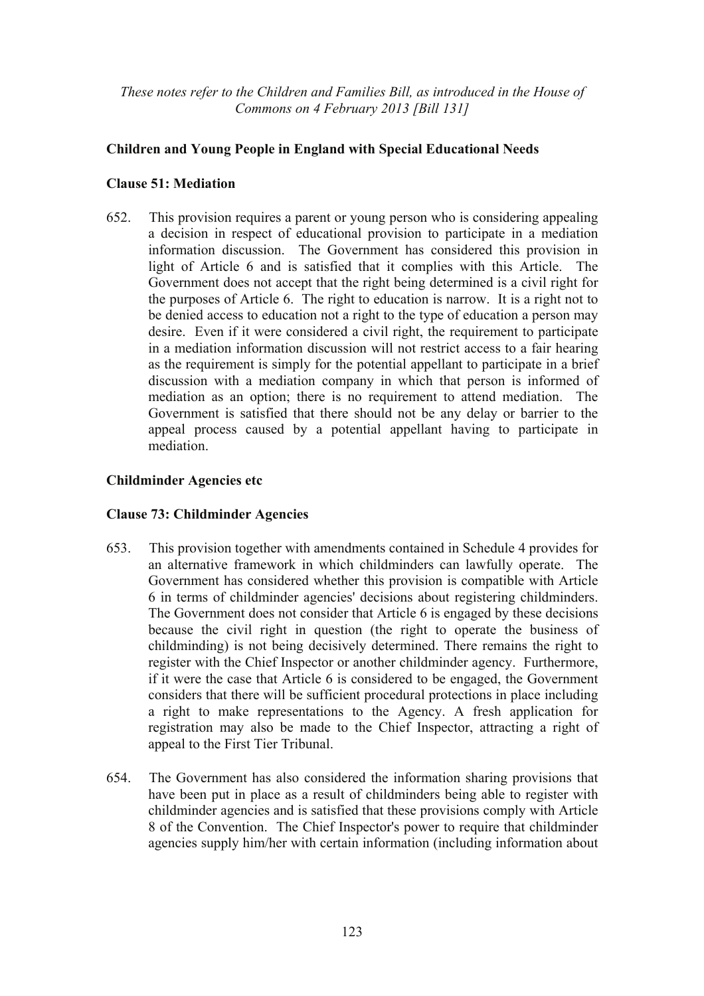## **Children and Young People in England with Special Educational Needs**

## **Clause 51: Mediation**

652. This provision requires a parent or young person who is considering appealing a decision in respect of educational provision to participate in a mediation information discussion. The Government has considered this provision in light of Article 6 and is satisfied that it complies with this Article. The Government does not accept that the right being determined is a civil right for the purposes of Article 6. The right to education is narrow. It is a right not to be denied access to education not a right to the type of education a person may desire. Even if it were considered a civil right, the requirement to participate in a mediation information discussion will not restrict access to a fair hearing as the requirement is simply for the potential appellant to participate in a brief discussion with a mediation company in which that person is informed of mediation as an option; there is no requirement to attend mediation. The Government is satisfied that there should not be any delay or barrier to the appeal process caused by a potential appellant having to participate in mediation.

## **Childminder Agencies etc**

## **Clause 73: Childminder Agencies**

- 653. This provision together with amendments contained in Schedule 4 provides for an alternative framework in which childminders can lawfully operate. The Government has considered whether this provision is compatible with Article 6 in terms of childminder agencies' decisions about registering childminders. The Government does not consider that Article 6 is engaged by these decisions because the civil right in question (the right to operate the business of childminding) is not being decisively determined. There remains the right to register with the Chief Inspector or another childminder agency. Furthermore, if it were the case that Article 6 is considered to be engaged, the Government considers that there will be sufficient procedural protections in place including a right to make representations to the Agency. A fresh application for registration may also be made to the Chief Inspector, attracting a right of appeal to the First Tier Tribunal.
- 654. The Government has also considered the information sharing provisions that have been put in place as a result of childminders being able to register with childminder agencies and is satisfied that these provisions comply with Article 8 of the Convention. The Chief Inspector's power to require that childminder agencies supply him/her with certain information (including information about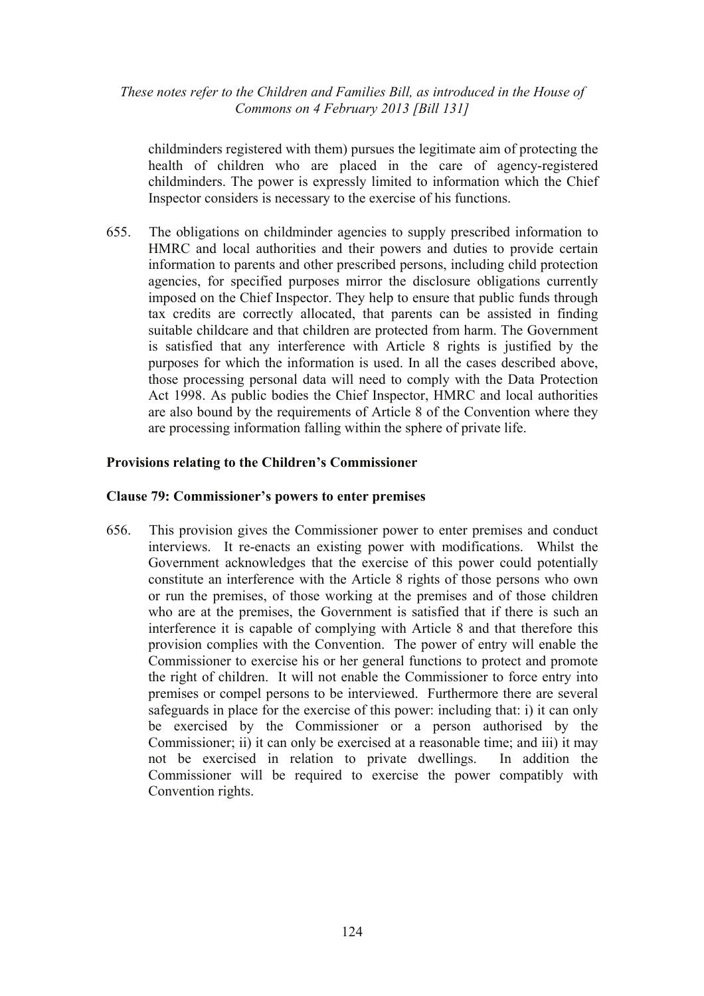childminders registered with them) pursues the legitimate aim of protecting the health of children who are placed in the care of agency-registered childminders. The power is expressly limited to information which the Chief Inspector considers is necessary to the exercise of his functions.

655. The obligations on childminder agencies to supply prescribed information to HMRC and local authorities and their powers and duties to provide certain information to parents and other prescribed persons, including child protection agencies, for specified purposes mirror the disclosure obligations currently imposed on the Chief Inspector. They help to ensure that public funds through tax credits are correctly allocated, that parents can be assisted in finding suitable childcare and that children are protected from harm. The Government is satisfied that any interference with Article 8 rights is justified by the purposes for which the information is used. In all the cases described above, those processing personal data will need to comply with the Data Protection Act 1998. As public bodies the Chief Inspector, HMRC and local authorities are also bound by the requirements of Article 8 of the Convention where they are processing information falling within the sphere of private life.

#### **Provisions relating to the Children's Commissioner**

#### **Clause 79: Commissioner's powers to enter premises**

656. This provision gives the Commissioner power to enter premises and conduct interviews. It re-enacts an existing power with modifications. Whilst the Government acknowledges that the exercise of this power could potentially constitute an interference with the Article 8 rights of those persons who own or run the premises, of those working at the premises and of those children who are at the premises, the Government is satisfied that if there is such an interference it is capable of complying with Article 8 and that therefore this provision complies with the Convention. The power of entry will enable the Commissioner to exercise his or her general functions to protect and promote the right of children. It will not enable the Commissioner to force entry into premises or compel persons to be interviewed. Furthermore there are several safeguards in place for the exercise of this power: including that: i) it can only be exercised by the Commissioner or a person authorised by the Commissioner; ii) it can only be exercised at a reasonable time; and iii) it may not be exercised in relation to private dwellings. In addition the Commissioner will be required to exercise the power compatibly with Convention rights.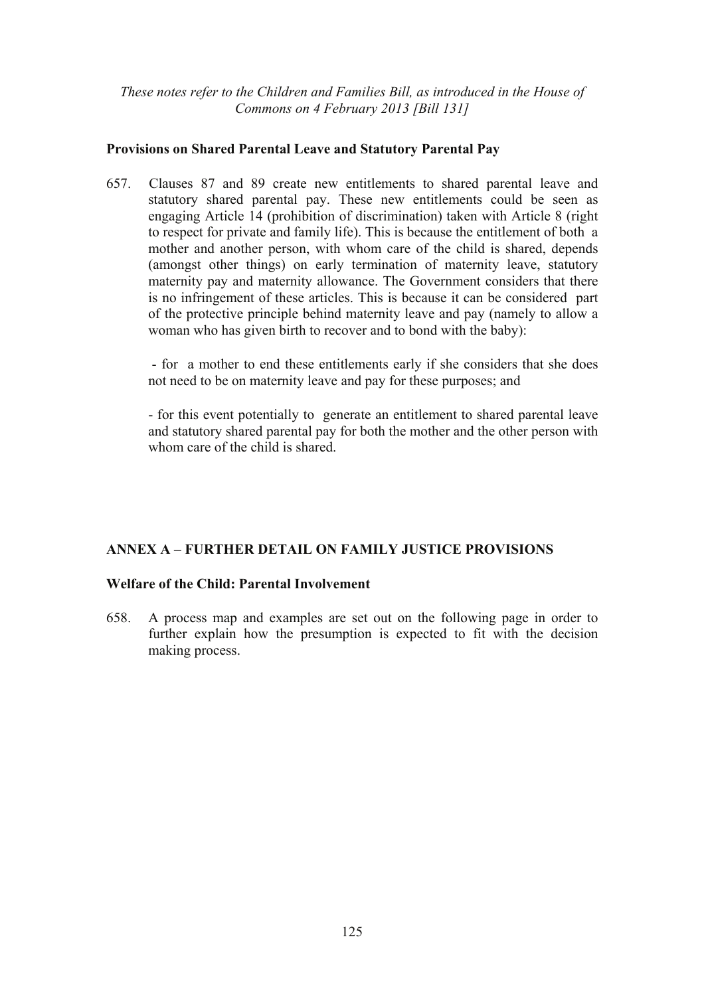#### **Provisions on Shared Parental Leave and Statutory Parental Pay**

657. Clauses 87 and 89 create new entitlements to shared parental leave and statutory shared parental pay. These new entitlements could be seen as engaging Article 14 (prohibition of discrimination) taken with Article 8 (right to respect for private and family life). This is because the entitlement of both a mother and another person, with whom care of the child is shared, depends (amongst other things) on early termination of maternity leave, statutory maternity pay and maternity allowance. The Government considers that there is no infringement of these articles. This is because it can be considered part of the protective principle behind maternity leave and pay (namely to allow a woman who has given birth to recover and to bond with the baby):

 - for a mother to end these entitlements early if she considers that she does not need to be on maternity leave and pay for these purposes; and

- for this event potentially to generate an entitlement to shared parental leave and statutory shared parental pay for both the mother and the other person with whom care of the child is shared.

## **ANNEX A – FURTHER DETAIL ON FAMILY JUSTICE PROVISIONS**

#### **Welfare of the Child: Parental Involvement**

658. A process map and examples are set out on the following page in order to further explain how the presumption is expected to fit with the decision making process.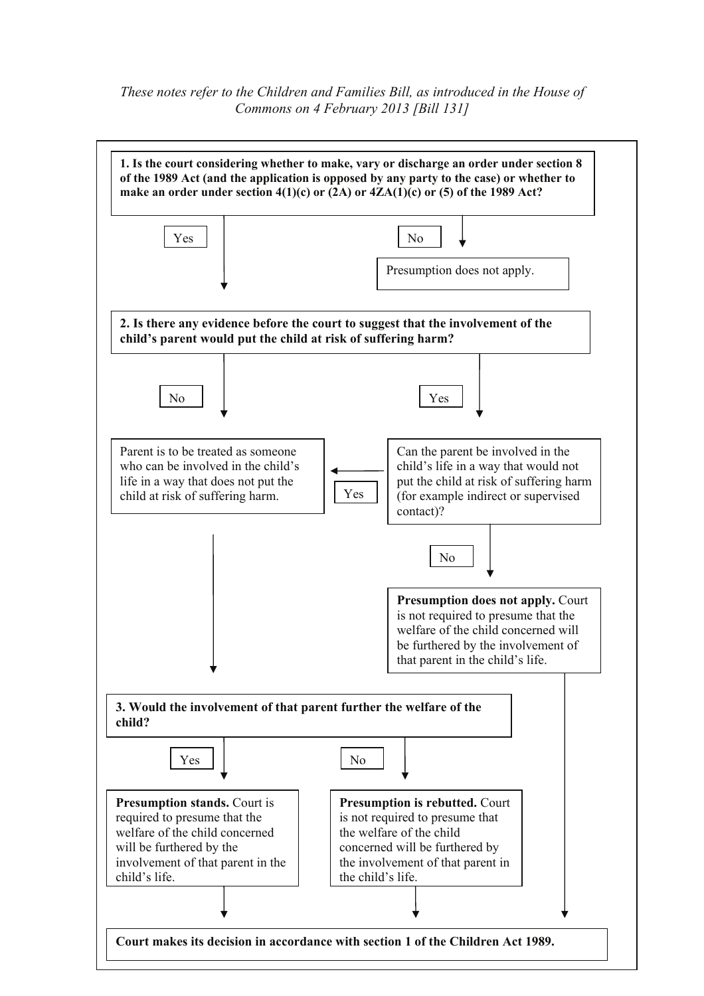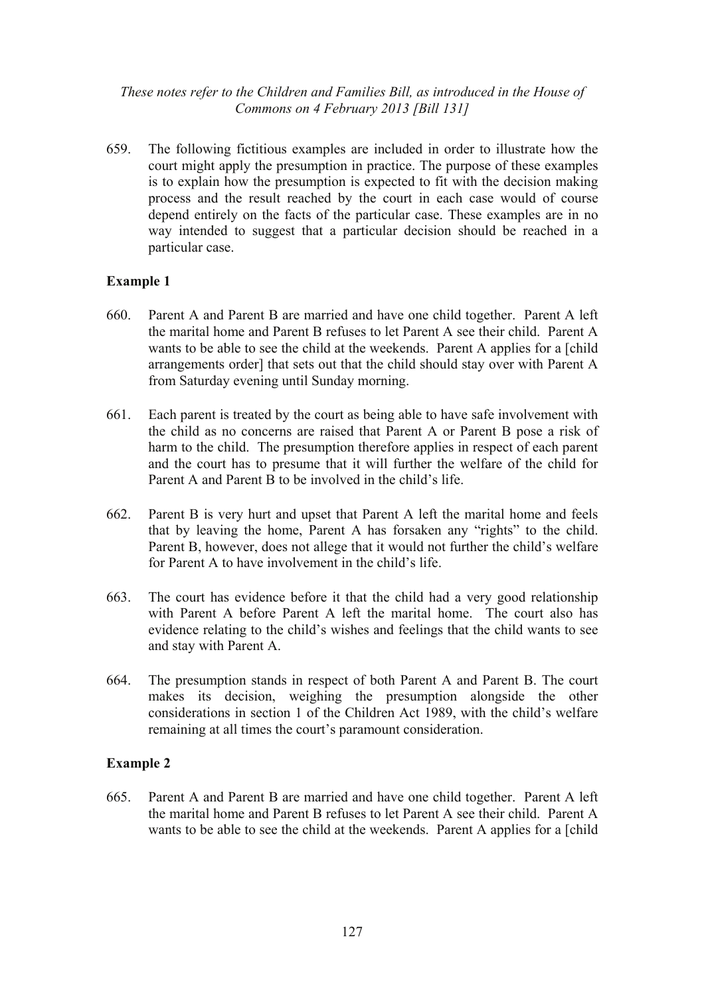659. The following fictitious examples are included in order to illustrate how the court might apply the presumption in practice. The purpose of these examples is to explain how the presumption is expected to fit with the decision making process and the result reached by the court in each case would of course depend entirely on the facts of the particular case. These examples are in no way intended to suggest that a particular decision should be reached in a particular case.

#### **Example 1**

- 660. Parent A and Parent B are married and have one child together. Parent A left the marital home and Parent B refuses to let Parent A see their child. Parent A wants to be able to see the child at the weekends. Parent A applies for a [child] arrangements order] that sets out that the child should stay over with Parent A from Saturday evening until Sunday morning.
- 661. Each parent is treated by the court as being able to have safe involvement with the child as no concerns are raised that Parent A or Parent B pose a risk of harm to the child. The presumption therefore applies in respect of each parent and the court has to presume that it will further the welfare of the child for Parent A and Parent B to be involved in the child's life.
- 662. Parent B is very hurt and upset that Parent A left the marital home and feels that by leaving the home, Parent A has forsaken any "rights" to the child. Parent B, however, does not allege that it would not further the child's welfare for Parent A to have involvement in the child's life.
- 663. The court has evidence before it that the child had a very good relationship with Parent A before Parent A left the marital home. The court also has evidence relating to the child's wishes and feelings that the child wants to see and stay with Parent A.
- 664. The presumption stands in respect of both Parent A and Parent B. The court makes its decision, weighing the presumption alongside the other considerations in section 1 of the Children Act 1989, with the child's welfare remaining at all times the court's paramount consideration.

## **Example 2**

665. Parent A and Parent B are married and have one child together. Parent A left the marital home and Parent B refuses to let Parent A see their child. Parent A wants to be able to see the child at the weekends. Parent A applies for a [child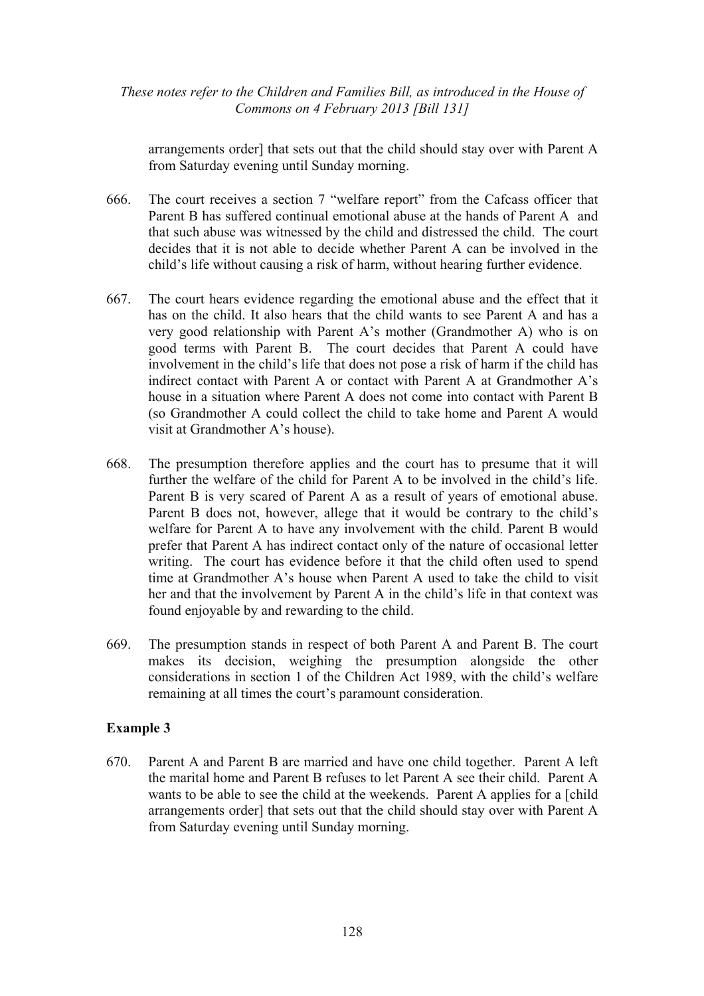arrangements order] that sets out that the child should stay over with Parent A from Saturday evening until Sunday morning.

- 666. The court receives a section 7 "welfare report" from the Cafcass officer that Parent B has suffered continual emotional abuse at the hands of Parent A and that such abuse was witnessed by the child and distressed the child. The court decides that it is not able to decide whether Parent A can be involved in the child's life without causing a risk of harm, without hearing further evidence.
- 667. The court hears evidence regarding the emotional abuse and the effect that it has on the child. It also hears that the child wants to see Parent A and has a very good relationship with Parent A's mother (Grandmother A) who is on good terms with Parent B. The court decides that Parent A could have involvement in the child's life that does not pose a risk of harm if the child has indirect contact with Parent A or contact with Parent A at Grandmother A's house in a situation where Parent A does not come into contact with Parent B (so Grandmother A could collect the child to take home and Parent A would visit at Grandmother A's house).
- 668. The presumption therefore applies and the court has to presume that it will further the welfare of the child for Parent A to be involved in the child's life. Parent B is very scared of Parent A as a result of years of emotional abuse. Parent B does not, however, allege that it would be contrary to the child's welfare for Parent A to have any involvement with the child. Parent B would prefer that Parent A has indirect contact only of the nature of occasional letter writing. The court has evidence before it that the child often used to spend time at Grandmother A's house when Parent A used to take the child to visit her and that the involvement by Parent A in the child's life in that context was found enjoyable by and rewarding to the child.
- 669. The presumption stands in respect of both Parent A and Parent B. The court makes its decision, weighing the presumption alongside the other considerations in section 1 of the Children Act 1989, with the child's welfare remaining at all times the court's paramount consideration.

## **Example 3**

670. Parent A and Parent B are married and have one child together. Parent A left the marital home and Parent B refuses to let Parent A see their child. Parent A wants to be able to see the child at the weekends. Parent A applies for a [child arrangements order] that sets out that the child should stay over with Parent A from Saturday evening until Sunday morning.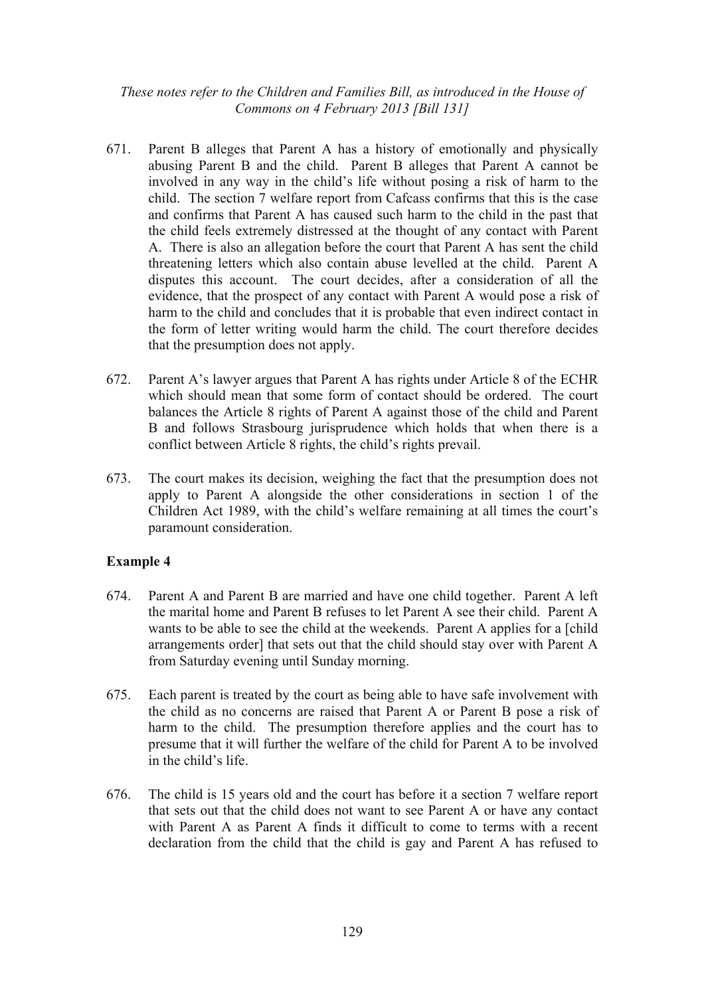- 671. Parent B alleges that Parent A has a history of emotionally and physically abusing Parent B and the child. Parent B alleges that Parent A cannot be involved in any way in the child's life without posing a risk of harm to the child. The section 7 welfare report from Cafcass confirms that this is the case and confirms that Parent A has caused such harm to the child in the past that the child feels extremely distressed at the thought of any contact with Parent A. There is also an allegation before the court that Parent A has sent the child threatening letters which also contain abuse levelled at the child. Parent A disputes this account. The court decides, after a consideration of all the evidence, that the prospect of any contact with Parent A would pose a risk of harm to the child and concludes that it is probable that even indirect contact in the form of letter writing would harm the child. The court therefore decides that the presumption does not apply.
- 672. Parent A's lawyer argues that Parent A has rights under Article 8 of the ECHR which should mean that some form of contact should be ordered. The court balances the Article 8 rights of Parent A against those of the child and Parent B and follows Strasbourg jurisprudence which holds that when there is a conflict between Article 8 rights, the child's rights prevail.
- 673. The court makes its decision, weighing the fact that the presumption does not apply to Parent A alongside the other considerations in section 1 of the Children Act 1989, with the child's welfare remaining at all times the court's paramount consideration.

## **Example 4**

- 674. Parent A and Parent B are married and have one child together. Parent A left the marital home and Parent B refuses to let Parent A see their child. Parent A wants to be able to see the child at the weekends. Parent A applies for a [child] arrangements order] that sets out that the child should stay over with Parent A from Saturday evening until Sunday morning.
- 675. Each parent is treated by the court as being able to have safe involvement with the child as no concerns are raised that Parent A or Parent B pose a risk of harm to the child. The presumption therefore applies and the court has to presume that it will further the welfare of the child for Parent A to be involved in the child's life.
- 676. The child is 15 years old and the court has before it a section 7 welfare report that sets out that the child does not want to see Parent A or have any contact with Parent A as Parent A finds it difficult to come to terms with a recent declaration from the child that the child is gay and Parent A has refused to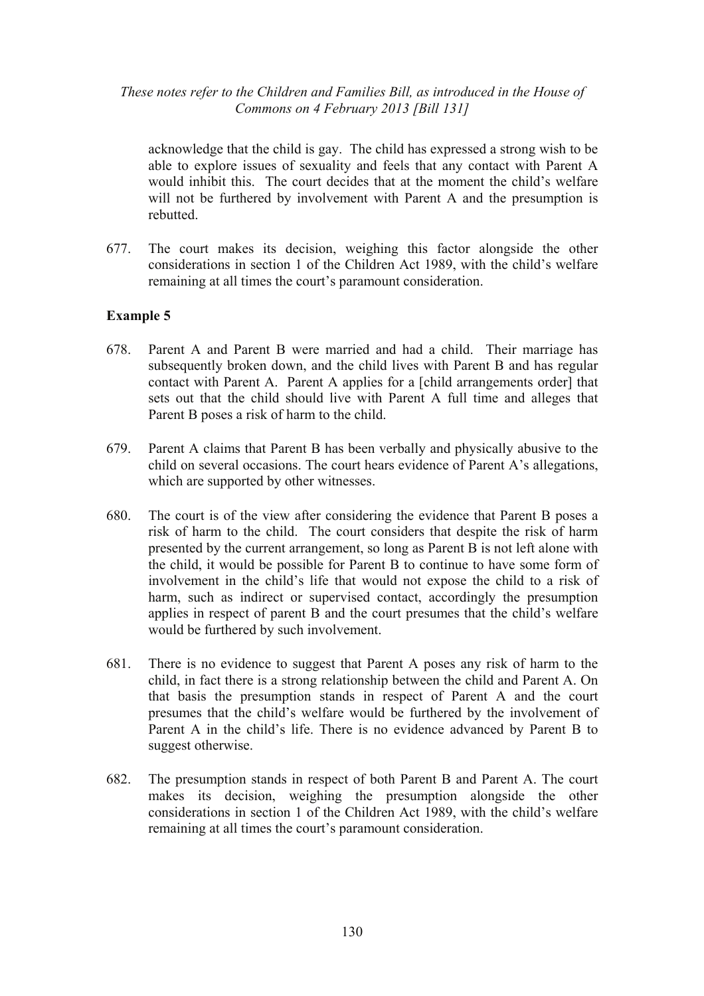acknowledge that the child is gay. The child has expressed a strong wish to be able to explore issues of sexuality and feels that any contact with Parent A would inhibit this. The court decides that at the moment the child's welfare will not be furthered by involvement with Parent A and the presumption is rebutted.

677. The court makes its decision, weighing this factor alongside the other considerations in section 1 of the Children Act 1989, with the child's welfare remaining at all times the court's paramount consideration.

## **Example 5**

- 678. Parent A and Parent B were married and had a child. Their marriage has subsequently broken down, and the child lives with Parent B and has regular contact with Parent A. Parent A applies for a [child arrangements order] that sets out that the child should live with Parent A full time and alleges that Parent B poses a risk of harm to the child.
- 679. Parent A claims that Parent B has been verbally and physically abusive to the child on several occasions. The court hears evidence of Parent A's allegations, which are supported by other witnesses.
- 680. The court is of the view after considering the evidence that Parent B poses a risk of harm to the child. The court considers that despite the risk of harm presented by the current arrangement, so long as Parent B is not left alone with the child, it would be possible for Parent B to continue to have some form of involvement in the child's life that would not expose the child to a risk of harm, such as indirect or supervised contact, accordingly the presumption applies in respect of parent B and the court presumes that the child's welfare would be furthered by such involvement.
- 681. There is no evidence to suggest that Parent A poses any risk of harm to the child, in fact there is a strong relationship between the child and Parent A. On that basis the presumption stands in respect of Parent A and the court presumes that the child's welfare would be furthered by the involvement of Parent A in the child's life. There is no evidence advanced by Parent B to suggest otherwise.
- 682. The presumption stands in respect of both Parent B and Parent A. The court makes its decision, weighing the presumption alongside the other considerations in section 1 of the Children Act 1989, with the child's welfare remaining at all times the court's paramount consideration.